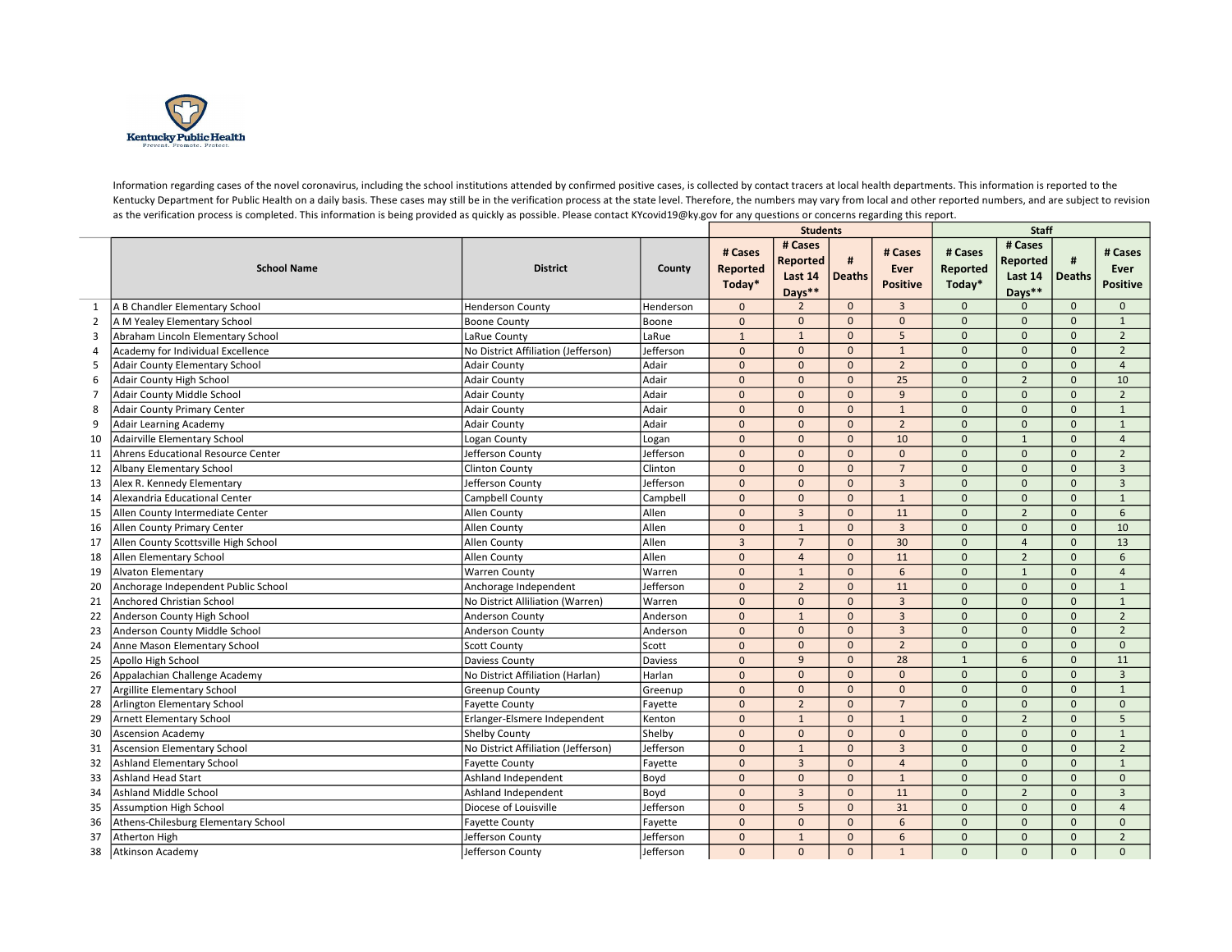

Information regarding cases of the novel coronavirus, including the school institutions attended by confirmed positive cases, is collected by contact tracers at local health departments. This information is reported to the Kentucky Department for Public Health on a daily basis. These cases may still be in the verification process at the state level. Therefore, the numbers may vary from local and other reported numbers, and are subject to rev as the verification process is completed. This information is being provided as quickly as possible. Please contact KYcovid19@ky.gov for any questions or concerns regarding this report.

|                |                                      |                                     |           |                               | <b>Students</b>                                 |               |                                    | <b>Staff</b>                  |                                                 |                    |                                    |
|----------------|--------------------------------------|-------------------------------------|-----------|-------------------------------|-------------------------------------------------|---------------|------------------------------------|-------------------------------|-------------------------------------------------|--------------------|------------------------------------|
|                | <b>School Name</b>                   | <b>District</b>                     | County    | # Cases<br>Reported<br>Today* | # Cases<br><b>Reported</b><br>Last 14<br>Days** | <b>Deaths</b> | # Cases<br>Ever<br><b>Positive</b> | # Cases<br>Reported<br>Today* | # Cases<br><b>Reported</b><br>Last 14<br>Days** | #<br><b>Deaths</b> | # Cases<br>Ever<br><b>Positive</b> |
| 1              | A B Chandler Elementary School       | <b>Henderson County</b>             | Henderson | $\mathbf{0}$                  | $\overline{2}$                                  | $\mathbf{0}$  | $\overline{3}$                     | $\mathbf{0}$                  |                                                 | $\mathbf{0}$       | $\mathbf{0}$                       |
| $\overline{2}$ | A M Yealey Elementary School         | <b>Boone County</b>                 | Boone     | $\mathbf{0}$                  | $\mathbf{0}$                                    | $\Omega$      | $\mathbf{0}$                       | $\mathbf{0}$                  | $\Omega$                                        | $\Omega$           | $\mathbf{1}$                       |
| 3              | Abraham Lincoln Elementary School    | LaRue County                        | LaRue     | $\mathbf{1}$                  | $\mathbf{1}$                                    | $\Omega$      | 5                                  | $\Omega$                      | $\Omega$                                        | $\Omega$           | $\overline{2}$                     |
| $\overline{4}$ | Academy for Individual Excellence    | No District Affiliation (Jefferson) | Jefferson | $\overline{0}$                | $\mathbf{0}$                                    | $\mathbf{0}$  | $\mathbf{1}$                       | $\mathbf{0}$                  | $\Omega$                                        | $\Omega$           | $\overline{2}$                     |
| 5              | Adair County Elementary School       | <b>Adair County</b>                 | Adair     | $\mathbf{0}$                  | $\mathbf{0}$                                    | $\Omega$      | $\overline{2}$                     | $\Omega$                      | $\Omega$                                        | $\Omega$           | $\overline{4}$                     |
| 6              | Adair County High School             | <b>Adair County</b>                 | Adair     | $\mathbf{0}$                  | $\mathbf{0}$                                    | $\mathbf{0}$  | 25                                 | $\mathbf{0}$                  | $\overline{2}$                                  | $\mathbf{0}$       | 10                                 |
| $\overline{7}$ | Adair County Middle School           | <b>Adair County</b>                 | Adair     | $\Omega$                      | $\mathbf{0}$                                    | $\Omega$      | 9                                  | $\Omega$                      | $\Omega$                                        | $\Omega$           | $\overline{2}$                     |
| 8              | <b>Adair County Primary Center</b>   | <b>Adair County</b>                 | Adair     | $\mathbf{0}$                  | $\mathbf{0}$                                    | $\mathbf{0}$  | $\mathbf{1}$                       | $\Omega$                      | $\Omega$                                        | $\Omega$           | $\mathbf{1}$                       |
| 9              | Adair Learning Academy               | <b>Adair County</b>                 | Adair     | $\Omega$                      | $\mathbf{0}$                                    | $\Omega$      | $\overline{2}$                     | $\Omega$                      | $\Omega$                                        | $\Omega$           | $\mathbf{1}$                       |
| 10             | Adairville Elementary School         | Logan County                        | Logan     | $\mathbf{0}$                  | $\mathbf{0}$                                    | $\mathbf{0}$  | 10                                 | $\mathbf{0}$                  | $\mathbf{1}$                                    | $\mathbf{0}$       | $\overline{4}$                     |
| 11             | Ahrens Educational Resource Center   | lefferson County                    | Jefferson | $\mathbf{0}$                  | $\mathbf{0}$                                    | $\Omega$      | $\Omega$                           | $\Omega$                      | $\Omega$                                        | $\Omega$           | $\overline{2}$                     |
| 12             | Albany Elementary School             | <b>Clinton County</b>               | Clinton   | $\mathbf{0}$                  | $\mathbf{0}$                                    | $\mathbf{0}$  | $\overline{7}$                     | $\Omega$                      | $\Omega$                                        | $\Omega$           | $\overline{3}$                     |
| 13             | Alex R. Kennedy Elementary           | Jefferson County                    | Jefferson | $\mathbf{0}$                  | $\mathbf{0}$                                    | $\Omega$      | $\overline{3}$                     | $\Omega$                      | $\Omega$                                        | $\Omega$           | $\overline{3}$                     |
| 14             | Alexandria Educational Center        | Campbell County                     | Campbell  | $\mathbf{0}$                  | $\mathbf{0}$                                    | $\mathbf{0}$  | $\mathbf{1}$                       | $\Omega$                      | $\Omega$                                        | $\Omega$           | $\mathbf{1}$                       |
| 15             | Allen County Intermediate Center     | Allen County                        | Allen     | $\mathbf{0}$                  | $\overline{3}$                                  | $\Omega$      | 11                                 | $\Omega$                      | $\overline{2}$                                  | $\Omega$           | 6                                  |
| 16             | Allen County Primary Center          | Allen County                        | Allen     | $\mathbf{0}$                  | $\mathbf{1}$                                    | $\Omega$      | $\overline{3}$                     | $\Omega$                      | $\Omega$                                        | $\Omega$           | 10                                 |
| 17             | Allen County Scottsville High School | Allen County                        | Allen     | $\overline{3}$                | $\overline{7}$                                  | $\Omega$      | 30                                 | $\Omega$                      | $\overline{4}$                                  | $\Omega$           | 13                                 |
| 18             | Allen Elementary School              | Allen County                        | Allen     | $\mathbf{0}$                  | $\overline{4}$                                  | $\Omega$      | 11                                 | $\Omega$                      | $\overline{2}$                                  | $\Omega$           | 6                                  |
| 19             | <b>Alvaton Elementary</b>            | Warren County                       | Warren    | $\mathbf{0}$                  | $\mathbf{1}$                                    | $\Omega$      | 6                                  | $\Omega$                      | $\mathbf{1}$                                    | $\Omega$           | $\overline{4}$                     |
| 20             | Anchorage Independent Public School  | Anchorage Independent               | Jefferson | $\Omega$                      | $\overline{2}$                                  | $\mathbf{0}$  | 11                                 | $\Omega$                      | $\Omega$                                        | $\mathbf{0}$       | $\mathbf{1}$                       |
| 21             | Anchored Christian School            | No District Alliliation (Warren)    | Warren    | $\mathbf{0}$                  | $\mathbf{0}$                                    | $\mathbf{0}$  | $\overline{3}$                     | $\mathbf{0}$                  | $\Omega$                                        | $\Omega$           | $\mathbf{1}$                       |
| 22             | Anderson County High School          | Anderson County                     | Anderson  | $\Omega$                      | $\mathbf{1}$                                    | $\Omega$      | $\overline{3}$                     | $\Omega$                      | $\Omega$                                        | $\Omega$           | $\overline{2}$                     |
| 23             | Anderson County Middle School        | <b>Anderson County</b>              | Anderson  | $\mathbf{0}$                  | $\mathbf{0}$                                    | $\mathbf{0}$  | $\overline{3}$                     | $\mathbf{0}$                  | $\Omega$                                        | $\Omega$           | $\overline{2}$                     |
| 24             | Anne Mason Elementary School         | <b>Scott County</b>                 | Scott     | $\Omega$                      | $\mathbf{0}$                                    | $\Omega$      | $\overline{2}$                     | $\Omega$                      | $\Omega$                                        | $\Omega$           | $\Omega$                           |
| 25             | Apollo High School                   | Daviess County                      | Daviess   | $\mathbf{0}$                  | 9                                               | $\mathbf{0}$  | 28                                 | $\mathbf{1}$                  | 6                                               | $\mathbf{0}$       | 11                                 |
| 26             | Appalachian Challenge Academy        | No District Affiliation (Harlan)    | Harlan    | $\Omega$                      | $\mathbf{0}$                                    | $\Omega$      | $\Omega$                           | $\Omega$                      | $\Omega$                                        | $\Omega$           | $\overline{3}$                     |
| 27             | Argillite Elementary School          | <b>Greenup County</b>               | Greenup   | $\mathbf{0}$                  | $\mathbf{0}$                                    | $\mathbf{0}$  | $\mathbf{0}$                       | $\Omega$                      | $\Omega$                                        | $\Omega$           | $\mathbf{1}$                       |
| 28             | Arlington Elementary School          | <b>Favette County</b>               | Fayette   | $\mathbf{0}$                  | $\overline{2}$                                  | $\Omega$      | $\overline{7}$                     | $\Omega$                      | $\Omega$                                        | $\Omega$           | $\mathbf{0}$                       |
| 29             | <b>Arnett Elementary School</b>      | Erlanger-Elsmere Independent        | Kenton    | $\overline{0}$                | $\mathbf{1}$                                    | $\mathbf{0}$  | $\mathbf{1}$                       | $\Omega$                      | $\overline{2}$                                  | $\Omega$           | 5                                  |
| 30             | <b>Ascension Academy</b>             | <b>Shelby County</b>                | Shelby    | $\mathbf{0}$                  | $\mathbf{0}$                                    | $\Omega$      | $\Omega$                           | $\Omega$                      | $\Omega$                                        | $\Omega$           | 1                                  |
| 31             | <b>Ascension Elementary School</b>   | No District Affiliation (Jefferson) | Jefferson | $\Omega$                      | $\overline{1}$                                  | $\mathbf{0}$  | $\overline{3}$                     | $\Omega$                      | $\Omega$                                        | $\Omega$           | $\overline{2}$                     |
| 32             | Ashland Elementary School            | <b>Fayette County</b>               | Fayette   | $\mathbf{0}$                  | $\overline{3}$                                  | $\Omega$      | $\overline{4}$                     | $\Omega$                      | $\Omega$                                        | $\Omega$           | $\mathbf{1}$                       |
| 33             | <b>Ashland Head Start</b>            | Ashland Independent                 | Boyd      | $\mathbf{0}$                  | $\mathbf{0}$                                    | $\mathbf{0}$  | $\mathbf{1}$                       | $\Omega$                      | $\Omega$                                        | $\Omega$           | $\mathbf{0}$                       |
| 34             | <b>Ashland Middle School</b>         | Ashland Independent                 | Boyd      | $\mathbf{0}$                  | $\overline{3}$                                  | $\Omega$      | 11                                 | $\Omega$                      | $\overline{2}$                                  | $\Omega$           | $\overline{3}$                     |
| 35             | Assumption High School               | Diocese of Louisville               | Jefferson | $\mathbf{0}$                  | 5                                               | $\mathbf{0}$  | 31                                 | $\Omega$                      | $\Omega$                                        | $\Omega$           | $\overline{4}$                     |
| 36             | Athens-Chilesburg Elementary School  | <b>Fayette County</b>               | Fayette   | $\mathbf{0}$                  | $\mathbf{0}$                                    | $\Omega$      | 6                                  | $\Omega$                      | $\Omega$                                        | $\Omega$           | $\mathbf{0}$                       |
| 37             | Atherton High                        | lefferson County                    | Jefferson | $\Omega$                      | $\mathbf{1}$                                    | $\Omega$      | 6                                  | $\mathbf{0}$                  | $\Omega$                                        | $\Omega$           | $\overline{2}$                     |
| 38             | Atkinson Academy                     | Jefferson County                    | Jefferson | $\mathbf{0}$                  | $\Omega$                                        | $\Omega$      | $\mathbf{1}$                       | $\Omega$                      | $\Omega$                                        | $\Omega$           | $\Omega$                           |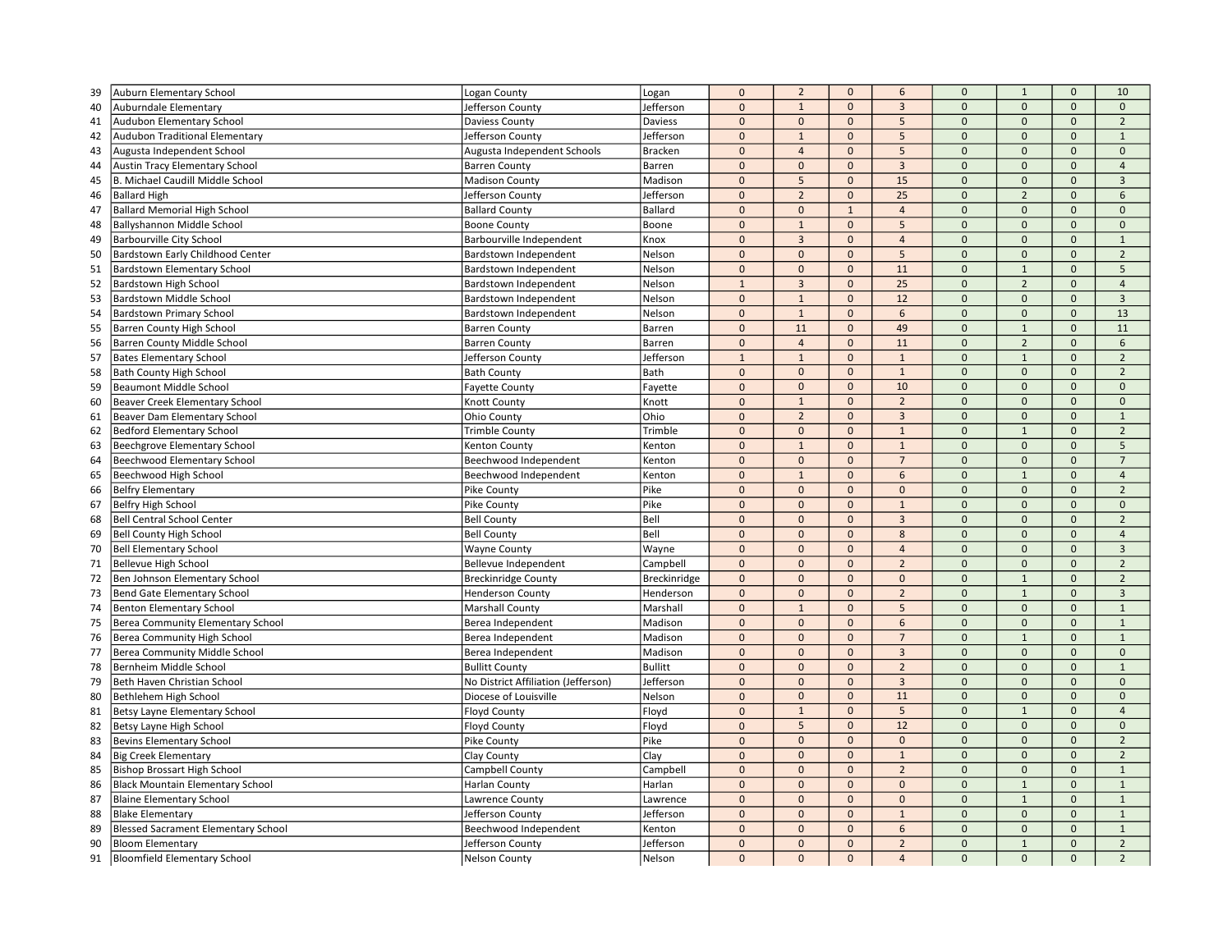| Jefferson<br>$\mathbf{0}$<br>40<br>Auburndale Elementary<br>Jefferson County<br>$\mathbf 0$<br>$\mathbf{1}$<br>$\mathbf{0}$<br>$\mathbf{3}$<br>$\mathbf 0$<br>$\mathbf{0}$<br>$\mathbf 0$<br>Daviess<br>$\mathbf{0}$<br>$\mathbf{0}$<br>$\mathbf{0}$<br>5<br>$\mathbf{0}$<br>$\mathbf{0}$<br>$\overline{2}$<br>41<br>Audubon Elementary School<br>Daviess County<br>$\mathbf{0}$<br>Jefferson<br>$\mathbf{0}$<br>$\mathbf{1}$<br>$\mathbf{0}$<br>5<br>$\mathbf{0}$<br>$\mathbf{0}$<br>$\mathbf{0}$<br>$\mathbf 1$<br>42<br>Audubon Traditional Elementary<br>Jefferson County<br>Augusta Independent School<br>Augusta Independent Schools<br><b>Bracken</b><br>$\mathbf{0}$<br>$\overline{4}$<br>$\mathbf{0}$<br>5<br>$\mathbf 0$<br>$\mathbf{0}$<br>$\Omega$<br>$\mathbf{0}$<br>43<br>$\Omega$<br>$\mathbf{0}$<br>$\mathbf{0}$<br>$\overline{3}$<br>$\Omega$<br>$\Omega$<br>$\Omega$<br>Austin Tracy Elementary School<br><b>Barren County</b><br>Barren<br>$\overline{4}$<br>44<br>B. Michael Caudill Middle School<br>$\mathbf 0$<br>5<br>$\mathbf{0}$<br>15<br>$\Omega$<br>$\overline{3}$<br>45<br><b>Madison County</b><br>Madison<br>$\mathbf{0}$<br>$\mathbf{0}$<br>$\overline{2}$<br>$\overline{0}$<br>$\mathbf{0}$<br>$\mathbf 0$<br>25<br>$\overline{2}$<br>$\mathbf{0}$<br>6<br>Jefferson<br><b>Ballard High</b><br>Jefferson County<br>46<br><b>Ballard Memorial High School</b><br>Ballard<br>$\mathbf 0$<br>$\mathbf{0}$<br>$\pmb{0}$<br>$\mathbf 0$<br>$\mathbf 0$<br>47<br><b>Ballard County</b><br>$\mathbf{1}$<br>$\overline{4}$<br>$\mathbf 0$<br>Ballyshannon Middle School<br>$\mathbf 0$<br>$\mathbf{1}$<br>$\mathbf{0}$<br>5<br>$\mathbf{0}$<br>$\mathbf{0}$<br>48<br><b>Boone County</b><br>Boone<br>$\mathbf{0}$<br>$\mathbf{0}$<br>$\overline{3}$<br>$\mathbf 0$<br>$\mathbf{0}$<br>$\mathbf{0}$<br>$\mathbf{0}$<br>$\Omega$<br>$\mathbf{1}$<br><b>Barbourville City School</b><br>Knox<br>$\overline{4}$<br>49<br>Barbourville Independent<br>$\overline{0}$<br>$\mathbf 0$<br>5<br>$\mathbf 0$<br>$\mathbf{0}$<br>$\overline{2}$<br>50<br>Bardstown Early Childhood Center<br>Nelson<br>$\mathbf{0}$<br>$\mathbf{0}$<br>Bardstown Independent<br>Nelson<br>$\mathbf{0}$<br>$\mathbf{0}$<br>$\mathbf{0}$<br>11<br>$\mathbf{0}$<br>$\mathbf{1}$<br>$\mathbf{0}$<br>5<br>51<br>Bardstown Elementary School<br>Bardstown Independent<br>52<br>$\overline{3}$<br>25<br>$\mathbf{0}$<br>Nelson<br>$\mathbf{1}$<br>$\mathbf{0}$<br>$\overline{2}$<br>$\mathbf{0}$<br>$\overline{4}$<br>Bardstown High School<br>Bardstown Independent<br>$\mathbf 0$<br>$\mathbf{1}$<br>$\mathbf 0$<br>12<br>$\mathbf{0}$<br>$\mathbf{0}$<br>$\mathbf 0$<br>$\overline{3}$<br>53<br>Nelson<br>Bardstown Middle School<br>Bardstown Independent<br>$\mathbf{0}$<br>$\mathbf{1}$<br>$\pmb{0}$<br>54<br><b>Bardstown Primary School</b><br>Bardstown Independent<br>Nelson<br>$\mathbf{0}$<br>$\boldsymbol{6}$<br>$\mathbf{0}$<br>$\mathbf{0}$<br>13<br>55<br>$\Omega$<br>11<br>$\mathbf{0}$<br>49<br>$\Omega$<br>$\overline{1}$<br>$\Omega$<br>11<br><b>Barren County High School</b><br>Barren<br><b>Barren County</b><br>$\mathbf 0$<br>$\overline{4}$<br>$\mathbf{0}$<br>11<br>$\mathbf{0}$<br>$\overline{2}$<br>$\mathbf{0}$<br>6<br>56<br>Barren County Middle School<br>Barren<br><b>Barren County</b><br>$\Omega$<br>57<br><b>Bates Elementary School</b><br>Jefferson<br>$\mathbf{1}$<br>$\mathbf{1}$<br>$\mathbf{0}$<br>$\mathbf{1}$<br>$\mathbf 0$<br>$\overline{2}$<br>Jefferson County<br>$\mathbf{1}$<br>58<br>Bath<br>$\mathbf{0}$<br>$\mathbf 0$<br>$\mathbf{0}$<br>$\mathbf{1}$<br>$\mathbf{0}$<br>$\mathbf{0}$<br>$\overline{2}$<br><b>Bath County High School</b><br><b>Bath County</b><br>$\mathbf{0}$<br>59<br>Fayette<br>$\mathbf 0$<br>$\mathbf{0}$<br>$\mathbf{0}$<br>10<br>$\mathbf{0}$<br>$\mathbf 0$<br>$\mathbf 0$<br>$\mathbf 0$<br><b>Beaumont Middle School</b><br><b>Fayette County</b><br>$\mathbf{1}$<br>$\Omega$<br>$\Omega$<br>$\mathbf{0}$<br>$\overline{2}$<br>$\Omega$<br>$\Omega$<br>$\Omega$<br>60<br>Beaver Creek Elementary School<br>Knott County<br>Knott<br>Ohio<br>$\mathbf{0}$<br>$\overline{2}$<br>$\mathbf{0}$<br>$\overline{3}$<br>$\Omega$<br>$\Omega$<br>$\mathbf{1}$<br>61<br>Beaver Dam Elementary School<br><b>Ohio County</b><br>$\mathbf{0}$<br>Trimble<br>$\mathbf 0$<br>$\mathbf 0$<br>$\overline{0}$<br>$\overline{2}$<br>62<br><b>Bedford Elementary School</b><br><b>Trimble County</b><br>$\mathbf{0}$<br>$\mathbf{1}$<br>$\overline{1}$<br>$\mathbf{0}$<br>$\mathbf{1}$<br>$\mathbf{0}$<br>$1\,$<br>$\mathbf{0}$<br>$\Omega$<br>$\Omega$<br>5<br>$\pmb{0}$<br>Beechgrove Elementary School<br>Kenton<br>63<br>Kenton County<br>$\mathbf{0}$<br>$\mathbf{0}$<br>$\mathbf{0}$<br>64<br>$\mathbf{0}$<br>$\overline{7}$<br>$\mathbf{0}$<br>$\mathbf{0}$<br>$\overline{7}$<br>Beechwood Elementary School<br>Beechwood Independent<br>Kenton<br>$\mathbf 0$<br>$1\,$<br>$\mathbf{0}$<br>65<br>Beechwood High School<br>Beechwood Independent<br>Kenton<br>$\mathbf 0$<br>6<br>$\overline{1}$<br>$\mathbf 0$<br>$\overline{4}$<br>$\overline{0}$<br>Pike<br>$\mathbf{0}$<br>$\mathbf{0}$<br>$\mathbf{0}$<br>$\mathbf 0$<br>$\mathbf{0}$<br>$\Omega$<br>$\overline{2}$<br>66<br><b>Belfry Elementary</b><br>Pike County<br>Pike<br>$\Omega$<br>$\mathbf{0}$<br>$\mathbf{0}$<br>$\mathbf{1}$<br>$\Omega$<br>$\mathbf{0}$<br>$\mathbf{0}$<br>$\mathbf{0}$<br>67<br><b>Belfry High School</b><br>Pike County<br>Bell<br>$\mathbf{0}$<br>$\mathbf{0}$<br>$\mathbf{0}$<br>$\overline{3}$<br>$\mathbf{0}$<br>$\mathbf{0}$<br>$\mathbf{0}$<br>$\overline{2}$<br>68<br><b>Bell Central School Center</b><br><b>Bell County</b><br>Bell<br>$\mathbf{0}$<br>69<br>$\mathbf 0$<br>$\mathbf 0$<br>$\mathbf 0$<br>$\mathbf 0$<br>$\mathbf{0}$<br><b>Bell County High School</b><br><b>Bell County</b><br>8<br>$\overline{4}$<br>70<br>Wayne<br>$\mathbf{0}$<br>$\mathbf{0}$<br>$\mathbf{0}$<br>$\overline{4}$<br>$\mathbf{0}$<br>$\mathbf{0}$<br>$\mathbf{0}$<br>$\overline{3}$<br><b>Bell Elementary School</b><br>Wayne County<br>$\mathbf 0$<br>$\mathbf{0}$<br>$\mathbf{0}$<br>$\overline{2}$<br>$\mathbf{0}$<br>$\mathbf{0}$<br>$\mathbf{0}$<br>$\overline{2}$<br>71<br>Bellevue High School<br>Bellevue Independent<br>Campbell<br>$\Omega$<br>$\mathbf 0$<br>$\mathbf{0}$<br>$\Omega$<br>$\Omega$<br>$\overline{2}$<br>72<br>Ben Johnson Elementary School<br>Breckinridge<br>$\mathbf{0}$<br><b>Breckinridge County</b><br>73<br>Bend Gate Elementary School<br>Henderson<br>$\mathbf{0}$<br>$\mathbf{0}$<br>$\mathbf{0}$<br>$\overline{2}$<br>$\mathbf{0}$<br>$1\,$<br>$\mathbf 0$<br>$\mathbf{3}$<br><b>Henderson County</b><br>$\overline{0}$<br>$\mathbf 0$<br>$\mathbf{1}$<br>$\mathbf{0}$<br>5<br>$\mathbf{0}$<br>$\mathbf{0}$<br><b>Benton Elementary School</b><br>Marshall<br>$\mathbf{1}$<br>74<br><b>Marshall County</b><br>$\mathbf{0}$<br>$\mathbf{0}$<br>$\mathbf{0}$<br>6<br>$\mathbf{0}$<br>$\mathbf{0}$<br>$\mathbf{0}$<br>75<br>Berea Community Elementary School<br>Madison<br>$\mathbf{1}$<br>Berea Independent<br>76<br>Madison<br>$\mathbf 0$<br>$\mathbf{0}$<br>$\mathbf{0}$<br>$\overline{7}$<br>$\mathbf{0}$<br>$\mathbf 0$<br>Berea Community High School<br>Berea Independent<br>$\mathbf{1}$<br>$\mathbf{1}$<br>$\Omega$<br>Madison<br>$\mathbf{0}$<br>$\mathbf{0}$<br>$\overline{3}$<br>$\Omega$<br>$\mathbf{0}$<br>77<br>Berea Community Middle School<br>Berea Independent<br>$\mathbf{0}$<br>$\Omega$<br>$\Omega$<br>$\mathbf 0$<br>$\mathbf{0}$<br>$\overline{2}$<br>$\mathbf 0$<br>$\mathbf{0}$<br>$\Omega$<br>$\mathbf{1}$<br>78<br>Bernheim Middle School<br><b>Bullitt</b><br>Bullitt County<br>$\pmb{0}$<br>$\mathbf 0$<br>$\overline{3}$<br>$\overline{0}$<br>79<br>Beth Haven Christian School<br>No District Affiliation (Jefferson)<br>Jefferson<br>$\mathbf 0$<br>$\mathbf{0}$<br>$\mathbf{0}$<br>$\mathbf 0$<br>$\mathbf{0}$<br>$\mathbf{0}$<br>$\mathbf{0}$<br>$\mathbf{0}$<br>$\Omega$<br>Nelson<br>11<br>$\mathbf{0}$<br>$\Omega$<br>80<br>Bethlehem High School<br>Diocese of Louisville<br>$\mathbf{0}$<br>$\mathbf{0}$<br>$\mathbf{1}$<br>$\mathbf 0$<br>5<br>$\mathbf{1}$<br>$\mathbf{0}$<br>81<br>Betsy Layne Elementary School<br><b>Floyd County</b><br>Floyd<br>$\overline{4}$<br>Floyd<br>$5\overline{)}$<br>12<br>$\mathbf{0}$<br>82<br>Betsy Layne High School<br><b>Floyd County</b><br>$\mathbf 0$<br>$\mathbf 0$<br>$\mathbf{0}$<br>$\mathbf 0$<br>$\mathbf 0$<br>Pike County<br>Pike<br>$\Omega$<br>$\mathbf{0}$<br>$\Omega$<br>$\mathbf{0}$<br>83<br><b>Bevins Elementary School</b><br>$\mathbf{0}$<br>$\Omega$<br>$\Omega$<br>$\overline{2}$<br><b>Big Creek Elementary</b><br>Clay<br>$\Omega$<br>$\mathbf{0}$<br>$\mathbf{0}$<br>$\mathbf{1}$<br>$\Omega$<br>$\mathbf{0}$<br>$\overline{2}$<br>84<br>Clay County<br>$\Omega$<br>$\mathbf 0$<br>$\mathbf{0}$<br>$\mathbf{0}$<br>$\mathbf 0$<br>$\overline{2}$<br>$\mathbf{0}$<br>$\mathbf{0}$<br>$\mathbf{1}$<br>85<br><b>Bishop Brossart High School</b><br>Campbell County<br>Campbell<br><b>Black Mountain Elementary School</b><br>$\Omega$<br>$\mathbf 0$<br>$\mathbf{0}$<br>$\mathbf{0}$<br>$\Omega$<br>86<br>Harlan County<br>Harlan<br>$\Omega$<br>$\mathbf{1}$<br>$\mathbf{1}$<br>87<br>$\mathbf{0}$<br>$\mathbf{0}$<br>$\mathbf{0}$<br>$\mathbf{0}$<br>$\mathbf{0}$<br>$\mathbf{0}$<br>$\mathbf{1}$<br><b>Blaine Elementary School</b><br>Lawrence<br>$\mathbf{1}$<br>Lawrence County<br>$\mathbf 0$<br>$\mathbf 0$<br>$\mathbf{0}$<br>$\mathbf{1}$<br>$\mathbf{0}$<br>$\mathbf{0}$<br>88<br><b>Blake Elementary</b><br>Jefferson<br>$\mathbf{0}$<br>$\mathbf{1}$<br>Jefferson County<br>$\Omega$<br>$\mathbf 0$<br>$\mathbf{0}$<br>6<br>$\Omega$<br>$\Omega$<br>$\Omega$<br>$\mathbf 1$<br>89<br><b>Blessed Sacrament Elementary School</b><br>Kenton<br>Beechwood Independent<br>90<br>Jefferson<br>$\mathbf{0}$<br>$\mathbf{0}$<br>$\mathbf{0}$<br>$\overline{2}$<br>$\mathbf{0}$<br>$\mathbf{0}$<br>$\overline{2}$<br><b>Bloom Elementary</b><br>Jefferson County<br>$\mathbf{1}$ | 39 | <b>Auburn Elementary School</b>     | Logan County         | Logan  | $\mathbf 0$  | $\overline{2}$ | $\mathbf{0}$ | 6              | $\mathbf{0}$ | $\mathbf{1}$ | $\mathbf 0$ | 10             |
|---------------------------------------------------------------------------------------------------------------------------------------------------------------------------------------------------------------------------------------------------------------------------------------------------------------------------------------------------------------------------------------------------------------------------------------------------------------------------------------------------------------------------------------------------------------------------------------------------------------------------------------------------------------------------------------------------------------------------------------------------------------------------------------------------------------------------------------------------------------------------------------------------------------------------------------------------------------------------------------------------------------------------------------------------------------------------------------------------------------------------------------------------------------------------------------------------------------------------------------------------------------------------------------------------------------------------------------------------------------------------------------------------------------------------------------------------------------------------------------------------------------------------------------------------------------------------------------------------------------------------------------------------------------------------------------------------------------------------------------------------------------------------------------------------------------------------------------------------------------------------------------------------------------------------------------------------------------------------------------------------------------------------------------------------------------------------------------------------------------------------------------------------------------------------------------------------------------------------------------------------------------------------------------------------------------------------------------------------------------------------------------------------------------------------------------------------------------------------------------------------------------------------------------------------------------------------------------------------------------------------------------------------------------------------------------------------------------------------------------------------------------------------------------------------------------------------------------------------------------------------------------------------------------------------------------------------------------------------------------------------------------------------------------------------------------------------------------------------------------------------------------------------------------------------------------------------------------------------------------------------------------------------------------------------------------------------------------------------------------------------------------------------------------------------------------------------------------------------------------------------------------------------------------------------------------------------------------------------------------------------------------------------------------------------------------------------------------------------------------------------------------------------------------------------------------------------------------------------------------------------------------------------------------------------------------------------------------------------------------------------------------------------------------------------------------------------------------------------------------------------------------------------------------------------------------------------------------------------------------------------------------------------------------------------------------------------------------------------------------------------------------------------------------------------------------------------------------------------------------------------------------------------------------------------------------------------------------------------------------------------------------------------------------------------------------------------------------------------------------------------------------------------------------------------------------------------------------------------------------------------------------------------------------------------------------------------------------------------------------------------------------------------------------------------------------------------------------------------------------------------------------------------------------------------------------------------------------------------------------------------------------------------------------------------------------------------------------------------------------------------------------------------------------------------------------------------------------------------------------------------------------------------------------------------------------------------------------------------------------------------------------------------------------------------------------------------------------------------------------------------------------------------------------------------------------------------------------------------------------------------------------------------------------------------------------------------------------------------------------------------------------------------------------------------------------------------------------------------------------------------------------------------------------------------------------------------------------------------------------------------------------------------------------------------------------------------------------------------------------------------------------------------------------------------------------------------------------------------------------------------------------------------------------------------------------------------------------------------------------------------------------------------------------------------------------------------------------------------------------------------------------------------------------------------------------------------------------------------------------------------------------------------------------------------------------------------------------------------------------------------------------------------------------------------------------------------------------------------------------------------------------------------------------------------------------------------------------------------------------------------------------------------------------------------------------------------------------------------------------------------------------------------------------------------------------------------------------------------------------------------------------------------------------------------------------------------------------------------------------------------------------------------------------------------------------------------------------------------------------------------------------------------------------------------------------------------------------------------------------------------------------------------------------------------------------------------------------------------------------------------------------------------------------------------------------------------------------------------------------------------------------------------------------------------------------------------------------------------------------------------------------------------------------------------------------------------------------------------------------------------------------------------------------------------------------------------------------------------------------------------------------------------------------------------------------------------------------------------------------------------------------------------------------------------------------------------------------------------------------------------------------------------------------------------------------------------------------------------------------------------------------------------------------------------------------------------------------------------------------------------------------------------------------------------------------------------------------------------------------------------------------------------------------------------------------------------------------------------------------------------------------------------------------------------------------------------------------------------------------------------------------------------------------------------------------------------------------------------------------------------------------------------------------------------------------------------------------------------------------------------------------------------------------------------------------------------------------------------------------------------------------------------------------------------------------------------------------------------------------------------------------------------------------------------------------------------------------------------------------------------------------------------------------------------------------------------|----|-------------------------------------|----------------------|--------|--------------|----------------|--------------|----------------|--------------|--------------|-------------|----------------|
|                                                                                                                                                                                                                                                                                                                                                                                                                                                                                                                                                                                                                                                                                                                                                                                                                                                                                                                                                                                                                                                                                                                                                                                                                                                                                                                                                                                                                                                                                                                                                                                                                                                                                                                                                                                                                                                                                                                                                                                                                                                                                                                                                                                                                                                                                                                                                                                                                                                                                                                                                                                                                                                                                                                                                                                                                                                                                                                                                                                                                                                                                                                                                                                                                                                                                                                                                                                                                                                                                                                                                                                                                                                                                                                                                                                                                                                                                                                                                                                                                                                                                                                                                                                                                                                                                                                                                                                                                                                                                                                                                                                                                                                                                                                                                                                                                                                                                                                                                                                                                                                                                                                                                                                                                                                                                                                                                                                                                                                                                                                                                                                                                                                                                                                                                                                                                                                                                                                                                                                                                                                                                                                                                                                                                                                                                                                                                                                                                                                                                                                                                                                                                                                                                                                                                                                                                                                                                                                                                                                                                                                                                                                                                                                                                                                                                                                                                                                                                                                                                                                                                                                                                                                                                                                                                                                                                                                                                                                                                                                                                                                                                                                                                                                                                                                                                                                                                                                                                                                                                                                                                                                                                                                                                                                                                                                                                                                                                                                                                                                                                                                                                                                                                                                                                                                                                                                                                                                                                                                                                                                                                                                                                                                                                                                                                                                                                                                                                                                                                                                                                                                                           |    |                                     |                      |        |              |                |              |                |              |              |             |                |
|                                                                                                                                                                                                                                                                                                                                                                                                                                                                                                                                                                                                                                                                                                                                                                                                                                                                                                                                                                                                                                                                                                                                                                                                                                                                                                                                                                                                                                                                                                                                                                                                                                                                                                                                                                                                                                                                                                                                                                                                                                                                                                                                                                                                                                                                                                                                                                                                                                                                                                                                                                                                                                                                                                                                                                                                                                                                                                                                                                                                                                                                                                                                                                                                                                                                                                                                                                                                                                                                                                                                                                                                                                                                                                                                                                                                                                                                                                                                                                                                                                                                                                                                                                                                                                                                                                                                                                                                                                                                                                                                                                                                                                                                                                                                                                                                                                                                                                                                                                                                                                                                                                                                                                                                                                                                                                                                                                                                                                                                                                                                                                                                                                                                                                                                                                                                                                                                                                                                                                                                                                                                                                                                                                                                                                                                                                                                                                                                                                                                                                                                                                                                                                                                                                                                                                                                                                                                                                                                                                                                                                                                                                                                                                                                                                                                                                                                                                                                                                                                                                                                                                                                                                                                                                                                                                                                                                                                                                                                                                                                                                                                                                                                                                                                                                                                                                                                                                                                                                                                                                                                                                                                                                                                                                                                                                                                                                                                                                                                                                                                                                                                                                                                                                                                                                                                                                                                                                                                                                                                                                                                                                                                                                                                                                                                                                                                                                                                                                                                                                                                                                                                           |    |                                     |                      |        |              |                |              |                |              |              |             |                |
|                                                                                                                                                                                                                                                                                                                                                                                                                                                                                                                                                                                                                                                                                                                                                                                                                                                                                                                                                                                                                                                                                                                                                                                                                                                                                                                                                                                                                                                                                                                                                                                                                                                                                                                                                                                                                                                                                                                                                                                                                                                                                                                                                                                                                                                                                                                                                                                                                                                                                                                                                                                                                                                                                                                                                                                                                                                                                                                                                                                                                                                                                                                                                                                                                                                                                                                                                                                                                                                                                                                                                                                                                                                                                                                                                                                                                                                                                                                                                                                                                                                                                                                                                                                                                                                                                                                                                                                                                                                                                                                                                                                                                                                                                                                                                                                                                                                                                                                                                                                                                                                                                                                                                                                                                                                                                                                                                                                                                                                                                                                                                                                                                                                                                                                                                                                                                                                                                                                                                                                                                                                                                                                                                                                                                                                                                                                                                                                                                                                                                                                                                                                                                                                                                                                                                                                                                                                                                                                                                                                                                                                                                                                                                                                                                                                                                                                                                                                                                                                                                                                                                                                                                                                                                                                                                                                                                                                                                                                                                                                                                                                                                                                                                                                                                                                                                                                                                                                                                                                                                                                                                                                                                                                                                                                                                                                                                                                                                                                                                                                                                                                                                                                                                                                                                                                                                                                                                                                                                                                                                                                                                                                                                                                                                                                                                                                                                                                                                                                                                                                                                                                                           |    |                                     |                      |        |              |                |              |                |              |              |             |                |
|                                                                                                                                                                                                                                                                                                                                                                                                                                                                                                                                                                                                                                                                                                                                                                                                                                                                                                                                                                                                                                                                                                                                                                                                                                                                                                                                                                                                                                                                                                                                                                                                                                                                                                                                                                                                                                                                                                                                                                                                                                                                                                                                                                                                                                                                                                                                                                                                                                                                                                                                                                                                                                                                                                                                                                                                                                                                                                                                                                                                                                                                                                                                                                                                                                                                                                                                                                                                                                                                                                                                                                                                                                                                                                                                                                                                                                                                                                                                                                                                                                                                                                                                                                                                                                                                                                                                                                                                                                                                                                                                                                                                                                                                                                                                                                                                                                                                                                                                                                                                                                                                                                                                                                                                                                                                                                                                                                                                                                                                                                                                                                                                                                                                                                                                                                                                                                                                                                                                                                                                                                                                                                                                                                                                                                                                                                                                                                                                                                                                                                                                                                                                                                                                                                                                                                                                                                                                                                                                                                                                                                                                                                                                                                                                                                                                                                                                                                                                                                                                                                                                                                                                                                                                                                                                                                                                                                                                                                                                                                                                                                                                                                                                                                                                                                                                                                                                                                                                                                                                                                                                                                                                                                                                                                                                                                                                                                                                                                                                                                                                                                                                                                                                                                                                                                                                                                                                                                                                                                                                                                                                                                                                                                                                                                                                                                                                                                                                                                                                                                                                                                                                           |    |                                     |                      |        |              |                |              |                |              |              |             |                |
|                                                                                                                                                                                                                                                                                                                                                                                                                                                                                                                                                                                                                                                                                                                                                                                                                                                                                                                                                                                                                                                                                                                                                                                                                                                                                                                                                                                                                                                                                                                                                                                                                                                                                                                                                                                                                                                                                                                                                                                                                                                                                                                                                                                                                                                                                                                                                                                                                                                                                                                                                                                                                                                                                                                                                                                                                                                                                                                                                                                                                                                                                                                                                                                                                                                                                                                                                                                                                                                                                                                                                                                                                                                                                                                                                                                                                                                                                                                                                                                                                                                                                                                                                                                                                                                                                                                                                                                                                                                                                                                                                                                                                                                                                                                                                                                                                                                                                                                                                                                                                                                                                                                                                                                                                                                                                                                                                                                                                                                                                                                                                                                                                                                                                                                                                                                                                                                                                                                                                                                                                                                                                                                                                                                                                                                                                                                                                                                                                                                                                                                                                                                                                                                                                                                                                                                                                                                                                                                                                                                                                                                                                                                                                                                                                                                                                                                                                                                                                                                                                                                                                                                                                                                                                                                                                                                                                                                                                                                                                                                                                                                                                                                                                                                                                                                                                                                                                                                                                                                                                                                                                                                                                                                                                                                                                                                                                                                                                                                                                                                                                                                                                                                                                                                                                                                                                                                                                                                                                                                                                                                                                                                                                                                                                                                                                                                                                                                                                                                                                                                                                                                                           |    |                                     |                      |        |              |                |              |                |              |              |             |                |
|                                                                                                                                                                                                                                                                                                                                                                                                                                                                                                                                                                                                                                                                                                                                                                                                                                                                                                                                                                                                                                                                                                                                                                                                                                                                                                                                                                                                                                                                                                                                                                                                                                                                                                                                                                                                                                                                                                                                                                                                                                                                                                                                                                                                                                                                                                                                                                                                                                                                                                                                                                                                                                                                                                                                                                                                                                                                                                                                                                                                                                                                                                                                                                                                                                                                                                                                                                                                                                                                                                                                                                                                                                                                                                                                                                                                                                                                                                                                                                                                                                                                                                                                                                                                                                                                                                                                                                                                                                                                                                                                                                                                                                                                                                                                                                                                                                                                                                                                                                                                                                                                                                                                                                                                                                                                                                                                                                                                                                                                                                                                                                                                                                                                                                                                                                                                                                                                                                                                                                                                                                                                                                                                                                                                                                                                                                                                                                                                                                                                                                                                                                                                                                                                                                                                                                                                                                                                                                                                                                                                                                                                                                                                                                                                                                                                                                                                                                                                                                                                                                                                                                                                                                                                                                                                                                                                                                                                                                                                                                                                                                                                                                                                                                                                                                                                                                                                                                                                                                                                                                                                                                                                                                                                                                                                                                                                                                                                                                                                                                                                                                                                                                                                                                                                                                                                                                                                                                                                                                                                                                                                                                                                                                                                                                                                                                                                                                                                                                                                                                                                                                                                           |    |                                     |                      |        |              |                |              |                |              |              |             |                |
|                                                                                                                                                                                                                                                                                                                                                                                                                                                                                                                                                                                                                                                                                                                                                                                                                                                                                                                                                                                                                                                                                                                                                                                                                                                                                                                                                                                                                                                                                                                                                                                                                                                                                                                                                                                                                                                                                                                                                                                                                                                                                                                                                                                                                                                                                                                                                                                                                                                                                                                                                                                                                                                                                                                                                                                                                                                                                                                                                                                                                                                                                                                                                                                                                                                                                                                                                                                                                                                                                                                                                                                                                                                                                                                                                                                                                                                                                                                                                                                                                                                                                                                                                                                                                                                                                                                                                                                                                                                                                                                                                                                                                                                                                                                                                                                                                                                                                                                                                                                                                                                                                                                                                                                                                                                                                                                                                                                                                                                                                                                                                                                                                                                                                                                                                                                                                                                                                                                                                                                                                                                                                                                                                                                                                                                                                                                                                                                                                                                                                                                                                                                                                                                                                                                                                                                                                                                                                                                                                                                                                                                                                                                                                                                                                                                                                                                                                                                                                                                                                                                                                                                                                                                                                                                                                                                                                                                                                                                                                                                                                                                                                                                                                                                                                                                                                                                                                                                                                                                                                                                                                                                                                                                                                                                                                                                                                                                                                                                                                                                                                                                                                                                                                                                                                                                                                                                                                                                                                                                                                                                                                                                                                                                                                                                                                                                                                                                                                                                                                                                                                                                                           |    |                                     |                      |        |              |                |              |                |              |              |             |                |
|                                                                                                                                                                                                                                                                                                                                                                                                                                                                                                                                                                                                                                                                                                                                                                                                                                                                                                                                                                                                                                                                                                                                                                                                                                                                                                                                                                                                                                                                                                                                                                                                                                                                                                                                                                                                                                                                                                                                                                                                                                                                                                                                                                                                                                                                                                                                                                                                                                                                                                                                                                                                                                                                                                                                                                                                                                                                                                                                                                                                                                                                                                                                                                                                                                                                                                                                                                                                                                                                                                                                                                                                                                                                                                                                                                                                                                                                                                                                                                                                                                                                                                                                                                                                                                                                                                                                                                                                                                                                                                                                                                                                                                                                                                                                                                                                                                                                                                                                                                                                                                                                                                                                                                                                                                                                                                                                                                                                                                                                                                                                                                                                                                                                                                                                                                                                                                                                                                                                                                                                                                                                                                                                                                                                                                                                                                                                                                                                                                                                                                                                                                                                                                                                                                                                                                                                                                                                                                                                                                                                                                                                                                                                                                                                                                                                                                                                                                                                                                                                                                                                                                                                                                                                                                                                                                                                                                                                                                                                                                                                                                                                                                                                                                                                                                                                                                                                                                                                                                                                                                                                                                                                                                                                                                                                                                                                                                                                                                                                                                                                                                                                                                                                                                                                                                                                                                                                                                                                                                                                                                                                                                                                                                                                                                                                                                                                                                                                                                                                                                                                                                                                           |    |                                     |                      |        |              |                |              |                |              |              |             |                |
|                                                                                                                                                                                                                                                                                                                                                                                                                                                                                                                                                                                                                                                                                                                                                                                                                                                                                                                                                                                                                                                                                                                                                                                                                                                                                                                                                                                                                                                                                                                                                                                                                                                                                                                                                                                                                                                                                                                                                                                                                                                                                                                                                                                                                                                                                                                                                                                                                                                                                                                                                                                                                                                                                                                                                                                                                                                                                                                                                                                                                                                                                                                                                                                                                                                                                                                                                                                                                                                                                                                                                                                                                                                                                                                                                                                                                                                                                                                                                                                                                                                                                                                                                                                                                                                                                                                                                                                                                                                                                                                                                                                                                                                                                                                                                                                                                                                                                                                                                                                                                                                                                                                                                                                                                                                                                                                                                                                                                                                                                                                                                                                                                                                                                                                                                                                                                                                                                                                                                                                                                                                                                                                                                                                                                                                                                                                                                                                                                                                                                                                                                                                                                                                                                                                                                                                                                                                                                                                                                                                                                                                                                                                                                                                                                                                                                                                                                                                                                                                                                                                                                                                                                                                                                                                                                                                                                                                                                                                                                                                                                                                                                                                                                                                                                                                                                                                                                                                                                                                                                                                                                                                                                                                                                                                                                                                                                                                                                                                                                                                                                                                                                                                                                                                                                                                                                                                                                                                                                                                                                                                                                                                                                                                                                                                                                                                                                                                                                                                                                                                                                                                                           |    |                                     |                      |        |              |                |              |                |              |              |             |                |
|                                                                                                                                                                                                                                                                                                                                                                                                                                                                                                                                                                                                                                                                                                                                                                                                                                                                                                                                                                                                                                                                                                                                                                                                                                                                                                                                                                                                                                                                                                                                                                                                                                                                                                                                                                                                                                                                                                                                                                                                                                                                                                                                                                                                                                                                                                                                                                                                                                                                                                                                                                                                                                                                                                                                                                                                                                                                                                                                                                                                                                                                                                                                                                                                                                                                                                                                                                                                                                                                                                                                                                                                                                                                                                                                                                                                                                                                                                                                                                                                                                                                                                                                                                                                                                                                                                                                                                                                                                                                                                                                                                                                                                                                                                                                                                                                                                                                                                                                                                                                                                                                                                                                                                                                                                                                                                                                                                                                                                                                                                                                                                                                                                                                                                                                                                                                                                                                                                                                                                                                                                                                                                                                                                                                                                                                                                                                                                                                                                                                                                                                                                                                                                                                                                                                                                                                                                                                                                                                                                                                                                                                                                                                                                                                                                                                                                                                                                                                                                                                                                                                                                                                                                                                                                                                                                                                                                                                                                                                                                                                                                                                                                                                                                                                                                                                                                                                                                                                                                                                                                                                                                                                                                                                                                                                                                                                                                                                                                                                                                                                                                                                                                                                                                                                                                                                                                                                                                                                                                                                                                                                                                                                                                                                                                                                                                                                                                                                                                                                                                                                                                                                           |    |                                     |                      |        |              |                |              |                |              |              |             |                |
|                                                                                                                                                                                                                                                                                                                                                                                                                                                                                                                                                                                                                                                                                                                                                                                                                                                                                                                                                                                                                                                                                                                                                                                                                                                                                                                                                                                                                                                                                                                                                                                                                                                                                                                                                                                                                                                                                                                                                                                                                                                                                                                                                                                                                                                                                                                                                                                                                                                                                                                                                                                                                                                                                                                                                                                                                                                                                                                                                                                                                                                                                                                                                                                                                                                                                                                                                                                                                                                                                                                                                                                                                                                                                                                                                                                                                                                                                                                                                                                                                                                                                                                                                                                                                                                                                                                                                                                                                                                                                                                                                                                                                                                                                                                                                                                                                                                                                                                                                                                                                                                                                                                                                                                                                                                                                                                                                                                                                                                                                                                                                                                                                                                                                                                                                                                                                                                                                                                                                                                                                                                                                                                                                                                                                                                                                                                                                                                                                                                                                                                                                                                                                                                                                                                                                                                                                                                                                                                                                                                                                                                                                                                                                                                                                                                                                                                                                                                                                                                                                                                                                                                                                                                                                                                                                                                                                                                                                                                                                                                                                                                                                                                                                                                                                                                                                                                                                                                                                                                                                                                                                                                                                                                                                                                                                                                                                                                                                                                                                                                                                                                                                                                                                                                                                                                                                                                                                                                                                                                                                                                                                                                                                                                                                                                                                                                                                                                                                                                                                                                                                                                                           |    |                                     |                      |        |              |                |              |                |              |              |             |                |
|                                                                                                                                                                                                                                                                                                                                                                                                                                                                                                                                                                                                                                                                                                                                                                                                                                                                                                                                                                                                                                                                                                                                                                                                                                                                                                                                                                                                                                                                                                                                                                                                                                                                                                                                                                                                                                                                                                                                                                                                                                                                                                                                                                                                                                                                                                                                                                                                                                                                                                                                                                                                                                                                                                                                                                                                                                                                                                                                                                                                                                                                                                                                                                                                                                                                                                                                                                                                                                                                                                                                                                                                                                                                                                                                                                                                                                                                                                                                                                                                                                                                                                                                                                                                                                                                                                                                                                                                                                                                                                                                                                                                                                                                                                                                                                                                                                                                                                                                                                                                                                                                                                                                                                                                                                                                                                                                                                                                                                                                                                                                                                                                                                                                                                                                                                                                                                                                                                                                                                                                                                                                                                                                                                                                                                                                                                                                                                                                                                                                                                                                                                                                                                                                                                                                                                                                                                                                                                                                                                                                                                                                                                                                                                                                                                                                                                                                                                                                                                                                                                                                                                                                                                                                                                                                                                                                                                                                                                                                                                                                                                                                                                                                                                                                                                                                                                                                                                                                                                                                                                                                                                                                                                                                                                                                                                                                                                                                                                                                                                                                                                                                                                                                                                                                                                                                                                                                                                                                                                                                                                                                                                                                                                                                                                                                                                                                                                                                                                                                                                                                                                                                           |    |                                     |                      |        |              |                |              |                |              |              |             |                |
|                                                                                                                                                                                                                                                                                                                                                                                                                                                                                                                                                                                                                                                                                                                                                                                                                                                                                                                                                                                                                                                                                                                                                                                                                                                                                                                                                                                                                                                                                                                                                                                                                                                                                                                                                                                                                                                                                                                                                                                                                                                                                                                                                                                                                                                                                                                                                                                                                                                                                                                                                                                                                                                                                                                                                                                                                                                                                                                                                                                                                                                                                                                                                                                                                                                                                                                                                                                                                                                                                                                                                                                                                                                                                                                                                                                                                                                                                                                                                                                                                                                                                                                                                                                                                                                                                                                                                                                                                                                                                                                                                                                                                                                                                                                                                                                                                                                                                                                                                                                                                                                                                                                                                                                                                                                                                                                                                                                                                                                                                                                                                                                                                                                                                                                                                                                                                                                                                                                                                                                                                                                                                                                                                                                                                                                                                                                                                                                                                                                                                                                                                                                                                                                                                                                                                                                                                                                                                                                                                                                                                                                                                                                                                                                                                                                                                                                                                                                                                                                                                                                                                                                                                                                                                                                                                                                                                                                                                                                                                                                                                                                                                                                                                                                                                                                                                                                                                                                                                                                                                                                                                                                                                                                                                                                                                                                                                                                                                                                                                                                                                                                                                                                                                                                                                                                                                                                                                                                                                                                                                                                                                                                                                                                                                                                                                                                                                                                                                                                                                                                                                                                                           |    |                                     |                      |        |              |                |              |                |              |              |             |                |
|                                                                                                                                                                                                                                                                                                                                                                                                                                                                                                                                                                                                                                                                                                                                                                                                                                                                                                                                                                                                                                                                                                                                                                                                                                                                                                                                                                                                                                                                                                                                                                                                                                                                                                                                                                                                                                                                                                                                                                                                                                                                                                                                                                                                                                                                                                                                                                                                                                                                                                                                                                                                                                                                                                                                                                                                                                                                                                                                                                                                                                                                                                                                                                                                                                                                                                                                                                                                                                                                                                                                                                                                                                                                                                                                                                                                                                                                                                                                                                                                                                                                                                                                                                                                                                                                                                                                                                                                                                                                                                                                                                                                                                                                                                                                                                                                                                                                                                                                                                                                                                                                                                                                                                                                                                                                                                                                                                                                                                                                                                                                                                                                                                                                                                                                                                                                                                                                                                                                                                                                                                                                                                                                                                                                                                                                                                                                                                                                                                                                                                                                                                                                                                                                                                                                                                                                                                                                                                                                                                                                                                                                                                                                                                                                                                                                                                                                                                                                                                                                                                                                                                                                                                                                                                                                                                                                                                                                                                                                                                                                                                                                                                                                                                                                                                                                                                                                                                                                                                                                                                                                                                                                                                                                                                                                                                                                                                                                                                                                                                                                                                                                                                                                                                                                                                                                                                                                                                                                                                                                                                                                                                                                                                                                                                                                                                                                                                                                                                                                                                                                                                                                           |    |                                     |                      |        |              |                |              |                |              |              |             |                |
|                                                                                                                                                                                                                                                                                                                                                                                                                                                                                                                                                                                                                                                                                                                                                                                                                                                                                                                                                                                                                                                                                                                                                                                                                                                                                                                                                                                                                                                                                                                                                                                                                                                                                                                                                                                                                                                                                                                                                                                                                                                                                                                                                                                                                                                                                                                                                                                                                                                                                                                                                                                                                                                                                                                                                                                                                                                                                                                                                                                                                                                                                                                                                                                                                                                                                                                                                                                                                                                                                                                                                                                                                                                                                                                                                                                                                                                                                                                                                                                                                                                                                                                                                                                                                                                                                                                                                                                                                                                                                                                                                                                                                                                                                                                                                                                                                                                                                                                                                                                                                                                                                                                                                                                                                                                                                                                                                                                                                                                                                                                                                                                                                                                                                                                                                                                                                                                                                                                                                                                                                                                                                                                                                                                                                                                                                                                                                                                                                                                                                                                                                                                                                                                                                                                                                                                                                                                                                                                                                                                                                                                                                                                                                                                                                                                                                                                                                                                                                                                                                                                                                                                                                                                                                                                                                                                                                                                                                                                                                                                                                                                                                                                                                                                                                                                                                                                                                                                                                                                                                                                                                                                                                                                                                                                                                                                                                                                                                                                                                                                                                                                                                                                                                                                                                                                                                                                                                                                                                                                                                                                                                                                                                                                                                                                                                                                                                                                                                                                                                                                                                                                                           |    |                                     |                      |        |              |                |              |                |              |              |             |                |
|                                                                                                                                                                                                                                                                                                                                                                                                                                                                                                                                                                                                                                                                                                                                                                                                                                                                                                                                                                                                                                                                                                                                                                                                                                                                                                                                                                                                                                                                                                                                                                                                                                                                                                                                                                                                                                                                                                                                                                                                                                                                                                                                                                                                                                                                                                                                                                                                                                                                                                                                                                                                                                                                                                                                                                                                                                                                                                                                                                                                                                                                                                                                                                                                                                                                                                                                                                                                                                                                                                                                                                                                                                                                                                                                                                                                                                                                                                                                                                                                                                                                                                                                                                                                                                                                                                                                                                                                                                                                                                                                                                                                                                                                                                                                                                                                                                                                                                                                                                                                                                                                                                                                                                                                                                                                                                                                                                                                                                                                                                                                                                                                                                                                                                                                                                                                                                                                                                                                                                                                                                                                                                                                                                                                                                                                                                                                                                                                                                                                                                                                                                                                                                                                                                                                                                                                                                                                                                                                                                                                                                                                                                                                                                                                                                                                                                                                                                                                                                                                                                                                                                                                                                                                                                                                                                                                                                                                                                                                                                                                                                                                                                                                                                                                                                                                                                                                                                                                                                                                                                                                                                                                                                                                                                                                                                                                                                                                                                                                                                                                                                                                                                                                                                                                                                                                                                                                                                                                                                                                                                                                                                                                                                                                                                                                                                                                                                                                                                                                                                                                                                                                           |    |                                     |                      |        |              |                |              |                |              |              |             |                |
|                                                                                                                                                                                                                                                                                                                                                                                                                                                                                                                                                                                                                                                                                                                                                                                                                                                                                                                                                                                                                                                                                                                                                                                                                                                                                                                                                                                                                                                                                                                                                                                                                                                                                                                                                                                                                                                                                                                                                                                                                                                                                                                                                                                                                                                                                                                                                                                                                                                                                                                                                                                                                                                                                                                                                                                                                                                                                                                                                                                                                                                                                                                                                                                                                                                                                                                                                                                                                                                                                                                                                                                                                                                                                                                                                                                                                                                                                                                                                                                                                                                                                                                                                                                                                                                                                                                                                                                                                                                                                                                                                                                                                                                                                                                                                                                                                                                                                                                                                                                                                                                                                                                                                                                                                                                                                                                                                                                                                                                                                                                                                                                                                                                                                                                                                                                                                                                                                                                                                                                                                                                                                                                                                                                                                                                                                                                                                                                                                                                                                                                                                                                                                                                                                                                                                                                                                                                                                                                                                                                                                                                                                                                                                                                                                                                                                                                                                                                                                                                                                                                                                                                                                                                                                                                                                                                                                                                                                                                                                                                                                                                                                                                                                                                                                                                                                                                                                                                                                                                                                                                                                                                                                                                                                                                                                                                                                                                                                                                                                                                                                                                                                                                                                                                                                                                                                                                                                                                                                                                                                                                                                                                                                                                                                                                                                                                                                                                                                                                                                                                                                                                                           |    |                                     |                      |        |              |                |              |                |              |              |             |                |
|                                                                                                                                                                                                                                                                                                                                                                                                                                                                                                                                                                                                                                                                                                                                                                                                                                                                                                                                                                                                                                                                                                                                                                                                                                                                                                                                                                                                                                                                                                                                                                                                                                                                                                                                                                                                                                                                                                                                                                                                                                                                                                                                                                                                                                                                                                                                                                                                                                                                                                                                                                                                                                                                                                                                                                                                                                                                                                                                                                                                                                                                                                                                                                                                                                                                                                                                                                                                                                                                                                                                                                                                                                                                                                                                                                                                                                                                                                                                                                                                                                                                                                                                                                                                                                                                                                                                                                                                                                                                                                                                                                                                                                                                                                                                                                                                                                                                                                                                                                                                                                                                                                                                                                                                                                                                                                                                                                                                                                                                                                                                                                                                                                                                                                                                                                                                                                                                                                                                                                                                                                                                                                                                                                                                                                                                                                                                                                                                                                                                                                                                                                                                                                                                                                                                                                                                                                                                                                                                                                                                                                                                                                                                                                                                                                                                                                                                                                                                                                                                                                                                                                                                                                                                                                                                                                                                                                                                                                                                                                                                                                                                                                                                                                                                                                                                                                                                                                                                                                                                                                                                                                                                                                                                                                                                                                                                                                                                                                                                                                                                                                                                                                                                                                                                                                                                                                                                                                                                                                                                                                                                                                                                                                                                                                                                                                                                                                                                                                                                                                                                                                                                           |    |                                     |                      |        |              |                |              |                |              |              |             |                |
|                                                                                                                                                                                                                                                                                                                                                                                                                                                                                                                                                                                                                                                                                                                                                                                                                                                                                                                                                                                                                                                                                                                                                                                                                                                                                                                                                                                                                                                                                                                                                                                                                                                                                                                                                                                                                                                                                                                                                                                                                                                                                                                                                                                                                                                                                                                                                                                                                                                                                                                                                                                                                                                                                                                                                                                                                                                                                                                                                                                                                                                                                                                                                                                                                                                                                                                                                                                                                                                                                                                                                                                                                                                                                                                                                                                                                                                                                                                                                                                                                                                                                                                                                                                                                                                                                                                                                                                                                                                                                                                                                                                                                                                                                                                                                                                                                                                                                                                                                                                                                                                                                                                                                                                                                                                                                                                                                                                                                                                                                                                                                                                                                                                                                                                                                                                                                                                                                                                                                                                                                                                                                                                                                                                                                                                                                                                                                                                                                                                                                                                                                                                                                                                                                                                                                                                                                                                                                                                                                                                                                                                                                                                                                                                                                                                                                                                                                                                                                                                                                                                                                                                                                                                                                                                                                                                                                                                                                                                                                                                                                                                                                                                                                                                                                                                                                                                                                                                                                                                                                                                                                                                                                                                                                                                                                                                                                                                                                                                                                                                                                                                                                                                                                                                                                                                                                                                                                                                                                                                                                                                                                                                                                                                                                                                                                                                                                                                                                                                                                                                                                                                                           |    |                                     |                      |        |              |                |              |                |              |              |             |                |
|                                                                                                                                                                                                                                                                                                                                                                                                                                                                                                                                                                                                                                                                                                                                                                                                                                                                                                                                                                                                                                                                                                                                                                                                                                                                                                                                                                                                                                                                                                                                                                                                                                                                                                                                                                                                                                                                                                                                                                                                                                                                                                                                                                                                                                                                                                                                                                                                                                                                                                                                                                                                                                                                                                                                                                                                                                                                                                                                                                                                                                                                                                                                                                                                                                                                                                                                                                                                                                                                                                                                                                                                                                                                                                                                                                                                                                                                                                                                                                                                                                                                                                                                                                                                                                                                                                                                                                                                                                                                                                                                                                                                                                                                                                                                                                                                                                                                                                                                                                                                                                                                                                                                                                                                                                                                                                                                                                                                                                                                                                                                                                                                                                                                                                                                                                                                                                                                                                                                                                                                                                                                                                                                                                                                                                                                                                                                                                                                                                                                                                                                                                                                                                                                                                                                                                                                                                                                                                                                                                                                                                                                                                                                                                                                                                                                                                                                                                                                                                                                                                                                                                                                                                                                                                                                                                                                                                                                                                                                                                                                                                                                                                                                                                                                                                                                                                                                                                                                                                                                                                                                                                                                                                                                                                                                                                                                                                                                                                                                                                                                                                                                                                                                                                                                                                                                                                                                                                                                                                                                                                                                                                                                                                                                                                                                                                                                                                                                                                                                                                                                                                                                           |    |                                     |                      |        |              |                |              |                |              |              |             |                |
|                                                                                                                                                                                                                                                                                                                                                                                                                                                                                                                                                                                                                                                                                                                                                                                                                                                                                                                                                                                                                                                                                                                                                                                                                                                                                                                                                                                                                                                                                                                                                                                                                                                                                                                                                                                                                                                                                                                                                                                                                                                                                                                                                                                                                                                                                                                                                                                                                                                                                                                                                                                                                                                                                                                                                                                                                                                                                                                                                                                                                                                                                                                                                                                                                                                                                                                                                                                                                                                                                                                                                                                                                                                                                                                                                                                                                                                                                                                                                                                                                                                                                                                                                                                                                                                                                                                                                                                                                                                                                                                                                                                                                                                                                                                                                                                                                                                                                                                                                                                                                                                                                                                                                                                                                                                                                                                                                                                                                                                                                                                                                                                                                                                                                                                                                                                                                                                                                                                                                                                                                                                                                                                                                                                                                                                                                                                                                                                                                                                                                                                                                                                                                                                                                                                                                                                                                                                                                                                                                                                                                                                                                                                                                                                                                                                                                                                                                                                                                                                                                                                                                                                                                                                                                                                                                                                                                                                                                                                                                                                                                                                                                                                                                                                                                                                                                                                                                                                                                                                                                                                                                                                                                                                                                                                                                                                                                                                                                                                                                                                                                                                                                                                                                                                                                                                                                                                                                                                                                                                                                                                                                                                                                                                                                                                                                                                                                                                                                                                                                                                                                                                                           |    |                                     |                      |        |              |                |              |                |              |              |             |                |
|                                                                                                                                                                                                                                                                                                                                                                                                                                                                                                                                                                                                                                                                                                                                                                                                                                                                                                                                                                                                                                                                                                                                                                                                                                                                                                                                                                                                                                                                                                                                                                                                                                                                                                                                                                                                                                                                                                                                                                                                                                                                                                                                                                                                                                                                                                                                                                                                                                                                                                                                                                                                                                                                                                                                                                                                                                                                                                                                                                                                                                                                                                                                                                                                                                                                                                                                                                                                                                                                                                                                                                                                                                                                                                                                                                                                                                                                                                                                                                                                                                                                                                                                                                                                                                                                                                                                                                                                                                                                                                                                                                                                                                                                                                                                                                                                                                                                                                                                                                                                                                                                                                                                                                                                                                                                                                                                                                                                                                                                                                                                                                                                                                                                                                                                                                                                                                                                                                                                                                                                                                                                                                                                                                                                                                                                                                                                                                                                                                                                                                                                                                                                                                                                                                                                                                                                                                                                                                                                                                                                                                                                                                                                                                                                                                                                                                                                                                                                                                                                                                                                                                                                                                                                                                                                                                                                                                                                                                                                                                                                                                                                                                                                                                                                                                                                                                                                                                                                                                                                                                                                                                                                                                                                                                                                                                                                                                                                                                                                                                                                                                                                                                                                                                                                                                                                                                                                                                                                                                                                                                                                                                                                                                                                                                                                                                                                                                                                                                                                                                                                                                                                           |    |                                     |                      |        |              |                |              |                |              |              |             |                |
|                                                                                                                                                                                                                                                                                                                                                                                                                                                                                                                                                                                                                                                                                                                                                                                                                                                                                                                                                                                                                                                                                                                                                                                                                                                                                                                                                                                                                                                                                                                                                                                                                                                                                                                                                                                                                                                                                                                                                                                                                                                                                                                                                                                                                                                                                                                                                                                                                                                                                                                                                                                                                                                                                                                                                                                                                                                                                                                                                                                                                                                                                                                                                                                                                                                                                                                                                                                                                                                                                                                                                                                                                                                                                                                                                                                                                                                                                                                                                                                                                                                                                                                                                                                                                                                                                                                                                                                                                                                                                                                                                                                                                                                                                                                                                                                                                                                                                                                                                                                                                                                                                                                                                                                                                                                                                                                                                                                                                                                                                                                                                                                                                                                                                                                                                                                                                                                                                                                                                                                                                                                                                                                                                                                                                                                                                                                                                                                                                                                                                                                                                                                                                                                                                                                                                                                                                                                                                                                                                                                                                                                                                                                                                                                                                                                                                                                                                                                                                                                                                                                                                                                                                                                                                                                                                                                                                                                                                                                                                                                                                                                                                                                                                                                                                                                                                                                                                                                                                                                                                                                                                                                                                                                                                                                                                                                                                                                                                                                                                                                                                                                                                                                                                                                                                                                                                                                                                                                                                                                                                                                                                                                                                                                                                                                                                                                                                                                                                                                                                                                                                                                                           |    |                                     |                      |        |              |                |              |                |              |              |             |                |
|                                                                                                                                                                                                                                                                                                                                                                                                                                                                                                                                                                                                                                                                                                                                                                                                                                                                                                                                                                                                                                                                                                                                                                                                                                                                                                                                                                                                                                                                                                                                                                                                                                                                                                                                                                                                                                                                                                                                                                                                                                                                                                                                                                                                                                                                                                                                                                                                                                                                                                                                                                                                                                                                                                                                                                                                                                                                                                                                                                                                                                                                                                                                                                                                                                                                                                                                                                                                                                                                                                                                                                                                                                                                                                                                                                                                                                                                                                                                                                                                                                                                                                                                                                                                                                                                                                                                                                                                                                                                                                                                                                                                                                                                                                                                                                                                                                                                                                                                                                                                                                                                                                                                                                                                                                                                                                                                                                                                                                                                                                                                                                                                                                                                                                                                                                                                                                                                                                                                                                                                                                                                                                                                                                                                                                                                                                                                                                                                                                                                                                                                                                                                                                                                                                                                                                                                                                                                                                                                                                                                                                                                                                                                                                                                                                                                                                                                                                                                                                                                                                                                                                                                                                                                                                                                                                                                                                                                                                                                                                                                                                                                                                                                                                                                                                                                                                                                                                                                                                                                                                                                                                                                                                                                                                                                                                                                                                                                                                                                                                                                                                                                                                                                                                                                                                                                                                                                                                                                                                                                                                                                                                                                                                                                                                                                                                                                                                                                                                                                                                                                                                                                           |    |                                     |                      |        |              |                |              |                |              |              |             |                |
|                                                                                                                                                                                                                                                                                                                                                                                                                                                                                                                                                                                                                                                                                                                                                                                                                                                                                                                                                                                                                                                                                                                                                                                                                                                                                                                                                                                                                                                                                                                                                                                                                                                                                                                                                                                                                                                                                                                                                                                                                                                                                                                                                                                                                                                                                                                                                                                                                                                                                                                                                                                                                                                                                                                                                                                                                                                                                                                                                                                                                                                                                                                                                                                                                                                                                                                                                                                                                                                                                                                                                                                                                                                                                                                                                                                                                                                                                                                                                                                                                                                                                                                                                                                                                                                                                                                                                                                                                                                                                                                                                                                                                                                                                                                                                                                                                                                                                                                                                                                                                                                                                                                                                                                                                                                                                                                                                                                                                                                                                                                                                                                                                                                                                                                                                                                                                                                                                                                                                                                                                                                                                                                                                                                                                                                                                                                                                                                                                                                                                                                                                                                                                                                                                                                                                                                                                                                                                                                                                                                                                                                                                                                                                                                                                                                                                                                                                                                                                                                                                                                                                                                                                                                                                                                                                                                                                                                                                                                                                                                                                                                                                                                                                                                                                                                                                                                                                                                                                                                                                                                                                                                                                                                                                                                                                                                                                                                                                                                                                                                                                                                                                                                                                                                                                                                                                                                                                                                                                                                                                                                                                                                                                                                                                                                                                                                                                                                                                                                                                                                                                                                                           |    |                                     |                      |        |              |                |              |                |              |              |             |                |
|                                                                                                                                                                                                                                                                                                                                                                                                                                                                                                                                                                                                                                                                                                                                                                                                                                                                                                                                                                                                                                                                                                                                                                                                                                                                                                                                                                                                                                                                                                                                                                                                                                                                                                                                                                                                                                                                                                                                                                                                                                                                                                                                                                                                                                                                                                                                                                                                                                                                                                                                                                                                                                                                                                                                                                                                                                                                                                                                                                                                                                                                                                                                                                                                                                                                                                                                                                                                                                                                                                                                                                                                                                                                                                                                                                                                                                                                                                                                                                                                                                                                                                                                                                                                                                                                                                                                                                                                                                                                                                                                                                                                                                                                                                                                                                                                                                                                                                                                                                                                                                                                                                                                                                                                                                                                                                                                                                                                                                                                                                                                                                                                                                                                                                                                                                                                                                                                                                                                                                                                                                                                                                                                                                                                                                                                                                                                                                                                                                                                                                                                                                                                                                                                                                                                                                                                                                                                                                                                                                                                                                                                                                                                                                                                                                                                                                                                                                                                                                                                                                                                                                                                                                                                                                                                                                                                                                                                                                                                                                                                                                                                                                                                                                                                                                                                                                                                                                                                                                                                                                                                                                                                                                                                                                                                                                                                                                                                                                                                                                                                                                                                                                                                                                                                                                                                                                                                                                                                                                                                                                                                                                                                                                                                                                                                                                                                                                                                                                                                                                                                                                                                           |    |                                     |                      |        |              |                |              |                |              |              |             |                |
|                                                                                                                                                                                                                                                                                                                                                                                                                                                                                                                                                                                                                                                                                                                                                                                                                                                                                                                                                                                                                                                                                                                                                                                                                                                                                                                                                                                                                                                                                                                                                                                                                                                                                                                                                                                                                                                                                                                                                                                                                                                                                                                                                                                                                                                                                                                                                                                                                                                                                                                                                                                                                                                                                                                                                                                                                                                                                                                                                                                                                                                                                                                                                                                                                                                                                                                                                                                                                                                                                                                                                                                                                                                                                                                                                                                                                                                                                                                                                                                                                                                                                                                                                                                                                                                                                                                                                                                                                                                                                                                                                                                                                                                                                                                                                                                                                                                                                                                                                                                                                                                                                                                                                                                                                                                                                                                                                                                                                                                                                                                                                                                                                                                                                                                                                                                                                                                                                                                                                                                                                                                                                                                                                                                                                                                                                                                                                                                                                                                                                                                                                                                                                                                                                                                                                                                                                                                                                                                                                                                                                                                                                                                                                                                                                                                                                                                                                                                                                                                                                                                                                                                                                                                                                                                                                                                                                                                                                                                                                                                                                                                                                                                                                                                                                                                                                                                                                                                                                                                                                                                                                                                                                                                                                                                                                                                                                                                                                                                                                                                                                                                                                                                                                                                                                                                                                                                                                                                                                                                                                                                                                                                                                                                                                                                                                                                                                                                                                                                                                                                                                                                                           |    |                                     |                      |        |              |                |              |                |              |              |             |                |
|                                                                                                                                                                                                                                                                                                                                                                                                                                                                                                                                                                                                                                                                                                                                                                                                                                                                                                                                                                                                                                                                                                                                                                                                                                                                                                                                                                                                                                                                                                                                                                                                                                                                                                                                                                                                                                                                                                                                                                                                                                                                                                                                                                                                                                                                                                                                                                                                                                                                                                                                                                                                                                                                                                                                                                                                                                                                                                                                                                                                                                                                                                                                                                                                                                                                                                                                                                                                                                                                                                                                                                                                                                                                                                                                                                                                                                                                                                                                                                                                                                                                                                                                                                                                                                                                                                                                                                                                                                                                                                                                                                                                                                                                                                                                                                                                                                                                                                                                                                                                                                                                                                                                                                                                                                                                                                                                                                                                                                                                                                                                                                                                                                                                                                                                                                                                                                                                                                                                                                                                                                                                                                                                                                                                                                                                                                                                                                                                                                                                                                                                                                                                                                                                                                                                                                                                                                                                                                                                                                                                                                                                                                                                                                                                                                                                                                                                                                                                                                                                                                                                                                                                                                                                                                                                                                                                                                                                                                                                                                                                                                                                                                                                                                                                                                                                                                                                                                                                                                                                                                                                                                                                                                                                                                                                                                                                                                                                                                                                                                                                                                                                                                                                                                                                                                                                                                                                                                                                                                                                                                                                                                                                                                                                                                                                                                                                                                                                                                                                                                                                                                                                           |    |                                     |                      |        |              |                |              |                |              |              |             |                |
|                                                                                                                                                                                                                                                                                                                                                                                                                                                                                                                                                                                                                                                                                                                                                                                                                                                                                                                                                                                                                                                                                                                                                                                                                                                                                                                                                                                                                                                                                                                                                                                                                                                                                                                                                                                                                                                                                                                                                                                                                                                                                                                                                                                                                                                                                                                                                                                                                                                                                                                                                                                                                                                                                                                                                                                                                                                                                                                                                                                                                                                                                                                                                                                                                                                                                                                                                                                                                                                                                                                                                                                                                                                                                                                                                                                                                                                                                                                                                                                                                                                                                                                                                                                                                                                                                                                                                                                                                                                                                                                                                                                                                                                                                                                                                                                                                                                                                                                                                                                                                                                                                                                                                                                                                                                                                                                                                                                                                                                                                                                                                                                                                                                                                                                                                                                                                                                                                                                                                                                                                                                                                                                                                                                                                                                                                                                                                                                                                                                                                                                                                                                                                                                                                                                                                                                                                                                                                                                                                                                                                                                                                                                                                                                                                                                                                                                                                                                                                                                                                                                                                                                                                                                                                                                                                                                                                                                                                                                                                                                                                                                                                                                                                                                                                                                                                                                                                                                                                                                                                                                                                                                                                                                                                                                                                                                                                                                                                                                                                                                                                                                                                                                                                                                                                                                                                                                                                                                                                                                                                                                                                                                                                                                                                                                                                                                                                                                                                                                                                                                                                                                                           |    |                                     |                      |        |              |                |              |                |              |              |             |                |
|                                                                                                                                                                                                                                                                                                                                                                                                                                                                                                                                                                                                                                                                                                                                                                                                                                                                                                                                                                                                                                                                                                                                                                                                                                                                                                                                                                                                                                                                                                                                                                                                                                                                                                                                                                                                                                                                                                                                                                                                                                                                                                                                                                                                                                                                                                                                                                                                                                                                                                                                                                                                                                                                                                                                                                                                                                                                                                                                                                                                                                                                                                                                                                                                                                                                                                                                                                                                                                                                                                                                                                                                                                                                                                                                                                                                                                                                                                                                                                                                                                                                                                                                                                                                                                                                                                                                                                                                                                                                                                                                                                                                                                                                                                                                                                                                                                                                                                                                                                                                                                                                                                                                                                                                                                                                                                                                                                                                                                                                                                                                                                                                                                                                                                                                                                                                                                                                                                                                                                                                                                                                                                                                                                                                                                                                                                                                                                                                                                                                                                                                                                                                                                                                                                                                                                                                                                                                                                                                                                                                                                                                                                                                                                                                                                                                                                                                                                                                                                                                                                                                                                                                                                                                                                                                                                                                                                                                                                                                                                                                                                                                                                                                                                                                                                                                                                                                                                                                                                                                                                                                                                                                                                                                                                                                                                                                                                                                                                                                                                                                                                                                                                                                                                                                                                                                                                                                                                                                                                                                                                                                                                                                                                                                                                                                                                                                                                                                                                                                                                                                                                                                           |    |                                     |                      |        |              |                |              |                |              |              |             |                |
|                                                                                                                                                                                                                                                                                                                                                                                                                                                                                                                                                                                                                                                                                                                                                                                                                                                                                                                                                                                                                                                                                                                                                                                                                                                                                                                                                                                                                                                                                                                                                                                                                                                                                                                                                                                                                                                                                                                                                                                                                                                                                                                                                                                                                                                                                                                                                                                                                                                                                                                                                                                                                                                                                                                                                                                                                                                                                                                                                                                                                                                                                                                                                                                                                                                                                                                                                                                                                                                                                                                                                                                                                                                                                                                                                                                                                                                                                                                                                                                                                                                                                                                                                                                                                                                                                                                                                                                                                                                                                                                                                                                                                                                                                                                                                                                                                                                                                                                                                                                                                                                                                                                                                                                                                                                                                                                                                                                                                                                                                                                                                                                                                                                                                                                                                                                                                                                                                                                                                                                                                                                                                                                                                                                                                                                                                                                                                                                                                                                                                                                                                                                                                                                                                                                                                                                                                                                                                                                                                                                                                                                                                                                                                                                                                                                                                                                                                                                                                                                                                                                                                                                                                                                                                                                                                                                                                                                                                                                                                                                                                                                                                                                                                                                                                                                                                                                                                                                                                                                                                                                                                                                                                                                                                                                                                                                                                                                                                                                                                                                                                                                                                                                                                                                                                                                                                                                                                                                                                                                                                                                                                                                                                                                                                                                                                                                                                                                                                                                                                                                                                                                                           |    |                                     |                      |        |              |                |              |                |              |              |             |                |
|                                                                                                                                                                                                                                                                                                                                                                                                                                                                                                                                                                                                                                                                                                                                                                                                                                                                                                                                                                                                                                                                                                                                                                                                                                                                                                                                                                                                                                                                                                                                                                                                                                                                                                                                                                                                                                                                                                                                                                                                                                                                                                                                                                                                                                                                                                                                                                                                                                                                                                                                                                                                                                                                                                                                                                                                                                                                                                                                                                                                                                                                                                                                                                                                                                                                                                                                                                                                                                                                                                                                                                                                                                                                                                                                                                                                                                                                                                                                                                                                                                                                                                                                                                                                                                                                                                                                                                                                                                                                                                                                                                                                                                                                                                                                                                                                                                                                                                                                                                                                                                                                                                                                                                                                                                                                                                                                                                                                                                                                                                                                                                                                                                                                                                                                                                                                                                                                                                                                                                                                                                                                                                                                                                                                                                                                                                                                                                                                                                                                                                                                                                                                                                                                                                                                                                                                                                                                                                                                                                                                                                                                                                                                                                                                                                                                                                                                                                                                                                                                                                                                                                                                                                                                                                                                                                                                                                                                                                                                                                                                                                                                                                                                                                                                                                                                                                                                                                                                                                                                                                                                                                                                                                                                                                                                                                                                                                                                                                                                                                                                                                                                                                                                                                                                                                                                                                                                                                                                                                                                                                                                                                                                                                                                                                                                                                                                                                                                                                                                                                                                                                                                           |    |                                     |                      |        |              |                |              |                |              |              |             |                |
|                                                                                                                                                                                                                                                                                                                                                                                                                                                                                                                                                                                                                                                                                                                                                                                                                                                                                                                                                                                                                                                                                                                                                                                                                                                                                                                                                                                                                                                                                                                                                                                                                                                                                                                                                                                                                                                                                                                                                                                                                                                                                                                                                                                                                                                                                                                                                                                                                                                                                                                                                                                                                                                                                                                                                                                                                                                                                                                                                                                                                                                                                                                                                                                                                                                                                                                                                                                                                                                                                                                                                                                                                                                                                                                                                                                                                                                                                                                                                                                                                                                                                                                                                                                                                                                                                                                                                                                                                                                                                                                                                                                                                                                                                                                                                                                                                                                                                                                                                                                                                                                                                                                                                                                                                                                                                                                                                                                                                                                                                                                                                                                                                                                                                                                                                                                                                                                                                                                                                                                                                                                                                                                                                                                                                                                                                                                                                                                                                                                                                                                                                                                                                                                                                                                                                                                                                                                                                                                                                                                                                                                                                                                                                                                                                                                                                                                                                                                                                                                                                                                                                                                                                                                                                                                                                                                                                                                                                                                                                                                                                                                                                                                                                                                                                                                                                                                                                                                                                                                                                                                                                                                                                                                                                                                                                                                                                                                                                                                                                                                                                                                                                                                                                                                                                                                                                                                                                                                                                                                                                                                                                                                                                                                                                                                                                                                                                                                                                                                                                                                                                                                                           |    |                                     |                      |        |              |                |              |                |              |              |             |                |
|                                                                                                                                                                                                                                                                                                                                                                                                                                                                                                                                                                                                                                                                                                                                                                                                                                                                                                                                                                                                                                                                                                                                                                                                                                                                                                                                                                                                                                                                                                                                                                                                                                                                                                                                                                                                                                                                                                                                                                                                                                                                                                                                                                                                                                                                                                                                                                                                                                                                                                                                                                                                                                                                                                                                                                                                                                                                                                                                                                                                                                                                                                                                                                                                                                                                                                                                                                                                                                                                                                                                                                                                                                                                                                                                                                                                                                                                                                                                                                                                                                                                                                                                                                                                                                                                                                                                                                                                                                                                                                                                                                                                                                                                                                                                                                                                                                                                                                                                                                                                                                                                                                                                                                                                                                                                                                                                                                                                                                                                                                                                                                                                                                                                                                                                                                                                                                                                                                                                                                                                                                                                                                                                                                                                                                                                                                                                                                                                                                                                                                                                                                                                                                                                                                                                                                                                                                                                                                                                                                                                                                                                                                                                                                                                                                                                                                                                                                                                                                                                                                                                                                                                                                                                                                                                                                                                                                                                                                                                                                                                                                                                                                                                                                                                                                                                                                                                                                                                                                                                                                                                                                                                                                                                                                                                                                                                                                                                                                                                                                                                                                                                                                                                                                                                                                                                                                                                                                                                                                                                                                                                                                                                                                                                                                                                                                                                                                                                                                                                                                                                                                                                           |    |                                     |                      |        |              |                |              |                |              |              |             |                |
|                                                                                                                                                                                                                                                                                                                                                                                                                                                                                                                                                                                                                                                                                                                                                                                                                                                                                                                                                                                                                                                                                                                                                                                                                                                                                                                                                                                                                                                                                                                                                                                                                                                                                                                                                                                                                                                                                                                                                                                                                                                                                                                                                                                                                                                                                                                                                                                                                                                                                                                                                                                                                                                                                                                                                                                                                                                                                                                                                                                                                                                                                                                                                                                                                                                                                                                                                                                                                                                                                                                                                                                                                                                                                                                                                                                                                                                                                                                                                                                                                                                                                                                                                                                                                                                                                                                                                                                                                                                                                                                                                                                                                                                                                                                                                                                                                                                                                                                                                                                                                                                                                                                                                                                                                                                                                                                                                                                                                                                                                                                                                                                                                                                                                                                                                                                                                                                                                                                                                                                                                                                                                                                                                                                                                                                                                                                                                                                                                                                                                                                                                                                                                                                                                                                                                                                                                                                                                                                                                                                                                                                                                                                                                                                                                                                                                                                                                                                                                                                                                                                                                                                                                                                                                                                                                                                                                                                                                                                                                                                                                                                                                                                                                                                                                                                                                                                                                                                                                                                                                                                                                                                                                                                                                                                                                                                                                                                                                                                                                                                                                                                                                                                                                                                                                                                                                                                                                                                                                                                                                                                                                                                                                                                                                                                                                                                                                                                                                                                                                                                                                                                                           |    |                                     |                      |        |              |                |              |                |              |              |             |                |
|                                                                                                                                                                                                                                                                                                                                                                                                                                                                                                                                                                                                                                                                                                                                                                                                                                                                                                                                                                                                                                                                                                                                                                                                                                                                                                                                                                                                                                                                                                                                                                                                                                                                                                                                                                                                                                                                                                                                                                                                                                                                                                                                                                                                                                                                                                                                                                                                                                                                                                                                                                                                                                                                                                                                                                                                                                                                                                                                                                                                                                                                                                                                                                                                                                                                                                                                                                                                                                                                                                                                                                                                                                                                                                                                                                                                                                                                                                                                                                                                                                                                                                                                                                                                                                                                                                                                                                                                                                                                                                                                                                                                                                                                                                                                                                                                                                                                                                                                                                                                                                                                                                                                                                                                                                                                                                                                                                                                                                                                                                                                                                                                                                                                                                                                                                                                                                                                                                                                                                                                                                                                                                                                                                                                                                                                                                                                                                                                                                                                                                                                                                                                                                                                                                                                                                                                                                                                                                                                                                                                                                                                                                                                                                                                                                                                                                                                                                                                                                                                                                                                                                                                                                                                                                                                                                                                                                                                                                                                                                                                                                                                                                                                                                                                                                                                                                                                                                                                                                                                                                                                                                                                                                                                                                                                                                                                                                                                                                                                                                                                                                                                                                                                                                                                                                                                                                                                                                                                                                                                                                                                                                                                                                                                                                                                                                                                                                                                                                                                                                                                                                                                           |    |                                     |                      |        |              |                |              |                |              |              |             |                |
|                                                                                                                                                                                                                                                                                                                                                                                                                                                                                                                                                                                                                                                                                                                                                                                                                                                                                                                                                                                                                                                                                                                                                                                                                                                                                                                                                                                                                                                                                                                                                                                                                                                                                                                                                                                                                                                                                                                                                                                                                                                                                                                                                                                                                                                                                                                                                                                                                                                                                                                                                                                                                                                                                                                                                                                                                                                                                                                                                                                                                                                                                                                                                                                                                                                                                                                                                                                                                                                                                                                                                                                                                                                                                                                                                                                                                                                                                                                                                                                                                                                                                                                                                                                                                                                                                                                                                                                                                                                                                                                                                                                                                                                                                                                                                                                                                                                                                                                                                                                                                                                                                                                                                                                                                                                                                                                                                                                                                                                                                                                                                                                                                                                                                                                                                                                                                                                                                                                                                                                                                                                                                                                                                                                                                                                                                                                                                                                                                                                                                                                                                                                                                                                                                                                                                                                                                                                                                                                                                                                                                                                                                                                                                                                                                                                                                                                                                                                                                                                                                                                                                                                                                                                                                                                                                                                                                                                                                                                                                                                                                                                                                                                                                                                                                                                                                                                                                                                                                                                                                                                                                                                                                                                                                                                                                                                                                                                                                                                                                                                                                                                                                                                                                                                                                                                                                                                                                                                                                                                                                                                                                                                                                                                                                                                                                                                                                                                                                                                                                                                                                                                                           |    |                                     |                      |        |              |                |              |                |              |              |             |                |
|                                                                                                                                                                                                                                                                                                                                                                                                                                                                                                                                                                                                                                                                                                                                                                                                                                                                                                                                                                                                                                                                                                                                                                                                                                                                                                                                                                                                                                                                                                                                                                                                                                                                                                                                                                                                                                                                                                                                                                                                                                                                                                                                                                                                                                                                                                                                                                                                                                                                                                                                                                                                                                                                                                                                                                                                                                                                                                                                                                                                                                                                                                                                                                                                                                                                                                                                                                                                                                                                                                                                                                                                                                                                                                                                                                                                                                                                                                                                                                                                                                                                                                                                                                                                                                                                                                                                                                                                                                                                                                                                                                                                                                                                                                                                                                                                                                                                                                                                                                                                                                                                                                                                                                                                                                                                                                                                                                                                                                                                                                                                                                                                                                                                                                                                                                                                                                                                                                                                                                                                                                                                                                                                                                                                                                                                                                                                                                                                                                                                                                                                                                                                                                                                                                                                                                                                                                                                                                                                                                                                                                                                                                                                                                                                                                                                                                                                                                                                                                                                                                                                                                                                                                                                                                                                                                                                                                                                                                                                                                                                                                                                                                                                                                                                                                                                                                                                                                                                                                                                                                                                                                                                                                                                                                                                                                                                                                                                                                                                                                                                                                                                                                                                                                                                                                                                                                                                                                                                                                                                                                                                                                                                                                                                                                                                                                                                                                                                                                                                                                                                                                                                           |    |                                     |                      |        |              |                |              |                |              |              |             |                |
|                                                                                                                                                                                                                                                                                                                                                                                                                                                                                                                                                                                                                                                                                                                                                                                                                                                                                                                                                                                                                                                                                                                                                                                                                                                                                                                                                                                                                                                                                                                                                                                                                                                                                                                                                                                                                                                                                                                                                                                                                                                                                                                                                                                                                                                                                                                                                                                                                                                                                                                                                                                                                                                                                                                                                                                                                                                                                                                                                                                                                                                                                                                                                                                                                                                                                                                                                                                                                                                                                                                                                                                                                                                                                                                                                                                                                                                                                                                                                                                                                                                                                                                                                                                                                                                                                                                                                                                                                                                                                                                                                                                                                                                                                                                                                                                                                                                                                                                                                                                                                                                                                                                                                                                                                                                                                                                                                                                                                                                                                                                                                                                                                                                                                                                                                                                                                                                                                                                                                                                                                                                                                                                                                                                                                                                                                                                                                                                                                                                                                                                                                                                                                                                                                                                                                                                                                                                                                                                                                                                                                                                                                                                                                                                                                                                                                                                                                                                                                                                                                                                                                                                                                                                                                                                                                                                                                                                                                                                                                                                                                                                                                                                                                                                                                                                                                                                                                                                                                                                                                                                                                                                                                                                                                                                                                                                                                                                                                                                                                                                                                                                                                                                                                                                                                                                                                                                                                                                                                                                                                                                                                                                                                                                                                                                                                                                                                                                                                                                                                                                                                                                                           |    |                                     |                      |        |              |                |              |                |              |              |             |                |
|                                                                                                                                                                                                                                                                                                                                                                                                                                                                                                                                                                                                                                                                                                                                                                                                                                                                                                                                                                                                                                                                                                                                                                                                                                                                                                                                                                                                                                                                                                                                                                                                                                                                                                                                                                                                                                                                                                                                                                                                                                                                                                                                                                                                                                                                                                                                                                                                                                                                                                                                                                                                                                                                                                                                                                                                                                                                                                                                                                                                                                                                                                                                                                                                                                                                                                                                                                                                                                                                                                                                                                                                                                                                                                                                                                                                                                                                                                                                                                                                                                                                                                                                                                                                                                                                                                                                                                                                                                                                                                                                                                                                                                                                                                                                                                                                                                                                                                                                                                                                                                                                                                                                                                                                                                                                                                                                                                                                                                                                                                                                                                                                                                                                                                                                                                                                                                                                                                                                                                                                                                                                                                                                                                                                                                                                                                                                                                                                                                                                                                                                                                                                                                                                                                                                                                                                                                                                                                                                                                                                                                                                                                                                                                                                                                                                                                                                                                                                                                                                                                                                                                                                                                                                                                                                                                                                                                                                                                                                                                                                                                                                                                                                                                                                                                                                                                                                                                                                                                                                                                                                                                                                                                                                                                                                                                                                                                                                                                                                                                                                                                                                                                                                                                                                                                                                                                                                                                                                                                                                                                                                                                                                                                                                                                                                                                                                                                                                                                                                                                                                                                                                           |    |                                     |                      |        |              |                |              |                |              |              |             |                |
|                                                                                                                                                                                                                                                                                                                                                                                                                                                                                                                                                                                                                                                                                                                                                                                                                                                                                                                                                                                                                                                                                                                                                                                                                                                                                                                                                                                                                                                                                                                                                                                                                                                                                                                                                                                                                                                                                                                                                                                                                                                                                                                                                                                                                                                                                                                                                                                                                                                                                                                                                                                                                                                                                                                                                                                                                                                                                                                                                                                                                                                                                                                                                                                                                                                                                                                                                                                                                                                                                                                                                                                                                                                                                                                                                                                                                                                                                                                                                                                                                                                                                                                                                                                                                                                                                                                                                                                                                                                                                                                                                                                                                                                                                                                                                                                                                                                                                                                                                                                                                                                                                                                                                                                                                                                                                                                                                                                                                                                                                                                                                                                                                                                                                                                                                                                                                                                                                                                                                                                                                                                                                                                                                                                                                                                                                                                                                                                                                                                                                                                                                                                                                                                                                                                                                                                                                                                                                                                                                                                                                                                                                                                                                                                                                                                                                                                                                                                                                                                                                                                                                                                                                                                                                                                                                                                                                                                                                                                                                                                                                                                                                                                                                                                                                                                                                                                                                                                                                                                                                                                                                                                                                                                                                                                                                                                                                                                                                                                                                                                                                                                                                                                                                                                                                                                                                                                                                                                                                                                                                                                                                                                                                                                                                                                                                                                                                                                                                                                                                                                                                                                                           |    |                                     |                      |        |              |                |              |                |              |              |             |                |
|                                                                                                                                                                                                                                                                                                                                                                                                                                                                                                                                                                                                                                                                                                                                                                                                                                                                                                                                                                                                                                                                                                                                                                                                                                                                                                                                                                                                                                                                                                                                                                                                                                                                                                                                                                                                                                                                                                                                                                                                                                                                                                                                                                                                                                                                                                                                                                                                                                                                                                                                                                                                                                                                                                                                                                                                                                                                                                                                                                                                                                                                                                                                                                                                                                                                                                                                                                                                                                                                                                                                                                                                                                                                                                                                                                                                                                                                                                                                                                                                                                                                                                                                                                                                                                                                                                                                                                                                                                                                                                                                                                                                                                                                                                                                                                                                                                                                                                                                                                                                                                                                                                                                                                                                                                                                                                                                                                                                                                                                                                                                                                                                                                                                                                                                                                                                                                                                                                                                                                                                                                                                                                                                                                                                                                                                                                                                                                                                                                                                                                                                                                                                                                                                                                                                                                                                                                                                                                                                                                                                                                                                                                                                                                                                                                                                                                                                                                                                                                                                                                                                                                                                                                                                                                                                                                                                                                                                                                                                                                                                                                                                                                                                                                                                                                                                                                                                                                                                                                                                                                                                                                                                                                                                                                                                                                                                                                                                                                                                                                                                                                                                                                                                                                                                                                                                                                                                                                                                                                                                                                                                                                                                                                                                                                                                                                                                                                                                                                                                                                                                                                                                           |    |                                     |                      |        |              |                |              |                |              |              |             |                |
|                                                                                                                                                                                                                                                                                                                                                                                                                                                                                                                                                                                                                                                                                                                                                                                                                                                                                                                                                                                                                                                                                                                                                                                                                                                                                                                                                                                                                                                                                                                                                                                                                                                                                                                                                                                                                                                                                                                                                                                                                                                                                                                                                                                                                                                                                                                                                                                                                                                                                                                                                                                                                                                                                                                                                                                                                                                                                                                                                                                                                                                                                                                                                                                                                                                                                                                                                                                                                                                                                                                                                                                                                                                                                                                                                                                                                                                                                                                                                                                                                                                                                                                                                                                                                                                                                                                                                                                                                                                                                                                                                                                                                                                                                                                                                                                                                                                                                                                                                                                                                                                                                                                                                                                                                                                                                                                                                                                                                                                                                                                                                                                                                                                                                                                                                                                                                                                                                                                                                                                                                                                                                                                                                                                                                                                                                                                                                                                                                                                                                                                                                                                                                                                                                                                                                                                                                                                                                                                                                                                                                                                                                                                                                                                                                                                                                                                                                                                                                                                                                                                                                                                                                                                                                                                                                                                                                                                                                                                                                                                                                                                                                                                                                                                                                                                                                                                                                                                                                                                                                                                                                                                                                                                                                                                                                                                                                                                                                                                                                                                                                                                                                                                                                                                                                                                                                                                                                                                                                                                                                                                                                                                                                                                                                                                                                                                                                                                                                                                                                                                                                                                                           |    |                                     |                      |        |              |                |              |                |              |              |             |                |
|                                                                                                                                                                                                                                                                                                                                                                                                                                                                                                                                                                                                                                                                                                                                                                                                                                                                                                                                                                                                                                                                                                                                                                                                                                                                                                                                                                                                                                                                                                                                                                                                                                                                                                                                                                                                                                                                                                                                                                                                                                                                                                                                                                                                                                                                                                                                                                                                                                                                                                                                                                                                                                                                                                                                                                                                                                                                                                                                                                                                                                                                                                                                                                                                                                                                                                                                                                                                                                                                                                                                                                                                                                                                                                                                                                                                                                                                                                                                                                                                                                                                                                                                                                                                                                                                                                                                                                                                                                                                                                                                                                                                                                                                                                                                                                                                                                                                                                                                                                                                                                                                                                                                                                                                                                                                                                                                                                                                                                                                                                                                                                                                                                                                                                                                                                                                                                                                                                                                                                                                                                                                                                                                                                                                                                                                                                                                                                                                                                                                                                                                                                                                                                                                                                                                                                                                                                                                                                                                                                                                                                                                                                                                                                                                                                                                                                                                                                                                                                                                                                                                                                                                                                                                                                                                                                                                                                                                                                                                                                                                                                                                                                                                                                                                                                                                                                                                                                                                                                                                                                                                                                                                                                                                                                                                                                                                                                                                                                                                                                                                                                                                                                                                                                                                                                                                                                                                                                                                                                                                                                                                                                                                                                                                                                                                                                                                                                                                                                                                                                                                                                                                           |    |                                     |                      |        |              |                |              |                |              |              |             |                |
|                                                                                                                                                                                                                                                                                                                                                                                                                                                                                                                                                                                                                                                                                                                                                                                                                                                                                                                                                                                                                                                                                                                                                                                                                                                                                                                                                                                                                                                                                                                                                                                                                                                                                                                                                                                                                                                                                                                                                                                                                                                                                                                                                                                                                                                                                                                                                                                                                                                                                                                                                                                                                                                                                                                                                                                                                                                                                                                                                                                                                                                                                                                                                                                                                                                                                                                                                                                                                                                                                                                                                                                                                                                                                                                                                                                                                                                                                                                                                                                                                                                                                                                                                                                                                                                                                                                                                                                                                                                                                                                                                                                                                                                                                                                                                                                                                                                                                                                                                                                                                                                                                                                                                                                                                                                                                                                                                                                                                                                                                                                                                                                                                                                                                                                                                                                                                                                                                                                                                                                                                                                                                                                                                                                                                                                                                                                                                                                                                                                                                                                                                                                                                                                                                                                                                                                                                                                                                                                                                                                                                                                                                                                                                                                                                                                                                                                                                                                                                                                                                                                                                                                                                                                                                                                                                                                                                                                                                                                                                                                                                                                                                                                                                                                                                                                                                                                                                                                                                                                                                                                                                                                                                                                                                                                                                                                                                                                                                                                                                                                                                                                                                                                                                                                                                                                                                                                                                                                                                                                                                                                                                                                                                                                                                                                                                                                                                                                                                                                                                                                                                                                                           |    |                                     |                      |        |              |                |              |                |              |              |             |                |
|                                                                                                                                                                                                                                                                                                                                                                                                                                                                                                                                                                                                                                                                                                                                                                                                                                                                                                                                                                                                                                                                                                                                                                                                                                                                                                                                                                                                                                                                                                                                                                                                                                                                                                                                                                                                                                                                                                                                                                                                                                                                                                                                                                                                                                                                                                                                                                                                                                                                                                                                                                                                                                                                                                                                                                                                                                                                                                                                                                                                                                                                                                                                                                                                                                                                                                                                                                                                                                                                                                                                                                                                                                                                                                                                                                                                                                                                                                                                                                                                                                                                                                                                                                                                                                                                                                                                                                                                                                                                                                                                                                                                                                                                                                                                                                                                                                                                                                                                                                                                                                                                                                                                                                                                                                                                                                                                                                                                                                                                                                                                                                                                                                                                                                                                                                                                                                                                                                                                                                                                                                                                                                                                                                                                                                                                                                                                                                                                                                                                                                                                                                                                                                                                                                                                                                                                                                                                                                                                                                                                                                                                                                                                                                                                                                                                                                                                                                                                                                                                                                                                                                                                                                                                                                                                                                                                                                                                                                                                                                                                                                                                                                                                                                                                                                                                                                                                                                                                                                                                                                                                                                                                                                                                                                                                                                                                                                                                                                                                                                                                                                                                                                                                                                                                                                                                                                                                                                                                                                                                                                                                                                                                                                                                                                                                                                                                                                                                                                                                                                                                                                                                           |    |                                     |                      |        |              |                |              |                |              |              |             |                |
|                                                                                                                                                                                                                                                                                                                                                                                                                                                                                                                                                                                                                                                                                                                                                                                                                                                                                                                                                                                                                                                                                                                                                                                                                                                                                                                                                                                                                                                                                                                                                                                                                                                                                                                                                                                                                                                                                                                                                                                                                                                                                                                                                                                                                                                                                                                                                                                                                                                                                                                                                                                                                                                                                                                                                                                                                                                                                                                                                                                                                                                                                                                                                                                                                                                                                                                                                                                                                                                                                                                                                                                                                                                                                                                                                                                                                                                                                                                                                                                                                                                                                                                                                                                                                                                                                                                                                                                                                                                                                                                                                                                                                                                                                                                                                                                                                                                                                                                                                                                                                                                                                                                                                                                                                                                                                                                                                                                                                                                                                                                                                                                                                                                                                                                                                                                                                                                                                                                                                                                                                                                                                                                                                                                                                                                                                                                                                                                                                                                                                                                                                                                                                                                                                                                                                                                                                                                                                                                                                                                                                                                                                                                                                                                                                                                                                                                                                                                                                                                                                                                                                                                                                                                                                                                                                                                                                                                                                                                                                                                                                                                                                                                                                                                                                                                                                                                                                                                                                                                                                                                                                                                                                                                                                                                                                                                                                                                                                                                                                                                                                                                                                                                                                                                                                                                                                                                                                                                                                                                                                                                                                                                                                                                                                                                                                                                                                                                                                                                                                                                                                                                                           |    |                                     |                      |        |              |                |              |                |              |              |             |                |
|                                                                                                                                                                                                                                                                                                                                                                                                                                                                                                                                                                                                                                                                                                                                                                                                                                                                                                                                                                                                                                                                                                                                                                                                                                                                                                                                                                                                                                                                                                                                                                                                                                                                                                                                                                                                                                                                                                                                                                                                                                                                                                                                                                                                                                                                                                                                                                                                                                                                                                                                                                                                                                                                                                                                                                                                                                                                                                                                                                                                                                                                                                                                                                                                                                                                                                                                                                                                                                                                                                                                                                                                                                                                                                                                                                                                                                                                                                                                                                                                                                                                                                                                                                                                                                                                                                                                                                                                                                                                                                                                                                                                                                                                                                                                                                                                                                                                                                                                                                                                                                                                                                                                                                                                                                                                                                                                                                                                                                                                                                                                                                                                                                                                                                                                                                                                                                                                                                                                                                                                                                                                                                                                                                                                                                                                                                                                                                                                                                                                                                                                                                                                                                                                                                                                                                                                                                                                                                                                                                                                                                                                                                                                                                                                                                                                                                                                                                                                                                                                                                                                                                                                                                                                                                                                                                                                                                                                                                                                                                                                                                                                                                                                                                                                                                                                                                                                                                                                                                                                                                                                                                                                                                                                                                                                                                                                                                                                                                                                                                                                                                                                                                                                                                                                                                                                                                                                                                                                                                                                                                                                                                                                                                                                                                                                                                                                                                                                                                                                                                                                                                                                           |    |                                     |                      |        |              |                |              |                |              |              |             |                |
|                                                                                                                                                                                                                                                                                                                                                                                                                                                                                                                                                                                                                                                                                                                                                                                                                                                                                                                                                                                                                                                                                                                                                                                                                                                                                                                                                                                                                                                                                                                                                                                                                                                                                                                                                                                                                                                                                                                                                                                                                                                                                                                                                                                                                                                                                                                                                                                                                                                                                                                                                                                                                                                                                                                                                                                                                                                                                                                                                                                                                                                                                                                                                                                                                                                                                                                                                                                                                                                                                                                                                                                                                                                                                                                                                                                                                                                                                                                                                                                                                                                                                                                                                                                                                                                                                                                                                                                                                                                                                                                                                                                                                                                                                                                                                                                                                                                                                                                                                                                                                                                                                                                                                                                                                                                                                                                                                                                                                                                                                                                                                                                                                                                                                                                                                                                                                                                                                                                                                                                                                                                                                                                                                                                                                                                                                                                                                                                                                                                                                                                                                                                                                                                                                                                                                                                                                                                                                                                                                                                                                                                                                                                                                                                                                                                                                                                                                                                                                                                                                                                                                                                                                                                                                                                                                                                                                                                                                                                                                                                                                                                                                                                                                                                                                                                                                                                                                                                                                                                                                                                                                                                                                                                                                                                                                                                                                                                                                                                                                                                                                                                                                                                                                                                                                                                                                                                                                                                                                                                                                                                                                                                                                                                                                                                                                                                                                                                                                                                                                                                                                                                                           |    |                                     |                      |        |              |                |              |                |              |              |             |                |
|                                                                                                                                                                                                                                                                                                                                                                                                                                                                                                                                                                                                                                                                                                                                                                                                                                                                                                                                                                                                                                                                                                                                                                                                                                                                                                                                                                                                                                                                                                                                                                                                                                                                                                                                                                                                                                                                                                                                                                                                                                                                                                                                                                                                                                                                                                                                                                                                                                                                                                                                                                                                                                                                                                                                                                                                                                                                                                                                                                                                                                                                                                                                                                                                                                                                                                                                                                                                                                                                                                                                                                                                                                                                                                                                                                                                                                                                                                                                                                                                                                                                                                                                                                                                                                                                                                                                                                                                                                                                                                                                                                                                                                                                                                                                                                                                                                                                                                                                                                                                                                                                                                                                                                                                                                                                                                                                                                                                                                                                                                                                                                                                                                                                                                                                                                                                                                                                                                                                                                                                                                                                                                                                                                                                                                                                                                                                                                                                                                                                                                                                                                                                                                                                                                                                                                                                                                                                                                                                                                                                                                                                                                                                                                                                                                                                                                                                                                                                                                                                                                                                                                                                                                                                                                                                                                                                                                                                                                                                                                                                                                                                                                                                                                                                                                                                                                                                                                                                                                                                                                                                                                                                                                                                                                                                                                                                                                                                                                                                                                                                                                                                                                                                                                                                                                                                                                                                                                                                                                                                                                                                                                                                                                                                                                                                                                                                                                                                                                                                                                                                                                                                           |    |                                     |                      |        |              |                |              |                |              |              |             |                |
|                                                                                                                                                                                                                                                                                                                                                                                                                                                                                                                                                                                                                                                                                                                                                                                                                                                                                                                                                                                                                                                                                                                                                                                                                                                                                                                                                                                                                                                                                                                                                                                                                                                                                                                                                                                                                                                                                                                                                                                                                                                                                                                                                                                                                                                                                                                                                                                                                                                                                                                                                                                                                                                                                                                                                                                                                                                                                                                                                                                                                                                                                                                                                                                                                                                                                                                                                                                                                                                                                                                                                                                                                                                                                                                                                                                                                                                                                                                                                                                                                                                                                                                                                                                                                                                                                                                                                                                                                                                                                                                                                                                                                                                                                                                                                                                                                                                                                                                                                                                                                                                                                                                                                                                                                                                                                                                                                                                                                                                                                                                                                                                                                                                                                                                                                                                                                                                                                                                                                                                                                                                                                                                                                                                                                                                                                                                                                                                                                                                                                                                                                                                                                                                                                                                                                                                                                                                                                                                                                                                                                                                                                                                                                                                                                                                                                                                                                                                                                                                                                                                                                                                                                                                                                                                                                                                                                                                                                                                                                                                                                                                                                                                                                                                                                                                                                                                                                                                                                                                                                                                                                                                                                                                                                                                                                                                                                                                                                                                                                                                                                                                                                                                                                                                                                                                                                                                                                                                                                                                                                                                                                                                                                                                                                                                                                                                                                                                                                                                                                                                                                                                                           |    |                                     |                      |        |              |                |              |                |              |              |             |                |
|                                                                                                                                                                                                                                                                                                                                                                                                                                                                                                                                                                                                                                                                                                                                                                                                                                                                                                                                                                                                                                                                                                                                                                                                                                                                                                                                                                                                                                                                                                                                                                                                                                                                                                                                                                                                                                                                                                                                                                                                                                                                                                                                                                                                                                                                                                                                                                                                                                                                                                                                                                                                                                                                                                                                                                                                                                                                                                                                                                                                                                                                                                                                                                                                                                                                                                                                                                                                                                                                                                                                                                                                                                                                                                                                                                                                                                                                                                                                                                                                                                                                                                                                                                                                                                                                                                                                                                                                                                                                                                                                                                                                                                                                                                                                                                                                                                                                                                                                                                                                                                                                                                                                                                                                                                                                                                                                                                                                                                                                                                                                                                                                                                                                                                                                                                                                                                                                                                                                                                                                                                                                                                                                                                                                                                                                                                                                                                                                                                                                                                                                                                                                                                                                                                                                                                                                                                                                                                                                                                                                                                                                                                                                                                                                                                                                                                                                                                                                                                                                                                                                                                                                                                                                                                                                                                                                                                                                                                                                                                                                                                                                                                                                                                                                                                                                                                                                                                                                                                                                                                                                                                                                                                                                                                                                                                                                                                                                                                                                                                                                                                                                                                                                                                                                                                                                                                                                                                                                                                                                                                                                                                                                                                                                                                                                                                                                                                                                                                                                                                                                                                                                           | 91 | <b>Bloomfield Elementary School</b> | <b>Nelson County</b> | Nelson | $\mathbf{0}$ | $\mathbf{0}$   | $\mathbf{0}$ | $\overline{4}$ | $\Omega$     | $\Omega$     | $\Omega$    | $\overline{2}$ |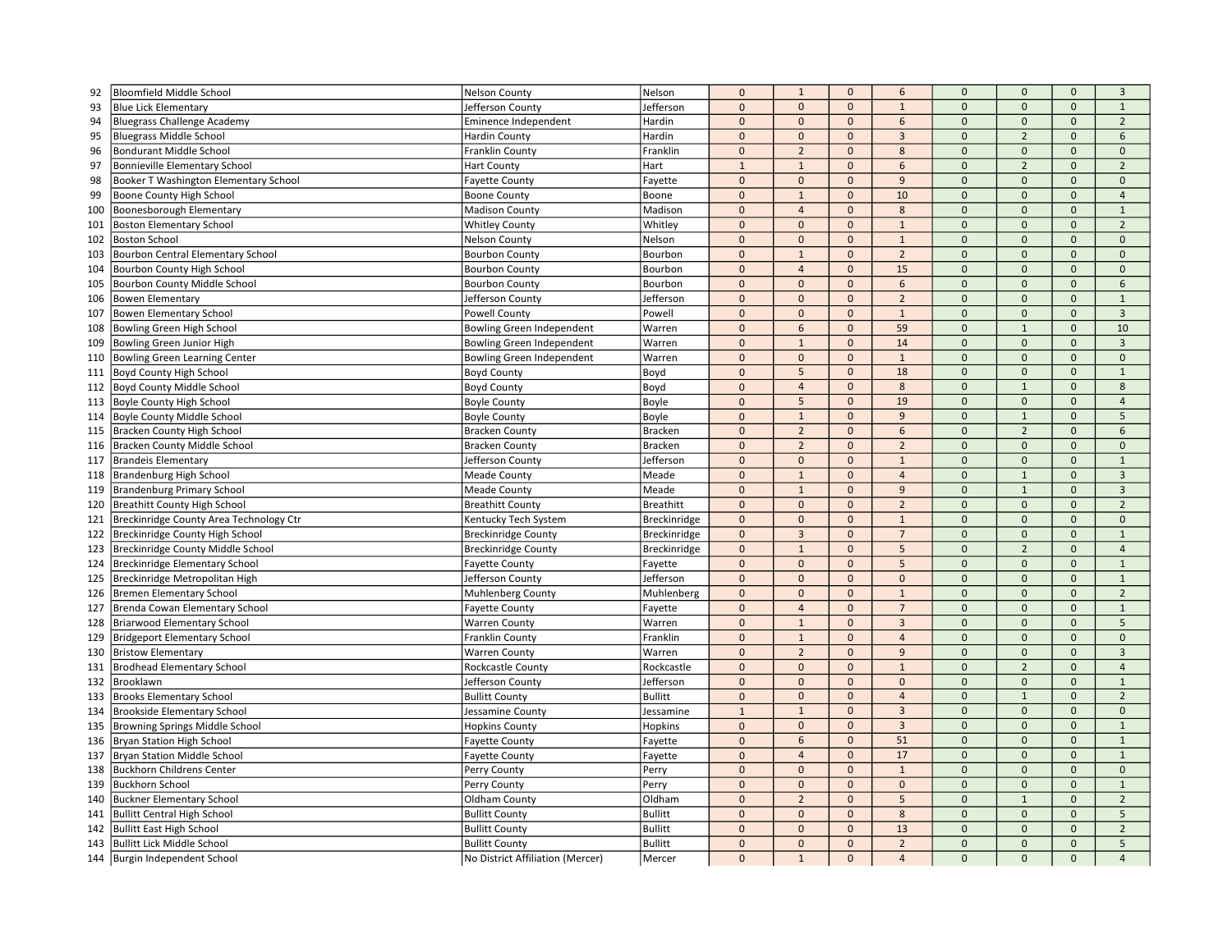| 92  | <b>Bloomfield Middle School</b>                                      | <b>Nelson County</b>                           | Nelson                           | $\mathbf 0$    | $\mathbf{1}$    | $\mathbf{0}$ | 6              | $\mathbf 0$  | $\mathbf{0}$        | $\mathbf{0}$        | $\overline{3}$ |
|-----|----------------------------------------------------------------------|------------------------------------------------|----------------------------------|----------------|-----------------|--------------|----------------|--------------|---------------------|---------------------|----------------|
| 93  | <b>Blue Lick Elementary</b>                                          | Jefferson County                               | Jefferson                        | $\pmb{0}$      | $\mathbf 0$     | $\mathbf{0}$ | $\mathbf{1}$   | $\mathbf 0$  | $\mathbf{0}$        | $\mathbf{0}$        | $\mathbf{1}$   |
| 94  | <b>Bluegrass Challenge Academy</b>                                   | Eminence Independent                           | Hardin                           | $\mathbf{0}$   | $\mathbf{0}$    | $\mathbf{0}$ | 6              | $\mathbf{0}$ | $\mathbf{0}$        | $\mathbf{0}$        | $\overline{2}$ |
| 95  | <b>Bluegrass Middle School</b>                                       | Hardin County                                  | Hardin                           | $\mathbf{0}$   | $\mathbf{0}$    | $\mathbf{0}$ | $\overline{3}$ | $\mathbf 0$  | $\overline{2}$      | $\mathbf{0}$        | 6              |
| 96  | Bondurant Middle Schoo                                               | Franklin County                                | Franklin                         | $\overline{0}$ | $\overline{2}$  | $\mathbf{0}$ | 8              | $\Omega$     | $\Omega$            | $\mathbf{0}$        | $\mathbf{0}$   |
| 97  | <b>Bonnieville Elementary School</b>                                 | <b>Hart County</b>                             | Hart                             | $\overline{1}$ | $\mathbf{1}$    | $\Omega$     | 6              | $\Omega$     | $\overline{2}$      | $\Omega$            | $\overline{2}$ |
| 98  | Booker T Washington Elementary School                                | <b>Fayette County</b>                          | Fayette                          | $\mathbf{0}$   | $\mathbf 0$     | $\mathbf{0}$ | 9              | $\Omega$     | $\Omega$            | $\mathbf{0}$        | $\mathbf{0}$   |
| 99  | Boone County High School                                             | <b>Boone County</b>                            | Boone                            | $\mathbf{0}$   | $\mathbf{1}$    | $\mathbf{0}$ | 10             | $\mathbf 0$  | $\mathbf{0}$        | $\mathbf{0}$        | $\overline{4}$ |
| 100 | Boonesborough Elementary                                             | <b>Madison County</b>                          | Madison                          | $\pmb{0}$      | $\overline{4}$  | $\mathbf{0}$ | 8              | $\mathbf 0$  | $\mathbf{0}$        | $\mathbf 0$         | $\mathbf{1}$   |
| 101 | <b>Boston Elementary School</b>                                      | <b>Whitley County</b>                          | Whitley                          | $\mathbf{0}$   | $\mathbf{0}$    | $\mathbf{0}$ | $\,1\,$        | $\Omega$     | $\mathbf{0}$        | $\mathbf{0}$        | $\overline{2}$ |
| 102 | <b>Boston School</b>                                                 | <b>Nelson County</b>                           | Nelson                           | $\Omega$       | $\mathbf 0$     | $\mathbf{0}$ | $1\,$          | $\Omega$     | $\Omega$            | $\mathbf{0}$        | $\mathbf{0}$   |
| 103 | <b>Bourbon Central Elementary School</b>                             | <b>Bourbon County</b>                          | Bourbon                          | $\Omega$       | $\mathbf{1}$    | $\mathbf{0}$ | $\overline{2}$ | $\Omega$     | $\Omega$            | $\mathbf{0}$        | $\mathbf{0}$   |
| 104 | Bourbon County High School                                           | <b>Bourbon County</b>                          | Bourbon                          | $\pmb{0}$      | $\overline{4}$  | $\mathbf{0}$ | 15             | $\Omega$     | $\mathsf{O}\xspace$ | $\mathbf 0$         | $\mathbf 0$    |
| 105 | Bourbon County Middle School                                         | <b>Bourbon County</b>                          | Bourbon                          | $\mathbf{0}$   | $\mathbf{0}$    | $\mathbf{0}$ | 6              | $\mathbf 0$  | $\mathbf{0}$        | $\mathbf{0}$        | 6              |
| 106 | <b>Bowen Elementary</b>                                              | Jefferson County                               | Jefferson                        | $\mathbf 0$    | $\mathbf{0}$    | $\mathbf{0}$ | $\overline{2}$ | $\mathbf 0$  | $\mathbf{0}$        | $\mathbf 0$         | $\mathbf{1}$   |
| 107 | <b>Bowen Elementary School</b>                                       | <b>Powell County</b>                           | Powell                           | $\pmb{0}$      | $\mathbf 0$     | $\mathbf{0}$ | $\mathbf{1}$   | $\mathbf 0$  | $\mathbf 0$         | $\mathbf{0}$        | $\overline{3}$ |
| 108 | Bowling Green High School                                            | Bowling Green Independent                      | Warren                           | $\Omega$       | 6               | $\mathbf{0}$ | 59             | $\Omega$     | $\overline{1}$      | $\mathbf{0}$        | 10             |
| 109 | Bowling Green Junior High                                            | Bowling Green Independent                      | Warren                           | $\mathbf{0}$   | $1\,$           | $\mathbf{0}$ | 14             | $\Omega$     | $\mathbf{0}$        | $\mathbf{0}$        | $\overline{3}$ |
| 110 | <b>Bowling Green Learning Center</b>                                 | <b>Bowling Green Independent</b>               | Warren                           | $\Omega$       | $\mathbf 0$     | $\mathbf{0}$ | $\mathbf{1}$   | $\mathbf 0$  | $\mathbf{0}$        | $\mathbf{0}$        | $\mathbf 0$    |
| 111 | Boyd County High School                                              | <b>Boyd County</b>                             | Boyd                             | $\pmb{0}$      | $5\phantom{.0}$ | $\pmb{0}$    | 18             | $\mathbf 0$  | $\mathbf 0$         | $\mathbf 0$         | $\mathbf{1}$   |
| 112 | <b>Boyd County Middle School</b>                                     | <b>Boyd County</b>                             | Boyd                             | $\mathbf 0$    | $\overline{4}$  | $\mathbf{0}$ | 8              | $\mathbf 0$  | $\mathbf{1}$        | $\mathbf{0}$        | 8              |
| 113 | <b>Boyle County High School</b>                                      | <b>Boyle County</b>                            | Boyle                            | $\Omega$       | 5               | $\mathbf{0}$ | 19             | $\Omega$     | $\Omega$            | $\mathbf{0}$        | $\overline{4}$ |
| 114 | <b>Boyle County Middle School</b>                                    | <b>Boyle County</b>                            | Boyle                            | $\mathbf 0$    | $\mathbf{1}$    | $\Omega$     | 9              | $\Omega$     | $\mathbf{1}$        | $\mathbf{0}$        | 5              |
| 115 | <b>Bracken County High School</b>                                    | <b>Bracken County</b>                          | <b>Bracken</b>                   | $\mathbf{0}$   | $\overline{2}$  | $\mathbf{0}$ | 6              | $\Omega$     | $\overline{2}$      | $\mathbf{0}$        | 6              |
| 116 | Bracken County Middle School                                         | <b>Bracken County</b>                          | <b>Bracken</b>                   | $\Omega$       | $\overline{2}$  | $\mathbf{0}$ | $\overline{2}$ | $\mathbf 0$  | $\mathbf{0}$        | $\mathbf{0}$        | $\mathbf{0}$   |
| 117 | Brandeis Elementary                                                  | Jefferson County                               | Jefferson                        | $\mathbf 0$    | $\mathbf{0}$    | $\mathbf{0}$ | $\mathbf{1}$   | $\mathbf 0$  | $\mathsf{O}\xspace$ | $\mathbf 0$         | $\mathbf{1}$   |
| 118 | Brandenburg High School                                              | <b>Meade County</b>                            | Meade                            | $\mathbf{0}$   | $\mathbf 1$     | $\mathbf{0}$ | $\overline{4}$ | $\Omega$     | $\mathbf{1}$        | $\mathbf{0}$        | $\overline{3}$ |
| 119 | <b>Brandenburg Primary School</b>                                    | <b>Meade County</b>                            | Meade                            | $\Omega$       | $\mathbf{1}$    | $\mathbf{0}$ | 9              | $\Omega$     | $\mathbf{1}$        | $\mathbf{0}$        | $\overline{3}$ |
| 120 | <b>Breathitt County High School</b>                                  | <b>Breathitt County</b>                        | <b>Breathitt</b>                 | $\mathbf 0$    | $\mathbf 0$     | $\mathbf{0}$ | $\overline{2}$ | $\mathbf 0$  | $\mathbf{0}$        | $\mathbf{0}$        | $\overline{2}$ |
| 121 | Breckinridge County Area Technology Ctr                              | Kentucky Tech System                           | Breckinridge                     | $\pmb{0}$      | $\mathbf{0}$    | $\mathbf{0}$ | $\mathbf 1$    | $\mathbf 0$  | $\mathsf{O}\xspace$ | $\mathbf 0$         | $\mathbf 0$    |
| 122 | Breckinridge County High School                                      | <b>Breckinridge County</b>                     | Breckinridge                     | $\mathbf 0$    | $\overline{3}$  | $\mathbf{0}$ | $\overline{7}$ | $\mathbf{0}$ | $\mathbf{0}$        | $\mathbf{0}$        | 1              |
| 123 | Breckinridge County Middle School                                    | <b>Breckinridge County</b>                     | Breckinridge                     | $\mathbf 0$    | $1\,$           | $\mathbf{0}$ | 5              | $\mathbf 0$  | $\overline{2}$      | $\mathbf 0$         | $\overline{4}$ |
| 124 | <b>Breckinridge Elementary School</b>                                | <b>Fayette County</b>                          | Fayette                          | $\pmb{0}$      | $\mathbf 0$     | $\mathbf{0}$ | 5              | $\mathbf 0$  | $\Omega$            | $\mathbf{0}$        | $\mathbf{1}$   |
| 125 | Breckinridge Metropolitan High                                       | Jefferson County                               | Jefferson                        | $\Omega$       | $\mathbf{0}$    | $\Omega$     | $\mathbf{0}$   | $\Omega$     | $\Omega$            | $\Omega$            | $\mathbf{1}$   |
| 126 | Bremen Elementary School                                             | <b>Muhlenberg County</b>                       | Muhlenberg                       | $\mathbf 0$    | $\mathbf{0}$    | $\mathbf{0}$ | $\mathbf{1}$   | $\Omega$     | $\Omega$            | $\mathbf{0}$        | $\overline{2}$ |
| 127 | Brenda Cowan Elementary School                                       | <b>Fayette County</b>                          | Fayette                          | $\Omega$       | $\overline{4}$  | $\mathbf{0}$ | $\overline{7}$ | $\mathbf 0$  | $\mathbf{0}$        | $\mathbf{0}$        | $\mathbf{1}$   |
| 128 | <b>Briarwood Elementary School</b>                                   | <b>Warren County</b>                           | Warren                           | $\mathbf{0}$   | $\mathbf{1}$    | $\mathbf{0}$ | $\overline{3}$ | $\mathbf 0$  | $\Omega$            | $\mathbf 0$         | 5              |
| 129 | Bridgeport Elementary School                                         | Franklin County                                | Franklin                         | $\pmb{0}$      | $\mathbf{1}$    | $\mathbf{0}$ | $\overline{4}$ | $\mathbf 0$  | $\mathbf{0}$        | $\mathbf{0}$        | $\mathbf 0$    |
| 130 | <b>Bristow Elementary</b>                                            | <b>Warren County</b>                           | Warren                           | $\Omega$       | $\overline{2}$  | $\mathbf{0}$ | 9              | $\Omega$     | $\Omega$            | $\mathbf{0}$        | $\overline{3}$ |
| 131 | <b>Brodhead Elementary School</b>                                    | Rockcastle County                              | Rockcastle                       | $\mathbf 0$    | $\mathbf{0}$    | $\mathbf{0}$ | $\mathbf{1}$   | $\mathbf 0$  | $\overline{2}$      | $\mathbf 0$         | $\overline{4}$ |
| 132 | Brooklawn                                                            | Jefferson County                               | Jefferson                        | $\mathbf{0}$   | $\mathbf{0}$    | $\mathbf{0}$ | $\mathbf{0}$   | $\Omega$     | $\Omega$            | $\mathbf{0}$        | $\mathbf{1}$   |
| 133 | <b>Brooks Elementary School</b>                                      | <b>Bullitt County</b>                          | <b>Bullitt</b>                   | $\mathbf 0$    | $\mathbf{0}$    | $\mathbf{0}$ | $\overline{4}$ | $\mathbf 0$  | $\mathbf{1}$        | $\mathbf{0}$        | $\overline{2}$ |
| 134 | <b>Brookside Elementary School</b>                                   | Jessamine County                               | Jessamine                        | $\mathbf{1}$   | $\mathbf{1}$    | $\mathbf{0}$ | $\overline{3}$ | $\mathbf 0$  | $\mathsf{O}\xspace$ | $\mathbf 0$         | $\mathbf 0$    |
| 135 | Browning Springs Middle School                                       | <b>Hopkins County</b>                          | Hopkins                          | $\pmb{0}$      | $\mathbf{0}$    | $\mathbf{0}$ | $\mathbf{3}$   | $\Omega$     | $\Omega$            | $\mathbf 0$         | $\mathbf{1}$   |
| 136 | <b>Bryan Station High School</b>                                     | <b>Fayette County</b>                          | Fayette                          | $\Omega$       | 6               | $\mathbf{0}$ | 51             | $\Omega$     | $\Omega$            | $\Omega$            | $\mathbf{1}$   |
| 137 | Bryan Station Middle School                                          | <b>Fayette County</b>                          | Fayette                          | $\mathbf 0$    | $\overline{4}$  | $\mathbf{0}$ | 17             | $\mathbf 0$  | $\Omega$            | $\mathbf{0}$        | $\mathbf{1}$   |
| 138 | Buckhorn Childrens Center                                            | Perry County                                   | Perry                            | $\mathbf 0$    | $\mathbf 0$     | $\mathbf{0}$ | $\mathbf 1$    | $\pmb{0}$    | $\Omega$            | $\mathbf 0$         | $\mathbf 0$    |
| 139 | <b>Buckhorn School</b>                                               | Perry County                                   | Perry                            | $\mathbf{0}$   | $\mathbf{0}$    | $\mathbf{0}$ | $\mathbf{0}$   | $\mathbf 0$  | $\mathbf{0}$        | $\mathbf{0}$        | 1              |
| 140 | <b>Buckner Elementary School</b>                                     | Oldham County                                  | Oldham                           | $\pmb{0}$      | $\overline{2}$  | $\mathbf{0}$ | 5              | $\mathbf 0$  | $\mathbf{1}$        | $\mathsf{O}\xspace$ | $\overline{2}$ |
| 141 | <b>Bullitt Central High School</b>                                   | <b>Bullitt County</b>                          | <b>Bullitt</b>                   | $\Omega$       | $\mathbf{0}$    | $\mathbf{0}$ | 8              | $\mathbf 0$  | $\Omega$            | $\mathbf{0}$        | 5              |
| 142 |                                                                      |                                                |                                  |                |                 | $\mathbf{0}$ | 13             | $\Omega$     | $\Omega$            | $\mathbf{0}$        | $\overline{2}$ |
|     |                                                                      |                                                |                                  | $\Omega$       | $\mathbf{0}$    |              |                |              |                     |                     |                |
| 143 | <b>Bullitt East High School</b><br><b>Bullitt Lick Middle School</b> | <b>Bullitt County</b><br><b>Bullitt County</b> | <b>Bullitt</b><br><b>Bullitt</b> | $\mathbf{0}$   | $\mathbf{0}$    | $\mathbf{0}$ | $\overline{2}$ | $\mathbf{0}$ | $\mathbf{0}$        | $\mathbf{0}$        | 5              |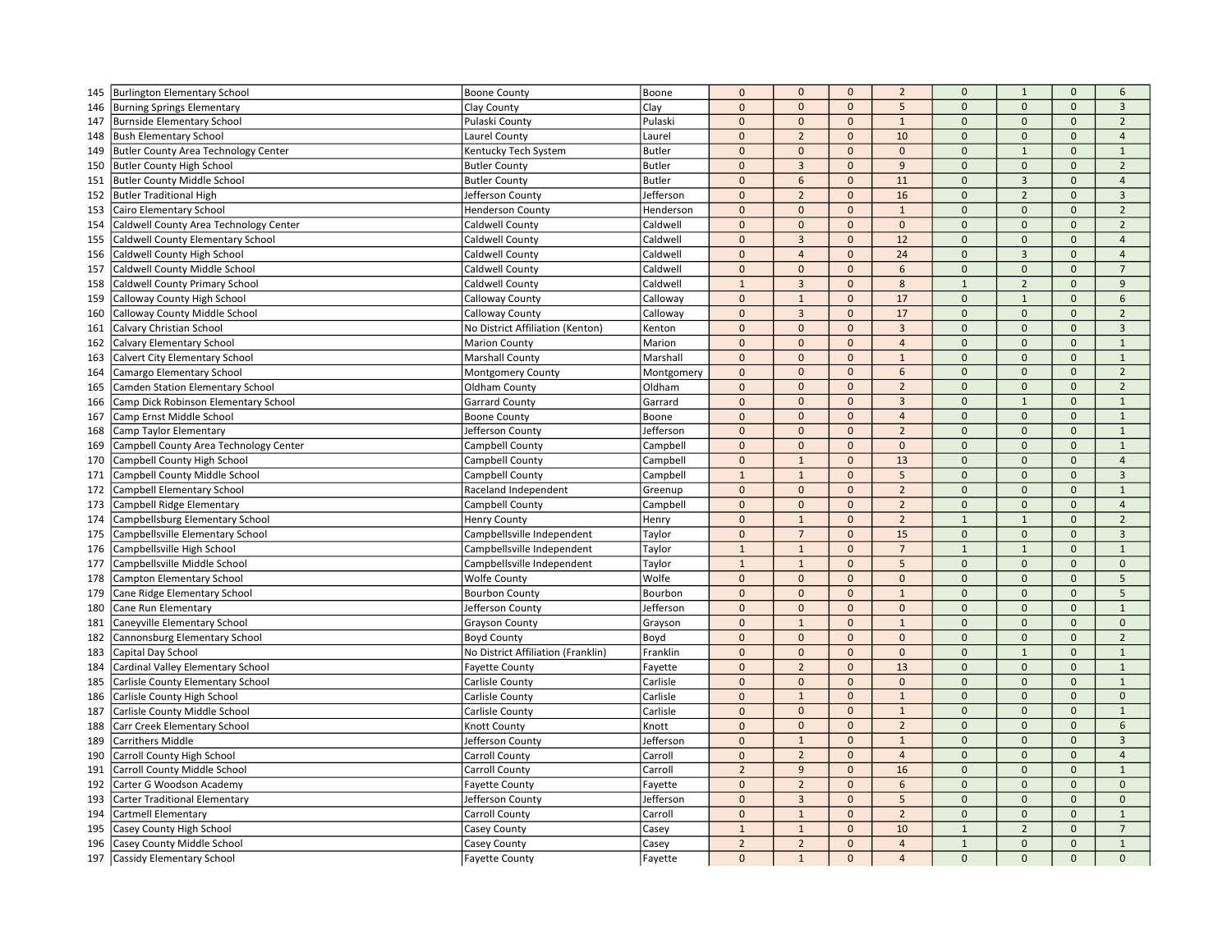| 145 | <b>Burlington Elementary School</b>         | <b>Boone County</b>                | Boone         | $\mathbf 0$    | $\mathbf{0}$   | $\mathbf 0$  | $\overline{2}$ | $\mathbf 0$    | $\mathbf{1}$        | $\mathbf 0$         | 6                   |
|-----|---------------------------------------------|------------------------------------|---------------|----------------|----------------|--------------|----------------|----------------|---------------------|---------------------|---------------------|
| 146 | <b>Burning Springs Elementary</b>           | Clay County                        | Clay          | $\mathbf 0$    | $\mathbf{0}$   | $\mathbf 0$  | 5              | $\mathbf{0}$   | $\mathbf{0}$        | $\mathbf{0}$        | $\overline{3}$      |
| 147 | Burnside Elementary School                  | Pulaski County                     | Pulaski       | $\mathbf{0}$   | $\mathbf{0}$   | $\mathbf{0}$ | $\mathbf{1}$   | $\mathbf{0}$   | $\mathbf{0}$        | $\mathbf{0}$        | $\overline{2}$      |
| 148 | <b>Bush Elementary School</b>               | Laurel County                      | Laurel        | $\mathbf 0$    | $\overline{2}$ | $\mathbf 0$  | 10             | $\mathbf 0$    | $\mathbf 0$         | $\mathsf{O}\xspace$ | $\overline{4}$      |
| 149 | <b>Butler County Area Technology Center</b> | Kentucky Tech System               | <b>Butler</b> | $\mathbf 0$    | $\mathbf 0$    | $\mathbf{0}$ | $\Omega$       | $\mathbf{0}$   | $1\,$               | $\mathsf{O}\xspace$ | $\mathbf{1}$        |
| 150 | <b>Butler County High School</b>            | <b>Butler County</b>               | Butler        | $\Omega$       | $\overline{3}$ | $\Omega$     | 9              | $\mathbf{0}$   | $\mathbf{0}$        | $\Omega$            | $\overline{2}$      |
| 151 | <b>Butler County Middle School</b>          | <b>Butler County</b>               | <b>Butler</b> | $\mathbf 0$    | 6              | $\mathbf{0}$ | 11             | $\mathbf{0}$   | $\overline{3}$      | $\Omega$            | $\overline{4}$      |
| 152 | <b>Butler Traditional High</b>              | Jefferson County                   | Jefferson     | $\mathbf 0$    | $\overline{2}$ | $\mathbf{0}$ | 16             | $\mathbf{0}$   | $\overline{2}$      | $\mathbf{0}$        | $\overline{3}$      |
| 153 | Cairo Elementary School                     | <b>Henderson County</b>            | Henderson     | $\pmb{0}$      | $\mathbf{0}$   | $\mathbf 0$  | $\mathbf{1}$   | $\mathbf 0$    | $\mathbf 0$         | $\mathbf 0$         | $\overline{2}$      |
| 154 | Caldwell County Area Technology Center      | Caldwell County                    | Caldwell      | $\mathbf 0$    | $\mathbf{0}$   | $\mathbf{0}$ | $\mathbf{0}$   | $\mathbf{0}$   | $\mathbf{0}$        | $\mathbf{0}$        | $\overline{2}$      |
| 155 | Caldwell County Elementary School           | <b>Caldwell County</b>             | Caldwell      | $\mathbf 0$    | $\overline{3}$ | $\Omega$     | 12             | $\mathbf{0}$   | $\mathbf{0}$        | $\Omega$            | $\overline{4}$      |
| 156 | Caldwell County High School                 | Caldwell County                    | Caldwell      | $\mathbf 0$    | $\overline{4}$ | $\mathbf{0}$ | 24             | $\mathbf 0$    | $\overline{3}$      | $\mathbf{0}$        | $\overline{4}$      |
| 157 | Caldwell County Middle School               | Caldwell County                    | Caldwell      | $\mathbf 0$    | $\mathbf 0$    | $\mathbf{0}$ | 6              | $\mathbf 0$    | $\mathbf{0}$        | $\mathbf{0}$        | $\overline{7}$      |
| 158 | Caldwell County Primary School              | Caldwell County                    | Caldwell      | $\overline{1}$ | $\overline{3}$ | $\mathbf{0}$ | 8              | $\overline{1}$ | $\overline{2}$      | $\mathbf{0}$        | $\overline{9}$      |
| 159 | Calloway County High School                 | Calloway County                    | Calloway      | $\pmb{0}$      | $\mathbf{1}$   | $\mathbf{0}$ | 17             | $\mathbf 0$    | $\mathbf{1}$        | $\mathbf 0$         | 6                   |
| 160 | Calloway County Middle School               | Calloway County                    | Calloway      | $\pmb{0}$      | $\overline{3}$ | $\mathbf{0}$ | 17             | $\pmb{0}$      | $\mathbf{0}$        | $\mathbf{0}$        | $\overline{2}$      |
| 161 | Calvary Christian School                    | No District Affiliation (Kenton)   | Kenton        | $\mathbf{0}$   | $\mathbf{0}$   | $\Omega$     | $\overline{3}$ | $\Omega$       | $\Omega$            | $\Omega$            | $\overline{3}$      |
| 162 | <b>Calvary Elementary School</b>            | <b>Marion County</b>               | Marion        | $\mathbf 0$    | $\mathbf 0$    | $\mathbf 0$  | $\overline{4}$ | $\mathbf 0$    | $\mathbf{0}$        | $\mathbf 0$         | $\mathbf{1}$        |
| 163 | Calvert City Elementary School              | <b>Marshall County</b>             | Marshall      | $\mathbf 0$    | $\mathbf 0$    | $\mathbf 0$  | $\mathbf{1}$   | $\mathbf 0$    | $\mathbf 0$         | $\mathbf 0$         | $\mathbf{1}$        |
| 164 | Camargo Elementary School                   | <b>Montgomery County</b>           | Montgomery    | $\pmb{0}$      | $\mathbf{0}$   | $\mathbf{0}$ | 6              | $\mathbf{0}$   | $\mathbf{0}$        | $\mathbf{0}$        | $\overline{2}$      |
| 165 | Camden Station Elementary School            | Oldham County                      | Oldham        | $\mathbf 0$    | $\mathbf{0}$   | $\mathbf 0$  | $\overline{2}$ | $\mathbf 0$    | $\mathbf 0$         | $\mathsf{O}\xspace$ | $\overline{2}$      |
| 166 | Camp Dick Robinson Elementary School        | <b>Garrard County</b>              | Garrard       | $\pmb{0}$      | $\mathbf{0}$   | $\mathbf{0}$ | $\overline{3}$ | $\mathbf{0}$   | $\mathbf{1}$        | $\mathbf{0}$        | $\mathbf{1}$        |
| 167 | Camp Ernst Middle School                    | <b>Boone County</b>                | Boone         | $\Omega$       | $\mathbf{0}$   | $\mathbf{0}$ | $\overline{4}$ | $\mathbf{0}$   | $\Omega$            | $\Omega$            | $\mathbf{1}$        |
| 168 | Camp Taylor Elementary                      | Jefferson County                   | Jefferson     | $\pmb{0}$      | $\mathbf{0}$   | $\mathbf 0$  | $\overline{2}$ | $\mathbf{0}$   | $\mathbf{0}$        | $\mathbf{0}$        | $\mathbf{1}$        |
| 169 | Campbell County Area Technology Center      | Campbell County                    | Campbell      | $\pmb{0}$      | $\mathbf 0$    | $\Omega$     | $\Omega$       | $\mathbf{0}$   | $\Omega$            | $\Omega$            | $\mathbf{1}$        |
| 170 | Campbell County High School                 | Campbell County                    | Campbell      | $\mathbf 0$    | $\mathbf{1}$   | $\mathbf{0}$ | 13             | $\mathbf 0$    | $\mathbf{0}$        | $\mathbf{0}$        | $\overline{4}$      |
| 171 | Campbell County Middle School               | Campbell County                    | Campbell      | $\mathbf{1}$   | $\mathbf{1}$   | $\mathbf 0$  | 5              | $\mathbf{0}$   | $\mathbf{0}$        | $\mathsf{O}\xspace$ | $\overline{3}$      |
| 172 | Campbell Elementary School                  | Raceland Independent               | Greenup       | $\mathbf 0$    | $\mathbf{0}$   | $\Omega$     | $\overline{2}$ | $\mathbf 0$    | $\Omega$            | $\Omega$            | $\mathbf{1}$        |
| 173 | Campbell Ridge Elementary                   | Campbell County                    | Campbell      | $\Omega$       | $\mathbf{0}$   | $\mathbf{0}$ | $\overline{2}$ | $\mathbf{0}$   | $\mathbf{0}$        | $\mathbf{0}$        | $\overline{4}$      |
| 174 | Campbellsburg Elementary School             | <b>Henry County</b>                | Henry         | $\mathbf 0$    | $\mathbf{1}$   | $\mathbf{0}$ | $\overline{2}$ | $\mathbf{1}$   | $\mathbf{1}$        | $\mathbf{0}$        | $\overline{2}$      |
| 175 | Campbellsville Elementary School            | Campbellsville Independent         | Taylor        | $\pmb{0}$      | $\overline{7}$ | $\mathbf 0$  | 15             | $\mathbf{0}$   | $\mathbf 0$         | $\mathbf{0}$        | $\overline{3}$      |
| 176 | Campbellsville High School                  | Campbellsville Independent         | Taylor        | $\mathbf{1}$   | $\mathbf{1}$   | $\mathbf{0}$ | $\overline{7}$ | $\mathbf{1}$   | $\mathbf{1}$        | $\mathbf{0}$        | $\mathbf{1}$        |
| 177 | Campbellsville Middle School                | Campbellsville Independent         | Taylor        | $\mathbf{1}$   | $\mathbf{1}$   | $\mathbf{0}$ | 5              | $\mathbf 0$    | $\mathbf{0}$        | $\mathbf{0}$        | $\mathsf{O}\xspace$ |
| 178 | Campton Elementary School                   | <b>Wolfe County</b>                | Wolfe         | $\mathbf 0$    | $\mathbf{0}$   | $\Omega$     | $\Omega$       | $\mathbf{0}$   | $\Omega$            | $\Omega$            | 5                   |
| 179 | Cane Ridge Elementary School                | <b>Bourbon County</b>              | Bourbon       | $\mathbf 0$    | $\mathbf{0}$   | $\mathbf 0$  | $1\,$          | $\mathbf 0$    | $\Omega$            | $\mathsf{O}\xspace$ | 5                   |
| 180 | Cane Run Elementary                         | Jefferson County                   | Jefferson     | $\Omega$       | $\mathbf{0}$   | $\mathbf{0}$ | $\mathbf{0}$   | $\mathbf{0}$   | $\mathbf{0}$        | $\Omega$            | $\mathbf{1}$        |
| 181 | Caneyville Elementary School                | Grayson County                     | Grayson       | $\pmb{0}$      | $\mathbf{1}$   | $\mathbf{0}$ | $\mathbf{1}$   | $\mathbf 0$    | $\mathbf{0}$        | $\mathbf{0}$        | $\mathbf{0}$        |
| 182 | Cannonsburg Elementary School               | <b>Boyd County</b>                 | Boyd          | $\mathbf 0$    | $\mathbf{0}$   | $\mathbf 0$  | $\mathbf 0$    | $\mathbf 0$    | $\mathbf 0$         | $\mathsf{O}\xspace$ | $\overline{2}$      |
| 183 | Capital Day School                          | No District Affiliation (Franklin) | Franklin      | $\mathbf 0$    | $\mathbf{0}$   | $\mathbf{0}$ | $\Omega$       | $\mathbf{0}$   | $\mathbf{1}$        | $\mathbf{0}$        | $\mathbf{1}$        |
| 184 | Cardinal Valley Elementary School           | <b>Fayette County</b>              | Fayette       | $\mathbf{0}$   | $\overline{2}$ | $\mathbf{0}$ | 13             | $\mathbf 0$    | $\Omega$            | $\Omega$            | $\mathbf{1}$        |
| 185 | Carlisle County Elementary School           | Carlisle County                    | Carlisle      | $\mathbf 0$    | $\mathbf{0}$   | $\mathbf 0$  | $\mathbf{0}$   | $\mathbf{0}$   | $\mathbf{0}$        | $\mathbf{0}$        | $\mathbf{1}$        |
| 186 | Carlisle County High School                 | Carlisle County                    | Carlisle      | $\mathbf 0$    | $\mathbf{1}$   | $\mathbf{0}$ | $\mathbf{1}$   | $\mathbf{0}$   | $\mathbf{0}$        | $\mathbf{0}$        | $\mathbf{0}$        |
| 187 | Carlisle County Middle School               | Carlisle County                    | Carlisle      | $\mathbf 0$    | $\mathbf{0}$   | $\mathbf 0$  | $\mathbf{1}$   | $\mathbf 0$    | $\mathbf{0}$        | $\mathbf{0}$        | $\mathbf{1}$        |
| 188 | Carr Creek Elementary School                | Knott County                       | Knott         | $\pmb{0}$      | $\mathbf{0}$   | $\mathbf 0$  | $\overline{2}$ | $\mathbf 0$    | $\mathbf 0$         | $\mathsf{O}\xspace$ | 6                   |
| 189 | <b>Carrithers Middle</b>                    | Jefferson County                   | Jefferson     | $\Omega$       | $\mathbf{1}$   | $\Omega$     | $\mathbf{1}$   | $\mathbf{0}$   | $\Omega$            | $\Omega$            | $\mathbf{3}$        |
| 190 | Carroll County High School                  | Carroll County                     | Carroll       | $\mathbf 0$    | $\overline{2}$ | $\mathbf{0}$ | $\overline{4}$ | $\mathbf{0}$   | $\mathbf{0}$        | $\mathbf{0}$        | $\overline{4}$      |
| 191 | Carroll County Middle School                | Carroll County                     | Carroll       | $\overline{2}$ | 9              | $\mathbf{0}$ | 16             | $\mathbf{0}$   | $\mathbf{0}$        | $\mathbf{0}$        | $\mathbf{1}$        |
| 192 | Carter G Woodson Academy                    | <b>Fayette County</b>              | Fayette       | $\mathbf 0$    | $\overline{2}$ | $\mathbf 0$  | 6              | $\mathbf 0$    | $\mathbf 0$         | $\Omega$            | $\mathbf 0$         |
| 193 | Carter Traditional Elementary               | Jefferson County                   | Jefferson     | $\mathbf 0$    | $\overline{3}$ | $\mathbf{0}$ | 5              | $\mathbf{0}$   | $\mathbf{0}$        | $\mathbf{0}$        | $\mathbf{0}$        |
| 194 | <b>Cartmell Elementary</b>                  | Carroll County                     | Carroll       | $\pmb{0}$      | $\mathbf{1}$   | $\mathbf{0}$ | $\overline{2}$ | $\mathbf 0$    | $\mathsf{O}\xspace$ | $\mathbf{0}$        | $\mathbf{1}$        |
| 195 | Casey County High School                    | Casey County                       | Casey         | $\mathbf{1}$   | $\mathbf{1}$   | $\Omega$     | 10             | $\overline{1}$ | $\overline{2}$      | $\Omega$            | $\overline{7}$      |
| 196 | Casey County Middle School                  | Casey County                       | Casey         | $\overline{2}$ | $\overline{2}$ | $\mathbf{0}$ | $\overline{4}$ | $\mathbf{1}$   | $\mathbf{0}$        | $\mathbf{0}$        | $\mathbf{1}$        |
| 197 | Cassidy Elementary School                   | <b>Fayette County</b>              | Fayette       | $\Omega$       | $\mathbf{1}$   | $\Omega$     | $\overline{a}$ | $\Omega$       | $\mathbf{0}$        | $\Omega$            | $\Omega$            |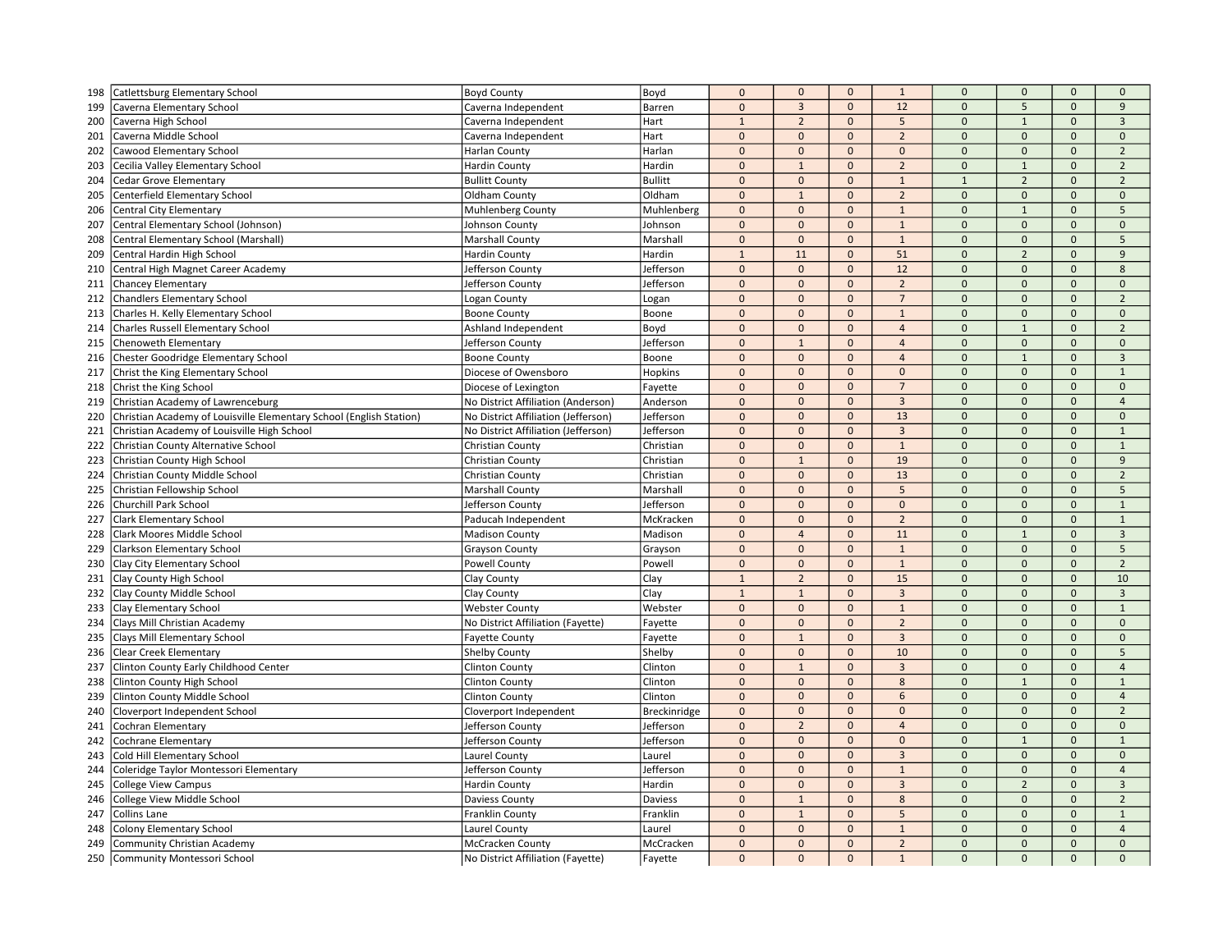| 198 | Catlettsburg Elementary School                                      | <b>Boyd County</b>                  | Boyd           | $\mathbf 0$    | $\mathbf{0}$   | $\mathbf{0}$ | $\mathbf{1}$   | $\mathbf 0$  | $\mathbf{0}$   | $\mathbf 0$         | $\mathbf{0}$   |
|-----|---------------------------------------------------------------------|-------------------------------------|----------------|----------------|----------------|--------------|----------------|--------------|----------------|---------------------|----------------|
| 199 | Caverna Elementary School                                           | Caverna Independent                 | Barren         | $\mathbf 0$    | $\overline{3}$ | $\mathbf{0}$ | 12             | $\mathbf{0}$ | 5              | $\mathbf{0}$        | 9              |
| 200 | Caverna High School                                                 | Caverna Independent                 | Hart           | $\mathbf{1}$   | $\overline{2}$ | $\mathbf{0}$ | 5              | $\mathbf{0}$ | $\mathbf{1}$   | $\mathbf{0}$        | $\overline{3}$ |
| 201 | Caverna Middle School                                               | Caverna Independent                 | Hart           | $\mathbf 0$    | $\mathbf{0}$   | $\mathbf{0}$ | $\overline{2}$ | $\mathbf 0$  | $\Omega$       | $\mathbf{0}$        | $\mathbf 0$    |
| 202 | Cawood Elementary School                                            | Harlan County                       | Harlan         | $\mathbf 0$    | $\mathbf 0$    | $\Omega$     | $\Omega$       | $\Omega$     | $\Omega$       | $\Omega$            | $\overline{2}$ |
| 203 | Cecilia Valley Elementary School                                    | <b>Hardin County</b>                | Hardin         | $\mathbf{0}$   | $\mathbf{1}$   | $\mathbf{0}$ | $\overline{2}$ | $\mathbf{0}$ | $\mathbf{1}$   | $\mathbf{0}$        | $\overline{2}$ |
| 204 | <b>Cedar Grove Elementary</b>                                       | <b>Bullitt County</b>               | <b>Bullitt</b> | $\mathbf 0$    | $\mathbf{0}$   | $\mathbf{0}$ | $1\,$          | $\mathbf{1}$ | $\overline{2}$ | $\mathbf{0}$        | $\overline{2}$ |
| 205 | Centerfield Elementary School                                       | Oldham County                       | Oldham         | $\pmb{0}$      | $\mathbf{1}$   | $\mathbf 0$  | $\overline{2}$ | $\mathbf 0$  | $\mathbf 0$    | $\mathsf{O}\xspace$ | $\mathbf 0$    |
| 206 | Central City Elementary                                             | Muhlenberg County                   | Muhlenberg     | $\pmb{0}$      | $\mathbf{0}$   | $\mathbf{0}$ | $\mathbf{1}$   | $\mathbf{0}$ | $\mathbf{1}$   | $\mathbf{0}$        | 5              |
| 207 | Central Elementary School (Johnson)                                 | Johnson County                      | Johnson        | $\mathbf{0}$   | $\mathbf{0}$   | $\mathbf{0}$ | $\mathbf{1}$   | $\mathbf{0}$ | $\Omega$       | $\mathbf{0}$        | $\mathbf{0}$   |
| 208 | Central Elementary School (Marshall)                                | <b>Marshall County</b>              | Marshall       | $\pmb{0}$      | $\mathbf{0}$   | $\mathbf 0$  | $1\,$          | $\mathbf 0$  | $\Omega$       | $\Omega$            | 5              |
| 209 | Central Hardin High School                                          | <b>Hardin County</b>                | Hardin         | $\overline{1}$ | 11             | $\mathbf 0$  | 51             | $\mathbf 0$  | $\overline{2}$ | $\Omega$            | 9              |
| 210 | Central High Magnet Career Academy                                  | Jefferson County                    | Jefferson      | $\mathbf{0}$   | $\mathbf{0}$   | $\mathbf{0}$ | 12             | $\mathbf{0}$ | $\Omega$       | $\mathbf{0}$        | 8              |
| 211 | <b>Chancey Elementary</b>                                           | Jefferson County                    | Jefferson      | $\mathbf 0$    | $\mathbf 0$    | $\mathbf 0$  | $\overline{2}$ | $\mathbf 0$  | $\mathbf 0$    | $\mathbf{0}$        | $\mathbf 0$    |
| 212 | <b>Chandlers Elementary School</b>                                  | Logan County                        | Logan          | $\mathbf 0$    | $\mathbf{0}$   | $\mathbf 0$  | $\overline{7}$ | $\mathbf 0$  | $\mathbf 0$    | $\mathbf 0$         | $\overline{2}$ |
| 213 | Charles H. Kelly Elementary School                                  | <b>Boone County</b>                 | Boone          | $\Omega$       | $\mathbf{0}$   | $\Omega$     | $\mathbf{1}$   | $\mathbf{0}$ | $\Omega$       | $\Omega$            | $\Omega$       |
| 214 | <b>Charles Russell Elementary School</b>                            | Ashland Independent                 | Boyd           | $\Omega$       | $\mathbf{0}$   | $\mathbf{0}$ | $\overline{4}$ | $\mathbf{0}$ | $\mathbf{1}$   | $\Omega$            | $\overline{2}$ |
| 215 | Chenoweth Elementary                                                | Jefferson County                    | Jefferson      | $\mathbf 0$    | $\mathbf{1}$   | $\mathbf{0}$ | $\overline{4}$ | $\mathbf 0$  | $\mathbf{0}$   | $\mathsf{O}\xspace$ | $\mathbf 0$    |
| 216 | Chester Goodridge Elementary School                                 | <b>Boone County</b>                 | Boone          | $\mathbf{0}$   | $\mathbf{0}$   | $\mathbf{0}$ | $\overline{4}$ | $\mathbf{0}$ | $\mathbf{1}$   | $\Omega$            | $\overline{3}$ |
| 217 | Christ the King Elementary School                                   | Diocese of Owensboro                | Hopkins        | $\mathbf 0$    | $\mathbf 0$    | $\mathbf{0}$ | $\mathbf{0}$   | $\mathbf{0}$ | $\mathbf{0}$   | $\mathsf{O}\xspace$ | $\mathbf{1}$   |
| 218 | Christ the King School                                              | Diocese of Lexington                | Fayette        | $\mathbf 0$    | $\mathbf{0}$   | $\mathbf 0$  | $\overline{7}$ | $\mathbf 0$  | $\mathbf 0$    | $\mathbf 0$         | $\mathbf 0$    |
| 219 | Christian Academy of Lawrenceburg                                   | No District Affiliation (Anderson)  | Anderson       | $\mathbf{0}$   | $\mathbf{0}$   | $\mathbf{0}$ | $\overline{3}$ | $\Omega$     | $\Omega$       | $\Omega$            | $\overline{a}$ |
| 220 | Christian Academy of Louisville Elementary School (English Station) | No District Affiliation (Jefferson) | Jefferson      | $\mathbf{0}$   | $\mathbf{0}$   | $\mathbf{0}$ | 13             | $\mathbf{0}$ | $\mathbf{0}$   | $\mathbf{0}$        | $\mathbf{0}$   |
| 221 | Christian Academy of Louisville High School                         | No District Affiliation (Jefferson) | Jefferson      | $\pmb{0}$      | $\mathbf 0$    | $\mathbf 0$  | $\overline{3}$ | $\mathbf 0$  | $\mathbf{0}$   | $\mathbf{0}$        | $\mathbf{1}$   |
| 222 | Christian County Alternative School                                 | Christian County                    | Christian      | $\pmb{0}$      | $\mathbf 0$    | $\mathbf{0}$ | $\mathbf{1}$   | $\mathbf{0}$ | $\mathbf{0}$   | $\mathbf{0}$        | $\mathbf{1}$   |
| 223 | Christian County High School                                        | Christian County                    | Christian      | $\mathbf{0}$   | $\mathbf{1}$   | $\mathbf{0}$ | 19             | $\mathbf 0$  | $\mathbf{0}$   | $\mathbf{0}$        | 9              |
| 224 | Christian County Middle School                                      | Christian County                    | Christian      | $\mathbf 0$    | $\mathbf{0}$   | $\mathbf{0}$ | 13             | $\mathbf{0}$ | $\mathbf{0}$   | $\mathbf{0}$        | $\overline{2}$ |
| 225 | Christian Fellowship School                                         | <b>Marshall County</b>              | Marshall       | $\Omega$       | $\mathbf{0}$   | $\mathbf{0}$ | 5              | $\mathbf 0$  | $\Omega$       | $\Omega$            | 5              |
| 226 | Churchill Park School                                               | Jefferson County                    | Jefferson      | $\Omega$       | $\mathbf{0}$   | $\mathbf{0}$ | $\mathbf{0}$   | $\mathbf{0}$ | $\mathbf{0}$   | $\mathbf{0}$        | $\mathbf{1}$   |
| 227 | <b>Clark Elementary School</b>                                      | Paducah Independent                 | McKracken      | $\mathbf 0$    | $\mathbf 0$    | $\mathbf{0}$ | $\overline{2}$ | $\mathbf{0}$ | $\mathbf{0}$   | $\mathbf{0}$        | $\mathbf 1$    |
| 228 | Clark Moores Middle School                                          | <b>Madison County</b>               | Madison        | $\mathbf 0$    | $\overline{4}$ | $\mathbf 0$  | 11             | $\mathbf 0$  | $\mathbf{1}$   | $\mathbf 0$         | $\overline{3}$ |
| 229 | Clarkson Elementary School                                          | Grayson County                      | Grayson        | $\mathbf 0$    | $\mathbf{0}$   | $\mathbf{0}$ | $\mathbf{1}$   | $\mathbf{0}$ | $\mathbf{0}$   | $\mathbf{0}$        | 5              |
| 230 | Clay City Elementary School                                         | <b>Powell County</b>                | Powell         | $\mathbf 0$    | $\mathbf{0}$   | $\mathbf{0}$ | $\mathbf{1}$   | $\mathbf{0}$ | $\mathbf{0}$   | $\Omega$            | $\overline{2}$ |
| 231 | Clay County High School                                             | Clay County                         | Clay           | $\mathbf{1}$   | $\overline{2}$ | $\mathbf{0}$ | 15             | $\mathbf 0$  | $\Omega$       | $\Omega$            | 10             |
| 232 | Clay County Middle School                                           | Clay County                         | Clay           | $\mathbf{1}$   | $\mathbf{1}$   | $\mathbf{0}$ | $\overline{3}$ | $\mathbf{0}$ | $\Omega$       | $\mathbf{0}$        | $\mathbf{3}$   |
| 233 | <b>Clay Elementary School</b>                                       | <b>Webster County</b>               | Webster        | $\mathbf{0}$   | $\mathbf{0}$   | $\mathbf{0}$ | $\mathbf{1}$   | $\mathbf{0}$ | $\mathbf{0}$   | $\mathbf{0}$        | $\mathbf{1}$   |
| 234 | Clays Mill Christian Academy                                        | No District Affiliation (Fayette)   | Fayette        | $\pmb{0}$      | $\mathbf 0$    | $\mathbf{0}$ | $\overline{2}$ | $\mathbf{0}$ | $\mathbf{0}$   | $\mathsf{O}\xspace$ | $\mathbf{0}$   |
| 235 | Clays Mill Elementary School                                        | <b>Fayette County</b>               | Fayette        | $\pmb{0}$      | $\mathbf{1}$   | $\mathbf{0}$ | $\overline{3}$ | $\mathbf 0$  | $\mathbf 0$    | $\mathbf 0$         | $\mathbf 0$    |
| 236 | Clear Creek Elementary                                              | <b>Shelby County</b>                | Shelby         | $\Omega$       | $\mathbf{0}$   | $\Omega$     | 10             | $\mathbf{0}$ | $\Omega$       | $\Omega$            | 5              |
| 237 | Clinton County Early Childhood Center                               | <b>Clinton County</b>               | Clinton        | $\pmb{0}$      | $\mathbf{1}$   | $\mathbf{0}$ | $\overline{3}$ | $\mathbf 0$  | $\mathbf{0}$   | $\mathbf{0}$        | $\overline{4}$ |
| 238 | Clinton County High School                                          | <b>Clinton County</b>               | Clinton        | $\Omega$       | $\mathbf 0$    | $\mathbf 0$  | 8              | $\mathbf 0$  | $\mathbf{1}$   | $\mathbf 0$         | $\mathbf{1}$   |
| 239 | Clinton County Middle School                                        | <b>Clinton County</b>               | Clinton        | $\mathbf 0$    | $\mathbf{0}$   | $\mathbf{0}$ | 6              | $\mathbf 0$  | $\mathbf{0}$   | $\mathbf{0}$        | $\overline{4}$ |
| 240 | Cloverport Independent School                                       | Cloverport Independent              | Breckinridge   | $\pmb{0}$      | $\mathbf{0}$   | $\mathbf 0$  | $\mathbf 0$    | $\mathbf 0$  | $\mathbf 0$    | $\mathsf{O}\xspace$ | $\overline{2}$ |
| 241 | Cochran Elementary                                                  | Jefferson County                    | Jefferson      | $\mathbf 0$    | $\overline{2}$ | $\mathbf{0}$ | $\overline{4}$ | $\mathbf 0$  | $\mathbf 0$    | $\mathbf 0$         | $\mathbf 0$    |
| 242 | Cochrane Elementary                                                 | <b>Jefferson County</b>             | Jefferson      | $\Omega$       | $\mathbf{0}$   | $\Omega$     | $\Omega$       | $\mathbf{0}$ | $\mathbf{1}$   | $\Omega$            | $\overline{1}$ |
| 243 | Cold Hill Elementary School                                         | Laurel County                       | Laurel         | $\Omega$       | $\mathbf 0$    | $\mathbf{0}$ | $\overline{3}$ | $\mathbf{0}$ | $\mathbf{0}$   | $\mathbf{0}$        | $\mathbf{0}$   |
| 244 | Coleridge Taylor Montessori Elementary                              | Jefferson County                    | Jefferson      | $\pmb{0}$      | $\mathbf 0$    | $\mathbf{0}$ | $\mathbf{1}$   | $\mathbf{0}$ | $\mathbf 0$    | $\mathbf 0$         | $\overline{4}$ |
| 245 | <b>College View Campus</b>                                          | <b>Hardin County</b>                | Hardin         | $\mathbf{0}$   | $\mathbf{0}$   | $\mathbf{0}$ | $\overline{3}$ | $\mathbf{0}$ | $\overline{2}$ | $\mathbf{0}$        | $\overline{3}$ |
| 246 | College View Middle School                                          | Daviess County                      | Daviess        | $\mathbf 0$    | $\mathbf{1}$   | $\mathbf{0}$ | 8              | $\mathbf 0$  | $\mathbf{0}$   | $\mathbf 0$         | $\overline{2}$ |
| 247 | Collins Lane                                                        | <b>Franklin County</b>              | Franklin       | $\mathbf 0$    | $\mathbf{1}$   | $\Omega$     | 5              | $\mathbf{0}$ | $\Omega$       | $\Omega$            | $\mathbf 1$    |
| 248 | <b>Colony Elementary School</b>                                     | Laurel County                       | Laurel         | $\mathbf 0$    | $\mathbf{0}$   | $\mathbf{0}$ | $\,1\,$        | $\mathbf{0}$ | $\Omega$       | $\mathbf{0}$        | $\overline{4}$ |
| 249 | <b>Community Christian Academy</b>                                  | <b>McCracken County</b>             | McCracken      | $\mathbf{0}$   | $\mathbf{0}$   | $\mathbf{0}$ | $\overline{2}$ | $\mathbf{0}$ | $\mathbf{0}$   | $\mathbf{0}$        | $\mathbf{0}$   |
| 250 | Community Montessori School                                         | No District Affiliation (Fayette)   | Fayette        | $\mathbf{0}$   | $\mathbf{0}$   | $\mathbf{0}$ | $\mathbf{1}$   | $\mathbf{0}$ | $\mathbf{0}$   | $\mathbf{0}$        | $\mathbf{0}$   |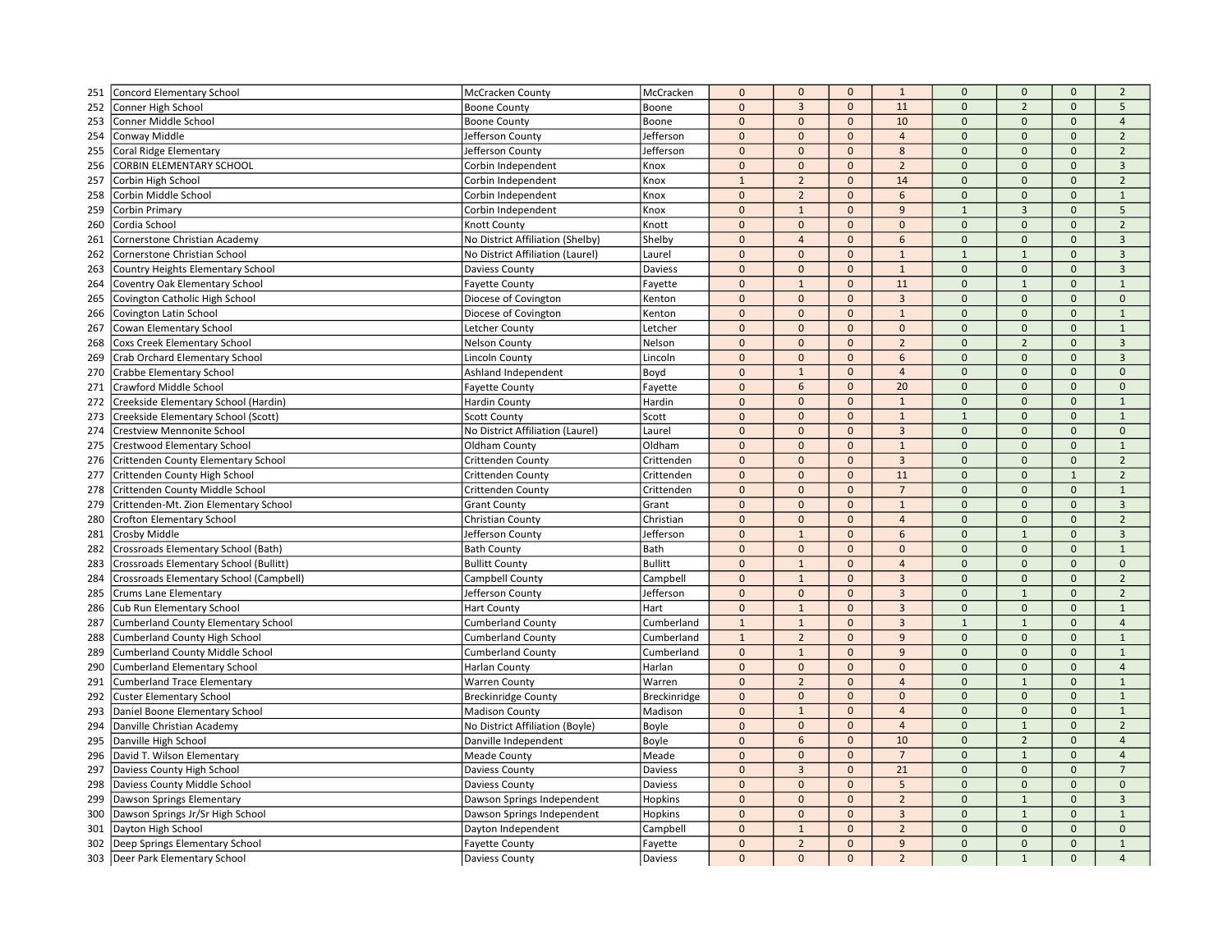| 251 | Concord Elementary School                  | McCracken County                         | McCracken      | $\pmb{0}$      | $\mathbf{0}$   | $\mathbf{0}$             | $\mathbf{1}$        | $\mathbf 0$             | $\mathbf 0$             | $\mathbf{0}$ | $\overline{2}$               |
|-----|--------------------------------------------|------------------------------------------|----------------|----------------|----------------|--------------------------|---------------------|-------------------------|-------------------------|--------------|------------------------------|
| 252 | Conner High School                         | <b>Boone County</b>                      | Boone          | $\mathbf 0$    | $\overline{3}$ | $\Omega$                 | 11                  | $\Omega$                | $\overline{2}$          | $\Omega$     | $\overline{5}$               |
| 253 | Conner Middle School                       | <b>Boone County</b>                      | Boone          | $\pmb{0}$      | $\mathbf{0}$   | $\mathbf{0}$             | 10                  | $\mathbf{0}$            | $\mathbf{0}$            | $\mathbf{0}$ | $\overline{4}$               |
| 254 | Conway Middle                              | <b>Jefferson County</b>                  | Jefferson      | $\pmb{0}$      | $\mathbf{0}$   | $\mathbf{0}$             | $\overline{4}$      | $\mathbf 0$             | $\mathbf{0}$            | $\mathbf{0}$ | $\overline{2}$               |
| 255 | Coral Ridge Elementary                     | Jefferson County                         | Jefferson      | $\pmb{0}$      | $\mathbf{0}$   | $\Omega$                 | 8                   | $\Omega$                | $\Omega$                | $\mathbf{0}$ | $\mathfrak{p}$               |
| 256 | CORBIN ELEMENTARY SCHOOL                   | Corbin Independent                       | Knox           | $\mathbf{0}$   | $\mathbf{0}$   | $\mathbf{0}$             | $\overline{2}$      | $\Omega$                | $\mathbf{0}$            | $\Omega$     | $\overline{3}$               |
| 257 | Corbin High School                         | Corbin Independent                       | Knox           | $\mathbf{1}$   | $\overline{2}$ | $\mathbf{0}$             | 14                  | $\mathbf 0$             | $\mathbf 0$             | $\mathbf{0}$ | $\overline{2}$               |
| 258 | Corbin Middle School                       | Corbin Independent                       | Knox           | $\mathbf 0$    | $\overline{2}$ | $\mathbf 0$              | 6                   | $\mathbf 0$             | $\mathbf 0$             | $\mathbf 0$  | $\mathbf{1}$                 |
| 259 | Corbin Primary                             | Corbin Independent                       | Knox           | $\mathbf{0}$   | $\mathbf{1}$   | $\mathbf{0}$             | 9                   | $\overline{1}$          | $\overline{3}$          | $\mathbf{0}$ | 5                            |
| 260 | Cordia School                              | Knott County                             | Knott          | $\pmb{0}$      | $\mathbf{0}$   | $\Omega$                 | $\mathbf 0$         | $\Omega$                | $\mathbf{0}$            | $\mathbf{0}$ | $\overline{2}$               |
| 261 | Cornerstone Christian Academy              | No District Affiliation (Shelby)         | Shelby         | $\overline{0}$ | $\overline{4}$ | $\mathbf 0$              | 6                   | $\Omega$                | $\pmb{0}$               | $\Omega$     | $\overline{3}$               |
| 262 | Cornerstone Christian School               | No District Affiliation (Laurel)         | Laurel         | $\Omega$       | $\mathbf{0}$   | $\mathbf{0}$             | $\mathbf{1}$        | $\overline{1}$          | $\mathbf{1}$            | $\Omega$     | $\overline{3}$               |
| 263 | Country Heights Elementary School          | <b>Daviess County</b>                    | Daviess        | $\mathbf 0$    | $\mathbf{0}$   | $\mathbf{0}$             | $\mathbf{1}$        | $\Omega$                | $\mathbf{0}$            | $\mathbf{0}$ | $\overline{3}$               |
| 264 | Coventry Oak Elementary School             | <b>Fayette County</b>                    | Fayette        | $\pmb{0}$      | $\mathbf{1}$   | $\mathbf{0}$             | 11                  | $\mathbf 0$             | $\mathbf{1}$            | $\mathbf 0$  | $\mathbf{1}$                 |
| 265 | Covington Catholic High School             | Diocese of Covington                     | Kenton         | $\pmb{0}$      | $\mathbf 0$    | $\mathbf{0}$             | $\overline{3}$      | $\Omega$                | $\mathbf{0}$            | $\mathbf{0}$ | $\mathbf{0}$                 |
| 266 | Covington Latin School                     | Diocese of Covington                     | Kenton         | $\pmb{0}$      | $\mathbf{0}$   | $\mathbf{0}$             | $\mathbf{1}$        | $\mathbf 0$             | $\mathbf{0}$            | $\mathbf{0}$ | $\mathbf{1}$                 |
| 267 | Cowan Elementary School                    | Letcher County                           | Letcher        | $\mathbf 0$    | $\mathbf{0}$   | $\mathbf 0$              | $\mathbf 0$         | $\mathbf 0$             | 0                       | $\mathbf{0}$ | $\mathbf{1}$                 |
| 268 | <b>Coxs Creek Elementary School</b>        | <b>Nelson County</b>                     | Nelson         | $\Omega$       | $\mathbf{0}$   | $\Omega$                 | $\overline{2}$      | $\Omega$                | $\overline{2}$          | $\Omega$     | $\overline{3}$               |
| 269 | Crab Orchard Elementary School             | <b>Lincoln County</b>                    | Lincoln        | $\overline{0}$ | $\mathbf{0}$   | $\mathbf{0}$             | 6                   | $\Omega$                | $\mathbf{0}$            | $\mathbf{0}$ | $\overline{3}$               |
| 270 | <b>Crabbe Elementary School</b>            | Ashland Independent                      | Boyd           | $\pmb{0}$      | $\mathbf{1}$   | $\mathbf 0$              | $\overline{4}$      | $\mathbf 0$             | $\mathbf 0$             | $\mathbf 0$  | $\mathbf{0}$                 |
| 271 | Crawford Middle School                     | <b>Fayette County</b>                    | Fayette        | $\pmb{0}$      | 6              | $\mathbf{0}$             | 20                  | $\mathbf 0$             | $\mathbf{0}$            | $\mathbf{0}$ | $\mathbf{0}$                 |
| 272 | Creekside Elementary School (Hardin)       | <b>Hardin County</b>                     | Hardin         | $\mathbf{0}$   | $\mathbf{0}$   | $\mathbf{0}$             | $\mathbf{1}$        | $\Omega$                | $\overline{0}$          | $\mathbf{0}$ | $\overline{1}$               |
| 273 | Creekside Elementary School (Scott)        | <b>Scott County</b>                      | Scott          | $\pmb{0}$      | $\mathbf{0}$   | $\mathbf{0}$             | $\mathbf{1}$        | $\overline{1}$          | $\mathbf{0}$            | $\mathbf{0}$ | $\mathbf 1$                  |
| 274 | Crestview Mennonite School                 | No District Affiliation (Laurel)         | Laurel         | $\Omega$       | $\mathbf{0}$   | $\mathbf{0}$             | $\overline{3}$      | $\mathbf{0}$            | $\mathbf{0}$            | $\mathbf{0}$ | $\mathbf{0}$                 |
| 275 | <b>Crestwood Elementary School</b>         | Oldham County                            | Oldham         | $\mathbf 0$    | $\mathbf{0}$   | $\mathbf{0}$             | $\mathbf{1}$        | $\Omega$                | $\mathbf{0}$            | $\mathbf{0}$ | $\mathbf{1}$                 |
| 276 | Crittenden County Elementary School        | Crittenden County                        | Crittenden     | $\mathbf 0$    | $\mathbf{0}$   | $\mathbf{0}$             | $\overline{3}$      | $\mathbf 0$             | $\mathbf 0$             | $\mathbf 0$  | $\overline{2}$               |
| 277 | Crittenden County High School              | Crittenden County                        | Crittenden     | $\pmb{0}$      | $\mathbf{0}$   | $\mathbf{0}$             | 11                  | $\Omega$                | $\Omega$                | $\mathbf{1}$ | $\overline{2}$               |
| 278 | Crittenden County Middle School            | Crittenden County                        | Crittenden     | $\overline{0}$ | $\mathbf{0}$   | $\Omega$                 | $\overline{7}$      | $\Omega$                | $\Omega$                | $\mathbf{0}$ | $\mathbf{1}$                 |
| 279 | Crittenden-Mt. Zion Elementary School      | <b>Grant County</b>                      | Grant          | $\overline{0}$ | $\mathbf{0}$   | $\mathbf 0$              | $\mathbf 1$         | $\mathbf 0$             | $\mathbf{0}$            | $\mathbf{0}$ | $\overline{3}$               |
| 280 | <b>Crofton Elementary School</b>           | Christian County                         | Christian      | $\pmb{0}$      | $\mathbf 0$    | $\mathbf{0}$             | $\overline{4}$      | $\mathbf{0}$            | $\mathbf{0}$            | $\mathbf{0}$ | $\overline{2}$               |
| 281 | Crosby Middle                              | Jefferson County                         | Jefferson      | $\mathbf{0}$   | $\mathbf{1}$   | $\mathbf{0}$             | 6                   | $\overline{0}$          | $\mathbf{1}$            | $\mathbf{0}$ | $\overline{3}$               |
| 282 | Crossroads Elementary School (Bath)        | <b>Bath County</b>                       | Bath           | $\pmb{0}$      | $\mathbf{0}$   | $\mathbf 0$              | $\mathbf 0$         | $\mathbf 0$             | $\mathbf 0$             | $\bf 0$      | $\mathbf 1$                  |
|     | Crossroads Elementary School (Bullitt)     |                                          | <b>Bullitt</b> | $\pmb{0}$      | $\mathbf{1}$   | $\Omega$                 | $\overline{a}$      | $\Omega$                | $\mathbf{0}$            | $\Omega$     | $\Omega$                     |
| 283 |                                            | <b>Bullitt County</b><br>Campbell County | Campbell       | $\mathbf 0$    | $\mathbf{1}$   | $\mathbf{0}$             | $\overline{3}$      | $\Omega$                | $\overline{0}$          | $\mathbf{0}$ | $\overline{2}$               |
| 284 | Crossroads Elementary School (Campbell)    |                                          | Jefferson      | $\mathbf 0$    | $\mathbf{0}$   | $\mathbf{0}$             | $\overline{3}$      | $\mathbf 0$             | $\mathbf{1}$            | $\mathbf{0}$ | $\overline{2}$               |
| 285 | Crums Lane Elementary                      | Jefferson County                         |                |                |                | $\Omega$                 | $\overline{3}$      | $\overline{0}$          | $\mathbf{0}$            | $\Omega$     | $\mathbf{1}$                 |
| 286 | Cub Run Elementary School                  | <b>Hart County</b>                       | Hart           | $\Omega$       | $\mathbf{1}$   |                          |                     |                         |                         |              |                              |
| 287 | <b>Cumberland County Elementary School</b> | <b>Cumberland County</b>                 | Cumberland     | $\mathbf{1}$   | $\mathbf{1}$   | $\mathbf{0}$             | $\overline{3}$<br>9 | $\mathbf{1}$            | $\mathbf{1}$            | $\mathbf{0}$ | $\overline{4}$               |
| 288 | <b>Cumberland County High School</b>       | <b>Cumberland County</b>                 | Cumberland     | $\mathbf{1}$   | $\overline{2}$ | $\mathbf{0}$<br>$\Omega$ | $\mathbf{q}$        | $\mathbf 0$<br>$\Omega$ | $\mathbf 0$<br>$\Omega$ | $\mathbf{0}$ | $\mathbf{1}$<br>$\mathbf{1}$ |
| 289 | <b>Cumberland County Middle School</b>     | <b>Cumberland County</b>                 | Cumberland     | $\mathbf 0$    | $1\,$          |                          |                     | $\Omega$                | $\mathbf{0}$            | $\Omega$     |                              |
| 290 | <b>Cumberland Elementary School</b>        | <b>Harlan County</b>                     | Harlan         | $\mathbf{0}$   | $\mathbf{0}$   | $\mathbf{0}$             | $\mathbf{0}$        |                         |                         | $\mathbf{0}$ | $\overline{4}$               |
| 291 | <b>Cumberland Trace Elementary</b>         | <b>Warren County</b>                     | Warren         | $\Omega$       | $\overline{2}$ | $\mathbf 0$              | $\overline{4}$      | $\mathbf 0$<br>$\Omega$ | $\overline{1}$          | $\mathbf{0}$ | $\mathbf 1$                  |
| 292 | <b>Custer Elementary School</b>            | <b>Breckinridge County</b>               | Breckinridge   | $\pmb{0}$      | $\mathbf{0}$   | $\Omega$                 | $\Omega$            |                         | $\mathbf 0$             | $\Omega$     | $\mathbf{1}$                 |
| 293 | Daniel Boone Elementary School             | <b>Madison County</b>                    | Madison        | $\mathbf{0}$   | $\mathbf{1}$   | $\mathbf 0$              | $\overline{4}$      | $\mathbf 0$             | $\mathbf 0$             | $\mathbf{0}$ | $\mathbf{1}$                 |
| 294 | Danville Christian Academy                 | No District Affiliation (Boyle)          | Boyle          | $\pmb{0}$      | $\mathbf{0}$   | $\mathbf 0$              | $\overline{4}$      | $\mathbf 0$             | $\overline{1}$          | $\bf 0$      | $\overline{2}$               |
| 295 | Danville High School                       | Danville Independent                     | Boyle          | $\Omega$       | 6              | $\Omega$                 | 10                  | $\Omega$                | $\overline{2}$          | $\Omega$     | $\overline{4}$               |
| 296 | David T. Wilson Elementary                 | <b>Meade County</b>                      | Meade          | $\Omega$       | $\mathbf{0}$   | $\mathbf{0}$             | $\overline{7}$      | $\Omega$                | $\mathbf{1}$            | $\mathbf{0}$ | $\overline{4}$               |
| 297 | Daviess County High School                 | <b>Daviess County</b>                    | Daviess        | $\mathbf 0$    | $\overline{3}$ | $\mathbf{0}$             | 21                  | $\Omega$                | $\mathbf{0}$            | $\mathbf{0}$ | $\overline{7}$               |
| 298 | Daviess County Middle School               | Daviess County                           | Daviess        | $\pmb{0}$      | $\mathbf{0}$   | $\mathbf 0$              | 5                   | $\mathbf 0$             | $\mathbf 0$             | $\mathbf{0}$ | $\mathbf 0$                  |
| 299 | Dawson Springs Elementary                  | Dawson Springs Independent               | Hopkins        | $\pmb{0}$      | $\mathbf{0}$   | $\mathbf{0}$             | $\overline{2}$      | $\Omega$                | $\mathbf{1}$            | $\mathbf{0}$ | $\overline{3}$               |
| 300 | Dawson Springs Jr/Sr High School           | Dawson Springs Independent               | Hopkins        | $\pmb{0}$      | $\mathbf 0$    | $\mathbf{0}$             | $\overline{3}$      | $\mathbf 0$             | $\mathbf{1}$            | $\mathbf{0}$ | $\mathbf{1}$                 |
| 301 | Dayton High School                         | Dayton Independent                       | Campbel        | $\mathbf 0$    | $1\,$          | $\mathbf 0$              | $\overline{2}$      | $\Omega$                | $\Omega$                | $\Omega$     | $\Omega$                     |
| 302 | Deep Springs Elementary School             | <b>Fayette County</b>                    | Fayette        | $\mathbf{0}$   | $\overline{2}$ | $\mathbf{0}$             | 9                   | $\Omega$                | $\mathbf{0}$            | $\Omega$     | $\mathbf{1}$                 |
|     | 303   Deer Park Elementary School          | <b>Daviess County</b>                    | Daviess        | $\Omega$       | $\Omega$       | $\mathbf{0}$             | $\overline{2}$      | $\Omega$                | $\mathbf{1}$            | $\Omega$     | $\overline{4}$               |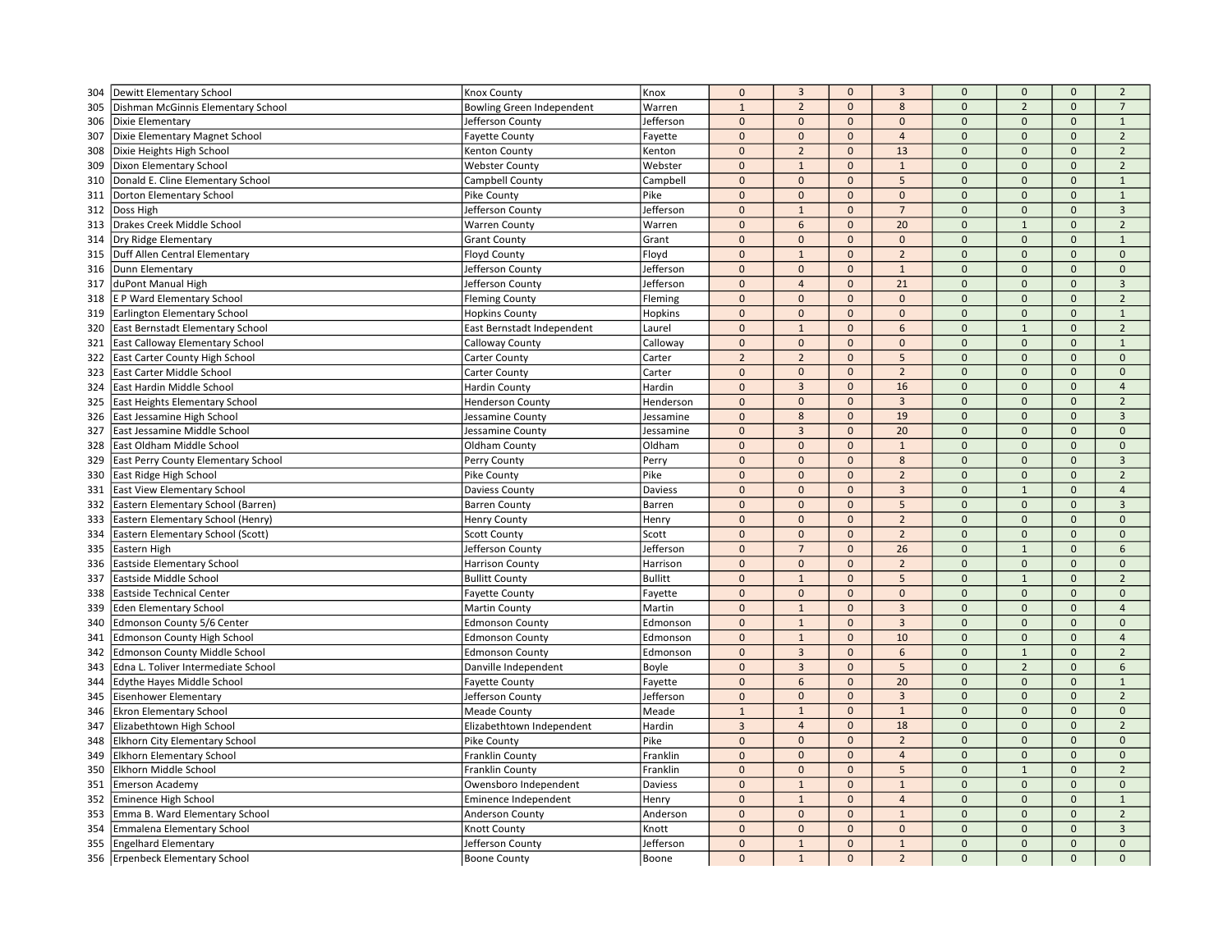| 304        | Dewitt Elementary School                                    | Knox County                           | Knox             | $\mathbf 0$    | $\overline{3}$  | $\mathbf 0$  | $\overline{3}$ | $\mathbf{0}$ | $\mathbf{0}$   | $\mathbf{0}$        | $\overline{2}$ |
|------------|-------------------------------------------------------------|---------------------------------------|------------------|----------------|-----------------|--------------|----------------|--------------|----------------|---------------------|----------------|
| 305        | Dishman McGinnis Elementary School                          | <b>Bowling Green Independent</b>      | Warren           | $\mathbf{1}$   | $\overline{2}$  | $\mathbf 0$  | $\bf 8$        | $\mathbf 0$  | $\overline{2}$ | $\mathbf{0}$        | $\overline{7}$ |
| 306        | Dixie Elementary                                            | Jefferson County                      | Jefferson        | $\mathbf{0}$   | $\mathbf{0}$    | $\mathbf{0}$ | $\mathbf{0}$   | $\mathbf{0}$ | $\Omega$       | $\mathbf{0}$        | $\mathbf{1}$   |
| 307        | Dixie Elementary Magnet School                              | <b>Fayette County</b>                 | Fayette          | $\pmb{0}$      | $\mathbf 0$     | $\mathbf 0$  | $\overline{4}$ | $\mathbf{0}$ | $\mathbf{0}$   | $\mathbf{0}$        | $\overline{2}$ |
| 308        | Dixie Heights High School                                   | Kenton County                         | Kenton           | $\Omega$       | $\overline{2}$  | $\mathbf 0$  | 13             | $\mathbf 0$  | $\mathbf{0}$   | $\mathbf{0}$        | $\overline{2}$ |
| 309        | Dixon Elementary School                                     | <b>Webster County</b>                 | Webster          | $\Omega$       | $\overline{1}$  | $\mathbf{0}$ | $\mathbf{1}$   | $\Omega$     | $\Omega$       | $\Omega$            | $\overline{2}$ |
| 310        | Donald E. Cline Elementary School                           | Campbell County                       | Campbell         | $\Omega$       | $\mathbf{0}$    | $\mathbf{0}$ | 5              | $\Omega$     | $\Omega$       | $\mathbf{0}$        | $\mathbf{1}$   |
| 311        | Dorton Elementary School                                    | Pike County                           | Pike             | $\pmb{0}$      | $\mathbf 0$     | $\mathbf{0}$ | $\mathbf{0}$   | $\mathbf 0$  | $\mathbf{0}$   | $\mathbf{0}$        | $\mathbf{1}$   |
| 312        | Doss High                                                   | Jefferson County                      | Jefferson        | $\Omega$       | $\mathbf{1}$    | $\mathbf{0}$ | $\overline{7}$ | $\Omega$     | $\mathbf 0$    | $\mathbf 0$         | $\overline{3}$ |
| 313        | Drakes Creek Middle School                                  | <b>Warren County</b>                  | Warren           | $\mathbf{0}$   | 6               | $\mathbf{0}$ | 20             | $\mathbf 0$  | $\mathbf{1}$   | $\mathbf{0}$        | $\overline{2}$ |
| 314        | Dry Ridge Elementary                                        | <b>Grant County</b>                   | Grant            | $\Omega$       | $\mathbf{0}$    | $\mathbf{0}$ | $\mathbf{0}$   | $\Omega$     | $\Omega$       | $\mathbf{0}$        | $\mathbf{1}$   |
| 315        | Duff Allen Central Elementary                               | <b>Floyd County</b>                   | Floyd            | $\Omega$       | $\overline{1}$  | $\mathbf{0}$ | $\overline{2}$ | $\Omega$     | $\Omega$       | $\mathbf{0}$        | $\mathbf 0$    |
| 316        | Dunn Elementary                                             | Jefferson County                      | Jefferson        | $\mathbf{0}$   | $\mathbf 0$     | $\mathbf{0}$ | $\mathbf{1}$   | $\Omega$     | $\mathbf{0}$   | $\mathbf{0}$        | $\mathbf 0$    |
| 317        | duPont Manual High                                          | Jefferson County                      | Jefferson        | $\mathbf{0}$   | $\overline{4}$  | $\mathbf{0}$ | 21             | $\mathbf 0$  | $\mathbf{0}$   | $\mathbf{0}$        | $\overline{3}$ |
| 318        | E P Ward Elementary School                                  | <b>Fleming County</b>                 | Fleming          | $\mathbf 0$    | $\mathbf{0}$    | $\mathbf 0$  | $\mathbf{0}$   | $\mathbf{0}$ | $\pmb{0}$      | $\mathbf 0$         | $\overline{2}$ |
| 319        | Earlington Elementary School                                | <b>Hopkins County</b>                 | Hopkins          | $\Omega$       | $\mathbf{0}$    | $\mathbf{0}$ | $\mathbf{0}$   | $\pmb{0}$    | $\mathbf{0}$   | $\Omega$            | $\mathbf{1}$   |
| 320        | East Bernstadt Elementary School                            | East Bernstadt Independent            | Laurel           | $\Omega$       | $\overline{1}$  | $\mathbf{0}$ | 6              | $\Omega$     | $\mathbf{1}$   | $\Omega$            | $\overline{2}$ |
| 321        | East Calloway Elementary School                             | Calloway County                       | Calloway         | $\pmb{0}$      | $\mathbf 0$     | $\mathbf{0}$ | $\mathbf 0$    | $\mathbf 0$  | $\mathbf{0}$   | $\mathbf{0}$        | $\mathbf{1}$   |
|            |                                                             |                                       |                  | $\overline{2}$ | $\overline{2}$  | $\mathbf 0$  | 5              | $\Omega$     | $\mathbf 0$    | $\mathsf{O}\xspace$ | $\mathbf 0$    |
| 322<br>323 | East Carter County High School<br>East Carter Middle School | Carter County                         | Carter<br>Carter | $\mathbf{0}$   | $\mathbf{0}$    | $\mathbf{0}$ | $\overline{2}$ | $\mathbf 0$  | $\mathbf{0}$   | $\mathbf{0}$        | $\mathbf{0}$   |
| 324        | East Hardin Middle School                                   | Carter County<br><b>Hardin County</b> | Hardin           | $\mathbf{0}$   | $\overline{3}$  | $\mathbf 0$  | 16             | $\mathbf{0}$ | $\pmb{0}$      | $\mathsf{O}\xspace$ | $\overline{4}$ |
|            | East Heights Elementary School                              |                                       |                  | $\Omega$       | $\mathbf{0}$    | $\mathbf{0}$ | $\overline{3}$ | $\Omega$     | $\Omega$       | $\Omega$            | $\overline{2}$ |
| 325        |                                                             | <b>Henderson County</b>               | Henderson        | $\mathbf{0}$   | 8               | $\mathbf{0}$ | 19             | $\Omega$     | $\Omega$       | $\Omega$            | $\overline{3}$ |
| 326        | East Jessamine High School                                  | Jessamine County                      | Jessamine        | $\mathbf 0$    |                 |              | 20             | $\Omega$     | $\Omega$       | $\mathbf{0}$        |                |
| 327        | East Jessamine Middle School                                | Jessamine County                      | Jessamine        |                | $\overline{3}$  | $\mathbf 0$  |                | $\Omega$     | $\Omega$       | $\Omega$            | $\mathbf 0$    |
| 328        | East Oldham Middle School                                   | Oldham County                         | Oldham           | $\mathbf 0$    | $\mathbf 0$     | $\mathbf{0}$ | $\mathbf{1}$   |              |                |                     | $\mathbf 0$    |
| 329        | East Perry County Elementary School                         | Perry County                          | Perry            | $\mathbf{0}$   | $\mathbf 0$     | $\mathbf{0}$ | 8              | $\mathbf{0}$ | $\mathbf{0}$   | $\mathbf{0}$        | $\overline{3}$ |
| 330        | East Ridge High School                                      | Pike County                           | Pike             | $\mathbf 0$    | $\mathbf 0$     | $\mathbf 0$  | $\overline{2}$ | $\mathbf 0$  | $\mathbf{0}$   | $\mathsf{O}\xspace$ | $\overline{2}$ |
| 331        | <b>East View Elementary School</b>                          | Daviess County                        | Daviess          | $\Omega$       | $\mathbf{0}$    | $\mathbf{0}$ | $\overline{3}$ | $\Omega$     | $\mathbf{1}$   | $\Omega$            | $\overline{a}$ |
| 332        | Eastern Elementary School (Barren)                          | <b>Barren County</b>                  | Barren           | $\Omega$       | $\mathbf{0}$    | $\mathbf{0}$ | 5              | $\Omega$     | $\mathbf{0}$   | $\mathbf{0}$        | $\overline{3}$ |
| 333        | Eastern Elementary School (Henry)                           | <b>Henry County</b>                   | Henry            | $\mathbf 0$    | $\mathbf 0$     | $\mathbf{0}$ | $\overline{2}$ | $\Omega$     | $\mathbf{0}$   | $\mathbf{0}$        | $\mathbf{0}$   |
| 334        | Eastern Elementary School (Scott)                           | <b>Scott County</b>                   | Scott            | $\mathbf{0}$   | $\mathbf{0}$    | $\mathbf{0}$ | $\overline{2}$ | $\mathbf 0$  | $\mathbf{0}$   | $\mathbf{0}$        | $\mathbf 0$    |
| 335        | Eastern High                                                | Jefferson County                      | Jefferson        | $\mathbf{0}$   | $\overline{7}$  | $\mathbf{0}$ | 26             | $\mathbf{0}$ | $\mathbf{1}$   | $\mathbf{0}$        | 6              |
| 336        | Eastside Elementary School                                  | <b>Harrison County</b>                | Harrison         | $\mathbf{0}$   | $\mathbf{0}$    | $\mathbf{0}$ | $\overline{2}$ | $\mathbf 0$  | $\mathbf{0}$   | $\Omega$            | $\mathbf 0$    |
| 337        | Eastside Middle School                                      | <b>Bullitt County</b>                 | <b>Bullitt</b>   | $\Omega$       | $\overline{1}$  | $\mathbf{0}$ | 5              | $\Omega$     | $\mathbf{1}$   | $\Omega$            | $\overline{2}$ |
| 338        | <b>Eastside Technical Center</b>                            | <b>Fayette County</b>                 | Fayette          | $\mathbf{0}$   | $\mathbf 0$     | $\mathbf{0}$ | $\mathbf 0$    | $\Omega$     | $\Omega$       | $\mathsf{O}\xspace$ | $\mathbf 0$    |
| 339        | Eden Elementary School                                      | <b>Martin County</b>                  | Martin           | $\Omega$       | $\mathbf{1}$    | $\mathbf{0}$ | $\overline{3}$ | $\Omega$     | $\mathbf{0}$   | $\mathbf{0}$        | $\overline{4}$ |
| 340        | Edmonson County 5/6 Center                                  | <b>Edmonson County</b>                | Edmonson         | $\mathbf{0}$   | $\mathbf{1}$    | $\mathbf{0}$ | $\overline{3}$ | $\mathbf{0}$ | $\mathbf{0}$   | $\mathbf{0}$        | $\mathbf{0}$   |
| 341        | <b>Edmonson County High School</b>                          | <b>Edmonson County</b>                | Edmonson         | $\mathbf{0}$   | $\mathbf{1}$    | $\mathbf 0$  | 10             | $\mathbf{0}$ | $\pmb{0}$      | $\mathbf 0$         | $\overline{4}$ |
| 342        | Edmonson County Middle School                               | <b>Edmonson County</b>                | Edmonson         | $\Omega$       | $\overline{3}$  | $\mathbf{0}$ | 6              | $\Omega$     | $\mathbf{1}$   | $\Omega$            | $\overline{2}$ |
| 343        | Edna L. Toliver Intermediate School                         | Danville Independent                  | Boyle            | $\Omega$       | $\overline{3}$  | $\mathbf{0}$ | 5              | $\Omega$     | $\overline{2}$ | $\mathbf{0}$        | 6              |
| 344        | Edythe Hayes Middle School                                  | <b>Fayette County</b>                 | Fayette          | $\mathbf 0$    | $6\phantom{1}6$ | $\mathbf 0$  | 20             | $\mathbf 0$  | $\mathbf{0}$   | $\mathbf{0}$        | $\mathbf{1}$   |
| 345        | Eisenhower Elementary                                       | Jefferson County                      | Jefferson        | $\mathbf{0}$   | $\mathbf{0}$    | $\mathbf{0}$ | $\overline{3}$ | $\Omega$     | $\mathbf{0}$   | $\mathbf{0}$        | $\overline{2}$ |
| 346        | <b>Ekron Elementary School</b>                              | <b>Meade County</b>                   | Meade            | $\mathbf{1}$   | $\mathbf{1}$    | $\mathbf 0$  | $\mathbf{1}$   | $\mathbf 0$  | $\mathbf{0}$   | $\mathbf{0}$        | $\mathbf 0$    |
| 347        | Elizabethtown High School                                   | Elizabethtown Independent             | Hardin           | $\overline{3}$ | $\overline{4}$  | $\mathbf 0$  | 18             | $\mathbf 0$  | $\mathbf{0}$   | $\mathsf{O}\xspace$ | $\overline{2}$ |
| 348        | <b>Elkhorn City Elementary School</b>                       | Pike County                           | Pike             | $\Omega$       | $\Omega$        | $\Omega$     | $\overline{2}$ | $\Omega$     | $\Omega$       | $\Omega$            | $\Omega$       |
| 349        | Elkhorn Elementary School                                   | Franklin County                       | Franklin         | $\Omega$       | $\mathbf{0}$    | $\mathbf{0}$ | $\overline{4}$ | $\Omega$     | $\mathbf{0}$   | $\mathbf{0}$        | $\mathbf{0}$   |
| 350        | Elkhorn Middle School                                       | <b>Franklin County</b>                | Franklin         | $\mathbf 0$    | $\mathbf{0}$    | $\mathbf{0}$ | 5              | $\mathbf 0$  | $\mathbf{1}$   | $\mathbf{0}$        | $\overline{2}$ |
| 351        | Emerson Academy                                             | Owensboro Independent                 | Daviess          | $\Omega$       | $\overline{1}$  | $\mathbf 0$  | $\mathbf{1}$   | $\Omega$     | $\Omega$       | $\Omega$            | $\mathbf 0$    |
| 352        | Eminence High School                                        | Eminence Independent                  | Henry            | $\mathbf{0}$   | $\mathbf{1}$    | $\mathbf{0}$ | $\overline{4}$ | $\mathbf{0}$ | $\mathbf{0}$   | $\mathbf{0}$        | $\mathbf{1}$   |
| 353        | Emma B. Ward Elementary School                              | <b>Anderson County</b>                | Anderson         | $\mathbf 0$    | $\mathbf 0$     | $\mathbf{0}$ | $\mathbf{1}$   | $\mathbf 0$  | $\mathbf{0}$   | $\Omega$            | $\overline{2}$ |
| 354        | Emmalena Elementary School                                  | Knott County                          | Knott            | $\Omega$       | $\mathbf 0$     | $\mathbf 0$  | $\mathbf 0$    | $\Omega$     | $\Omega$       | $\Omega$            | $\overline{3}$ |
| 355        | <b>Engelhard Elementary</b>                                 | Jefferson County                      | Jefferson        | $\Omega$       | $\mathbf{1}$    | $\mathbf{0}$ | $\mathbf{1}$   | $\Omega$     | $\mathbf{0}$   | $\mathbf{0}$        | $\mathbf{0}$   |
|            | 356 Erpenbeck Elementary School                             | <b>Boone County</b>                   | Boone            | $\Omega$       | $\mathbf{1}$    | $\mathbf{0}$ | $\overline{2}$ | $\Omega$     | $\Omega$       | $\Omega$            | $\Omega$       |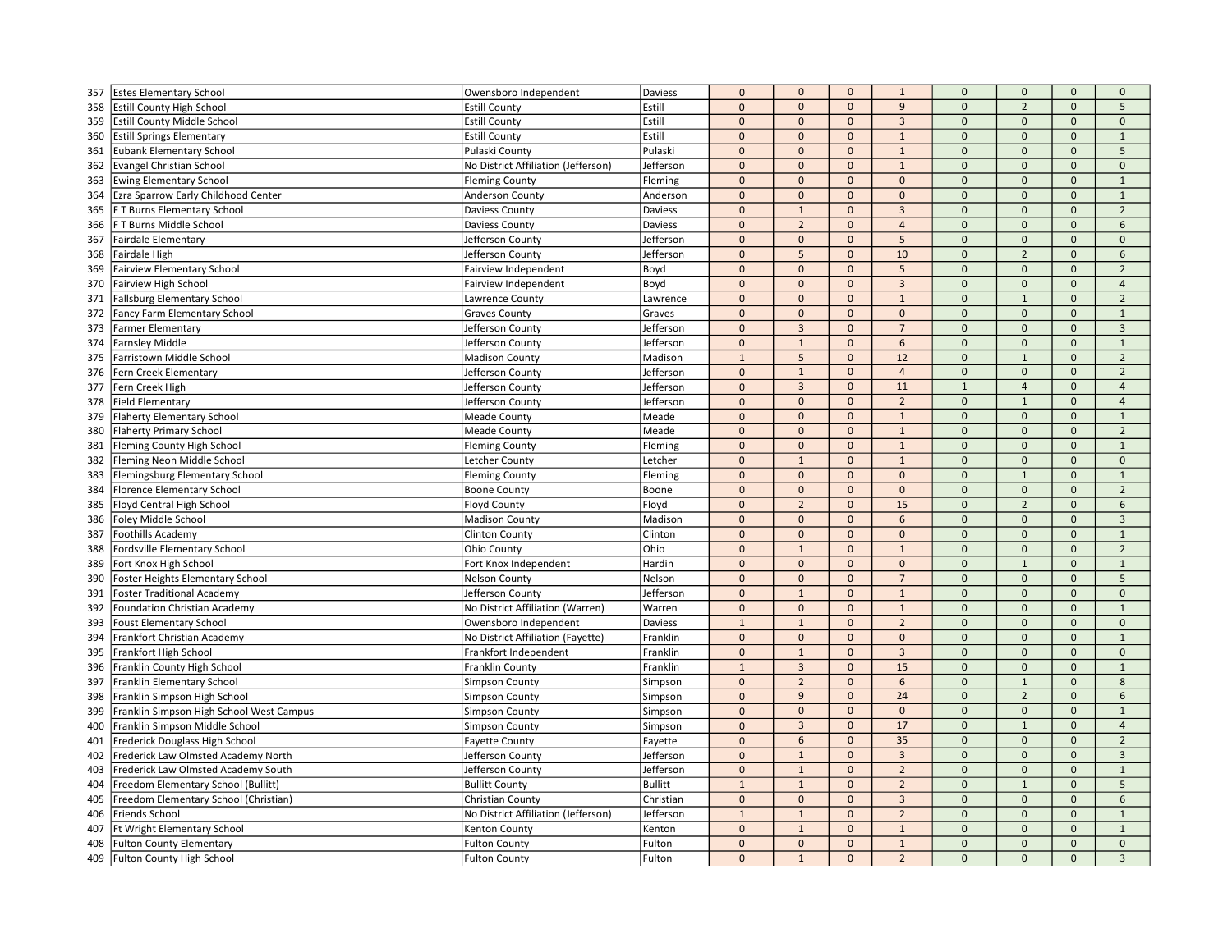| 357 | <b>Estes Elementary School</b>           | Owensboro Independent               | <b>Daviess</b> | $\pmb{0}$    | $\mathbf 0$     | $\mathbf 0$  | $\mathbf{1}$   | $\mathbf 0$    | $\mathbf{0}$   | $\mathbf{0}$ | $\mathbf{0}$             |
|-----|------------------------------------------|-------------------------------------|----------------|--------------|-----------------|--------------|----------------|----------------|----------------|--------------|--------------------------|
| 358 | <b>Estill County High School</b>         | <b>Estill County</b>                | Estill         | $\mathbf 0$  | $\mathbf 0$     | $\mathbf 0$  | 9              | $\mathbf{0}$   | $\overline{2}$ | $\mathbf{0}$ | 5                        |
| 359 | <b>Estill County Middle School</b>       | <b>Estill County</b>                | Estill         | $\mathbf{0}$ | $\mathbf{0}$    | $\mathbf{0}$ | $\overline{3}$ | $\mathbf{0}$   | $\mathbf{0}$   | $\mathbf{0}$ | $\mathbf{0}$             |
| 360 | <b>Estill Springs Elementary</b>         | <b>Estill County</b>                | Estill         | $\mathbf{0}$ | $\mathbf 0$     | $\mathbf 0$  | $\mathbf{1}$   | $\mathbf{0}$   | $\mathbf{0}$   | $\mathbf{0}$ | $\mathbf 1$              |
| 361 | <b>Eubank Elementary School</b>          | Pulaski County                      | Pulaski        | $\mathbf 0$  | $\mathbf{0}$    | $\mathbf{0}$ | $\mathbf{1}$   | $\Omega$       | $\mathbf{0}$   | $\mathbf 0$  | 5                        |
| 362 | <b>Evangel Christian School</b>          | No District Affiliation (Jefferson) | Jefferson      | $\mathbf{0}$ | $\mathbf{0}$    | $\mathbf{0}$ | $\mathbf{1}$   | $\Omega$       | $\mathbf{0}$   | $\Omega$     | $\Omega$                 |
| 363 | <b>Ewing Elementary School</b>           | <b>Fleming County</b>               | Fleming        | $\mathbf 0$  | $\mathbf{0}$    | $\mathbf{0}$ | $\mathbf{0}$   | $\overline{0}$ | $\mathbf{0}$   | $\mathbf{0}$ | $\mathbf{1}$             |
| 364 | Ezra Sparrow Early Childhood Center      | Anderson County                     | Anderson       | $\pmb{0}$    | $\mathbf{0}$    | $\mathbf{0}$ | $\mathbf{0}$   | $\Omega$       | $\mathbf{0}$   | $\mathbf{0}$ | $\mathbf{1}$             |
| 365 | F T Burns Elementary School              | <b>Daviess County</b>               | Daviess        | $\mathbf 0$  | $\mathbf{1}$    | $\mathbf 0$  | $\overline{3}$ | $\Omega$       | $\mathbf 0$    | $\mathbf 0$  | $\overline{2}$           |
| 366 | F T Burns Middle School                  | Daviess County                      | Daviess        | $\mathbf 0$  | $\overline{2}$  | $\mathbf{0}$ | $\overline{4}$ | $\Omega$       | $\mathbf{0}$   | $\mathbf{0}$ | 6                        |
| 367 | <b>Fairdale Elementary</b>               | Jefferson County                    | Jefferson      | $\mathbf 0$  | $\mathbf{0}$    | $\mathbf{0}$ | 5              | $\Omega$       | $\mathbf{0}$   | $\mathbf{0}$ | $\Omega$                 |
| 368 | Fairdale High                            | Jefferson County                    | Jefferson      | $\pmb{0}$    | 5               | $\mathbf 0$  | 10             | $\Omega$       | $\overline{2}$ | $\mathbf{0}$ | $\mathsf{6}$             |
| 369 | <b>Fairview Elementary School</b>        | Fairview Independent                | Boyd           | $\mathbf 0$  | $\mathbf{0}$    | $\mathbf{0}$ | 5              | $\mathbf{0}$   | $\mathbf{0}$   | $\mathbf{0}$ | $\overline{2}$           |
| 370 | Fairview High School                     | Fairview Independent                | Boyd           | $\mathbf{0}$ | $\mathbf{0}$    | $\mathbf{0}$ | $\overline{3}$ | $\Omega$       | $\mathbf{0}$   | $\mathbf{0}$ | $\overline{4}$           |
| 371 | <b>Fallsburg Elementary School</b>       | Lawrence County                     | Lawrence       | $\pmb{0}$    | $\mathbf{0}$    | $\mathbf{0}$ | $\mathbf{1}$   | $\mathbf{0}$   | $\mathbf{1}$   | $\mathbf 0$  | $\overline{2}$           |
| 372 | <b>Fancy Farm Elementary School</b>      | <b>Graves County</b>                | Graves         | $\pmb{0}$    | $\mathbf{0}$    | $\mathbf{0}$ | $\mathbf{0}$   | $\Omega$       | $\mathbf{0}$   | $\mathbf{0}$ | $\mathbf{1}$             |
| 373 | <b>Farmer Elementary</b>                 | Jefferson County                    | Jefferson      | $\pmb{0}$    | $\overline{3}$  | $\Omega$     | $\overline{7}$ | $\Omega$       | $\Omega$       | $\mathbf{0}$ | $\overline{3}$           |
| 374 | <b>Farnsley Middle</b>                   | Jefferson County                    | Jefferson      | $\pmb{0}$    | $\mathbf{1}$    | $\mathbf 0$  | 6              | $\mathbf{0}$   | $\mathbf 0$    | $\mathbf{0}$ | $\mathbf{1}$             |
| 375 | Farristown Middle School                 | <b>Madison County</b>               | Madison        | $1\,$        | $5\phantom{.0}$ | $\mathbf 0$  | 12             | $\mathbf 0$    | $\mathbf{1}$   | $\Omega$     | $\overline{2}$           |
| 376 | Fern Creek Elementary                    | Jefferson County                    | Jefferson      | $\mathbf 0$  | $\mathbf{1}$    | $\mathbf{0}$ | $\overline{4}$ | $\mathbf{0}$   | $\mathbf{0}$   | $\mathbf{0}$ | $\overline{2}$           |
| 377 | Fern Creek High                          | Jefferson County                    | Jefferson      | $\pmb{0}$    | $\overline{3}$  | $\mathbf 0$  | 11             | $\mathbf{1}$   | $\overline{4}$ | $\mathbf{0}$ | $\overline{4}$           |
| 378 | <b>Field Elementary</b>                  | Jefferson County                    | Jefferson      | $\mathbf 0$  | $\Omega$        | $\mathbf{0}$ | $\overline{2}$ | $\Omega$       | $\mathbf{1}$   | $\mathbf{0}$ | $\overline{4}$           |
| 379 | <b>Flaherty Elementary School</b>        | <b>Meade County</b>                 | Meade          | $\mathbf{0}$ | $\mathbf{0}$    | $\mathbf{0}$ | $\mathbf{1}$   | $\Omega$       | $\mathbf{0}$   | $\Omega$     | $\mathbf{1}$             |
| 380 | <b>Flaherty Primary School</b>           | <b>Meade County</b>                 | Meade          | $\pmb{0}$    | $\mathbf 0$     | $\mathbf{0}$ | $\mathbf{1}$   | $\mathbf 0$    | $\mathbf{0}$   | $\mathbf{0}$ | $\overline{2}$           |
| 381 | Fleming County High School               | <b>Fleming County</b>               | Fleming        | $\pmb{0}$    | $\mathbf 0$     | $\mathbf 0$  | $\mathbf{1}$   | $\Omega$       | $\Omega$       | $\Omega$     | $\mathbf{1}$             |
| 382 | Fleming Neon Middle School               | Letcher County                      | Letcher        | $\mathbf{0}$ | $\mathbf{1}$    | $\mathbf{0}$ | $\mathbf{1}$   | $\mathbf{0}$   | $\mathbf 0$    | $\mathbf{0}$ | $\mathbf 0$              |
| 383 | Flemingsburg Elementary School           | <b>Fleming County</b>               | Fleming        | $\mathbf 0$  | $\mathbf 0$     | $\mathbf{0}$ | $\mathbf 0$    | $\Omega$       | $\overline{1}$ | $\mathbf 0$  | $\mathbf{1}$             |
| 384 | <b>Florence Elementary School</b>        | <b>Boone County</b>                 | Boone          | $\mathbf 0$  | $\mathbf{0}$    | $\mathbf{0}$ | $\mathbf{0}$   | $\mathbf 0$    | $\mathbf{0}$   | $\mathbf{0}$ | $\overline{\phantom{0}}$ |
| 385 | Floyd Central High School                | Floyd County                        | Floyd          | $\mathbf{0}$ | $\overline{2}$  | $\mathbf{0}$ | 15             | $\Omega$       | $\overline{2}$ | $\Omega$     | 6                        |
| 386 | Foley Middle School                      | <b>Madison County</b>               | Madison        | $\pmb{0}$    | $\mathbf{0}$    | $\mathbf{0}$ | 6              | $\Omega$       | $\mathbf{0}$   | $\mathbf{0}$ | $\overline{3}$           |
| 387 | <b>Foothills Academy</b>                 | <b>Clinton County</b>               | Clinton        | $\mathbf 0$  | $\mathbf{0}$    | $\mathbf 0$  | $\mathbf{0}$   | $\mathbf{0}$   | $\mathbf 0$    | $\mathbf{0}$ | $\mathbf{1}$             |
| 388 | Fordsville Elementary School             | Ohio County                         | Ohio           | $\mathbf{0}$ | $\mathbf{1}$    | $\mathbf{0}$ | $\mathbf{1}$   | $\Omega$       | $\mathbf{0}$   | $\mathbf{0}$ | $\overline{2}$           |
| 389 | Fort Knox High School                    | Fort Knox Independent               | Hardin         | $\pmb{0}$    | $\mathbf{0}$    | $\mathbf{0}$ | $\mathbf{0}$   | $\mathbf{0}$   | $\mathbf{1}$   | $\mathbf{0}$ | $\mathbf{1}$             |
| 390 | Foster Heights Elementary School         | <b>Nelson County</b>                | Nelson         | $\pmb{0}$    | $\mathbf{0}$    | $\mathbf{0}$ | $\overline{7}$ | $\Omega$       | $\Omega$       | $\mathbf{0}$ | 5                        |
| 391 | <b>Foster Traditional Academy</b>        | Jefferson County                    | Jefferson      | $\mathbf 0$  | $\mathbf 1$     | $\mathbf 0$  | $\mathbf{1}$   | $\Omega$       | $\mathbf 0$    | $\Omega$     | $\mathbf 0$              |
| 392 | <b>Foundation Christian Academy</b>      | No District Affiliation (Warren)    | Warren         | $\mathbf{0}$ | $\mathbf{0}$    | $\mathbf{0}$ | $\mathbf{1}$   | $\Omega$       | $\overline{0}$ | $\Omega$     | $\mathbf{1}$             |
| 393 | <b>Foust Elementary School</b>           | Owensboro Independent               | Daviess        | $\mathbf{1}$ | $\mathbf{1}$    | $\mathbf{0}$ | $\overline{2}$ | $\mathbf{0}$   | $\mathbf{0}$   | $\mathbf{0}$ | $\mathbf{0}$             |
| 394 | Frankfort Christian Academy              | No District Affiliation (Fayette)   | Franklin       | $\mathbf 0$  | $\mathbf 0$     | $\mathbf 0$  | $\mathbf 0$    | $\mathbf{0}$   | $\mathbf 0$    | $\mathbf 0$  | $\mathbf{1}$             |
| 395 | Frankfort High School                    | Frankfort Independent               | Franklin       | $\mathbf{0}$ | $\mathbf{1}$    | $\mathbf{0}$ | $\overline{3}$ | $\Omega$       | $\mathbf{0}$   | $\mathbf{0}$ | $\Omega$                 |
| 396 | Franklin County High School              | Franklin County                     | Franklin       | $\mathbf{1}$ | $\overline{3}$  | $\mathbf{0}$ | 15             | $\Omega$       | $\mathbf{0}$   | $\mathbf{0}$ | $\mathbf 1$              |
| 397 | Franklin Elementary School               | <b>Simpson County</b>               | Simpson        | $\pmb{0}$    | $\overline{2}$  | $\mathbf{0}$ | 6              | $\mathbf 0$    | $\mathbf{1}$   | $\mathbf{0}$ | 8                        |
| 398 | Franklin Simpson High School             | <b>Simpson County</b>               | Simpson        | $\mathbf 0$  | 9               | $\mathbf{0}$ | 24             | $\mathbf{0}$   | $\overline{2}$ | $\mathbf{0}$ | 6                        |
| 399 | Franklin Simpson High School West Campus | <b>Simpson County</b>               | Simpson        | $\mathbf 0$  | $\mathbf 0$     | $\mathbf{0}$ | $\mathbf{0}$   | $\mathbf{0}$   | $\mathbf 0$    | $\mathbf{0}$ | 1                        |
| 400 | Franklin Simpson Middle School           | Simpson County                      | Simpson        | $\mathbf 0$  | $\overline{3}$  | $\mathbf 0$  | 17             | $\mathbf{0}$   | $\mathbf{1}$   | $\mathbf 0$  | $\overline{4}$           |
| 401 | Frederick Douglass High School           | <b>Fayette County</b>               | Fayette        | $\mathbf{0}$ | 6               | $\mathbf{0}$ | 35             | $\Omega$       | $\Omega$       | $\Omega$     | $\overline{2}$           |
| 402 | Frederick Law Olmsted Academy North      | Jefferson County                    | Jefferson      | $\mathbf{0}$ | $\overline{1}$  | $\mathbf{0}$ | $\overline{3}$ | $\Omega$       | $\mathbf{0}$   | $\mathbf{0}$ | $\overline{3}$           |
| 403 | Frederick Law Olmsted Academy South      | Jefferson County                    | Jefferson      | $\mathbf 0$  | $\mathbf{1}$    | $\mathbf{0}$ | $\overline{2}$ | $\mathbf{0}$   | $\mathbf{0}$   | $\mathbf{0}$ | $\mathbf{1}$             |
| 404 | Freedom Elementary School (Bullitt)      | <b>Bullitt County</b>               | <b>Bullitt</b> | $\mathbf{1}$ | $\mathbf{1}$    | $\mathbf 0$  | $\overline{2}$ | $\Omega$       | $\mathbf{1}$   | $\Omega$     | 5                        |
| 405 | Freedom Elementary School (Christian)    | Christian County                    | Christian      | $\mathbf{0}$ | $\mathbf{0}$    | $\mathbf{0}$ | $\overline{3}$ | $\Omega$       | $\mathbf{0}$   | $\mathbf{0}$ | 6                        |
| 406 | Friends School                           | No District Affiliation (Jefferson) | Jefferson      | $1\,$        | $1\,$           | $\mathbf{0}$ | $\overline{2}$ | $\mathbf{0}$   | $\Omega$       | $\mathbf{0}$ | $\mathbf{1}$             |
| 407 | Ft Wright Elementary School              | Kenton County                       | Kenton         | $\mathbf{0}$ | $\mathbf{1}$    | $\mathbf 0$  | $\mathbf{1}$   | $\Omega$       | $\Omega$       | $\Omega$     | $\overline{1}$           |
| 408 | <b>Fulton County Elementary</b>          | <b>Fulton County</b>                | Fulton         | $\mathbf{0}$ | $\mathbf{0}$    | $\mathbf{0}$ | $\mathbf{1}$   | $\mathbf{0}$   | $\mathbf{0}$   | $\Omega$     | $\mathbf{0}$             |
| 409 | Fulton County High School                | <b>Fulton County</b>                | Fulton         | $\Omega$     | $\mathbf{1}$    | $\Omega$     | $\overline{2}$ | $\Omega$       | $\mathbf{0}$   | $\Omega$     | $\overline{3}$           |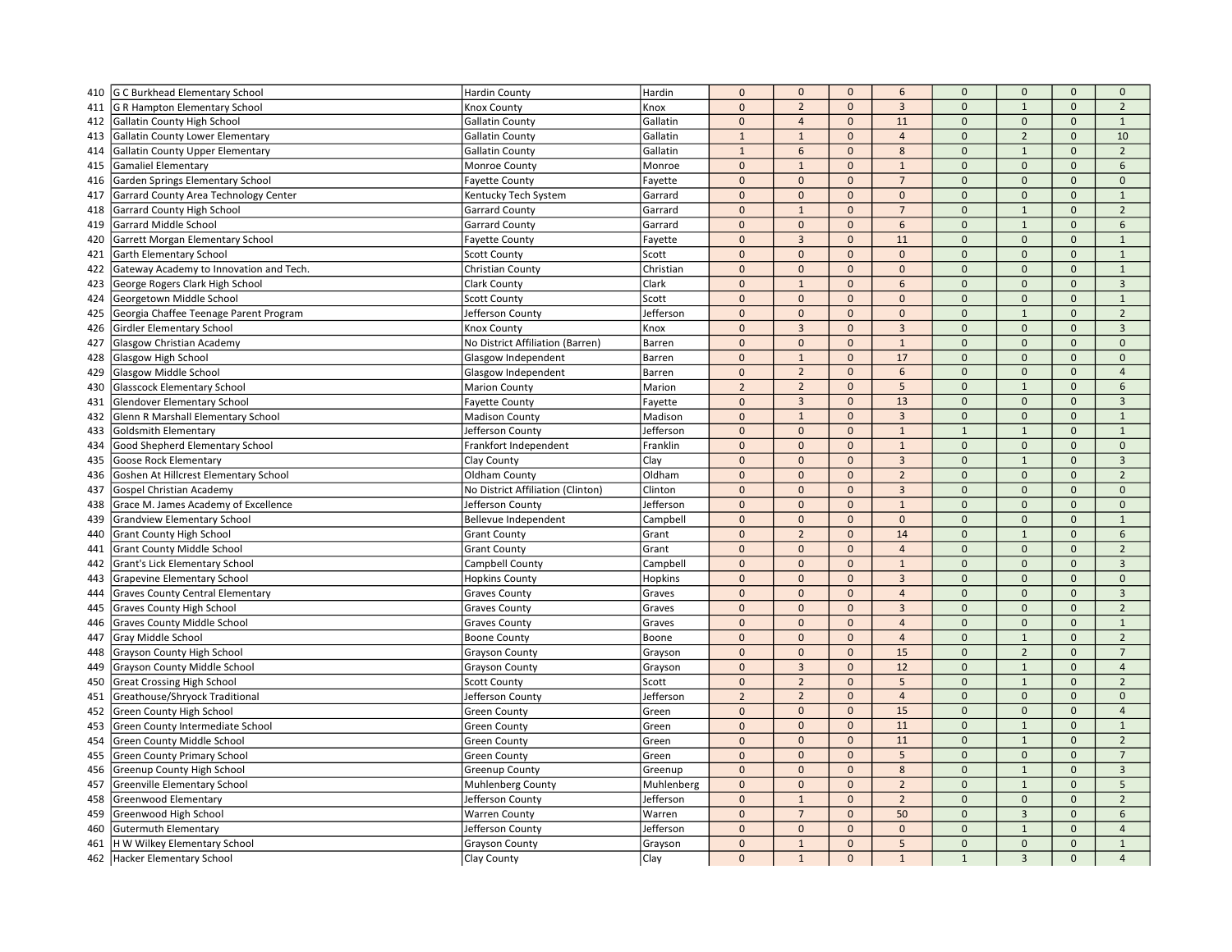| 410 | G C Burkhead Elementary School          | <b>Hardin County</b>              | Hardin         | $\mathbf 0$    | $\mathbf 0$    | $\mathbf{0}$ | $\boldsymbol{6}$ | $\mathbf{0}$   | $\mathbf 0$         | $\mathbf 0$         | $\mathbf 0$    |
|-----|-----------------------------------------|-----------------------------------|----------------|----------------|----------------|--------------|------------------|----------------|---------------------|---------------------|----------------|
| 411 | G R Hampton Elementary School           | <b>Knox County</b>                | Knox           | $\mathbf 0$    | $\overline{2}$ | $\Omega$     | $\overline{3}$   | $\Omega$       | $\mathbf{1}$        | $\Omega$            | $\overline{2}$ |
| 412 | Gallatin County High School             | <b>Gallatin County</b>            | Gallatin       | $\mathbf 0$    | $\overline{4}$ | $\mathbf{0}$ | 11               | $\mathbf{0}$   | $\mathbf{0}$        | $\mathbf{0}$        | $\mathbf{1}$   |
| 413 | <b>Gallatin County Lower Elementary</b> | <b>Gallatin County</b>            | Gallatin       | $\mathbf{1}$   | $\mathbf{1}$   | $\mathbf{0}$ | $\overline{4}$   | $\mathbf 0$    | $\overline{2}$      | $\mathbf{0}$        | 10             |
| 414 | <b>Gallatin County Upper Elementary</b> | <b>Gallatin County</b>            | Gallatin       | $1\,$          | 6              | $\Omega$     | 8                | $\Omega$       | $\mathbf{1}$        | $\Omega$            | $\overline{2}$ |
| 415 | <b>Gamaliel Elementary</b>              | Monroe County                     | Monroe         | $\mathbf{0}$   | $\mathbf{1}$   | $\mathbf{0}$ | $\mathbf{1}$     | $\mathbf{0}$   | $\Omega$            | $\mathbf{0}$        | 6              |
| 416 | Garden Springs Elementary School        | <b>Fayette County</b>             | Fayette        | $\mathbf 0$    | $\mathbf 0$    | $\mathbf{0}$ | $\overline{7}$   | $\mathbf 0$    | $\mathbf 0$         | $\mathbf{0}$        | $\mathbf 0$    |
| 417 | Garrard County Area Technology Center   | Kentucky Tech System              | Garrard        | $\mathbf 0$    | $\mathbf 0$    | $\mathbf 0$  | $\mathbf 0$      | $\mathbf 0$    | $\mathbf 0$         | $\mathbf 0$         | $\mathbf{1}$   |
| 418 | <b>Garrard County High School</b>       | <b>Garrard County</b>             | Garrard        | $\mathbf{0}$   | $\mathbf{1}$   | $\mathbf{0}$ | $\overline{7}$   | $\mathbf 0$    | $\mathbf{1}$        | $\mathbf{0}$        | $\overline{2}$ |
| 419 | Garrard Middle School                   | <b>Garrard County</b>             | Garrard        | $\mathbf 0$    | $\mathbf{0}$   | $\Omega$     | 6                | $\Omega$       | $\mathbf{1}$        | $\mathsf{O}\xspace$ | 6              |
| 420 | Garrett Morgan Elementary School        | <b>Fayette County</b>             | Fayette        | $\mathbf 0$    | $\overline{3}$ | $\mathbf{0}$ | 11               | $\Omega$       | $\mathbf 0$         | $\Omega$            | $\mathbf{1}$   |
| 421 | Garth Elementary School                 | <b>Scott County</b>               | Scott          | $\mathbf{0}$   | $\mathbf{0}$   | $\mathbf{0}$ | $\mathbf{0}$     | $\mathbf{0}$   | $\mathbf{0}$        | $\mathbf{0}$        | $\mathbf{1}$   |
| 422 | Gateway Academy to Innovation and Tech. | Christian County                  | Christian      | $\pmb{0}$      | $\mathbf 0$    | $\mathbf{0}$ | $\mathbf{0}$     | $\mathbf 0$    | $\mathbf{0}$        | $\mathbf{0}$        | $\mathbf{1}$   |
| 423 | George Rogers Clark High School         | <b>Clark County</b>               | Clark          | $\mathbf 0$    | $\mathbf{1}$   | $\mathbf 0$  | 6                | $\mathbf 0$    | $\mathbf 0$         | $\mathbf 0$         | $\overline{3}$ |
| 424 | Georgetown Middle School                | <b>Scott County</b>               | Scott          | $\mathbf{0}$   | $\mathbf{0}$   | $\mathbf{0}$ | $\mathbf 0$      | $\mathbf{0}$   | $\mathbf{0}$        | $\mathbf 0$         | $\mathbf{1}$   |
| 425 | Georgia Chaffee Teenage Parent Program  | Jefferson County                  | Jefferson      | $\mathbf 0$    | $\mathbf{0}$   | $\Omega$     | $\mathbf{0}$     | $\Omega$       | $\mathbf{1}$        | $\mathbf{0}$        | $\overline{2}$ |
| 426 | Girdler Elementary School               | Knox County                       | Knox           | $\mathbf 0$    | $\overline{3}$ | $\mathbf 0$  | $\overline{3}$   | $\mathbf 0$    | $\mathsf{O}\xspace$ | $\Omega$            | $\overline{3}$ |
| 427 | <b>Glasgow Christian Academy</b>        | No District Affiliation (Barren)  | Barren         | $\mathbf{0}$   | $\mathbf{0}$   | $\mathbf{0}$ | $\mathbf{1}$     | $\mathbf{0}$   | $\mathbf{0}$        | $\Omega$            | $\mathbf{0}$   |
| 428 | Glasgow High School                     | Glasgow Independent               | Barren         | $\mathbf{0}$   | $1\,$          | $\mathbf{0}$ | 17               | $\overline{0}$ | $\mathbf{0}$        | $\mathbf{0}$        | $\mathbf{0}$   |
| 429 | Glasgow Middle School                   | Glasgow Independent               | Barren         | $\mathbf 0$    | $\overline{2}$ | $\mathbf 0$  | 6                | $\mathbf 0$    | $\mathbf 0$         | $\mathbf 0$         | $\overline{4}$ |
| 430 | <b>Glasscock Elementary School</b>      | <b>Marion County</b>              | Marion         | $\overline{2}$ | $\overline{2}$ | $\mathbf{0}$ | 5                | $\mathbf 0$    | $\mathbf{1}$        | $\mathbf{0}$        | 6              |
| 431 | <b>Glendover Elementary School</b>      | <b>Fayette County</b>             | Fayette        | $\mathbf{0}$   | $\overline{3}$ | $\mathbf{0}$ | 13               | $\Omega$       | $\mathbf{0}$        | $\mathbf{0}$        | $\overline{3}$ |
| 432 | Glenn R Marshall Elementary School      | <b>Madison County</b>             | Madison        | $\mathbf 0$    | $\mathbf{1}$   | $\mathbf{0}$ | $\overline{3}$   | $\mathbf 0$    | $\mathbf{0}$        | $\mathbf{0}$        | $\mathbf{1}$   |
| 433 | <b>Goldsmith Elementary</b>             | Jefferson County                  | Jefferson      | $\mathbf{0}$   | $\mathbf{0}$   | $\mathbf{0}$ | $\mathbf{1}$     | $\overline{1}$ | $\mathbf{1}$        | $\mathbf{0}$        | $\,1\,$        |
| 434 | Good Shepherd Elementary School         | Frankfort Independent             | Franklin       | $\mathbf 0$    | $\mathbf{0}$   | $\mathbf{0}$ | $\mathbf{1}$     | $\overline{0}$ | $\mathbf{0}$        | $\mathbf{0}$        | $\mathbf{0}$   |
| 435 | <b>Goose Rock Elementary</b>            | Clay County                       | Clay           | $\pmb{0}$      | $\mathbf 0$    | $\mathbf{0}$ | $\overline{3}$   | $\mathbf 0$    | $\mathbf{1}$        | $\mathsf{O}\xspace$ | $\overline{3}$ |
| 436 | Goshen At Hillcrest Elementary School   | Oldham County                     | Oldham         | $\mathbf{0}$   | $\mathbf{0}$   | $\mathbf{0}$ | $\overline{2}$   | $\Omega$       | $\mathbf{0}$        | $\mathbf{0}$        | $\overline{2}$ |
| 437 | <b>Gospel Christian Academy</b>         | No District Affiliation (Clinton) | Clinton        | $\mathbf{0}$   | $\mathbf{0}$   | $\mathbf{0}$ | $\overline{3}$   | $\Omega$       | $\mathbf{0}$        | $\Omega$            | $\mathbf{0}$   |
| 438 | Grace M. James Academy of Excellence    | Jefferson County                  | Jefferson      | $\mathbf{0}$   | $\mathbf 0$    | $\mathbf 0$  | $\mathbf 1$      | $\mathbf 0$    | $\mathbf{0}$        | $\mathbf{0}$        | $\mathbf 0$    |
| 439 | <b>Grandview Elementary School</b>      | Bellevue Independent              | Campbell       | $\pmb{0}$      | $\mathbf 0$    | $\mathbf{0}$ | $\mathbf{0}$     | $\mathbf{0}$   | $\mathbf{0}$        | $\mathbf{0}$        | $\mathbf 1$    |
| 440 | <b>Grant County High School</b>         | <b>Grant County</b>               | Grant          | $\pmb{0}$      | $\overline{2}$ | $\mathbf{0}$ | 14               | $\mathbf 0$    | $\mathbf{1}$        | $\mathbf{0}$        | 6              |
| 441 | <b>Grant County Middle School</b>       | <b>Grant County</b>               | Grant          | $\mathbf 0$    | $\mathbf 0$    | $\mathbf 0$  | $\overline{4}$   | $\mathbf 0$    | $\mathbf 0$         | $\mathbf 0$         | $\overline{2}$ |
| 442 | Grant's Lick Elementary School          | Campbell County                   | Campbell       | $\mathbf 0$    | $\mathbf{0}$   | $\Omega$     | $\mathbf{1}$     | $\Omega$       | $\mathbf{0}$        | $\Omega$            | $\mathbf{3}$   |
| 443 | Grapevine Elementary School             | <b>Hopkins County</b>             | <b>Hopkins</b> | $\overline{0}$ | $\mathbf{0}$   | $\mathbf{0}$ | $\overline{3}$   | $\Omega$       | $\Omega$            | $\Omega$            | $\mathbf{0}$   |
| 444 | <b>Graves County Central Elementary</b> | <b>Graves County</b>              | Graves         | $\pmb{0}$      | $\mathbf 0$    | $\mathbf{0}$ | $\overline{4}$   | $\mathbf 0$    | $\mathbf{0}$        | $\mathbf{0}$        | $\overline{3}$ |
| 445 | <b>Graves County High School</b>        | <b>Graves County</b>              | Graves         | $\mathbf 0$    | $\mathbf{0}$   | $\mathbf{0}$ | $\overline{3}$   | $\overline{0}$ | $\mathbf{0}$        | $\Omega$            | $\overline{2}$ |
| 446 | <b>Graves County Middle School</b>      | <b>Graves County</b>              | Graves         | $\mathbf 0$    | $\mathbf{0}$   | $\mathbf{0}$ | $\overline{4}$   | $\mathbf{0}$   | $\mathbf{0}$        | $\mathbf{0}$        | $\mathbf{1}$   |
| 447 | Gray Middle School                      | <b>Boone County</b>               | Boone          | $\mathbf 0$    | $\mathbf 0$    | $\mathbf 0$  | $\overline{4}$   | $\mathbf 0$    | $\mathbf 1$         | $\mathsf{O}\xspace$ | $\overline{2}$ |
| 448 | Grayson County High School              | <b>Grayson County</b>             | Grayson        | $\mathbf 0$    | $\Omega$       | $\Omega$     | 15               | $\Omega$       | $\overline{2}$      | $\Omega$            | $\overline{7}$ |
| 449 | <b>Grayson County Middle School</b>     | <b>Grayson County</b>             | Grayson        | $\mathbf{0}$   | $\overline{3}$ | $\mathbf{0}$ | 12               | $\overline{0}$ | $\mathbf{1}$        | $\mathbf{0}$        | $\overline{4}$ |
| 450 | <b>Great Crossing High School</b>       | <b>Scott County</b>               | Scott          | $\pmb{0}$      | $\overline{2}$ | $\mathbf{0}$ | 5                | $\mathbf 0$    | $\mathbf{1}$        | $\mathbf{0}$        | $\overline{2}$ |
| 451 | Greathouse/Shryock Traditional          | Jefferson County                  | Jefferson      | $\sqrt{2}$     | $\overline{2}$ | $\mathbf 0$  | $\overline{4}$   | $\Omega$       | $\Omega$            | $\Omega$            | $\Omega$       |
| 452 | Green County High School                | <b>Green County</b>               | Green          | $\mathbf{0}$   | $\mathbf{0}$   | $\mathbf{0}$ | 15               | $\mathbf 0$    | $\mathbf{0}$        | $\mathbf{0}$        | $\overline{4}$ |
| 453 | Green County Intermediate School        | <b>Green County</b>               | Green          | $\mathbf 0$    | $\mathbf 0$    | $\mathbf 0$  | 11               | $\mathbf 0$    | $\mathbf{1}$        | $\mathsf{O}\xspace$ | $\mathbf{1}$   |
| 454 | Green County Middle School              | <b>Green County</b>               | Green          | $\Omega$       | $\Omega$       | $\Omega$     | 11               | $\Omega$       | $\mathbf{1}$        | $\Omega$            | $\overline{2}$ |
| 455 | Green County Primary School             | <b>Green County</b>               | Green          | $\Omega$       | $\mathbf{0}$   | $\mathbf{0}$ | 5                | $\mathbf{0}$   | $\mathbf{0}$        | $\mathbf{0}$        | $\overline{7}$ |
| 456 | Greenup County High School              | <b>Greenup County</b>             | Greenup        | $\pmb{0}$      | $\mathbf 0$    | $\mathbf{0}$ | 8                | $\mathbf 0$    | $\mathbf{1}$        | $\mathsf{O}\xspace$ | $\mathbf{3}$   |
| 457 | Greenville Elementary School            | Muhlenberg County                 | Muhlenberg     | $\pmb{0}$      | $\mathbf{0}$   | $\mathbf 0$  | $\overline{2}$   | $\mathbf 0$    | $\mathbf{1}$        | $\mathbf{0}$        | 5              |
| 458 | Greenwood Elementary                    | Jefferson County                  | Jefferson      | $\mathbf 0$    | $\mathbf{1}$   | $\mathbf{0}$ | $\overline{2}$   | $\mathbf{0}$   | $\mathbf{0}$        | $\mathbf{0}$        | $\overline{2}$ |
| 459 | Greenwood High School                   | <b>Warren County</b>              | Warren         | $\pmb{0}$      | $\overline{7}$ | $\mathbf{0}$ | 50               | $\mathbf 0$    | $\overline{3}$      | $\Omega$            | 6              |
| 460 | <b>Gutermuth Elementary</b>             | Jefferson County                  | Jefferson      | $\mathbf 0$    | $\mathbf 0$    | $\mathbf{0}$ | $\Omega$         | $\Omega$       | $\mathbf 1$         | $\Omega$            | $\overline{4}$ |
| 461 | H W Wilkey Elementary School            | <b>Grayson County</b>             | Grayson        | $\mathbf{0}$   | $\mathbf{1}$   | $\mathbf{0}$ | 5                | $\mathbf{0}$   | $\mathbf{0}$        | $\mathbf{0}$        | $\mathbf{1}$   |
| 462 | Hacker Elementary School                | Clay County                       | Clay           | $\Omega$       | $\mathbf{1}$   | $\mathbf{0}$ | $\mathbf{1}$     | $\overline{1}$ | $\overline{3}$      | $\Omega$            | $\overline{4}$ |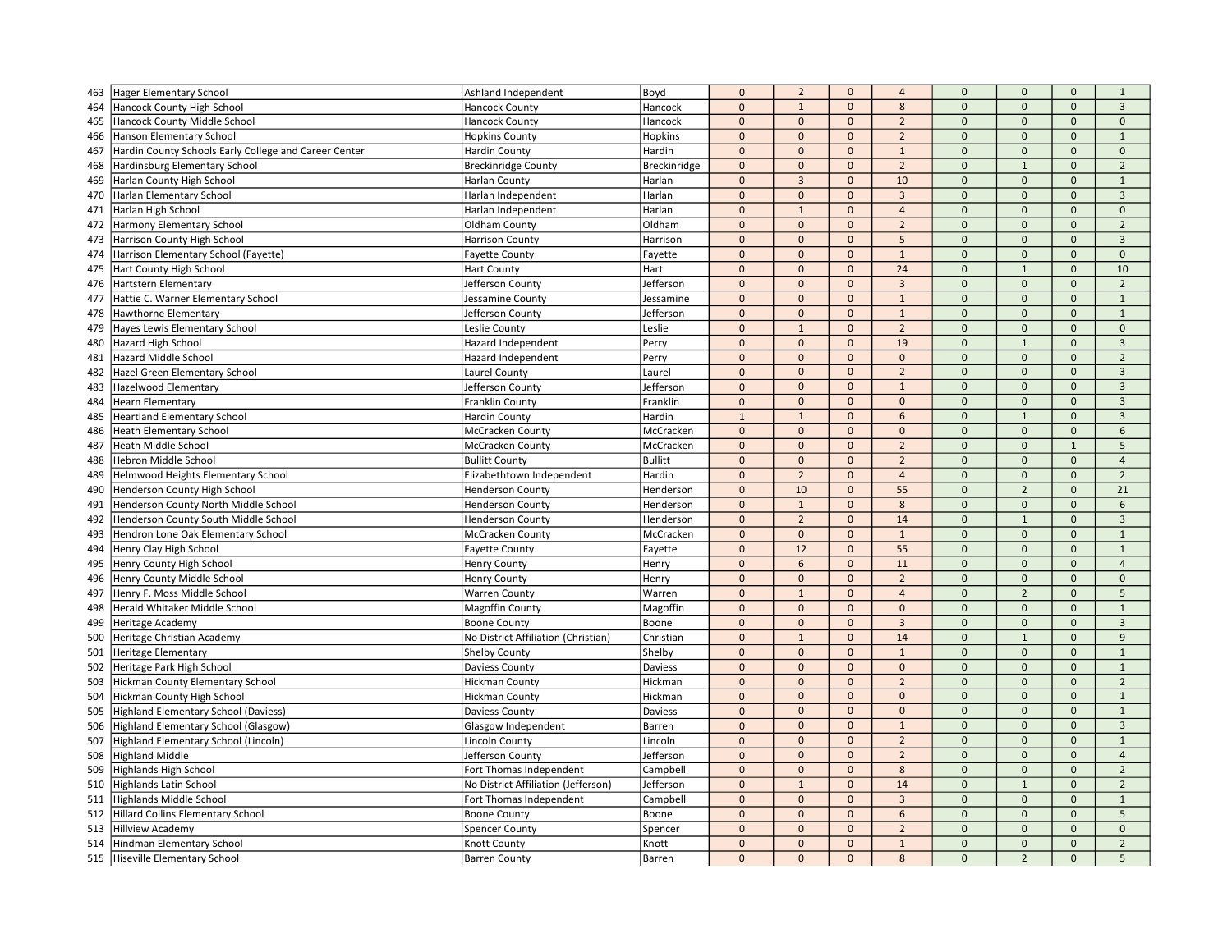| 463 | Hager Elementary School                               | Ashland Independent                 | Boyd           | $\mathbf{0}$ | $\overline{2}$ | $\mathbf{0}$ | $\overline{4}$ | $\mathbf{0}$   | $\mathbf{0}$             | $\mathbf{0}$        | $\mathbf{1}$            |
|-----|-------------------------------------------------------|-------------------------------------|----------------|--------------|----------------|--------------|----------------|----------------|--------------------------|---------------------|-------------------------|
| 464 | Hancock County High School                            | <b>Hancock County</b>               | Hancock        | $\mathbf 0$  | $\mathbf{1}$   | $\mathbf{0}$ | $\bf 8$        | $\mathbf 0$    | $\mathbf{0}$             | $\mathbf{0}$        | $\mathbf{3}$            |
| 465 | Hancock County Middle School                          | <b>Hancock County</b>               | Hancock        | $\mathbf{0}$ | $\mathbf{0}$   | $\mathbf{0}$ | $\overline{2}$ | $\mathbf{0}$   | $\Omega$                 | $\mathbf{0}$        | $\mathbf{0}$            |
| 466 | Hanson Elementary School                              | <b>Hopkins County</b>               | Hopkins        | $\mathbf 0$  | $\mathbf 0$    | $\mathbf{0}$ | $\overline{2}$ | $\mathbf{0}$   | $\mathbf{0}$             | $\mathbf{0}$        | $\mathbf{1}$            |
| 467 | Hardin County Schools Early College and Career Center | <b>Hardin County</b>                | Hardin         | $\mathbf 0$  | $\mathbf{0}$   | $\mathbf 0$  | $\mathbf{1}$   | $\mathbf 0$    | $\mathbf{0}$             | $\mathbf{0}$        | $\mathbf{0}$            |
| 468 | Hardinsburg Elementary School                         | <b>Breckinridge County</b>          | Breckinridge   | $\Omega$     | $\mathbf{0}$   | $\mathbf{0}$ | $\overline{2}$ | $\Omega$       | $\mathbf{1}$             | $\Omega$            | $\overline{2}$          |
| 469 | Harlan County High School                             | Harlan County                       | Harlan         | $\Omega$     | $\overline{3}$ | $\mathbf{0}$ | 10             | $\Omega$       | $\mathbf{0}$             | $\mathbf{0}$        | $\mathbf{1}$            |
| 470 | Harlan Elementary School                              | Harlan Independent                  | Harlan         | $\mathbf 0$  | $\mathbf 0$    | $\mathbf 0$  | $\overline{3}$ | $\mathbf 0$    | $\mathbf{0}$             | $\mathbf{0}$        | $\overline{3}$          |
| 471 | Harlan High School                                    | Harlan Independent                  | Harlan         | $\Omega$     | $\mathbf{1}$   | $\mathbf{0}$ | $\overline{4}$ | $\Omega$       | $\mathbf 0$              | $\mathbf 0$         | $\mathbf 0$             |
| 472 | Harmony Elementary School                             | Oldham County                       | Oldham         | $\mathbf{0}$ | $\mathbf 0$    | $\mathbf{0}$ | $\overline{2}$ | $\mathbf 0$    | $\mathbf{0}$             | $\mathbf{0}$        | $\overline{2}$          |
| 473 | Harrison County High School                           | <b>Harrison County</b>              | Harrison       | $\Omega$     | $\mathbf{0}$   | $\mathbf{0}$ | 5              | $\Omega$       | $\Omega$                 | $\mathbf{0}$        | $\overline{3}$          |
| 474 | Harrison Elementary School (Fayette)                  | <b>Fayette County</b>               | Fayette        | $\mathbf{0}$ | $\mathbf 0$    | $\mathbf{0}$ | $\mathbf{1}$   | $\Omega$       | $\mathbf{0}$             | $\mathbf{0}$        | $\mathbf 0$             |
| 475 | Hart County High School                               | <b>Hart County</b>                  | Hart           | $\mathbf{0}$ | $\mathbf{0}$   | $\mathbf{0}$ | 24             | $\Omega$       | $\mathbf{1}$             | $\mathbf{0}$        | 10                      |
| 476 | Hartstern Elementary                                  | Jefferson County                    | Jefferson      | $\mathbf{0}$ | $\mathbf{0}$   | $\mathbf{0}$ | $\overline{3}$ | $\overline{0}$ | $\mathbf{0}$             | $\mathbf{0}$        | $\overline{2}$          |
| 477 | Hattie C. Warner Elementary School                    | Jessamine County                    | Jessamine      | $\pmb{0}$    | $\mathbf{0}$   | $\mathbf 0$  | $\mathbf{1}$   | $\mathbf{0}$   | $\pmb{0}$                | $\mathbf 0$         | $\mathbf{1}$            |
| 478 | Hawthorne Elementary                                  | Jefferson County                    | Jefferson      | $\mathbf{0}$ | $\mathbf{0}$   | $\mathbf{0}$ | $\mathbf{1}$   | $\pmb{0}$      | $\mathbf{0}$             | $\Omega$            | $\mathbf{1}$            |
| 479 | Hayes Lewis Elementary School                         | Leslie County                       | Leslie         | $\Omega$     | $\overline{1}$ | $\mathbf{0}$ | $\overline{2}$ | $\Omega$       | $\Omega$                 | $\mathbf{0}$        | $\mathbf{0}$            |
| 480 | <b>Hazard High School</b>                             | Hazard Independent                  | Perry          | $\Omega$     | $\mathbf 0$    | $\mathbf{0}$ | 19             | $\mathbf 0$    | $\mathbf{1}$             | $\mathbf{0}$        | $\overline{3}$          |
| 481 | Hazard Middle School                                  | Hazard Independent                  | Perry          | $\Omega$     | $\mathbf 0$    | $\mathbf{0}$ | $\mathbf{0}$   | $\Omega$       | $\pmb{0}$                | $\mathsf{O}\xspace$ | $\overline{2}$          |
| 482 | Hazel Green Elementary School                         | Laurel County                       | Laurel         | $\mathbf{0}$ | $\mathbf{0}$   | $\mathbf{0}$ | $\overline{2}$ | $\mathbf{0}$   | $\mathbf{0}$             | $\mathbf{0}$        | $\overline{3}$          |
| 483 | Hazelwood Elementary                                  | Jefferson County                    | Jefferson      | $\mathbf 0$  | $\mathbf 0$    | $\mathbf{0}$ | $\mathbf{1}$   | $\mathbf{0}$   | $\pmb{0}$                | $\mathbf 0$         | $\overline{3}$          |
| 484 | <b>Hearn Elementary</b>                               | <b>Franklin County</b>              | Franklin       | $\Omega$     | $\mathbf{0}$   | $\mathbf{0}$ | $\Omega$       | $\Omega$       | $\Omega$                 | $\Omega$            | $\overline{\mathbf{3}}$ |
| 485 | <b>Heartland Elementary School</b>                    | <b>Hardin County</b>                | Hardin         | $\mathbf{1}$ | $\mathbf{1}$   | $\mathbf{0}$ | 6              | $\Omega$       | $\mathbf{1}$             | $\Omega$            | $\overline{3}$          |
| 486 | <b>Heath Elementary School</b>                        | McCracken County                    | McCracken      | $\mathbf 0$  | $\mathbf{0}$   | $\mathbf{0}$ | $\mathbf 0$    | $\overline{0}$ | $\mathbf{0}$             | $\mathbf{0}$        | 6                       |
| 487 | <b>Heath Middle School</b>                            | McCracken County                    | McCracken      | $\mathbf 0$  | $\mathbf 0$    | $\mathbf 0$  | $\overline{2}$ | $\Omega$       | $\Omega$                 | $\mathbf{1}$        | 5                       |
| 488 | Hebron Middle School                                  | <b>Bullitt County</b>               | <b>Bullitt</b> | $\mathbf{0}$ | $\mathbf{0}$   | $\mathbf{0}$ | $\overline{2}$ | $\mathbf{0}$   | $\mathbf{0}$             | $\mathbf{0}$        | $\overline{4}$          |
| 489 | Helmwood Heights Elementary School                    | Elizabethtown Independent           | Hardin         | $\mathbf 0$  | $\overline{2}$ | $\mathbf{0}$ | $\overline{4}$ | $\mathbf 0$    | $\mathbf{0}$             | $\mathbf 0$         | $\overline{2}$          |
| 490 | Henderson County High School                          | <b>Henderson County</b>             | Henderson      | $\mathbf{0}$ | 10             | $\mathbf{0}$ | 55             | $\mathbf 0$    | $\overline{\phantom{0}}$ | $\mathbf{0}$        | 21                      |
| 491 | Henderson County North Middle School                  | <b>Henderson County</b>             | Henderson      | $\mathbf{0}$ | $\mathbf{1}$   | $\mathbf{0}$ | 8              | $\Omega$       | $\mathbf{0}$             | $\mathbf{0}$        | 6                       |
| 492 | Henderson County South Middle School                  | <b>Henderson County</b>             | Henderson      | $\pmb{0}$    | $\overline{2}$ | $\mathbf{0}$ | 14             | $\Omega$       | $\mathbf{1}$             | $\mathbf{0}$        | $\overline{3}$          |
| 493 | Hendron Lone Oak Elementary School                    | McCracken County                    | McCracken      | $\pmb{0}$    | $\mathbf{0}$   | $\mathbf 0$  | $\mathbf{1}$   | $\mathbf 0$    | $\mathbf{0}$             | $\mathbf{0}$        | $\mathbf{1}$            |
| 494 | Henry Clay High School                                | <b>Fayette County</b>               | Fayette        | $\pmb{0}$    | 12             | $\mathbf{0}$ | 55             | $\mathbf{0}$   | $\mathbf{0}$             | $\mathbf{0}$        | $\mathbf{1}$            |
| 495 | Henry County High School                              | <b>Henry County</b>                 | Henry          | $\mathbf 0$  | 6              | $\mathbf{0}$ | 11             | $\mathbf 0$    | $\mathbf{0}$             | $\Omega$            | $\overline{4}$          |
| 496 | Henry County Middle School                            | <b>Henry County</b>                 | Henry          | $\Omega$     | $\mathbf 0$    | $\mathbf{0}$ | $\overline{2}$ | $\Omega$       | $\Omega$                 | $\Omega$            | $\mathbf{0}$            |
| 497 | Henry F. Moss Middle School                           | <b>Warren County</b>                | Warren         | $\mathbf 0$  | $\mathbf{1}$   | $\mathbf 0$  | $\overline{4}$ | $\Omega$       | $\overline{2}$           | $\mathbf 0$         | 5                       |
| 498 | Herald Whitaker Middle School                         | <b>Magoffin County</b>              | Magoffin       | $\Omega$     | $\mathbf{0}$   | $\mathbf{0}$ | $\mathbf{0}$   | $\Omega$       | $\mathbf{0}$             | $\mathbf{0}$        | $\mathbf{1}$            |
| 499 | <b>Heritage Academy</b>                               | <b>Boone County</b>                 | Boone          | $\mathbf 0$  | $\mathbf 0$    | $\mathbf{0}$ | $\overline{3}$ | $\mathbf 0$    | $\mathbf{0}$             | $\mathbf{0}$        | $\overline{3}$          |
| 500 | Heritage Christian Academy                            | No District Affiliation (Christian) | Christian      | $\mathbf 0$  | $\mathbf{1}$   | $\mathbf 0$  | 14             | $\mathbf{0}$   | $\mathbf{1}$             | $\mathbf 0$         | 9                       |
| 501 | <b>Heritage Elementary</b>                            | Shelby County                       | Shelby         | $\Omega$     | $\mathbf{0}$   | $\mathbf{0}$ | $\mathbf{1}$   | $\Omega$       | $\Omega$                 | $\Omega$            | $\mathbf{1}$            |
| 502 | Heritage Park High School                             | Daviess County                      | Daviess        | $\Omega$     | $\mathbf 0$    | $\mathbf{0}$ | $\mathbf{0}$   | $\Omega$       | $\Omega$                 | $\mathbf{0}$        | $\mathbf{1}$            |
| 503 | Hickman County Elementary School                      | <b>Hickman County</b>               | Hickman        | $\mathbf 0$  | $\mathbf 0$    | $\mathbf{0}$ | $\overline{2}$ | $\overline{0}$ | $\Omega$                 | $\mathbf{0}$        | $\overline{2}$          |
| 504 | Hickman County High School                            | <b>Hickman County</b>               | Hickman        | $\mathbf{0}$ | $\mathbf{0}$   | $\mathbf{0}$ | $\mathbf{0}$   | $\Omega$       | $\mathbf{0}$             | $\mathbf{0}$        | $\mathbf{1}$            |
| 505 | Highland Elementary School (Daviess)                  | Daviess County                      | Daviess        | $\Omega$     | $\mathbf 0$    | $\mathbf{0}$ | $\mathbf 0$    | $\mathbf{0}$   | $\mathbf{0}$             | $\mathbf{0}$        | $\mathbf{1}$            |
| 506 | Highland Elementary School (Glasgow)                  | Glasgow Independent                 | Barren         | $\pmb{0}$    | $\mathbf 0$    | $\mathbf{0}$ | $\mathbf{1}$   | $\mathbf{0}$   | $\mathbf{0}$             | $\mathsf{O}\xspace$ | $\overline{3}$          |
| 507 | Highland Elementary School (Lincoln)                  | Lincoln County                      | Lincoln        | $\Omega$     | $\Omega$       | $\Omega$     | $\overline{2}$ | $\Omega$       | $\Omega$                 | $\Omega$            | $\mathbf{1}$            |
| 508 | <b>Highland Middle</b>                                | Jefferson County                    | Jefferson      | $\Omega$     | $\mathbf{0}$   | $\mathbf{0}$ | $\overline{2}$ | $\Omega$       | $\mathbf{0}$             | $\mathbf{0}$        | $\overline{4}$          |
| 509 | <b>Highlands High School</b>                          | Fort Thomas Independent             | Campbell       | $\mathbf 0$  | $\mathbf{0}$   | $\mathbf{0}$ | 8              | $\mathbf 0$    | $\mathbf{0}$             | $\mathbf{0}$        | $\overline{2}$          |
| 510 | <b>Highlands Latin School</b>                         | No District Affiliation (Jefferson) | Jefferson      | $\mathbf 0$  | $\overline{1}$ | $\mathbf 0$  | 14             | $\Omega$       | $\mathbf{1}$             | $\Omega$            | $\overline{2}$          |
| 511 | <b>Highlands Middle School</b>                        | Fort Thomas Independent             | Campbell       | $\mathbf{0}$ | $\mathbf{0}$   | $\mathbf{0}$ | $\overline{3}$ | $\mathbf{0}$   | $\mathbf{0}$             | $\mathbf{0}$        | $\mathbf{1}$            |
| 512 | Hillard Collins Elementary School                     | <b>Boone County</b>                 | Boone          | $\pmb{0}$    | $\mathbf 0$    | $\mathbf{0}$ | 6              | $\mathbf 0$    | $\mathbf{0}$             | $\Omega$            | 5                       |
| 513 | <b>Hillview Academy</b>                               | Spencer County                      | Spencer        | $\Omega$     | $\mathbf 0$    | $\mathbf 0$  | $\overline{2}$ | $\Omega$       | $\Omega$                 | $\mathsf{O}\xspace$ | $\mathbf 0$             |
| 514 | Hindman Elementary School                             | Knott County                        | Knott          | $\Omega$     | $\mathbf{0}$   | $\mathbf{0}$ | $\mathbf{1}$   | $\mathbf{0}$   | $\mathbf{0}$             | $\mathbf{0}$        | $\overline{2}$          |
| 515 | Hiseville Elementary School                           | <b>Barren County</b>                | Barren         | $\Omega$     | $\Omega$       | $\mathbf{0}$ | 8              | $\Omega$       | $\overline{2}$           | $\Omega$            | 5                       |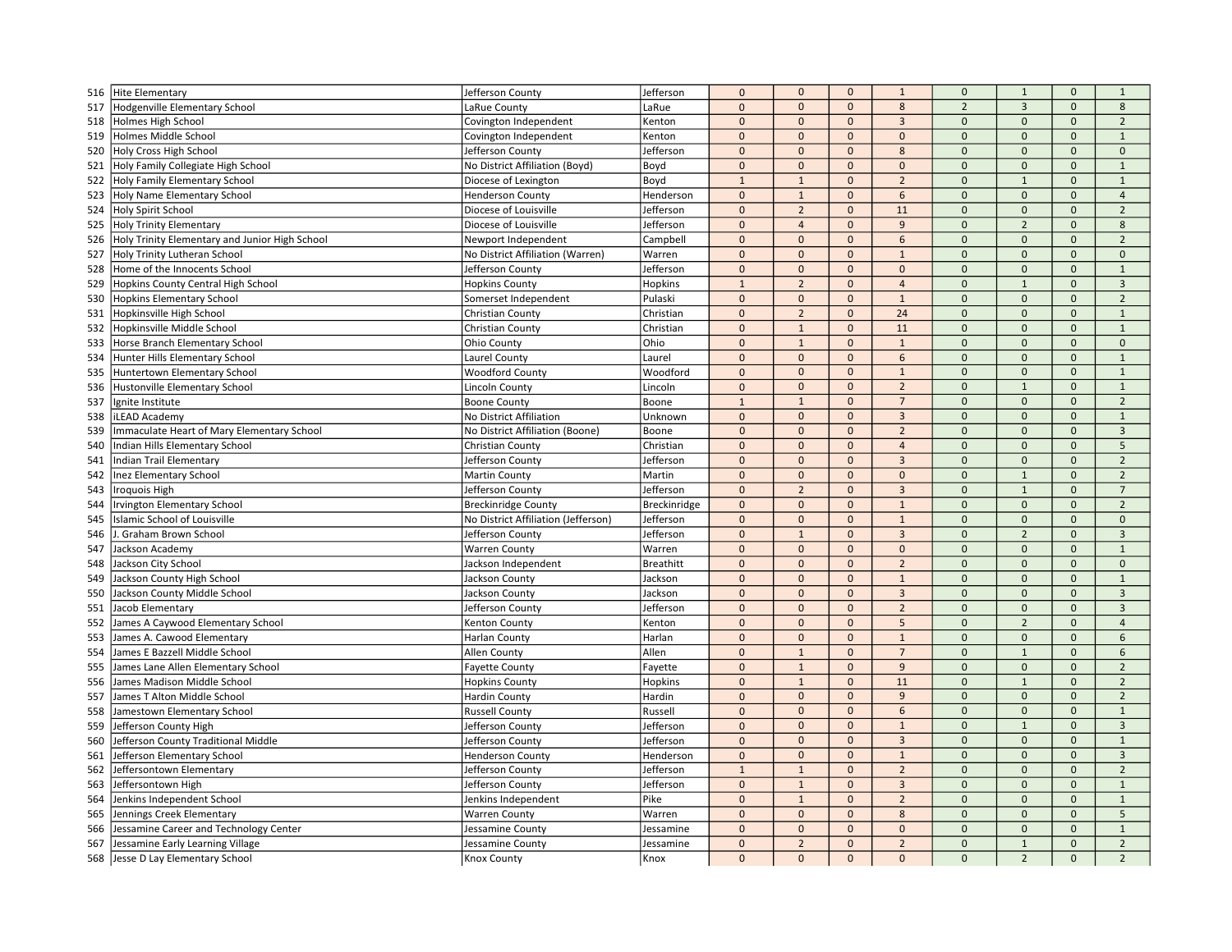| 516 | Hite Elementary                                                                | Jefferson County                                        | Jefferson           | $\mathbf 0$                 | $\mathbf{0}$   | $\mathbf{0}$   | $\mathbf{1}$   | $\mathbf 0$    | $\mathbf{1}$   | $\mathbf{0}$ | $\mathbf{1}$   |
|-----|--------------------------------------------------------------------------------|---------------------------------------------------------|---------------------|-----------------------------|----------------|----------------|----------------|----------------|----------------|--------------|----------------|
| 517 | Hodgenville Elementary School                                                  | LaRue County                                            | LaRue               | $\pmb{0}$                   | $\mathbf 0$    | $\mathbf{0}$   | 8              | $\overline{2}$ | $\overline{3}$ | $\mathbf{0}$ | 8              |
| 518 | Holmes High School                                                             | Covington Independent                                   | Kenton              | $\pmb{0}$                   | $\Omega$       | $\Omega$       | $\overline{3}$ | $\mathbf{0}$   | $\Omega$       | $\Omega$     | $\overline{2}$ |
| 519 | Holmes Middle School                                                           | Covington Independent                                   | Kenton              | $\mathbf{0}$                | $\mathbf{0}$   | $\mathbf{0}$   | $\mathbf{0}$   | $\Omega$       | $\mathbf{0}$   | $\mathbf{0}$ | $\mathbf{1}$   |
| 520 | <b>Holy Cross High School</b>                                                  | Jefferson County                                        | Jefferson           | $\mathbf 0$                 | $\mathbf 0$    | $\mathbf{0}$   | 8              | $\Omega$       | $\mathbf{0}$   | $\mathbf{0}$ | $\mathbf{0}$   |
| 521 | Holy Family Collegiate High School                                             | No District Affiliation (Boyd)                          | Boyd                | $\mathbf 0$                 | $\mathbf{0}$   | $\Omega$       | $\Omega$       | $\Omega$       | $\mathbf{0}$   | $\mathbf{0}$ | $\mathbf{1}$   |
| 522 | Holy Family Elementary School                                                  | Diocese of Lexington                                    | Boyd                | $\mathbf{1}$                | $\mathbf{1}$   | $\mathbf{0}$   | $\overline{2}$ | $\Omega$       | $\overline{1}$ | $\Omega$     | $\mathbf{1}$   |
| 523 | Holy Name Elementary School                                                    | <b>Henderson County</b>                                 | Henderson           | $\mathbf 0$                 | $\mathbf{1}$   | $\mathbf{0}$   | 6              | $\mathbf{0}$   | $\mathbf 0$    | $\mathbf{0}$ | $\overline{4}$ |
| 524 | Holy Spirit School                                                             | Diocese of Louisville                                   | Jefferson           | $\pmb{0}$                   | $\overline{2}$ | $\mathbf 0$    | 11             | $\mathbf{0}$   | $\mathbf{0}$   | $\mathbf{0}$ | $\overline{2}$ |
| 525 | <b>Holy Trinity Elementary</b>                                                 | Diocese of Louisville                                   | Jefferson           | $\pmb{0}$                   | $\overline{4}$ | $\mathbf{0}$   | 9              | $\Omega$       | $\overline{2}$ | $\mathbf 0$  | 8              |
|     |                                                                                |                                                         |                     | $\mathbf 0$                 | $\mathbf{0}$   | $\mathbf{0}$   | 6              | $\mathbf 0$    | $\mathbf{0}$   | $\mathbf{0}$ | $\overline{2}$ |
| 526 | Holy Trinity Elementary and Junior High School<br>Holy Trinity Lutheran School | Newport Independent<br>No District Affiliation (Warren) | Campbell<br>Warren  | $\mathbf 0$                 | $\mathbf{0}$   | $\mathbf{0}$   | $\mathbf{1}$   | $\Omega$       | $\Omega$       | $\Omega$     | $\Omega$       |
| 527 |                                                                                |                                                         | Jefferson           | $\mathbf 0$                 | $\mathbf 0$    | $\mathbf 0$    | $\mathbf 0$    | $\mathbf{0}$   | $\mathbf{0}$   | $\mathbf{0}$ | $\mathbf 1$    |
| 528 | Home of the Innocents School                                                   | Jefferson County                                        |                     |                             |                |                |                | $\Omega$       |                |              |                |
| 529 | Hopkins County Central High School                                             | <b>Hopkins County</b>                                   | Hopkins             | $\mathbf{1}$                | $\overline{2}$ | $\mathbf{0}$   | $\overline{4}$ |                | $\mathbf{1}$   | $\mathbf{0}$ | $\overline{3}$ |
| 530 | <b>Hopkins Elementary School</b>                                               | Somerset Independent                                    | Pulaski             | $\pmb{0}$                   | $\mathbf 0$    | $\mathbf{0}$   | $\mathbf{1}$   | $\mathbf{0}$   | $\mathbf 0$    | $\mathbf{0}$ | $\overline{2}$ |
| 531 | Hopkinsville High School                                                       | Christian County                                        | Christian           | $\mathbf 0$                 | $\overline{2}$ | $\mathbf 0$    | 24             | $\mathbf{0}$   | $\mathbf 0$    | $\mathbf 0$  | $\mathbf{1}$   |
| 532 | Hopkinsville Middle School                                                     | Christian County                                        | Christian           | $\mathbf{0}$                | $\overline{1}$ | $\mathbf{0}$   | 11             | $\Omega$       | $\Omega$       | $\Omega$     | $\mathbf{1}$   |
| 533 | Horse Branch Elementary School                                                 | Ohio County                                             | Ohio                | $\mathbf{0}$                | $\mathbf{1}$   | $\mathbf{0}$   | $\mathbf{1}$   | $\Omega$       | $\mathbf{0}$   | $\mathbf{0}$ | $\mathbf{0}$   |
| 534 | Hunter Hills Elementary School                                                 | Laurel County                                           | Laurel              | $\mathbf 0$                 | $\pmb{0}$      | $\mathbf{0}$   | 6              | $\Omega$       | $\mathbf{0}$   | $\mathbf{0}$ | $\mathbf{1}$   |
| 535 | Huntertown Elementary School                                                   | <b>Woodford County</b>                                  | Woodford            | $\pmb{0}$                   | $\mathbf{0}$   | $\mathbf{0}$   | $\mathbf{1}$   | $\mathbf{0}$   | $\mathbf{0}$   | $\mathbf{0}$ | $\mathbf{1}$   |
| 536 | <b>Hustonville Elementary School</b>                                           | <b>Lincoln County</b>                                   | Lincoln             | $\mathbf 0$                 | $\mathbf{0}$   | $\mathbf{0}$   | $\overline{2}$ | $\Omega$       | $\mathbf{1}$   | $\mathbf{0}$ | $\mathbf{1}$   |
| 537 | Ignite Institute                                                               | <b>Boone County</b>                                     | Boone               | $\mathbf 1$                 | $\mathbf{1}$   | $\mathbf{0}$   | $\overline{7}$ | $\Omega$       | $\mathbf{0}$   | $\mathbf 0$  | $\overline{2}$ |
| 538 | iLEAD Academy                                                                  | No District Affiliation                                 | Unknown             | $\mathbf 0$                 | $\mathbf{0}$   | $\mathbf{0}$   | $\overline{3}$ | $\mathbf{0}$   | $\mathbf{0}$   | $\mathbf{0}$ | $\mathbf{1}$   |
| 539 | Immaculate Heart of Mary Elementary School                                     | No District Affiliation (Boone)                         | Boone               | $\mathbf{0}$                | $\mathbf{0}$   | $\mathbf{0}$   | $\overline{2}$ | $\Omega$       | $\mathbf{0}$   | $\Omega$     | $\overline{3}$ |
| 540 | Indian Hills Elementary School                                                 | Christian County                                        | Christian           | $\mathbf 0$                 | $\mathbf{0}$   | $\mathbf{0}$   | $\overline{4}$ | $\mathbf{0}$   | $\mathbf{0}$   | $\mathbf{0}$ | 5              |
| 541 | Indian Trail Elementary                                                        | Jefferson County                                        | Jefferson           | $\pmb{0}$                   | $\mathbf 0$    | $\mathbf 0$    | $\overline{3}$ | $\mathbf{0}$   | $\mathbf 0$    | $\mathbf{0}$ | $\overline{2}$ |
| 542 | <b>Inez Elementary School</b>                                                  | <b>Martin County</b>                                    | Martin              | $\mathbf 0$                 | $\mathbf{0}$   | $\mathbf{0}$   | $\mathbf 0$    | $\Omega$       | $\mathbf{1}$   | $\mathbf 0$  | $\overline{2}$ |
| 543 | Iroquois High                                                                  | Jefferson County                                        | Jefferson           | $\mathbf{0}$                | $\overline{2}$ | $\mathbf{0}$   | $\overline{3}$ | $\Omega$       | $\mathbf{1}$   | $\Omega$     | $\overline{7}$ |
| 544 | <b>Irvington Elementary School</b>                                             | <b>Breckinridge County</b>                              | <b>Breckinridge</b> | $\mathbf 0$                 | $\mathbf{0}$   | $\mathbf 0$    | $\mathbf{1}$   | $\Omega$       | $\mathbf{0}$   | $\mathbf{0}$ | $\overline{2}$ |
| 545 | Islamic School of Louisville                                                   | No District Affiliation (Jefferson)                     | Jefferson           | $\mathbf 0$                 | $\mathbf 0$    | $\mathbf{0}$   | $\mathbf{1}$   | $\mathbf{0}$   | $\mathbf 0$    | $\mathbf{0}$ | $\mathbf 0$    |
| 546 | J. Graham Brown School                                                         | Jefferson County                                        | Jefferson           | $\mathbf{0}$                | $\mathbf{1}$   | $\mathbf{0}$   | $\overline{3}$ | $\Omega$       | $\overline{2}$ | $\Omega$     | $\overline{3}$ |
| 547 | Jackson Academy                                                                | <b>Warren County</b>                                    | Warren              | $\pmb{0}$                   | $\mathbf 0$    | $\mathbf{0}$   | $\mathbf 0$    | $\mathbf{0}$   | $\mathbf 0$    | $\mathbf{0}$ | $\mathbf{1}$   |
| 548 | Jackson City School                                                            | Jackson Independent                                     | <b>Breathitt</b>    | $\pmb{0}$                   | $\mathbf 0$    | $\mathbf{0}$   | $\overline{2}$ | $\overline{0}$ | $\mathbf 0$    | $\mathbf{0}$ | $\mathbf 0$    |
| 549 | Jackson County High School                                                     | Jackson County                                          | Jackson             | $\mathbf 0$                 | $\Omega$       | $\mathbf 0$    | $\mathbf{1}$   | $\Omega$       | $\Omega$       | $\Omega$     | $\mathbf{1}$   |
| 550 | Jackson County Middle School                                                   | Jackson County                                          | Jackson             | $\mathbf 0$                 | $\mathbf{0}$   | $\mathbf{0}$   | $\overline{3}$ | $\Omega$       | $\mathbf{0}$   | $\mathbf{0}$ | $\overline{3}$ |
| 551 | Jacob Elementary                                                               | Jefferson County                                        | Jefferson           | $\pmb{0}$                   | $\mathbf 0$    | $\mathbf{0}$   | $\overline{2}$ | $\mathbf{0}$   | $\mathbf 0$    | $\mathbf{0}$ | $\overline{3}$ |
| 552 | James A Caywood Elementary School                                              | Kenton County                                           | Kenton              | $\mathbf 0$                 | $\mathbf{0}$   | $\mathbf 0$    | 5              | $\overline{0}$ | $\overline{2}$ | $\mathbf{0}$ | $\overline{4}$ |
| 553 | James A. Cawood Elementary                                                     | Harlan County                                           | Harlan              | $\mathbf{0}$                | $\mathbf{0}$   | $\mathbf{0}$   | $\mathbf{1}$   | $\Omega$       | $\mathbf{0}$   | $\mathbf{0}$ | 6              |
| 554 | James E Bazzell Middle School                                                  | Allen County                                            | Allen               | $\mathbf 0$                 | $\mathbf{1}$   | $\mathbf{0}$   | $\overline{7}$ | $\Omega$       | $1\,$          | $\mathbf{0}$ | 6              |
| 555 | James Lane Allen Elementary School                                             | <b>Fayette County</b>                                   | Fayette             | $\mathbf 0$                 | $\mathbf{1}$   | $\mathbf{0}$   | 9              | $\overline{0}$ | $\mathbf 0$    | $\mathbf{0}$ | $\overline{2}$ |
| 556 | James Madison Middle School                                                    | <b>Hopkins County</b>                                   | Hopkins             | $\mathbf 0$                 | $\mathbf{1}$   | $\mathbf 0$    | 11             | $\Omega$       | $1\,$          | $\Omega$     | $\overline{2}$ |
| 557 | James T Alton Middle School                                                    | <b>Hardin County</b>                                    | Hardin              | $\pmb{0}$                   | $\mathbf 0$    | $\mathbf{0}$   | $\overline{9}$ | $\mathbf{0}$   | $\mathbf{0}$   | $\mathbf{0}$ | $\overline{2}$ |
| 558 | Jamestown Elementary School                                                    | <b>Russell County</b>                                   | Russell             | $\mathbf 0$                 | $\mathbf 0$    | $\mathbf 0$    | 6              | $\overline{0}$ | $\mathbf 0$    | $\mathbf{0}$ | $\mathbf{1}$   |
| 559 | Jefferson County High                                                          | Jefferson County                                        | Jefferson           | $\mathbf 0$                 | $\mathbf 0$    | $\overline{0}$ | $\mathbf{1}$   | $\overline{0}$ | $\mathbf{1}$   | $\mathbf 0$  | $\overline{3}$ |
| 560 | Jefferson County Traditional Middle                                            | Jefferson County                                        | Jefferson           | $\mathbf{0}$                | $\Omega$       | $\mathbf{0}$   | $\overline{3}$ | $\Omega$       | $\mathbf{0}$   | $\Omega$     | $\mathbf{1}$   |
| 561 | Jefferson Elementary School                                                    | <b>Henderson County</b>                                 | Henderson           | $\pmb{0}$                   | $\mathbf{0}$   | $\mathbf 0$    | $\mathbf{1}$   | $\Omega$       | $\mathbf{0}$   | $\mathbf{0}$ | $\overline{3}$ |
| 562 | Jeffersontown Elementary                                                       | Jefferson County                                        | Jefferson           | $\mathbf 1$                 | $\mathbf{1}$   | $\mathbf{0}$   | $\overline{2}$ | $\mathbf 0$    | $\mathbf{0}$   | $\mathbf{0}$ | $\overline{2}$ |
| 563 | Jeffersontown High                                                             | Jefferson County                                        | Jefferson           | $\mathbf{0}$                | $\mathbf{1}$   | $\mathbf{0}$   | $\overline{3}$ | $\Omega$       | $\mathbf{0}$   | $\Omega$     | $\mathbf{1}$   |
| 564 |                                                                                |                                                         | Pike                | $\pmb{0}$                   | $\mathbf{1}$   | $\mathbf{0}$   | $\overline{2}$ | $\Omega$       | $\mathbf{0}$   | $\mathbf{0}$ | $\mathbf{1}$   |
|     | Jenkins Independent School                                                     | Jenkins Independent                                     |                     |                             | $\mathbf 0$    | $\mathbf{0}$   | 8              | $\mathbf{0}$   | $\mathbf 0$    | $\mathbf{0}$ | 5              |
| 565 | Jennings Creek Elementary                                                      | <b>Warren County</b>                                    | Warren              | $\mathbf 0$                 | $\mathbf 0$    | $\mathbf 0$    | $\Omega$       | $\Omega$       | $\Omega$       | $\Omega$     | $\overline{1}$ |
| 566 | Jessamine Career and Technology Center                                         | Jessamine County                                        | Jessamine           | $\mathbf 0$<br>$\mathbf{0}$ | $\overline{2}$ | $\mathbf{0}$   | $\overline{2}$ | $\mathbf{0}$   | $\mathbf{1}$   | $\Omega$     | $\overline{2}$ |
| 567 | Jessamine Early Learning Village<br>Jesse D Lay Elementary School              | Jessamine County                                        | Jessamine           | $\Omega$                    | $\Omega$       | $\Omega$       | $\Omega$       | $\Omega$       | $\overline{2}$ | $\Omega$     | $\overline{2}$ |
| 568 |                                                                                | Knox County                                             | Knox                |                             |                |                |                |                |                |              |                |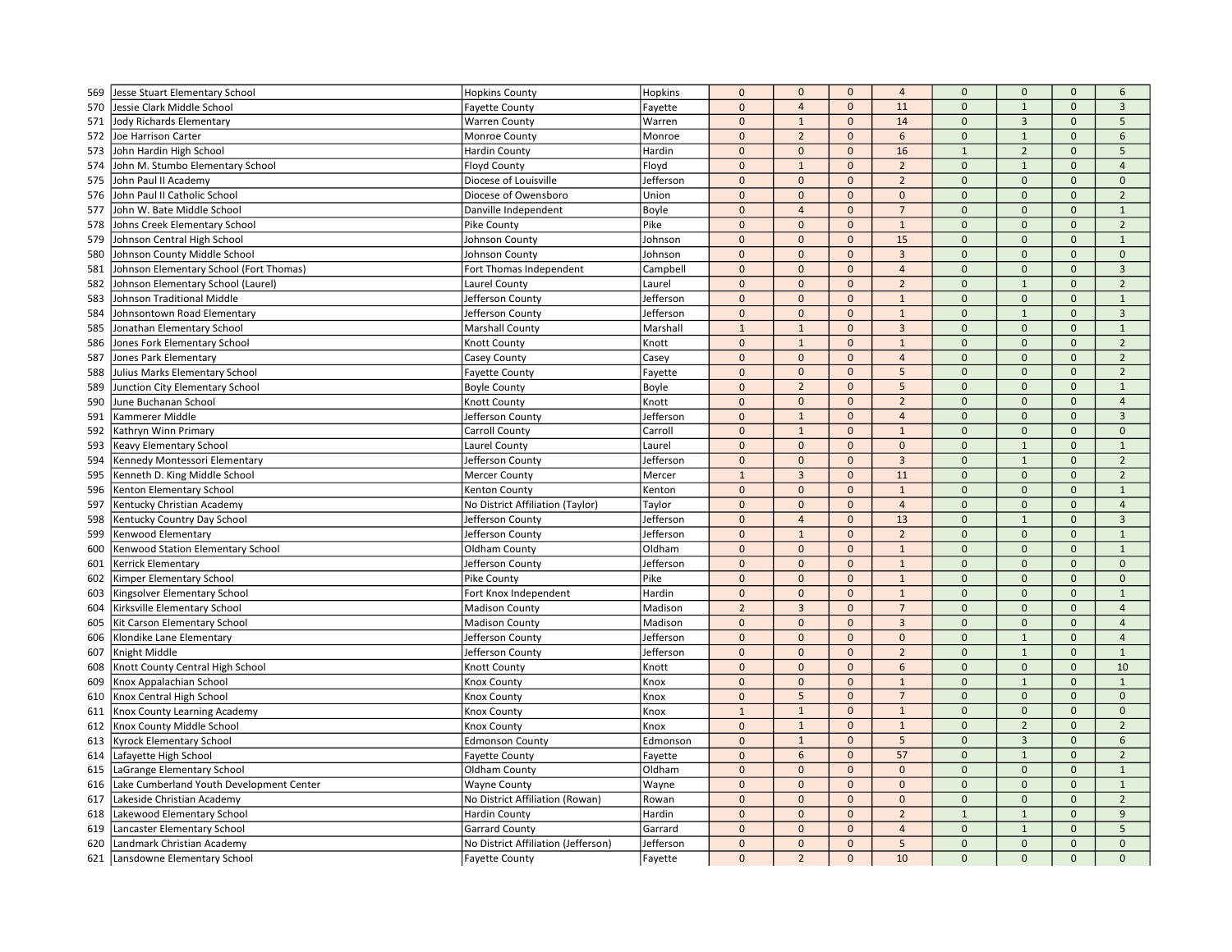| 569 | Jesse Stuart Elementary School           | <b>Hopkins County</b>               | Hopkins   | $\mathbf{0}$   | $\mathbf 0$     | $\mathbf{0}$ | $\overline{4}$ | $\mathbf{0}$   | $\mathbf 0$    | $\mathbf 0$         | 6              |
|-----|------------------------------------------|-------------------------------------|-----------|----------------|-----------------|--------------|----------------|----------------|----------------|---------------------|----------------|
| 570 | Jessie Clark Middle School               | <b>Fayette County</b>               | Fayette   | $\mathbf{0}$   | $\overline{4}$  | $\mathbf{0}$ | 11             | $\mathbf 0$    | $\mathbf{1}$   | $\mathbf{0}$        | $\overline{3}$ |
| 571 | <b>Jody Richards Elementary</b>          | <b>Warren County</b>                | Warren    | $\mathbf{0}$   | $\mathbf{1}$    | $\mathbf{0}$ | 14             | $\mathbf{0}$   | $\overline{3}$ | $\mathbf{0}$        | 5              |
| 572 | Joe Harrison Carter                      | Monroe County                       | Monroe    | $\mathbf{0}$   | $\overline{2}$  | $\mathbf{0}$ | 6              | $\mathbf 0$    | $\mathbf{1}$   | $\Omega$            | 6              |
| 573 | John Hardin High School                  | <b>Hardin County</b>                | Hardin    | $\Omega$       | $\mathbf 0$     | $\mathbf{0}$ | 16             | $\overline{1}$ | $\overline{2}$ | $\Omega$            | 5              |
| 574 | John M. Stumbo Elementary School         | <b>Floyd County</b>                 | Floyd     | $\mathbf{0}$   | $\mathbf{1}$    | $\mathbf{0}$ | $\overline{2}$ | $\Omega$       | $\mathbf{1}$   | $\mathbf{0}$        | $\overline{4}$ |
| 575 | John Paul II Academy                     | Diocese of Louisville               | Jefferson | $\mathbf 0$    | $\mathbf{0}$    | $\mathbf{0}$ | $\overline{2}$ | $\Omega$       | $\mathbf{0}$   | $\mathbf{0}$        | $\mathbf{0}$   |
| 576 | John Paul II Catholic School             | Diocese of Owensboro                | Union     | $\mathbf 0$    | $\mathbf{0}$    | $\mathbf 0$  | $\mathbf{0}$   | $\mathbf{0}$   | $\mathbf{0}$   | $\mathbf 0$         | $\overline{2}$ |
| 577 | John W. Bate Middle School               | Danville Independent                | Boyle     | $\mathbf{0}$   | $\overline{4}$  | $\mathbf{0}$ | $\overline{7}$ | $\mathbf{0}$   | $\pmb{0}$      | $\mathsf{O}\xspace$ | $\mathbf{1}$   |
| 578 | Johns Creek Elementary School            | Pike County                         | Pike      | $\Omega$       | $\mathbf{0}$    | $\mathbf{0}$ | $\mathbf{1}$   | $\Omega$       | $\Omega$       | $\Omega$            | $\overline{2}$ |
| 579 | Johnson Central High School              | Johnson County                      | Johnson   | $\Omega$       | $\mathbf{0}$    | $\mathbf{0}$ | 15             | $\mathbf 0$    | $\Omega$       | $\mathbf{0}$        | $\mathbf{1}$   |
| 580 | Johnson County Middle School             | Johnson County                      | Johnson   | $\mathbf 0$    | $\mathbf 0$     | $\mathbf{0}$ | $\overline{3}$ | $\mathbf 0$    | $\mathbf{0}$   | $\mathbf{0}$        | $\mathbf 0$    |
| 581 | Johnson Elementary School (Fort Thomas)  | Fort Thomas Independent             | Campbell  | $\mathbf{0}$   | $\mathbf{0}$    | $\mathbf{0}$ | $\overline{4}$ | $\mathbf{0}$   | $\Omega$       | $\mathbf{0}$        | $\overline{3}$ |
| 582 | Johnson Elementary School (Laurel)       | Laurel County                       | Laurel    | $\mathbf 0$    | $\mathbf{0}$    | $\mathbf{0}$ | $\overline{2}$ | $\mathbf 0$    | $\mathbf{1}$   | $\mathbf{0}$        | $\overline{2}$ |
| 583 | Johnson Traditional Middle               | Jefferson County                    | Jefferson | $\mathbf 0$    | $\mathbf{0}$    | $\mathbf{0}$ | $\mathbf{1}$   | $\mathbf 0$    | $\mathbf{0}$   | $\mathsf{O}\xspace$ | $\mathbf{1}$   |
| 584 | Johnsontown Road Elementary              | Jefferson County                    | Jefferson | $\Omega$       | $\mathbf 0$     | $\Omega$     | $\mathbf{1}$   | $\Omega$       | $\mathbf{1}$   | $\Omega$            | $\mathbf{3}$   |
| 585 | Jonathan Elementary School               | <b>Marshall County</b>              | Marshall  | $\overline{1}$ | $\mathbf{1}$    | $\mathbf{0}$ | $\overline{3}$ | $\Omega$       | $\mathbf{0}$   | $\mathbf{0}$        | $\mathbf{1}$   |
| 586 | Jones Fork Elementary School             | Knott County                        | Knott     | $\mathbf 0$    | $\mathbf{1}$    | $\mathbf{0}$ | $\mathbf{1}$   | $\mathbf 0$    | $\mathbf{0}$   | $\mathbf{0}$        | $\overline{2}$ |
| 587 | Jones Park Elementary                    | Casey County                        | Casey     | $\mathbf 0$    | $\mathbf 0$     | $\mathbf{0}$ | $\overline{4}$ | $\mathbf 0$    | $\mathbf{0}$   | $\mathbf{0}$        | $\overline{2}$ |
| 588 | Julius Marks Elementary School           | <b>Fayette County</b>               | Fayette   | $\pmb{0}$      | $\mathbf 0$     | $\mathbf{0}$ | 5              | $\mathbf{0}$   | $\mathbf{0}$   | $\mathbf{0}$        | $\overline{2}$ |
| 589 | Junction City Elementary School          | <b>Boyle County</b>                 | Boyle     | $\Omega$       | $\overline{2}$  | $\mathbf{0}$ | 5              | $\mathbf 0$    | $\mathbf{0}$   | $\Omega$            | $\mathbf{1}$   |
| 590 | June Buchanan School                     | Knott County                        | Knott     | $\Omega$       | $\mathbf 0$     | $\mathbf{0}$ | $\overline{2}$ | $\Omega$       | $\Omega$       | $\mathbf{0}$        | $\overline{4}$ |
| 591 | Kammerer Middle                          | Jefferson County                    | Jefferson | $\Omega$       | $\mathbf{1}$    | $\mathbf{0}$ | $\overline{4}$ | $\Omega$       | $\Omega$       | $\mathbf 0$         | $\overline{3}$ |
| 592 | Kathryn Winn Primary                     | Carroll County                      | Carroll   | $\mathbf{0}$   | $\mathbf{1}$    | $\mathbf{0}$ | $\mathbf{1}$   | $\Omega$       | $\mathbf{0}$   | $\mathbf{0}$        | $\mathbf{0}$   |
| 593 | <b>Keavy Elementary School</b>           | Laurel County                       | Laurel    | $\mathbf 0$    | $\mathbf{0}$    | $\mathbf 0$  | $\mathbf{0}$   | $\mathbf 0$    | $\mathbf{1}$   | $\mathbf 0$         | $\mathbf{1}$   |
| 594 | Kennedy Montessori Elementary            | Jefferson County                    | Jefferson | $\mathbf 0$    | $\mathbf 0$     | $\mathbf{0}$ | $\mathbf{3}$   | $\pmb{0}$      | $\mathbf{1}$   | $\mathbf 0$         | $\overline{2}$ |
| 595 | Kenneth D. King Middle School            | <b>Mercer County</b>                | Mercer    | $\overline{1}$ | $\overline{3}$  | $\mathbf{0}$ | 11             | $\Omega$       | $\Omega$       | $\Omega$            | $\overline{2}$ |
| 596 | Kenton Elementary School                 | Kenton County                       | Kenton    | $\mathbf 0$    | $\mathbf 0$     | $\mathbf{0}$ | $\mathbf{1}$   | $\Omega$       | $\mathbf{0}$   | $\mathbf{0}$        | $\mathbf{1}$   |
| 597 | Kentucky Christian Academy               | No District Affiliation (Taylor)    | Taylor    | $\mathbf 0$    | $\mathbf 0$     | $\mathbf{0}$ | $\overline{4}$ | $\mathbf 0$    | $\mathbf{0}$   | $\mathbf{0}$        | $\overline{4}$ |
| 598 | Kentucky Country Day School              | Jefferson County                    | Jefferson | $\pmb{0}$      | $\overline{4}$  | $\mathbf{0}$ | 13             | $\Omega$       | $\mathbf{1}$   | $\Omega$            | $\overline{3}$ |
| 599 | Kenwood Elementary                       | Jefferson County                    | Jefferson | $\mathbf 0$    | $\mathbf{1}$    | $\mathbf 0$  | $\overline{2}$ | $\mathbf 0$    | $\mathbf{0}$   | $\mathbf{0}$        | $\mathbf{1}$   |
| 600 | Kenwood Station Elementary School        | Oldham County                       | Oldham    | $\mathbf 0$    | $\mathbf{0}$    | $\mathbf{0}$ | $\mathbf{1}$   | $\mathbf 0$    | $\mathbf{0}$   | $\mathbf{0}$        | $\mathbf{1}$   |
| 601 | <b>Kerrick Elementary</b>                | Jefferson County                    | Jefferson | $\mathbf 0$    | $\mathbf 0$     | $\mathbf{0}$ | $\mathbf{1}$   | $\Omega$       | $\Omega$       | $\Omega$            | $\mathbf 0$    |
| 602 | Kimper Elementary School                 | Pike County                         | Pike      | $\Omega$       | $\mathbf{0}$    | $\mathbf{0}$ | $\mathbf{1}$   | $\Omega$       | $\Omega$       | $\mathbf{0}$        | $\mathbf{0}$   |
| 603 | Kingsolver Elementary School             | Fort Knox Independent               | Hardin    | $\pmb{0}$      | $\mathbf 0$     | $\mathbf{0}$ | $\mathbf{1}$   | $\overline{0}$ | $\mathbf{0}$   | $\mathbf{0}$        | $\mathbf{1}$   |
| 604 | Kirksville Elementary School             | <b>Madison County</b>               | Madison   | $\overline{2}$ | $\overline{3}$  | $\mathbf{0}$ | $\overline{7}$ | $\mathbf{0}$   | $\mathbf{0}$   | $\mathbf{0}$        | $\overline{4}$ |
| 605 | Kit Carson Elementary School             | <b>Madison County</b>               | Madison   | $\mathbf{0}$   | $\mathbf{0}$    | $\mathbf{0}$ | $\mathbf{3}$   | $\mathbf{0}$   | $\mathbf{0}$   | $\mathbf{0}$        | $\overline{4}$ |
| 606 | Klondike Lane Elementary                 | Jefferson County                    | Jefferson | $\Omega$       | $\mathbf{0}$    | $\mathbf{0}$ | $\Omega$       | $\Omega$       | $\mathbf{1}$   | $\Omega$            | $\overline{4}$ |
| 607 | Knight Middle                            | Jefferson County                    | Jefferson | $\mathbf 0$    | $\mathbf 0$     | $\mathbf{0}$ | $\overline{2}$ | $\Omega$       | $\mathbf{1}$   | $\mathbf{0}$        | $\mathbf{1}$   |
| 608 | Knott County Central High School         | Knott County                        | Knott     | $\mathbf 0$    | $\mathbf 0$     | $\Omega$     | 6              | $\Omega$       | $\Omega$       | $\Omega$            | 10             |
| 609 | Knox Appalachian School                  | Knox County                         | Knox      | $\Omega$       | $\mathbf{0}$    | $\mathbf{0}$ | $\mathbf{1}$   | $\Omega$       | $\mathbf{1}$   | $\Omega$            | $\mathbf{1}$   |
| 610 | Knox Central High School                 | Knox County                         | Knox      | $\mathbf 0$    | $5\overline{)}$ | $\mathbf 0$  | $\overline{7}$ | $\mathbf 0$    | $\mathbf{0}$   | $\mathbf 0$         | $\mathbf{0}$   |
| 611 | Knox County Learning Academy             | Knox County                         | Knox      | $\mathbf{1}$   | $\mathbf{1}$    | $\mathbf{0}$ | $\mathbf{1}$   | $\pmb{0}$      | $\pmb{0}$      | $\mathbf{0}$        | $\mathbf 0$    |
| 612 | Knox County Middle School                | <b>Knox County</b>                  | Knox      | $\Omega$       | $\mathbf{1}$    | $\mathbf{0}$ | $\mathbf{1}$   | $\Omega$       | $\overline{2}$ | $\Omega$            | $\overline{2}$ |
| 613 | Kyrock Elementary School                 | <b>Edmonson County</b>              | Edmonson  | $\pmb{0}$      | $\mathbf{1}$    | $\mathbf{0}$ | 5              | $\Omega$       | $\overline{3}$ | $\mathbf{0}$        | 6              |
| 614 | Lafayette High School                    | <b>Fayette County</b>               | Fayette   | $\mathbf 0$    | $\sqrt{6}$      | $\mathbf 0$  | 57             | $\mathbf 0$    | $\mathbf{1}$   | $\mathbf{0}$        | $\overline{2}$ |
| 615 | LaGrange Elementary School               | Oldham County                       | Oldham    | $\mathbf 0$    | $\mathbf{0}$    | $\mathbf{0}$ | $\mathbf{0}$   | $\mathbf{0}$   | $\mathbf{0}$   | $\mathbf{0}$        | $\mathbf{1}$   |
| 616 | Lake Cumberland Youth Development Center | <b>Wayne County</b>                 | Wayne     | $\mathbf 0$    | $\mathbf 0$     | $\mathbf 0$  | $\mathbf{0}$   | $\mathbf{0}$   | $\mathbf{0}$   | $\mathbf{0}$        | $\mathbf{1}$   |
| 617 | Lakeside Christian Academy               | No District Affiliation (Rowan)     | Rowan     | $\mathbf{0}$   | $\mathbf 0$     | $\mathbf 0$  | $\mathbf{0}$   | $\mathbf 0$    | $\mathbf{0}$   | $\mathbf{0}$        | $\overline{2}$ |
| 618 | Lakewood Elementary School               | <b>Hardin County</b>                | Hardin    | $\mathbf{0}$   | $\mathbf 0$     | $\mathbf{0}$ | $\overline{2}$ | $\mathbf{1}$   | $\mathbf{1}$   | $\mathbf{0}$        | 9              |
| 619 | Lancaster Elementary School              | <b>Garrard County</b>               | Garrard   | $\Omega$       | $\mathbf{0}$    | $\mathbf{0}$ | $\overline{4}$ | $\mathbf{0}$   | $\mathbf{1}$   | $\mathbf{0}$        | 5              |
| 620 | Landmark Christian Academy               | No District Affiliation (Jefferson) | Jefferson | $\mathbf 0$    | $\mathbf 0$     | $\mathbf{0}$ | 5              | $\mathbf 0$    | $\mathbf{0}$   | $\mathbf{0}$        | $\mathbf{0}$   |
| 621 | Lansdowne Elementary School              | <b>Fayette County</b>               | Fayette   | $\mathbf 0$    | $\overline{2}$  | $\mathbf 0$  | 10             | $\mathbf{0}$   | $\mathbf{0}$   | $\mathbf{0}$        | $\mathbf{0}$   |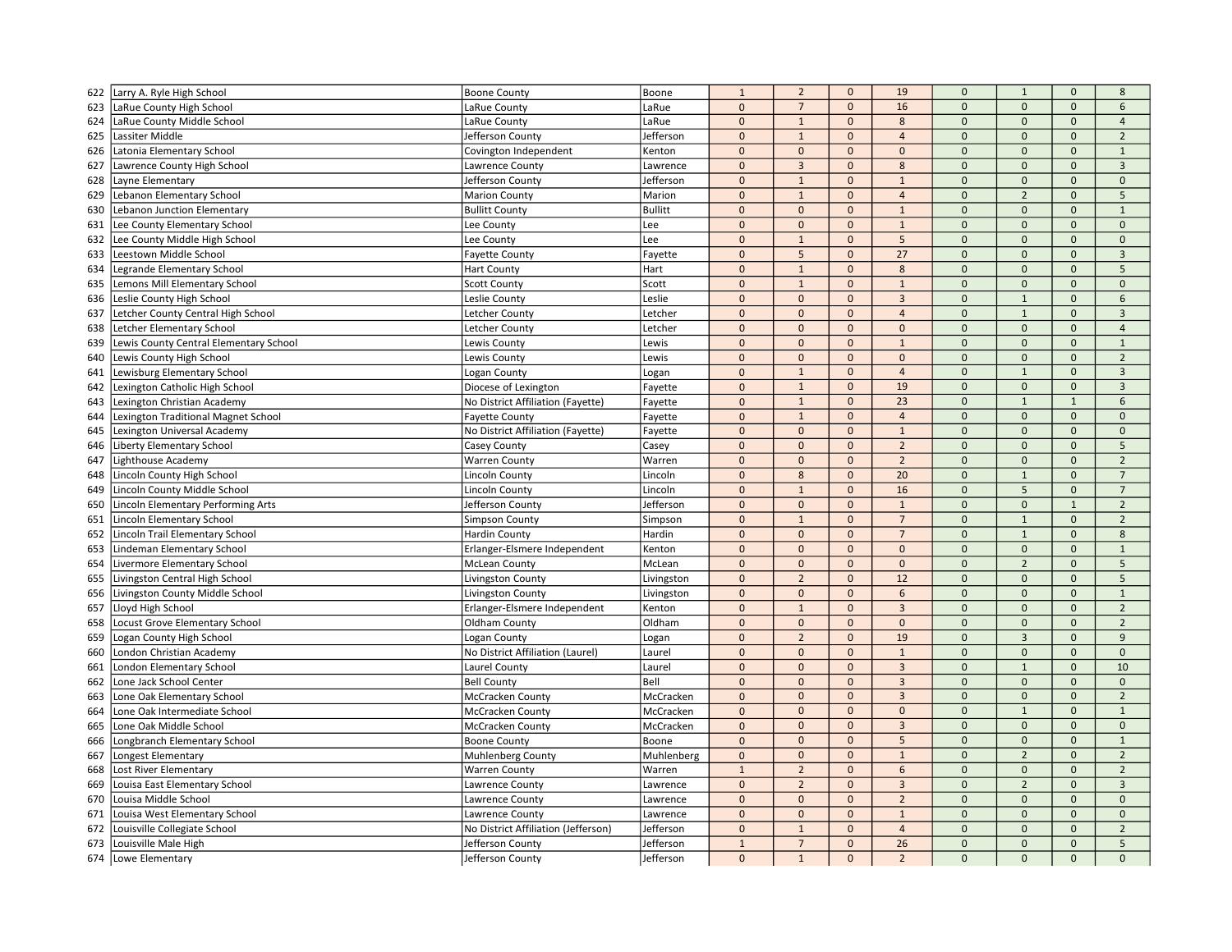| 623<br>LaRue County High School<br>LaRue County<br>LaRue<br>$\mathbf 0$<br>$\overline{7}$<br>$\mathbf 0$<br>16<br>$\overline{0}$<br>$\mathbf 0$<br>$\mathbf{0}$<br>LaRue<br>$\mathbf{0}$<br>$\mathbf{1}$<br>$\mathbf{0}$<br>$\mathbf{0}$<br>624<br>LaRue County Middle School<br>LaRue County<br>$\mathbf{0}$<br>8<br>$\mathbf{0}$<br>$\mathbf{0}$<br>$1\,$<br>$\mathbf 0$<br>$\overline{0}$<br>$\mathbf{0}$<br>$\mathbf{0}$<br>625<br>Lassiter Middle<br>Jefferson County<br>Jefferson<br>$\overline{4}$<br>Latonia Elementary School<br>$\mathbf 0$<br>$\mathbf{0}$<br>$\mathbf{0}$<br>$\mathbf 0$<br>$\Omega$<br>$\mathbf 0$<br>626<br>Covington Independent<br>Kenton<br>$\mathbf 0$<br>$\mathbf{0}$<br>$\overline{3}$<br>$\Omega$<br>$\mathbf{0}$<br>627<br>Lawrence County High School<br>$\mathbf{0}$<br>8<br>$\Omega$<br>Lawrence County<br>Lawrence<br>$\pmb{0}$<br>$\overline{0}$<br>$\mathbf{0}$<br>628<br>Layne Elementary<br>Jefferson County<br>Jefferson<br>$\mathbf{1}$<br>$\mathbf{0}$<br>$\mathbf{1}$<br>$\mathbf{0}$<br>$\mathbf{1}$<br>$\mathbf{0}$<br>$\Omega$<br>$\overline{2}$<br>$\mathbf 0$<br>$\overline{4}$<br>$\mathbf{0}$<br>Lebanon Elementary School<br>Marion<br>629<br><b>Marion County</b><br>$\mathbf 0$<br>$\mathbf 0$<br>630<br>Lebanon Junction Elementary<br><b>Bullitt County</b><br><b>Bullitt</b><br>$\mathbf 0$<br>$\mathbf 0$<br>$\Omega$<br>$\mathbf 0$<br>$\mathbf{1}$<br>$\mathbf 0$<br>$\mathbf 0$<br>$\Omega$<br>$\mathbf{0}$<br>631<br>Lee County Elementary School<br>Lee County<br>Lee<br>$\mathbf{0}$<br>$\mathbf{1}$<br>$\mathbf{0}$<br>$1\,$<br>$\mathbf{0}$<br>5<br>$\Omega$<br>$\mathbf{0}$<br>632<br>Lee County Middle High School<br>Lee County<br>Lee<br>$\mathbf 0$<br>$\mathbf{0}$<br>$\mathbf 0$<br>5<br>Leestown Middle School<br>$\mathbf 0$<br>27<br>$\Omega$<br>$\mathbf{0}$<br>$\mathbf{0}$<br>633<br><b>Fayette County</b><br>Fayette<br>$\mathbf 0$<br>$\mathbf{1}$<br>$\mathbf{0}$<br>$\Omega$<br>$\mathbf{0}$<br>634<br>Legrande Elementary School<br><b>Hart County</b><br>Hart<br>8<br>$\mathbf{0}$<br>$\mathbf{0}$<br>$\mathbf{0}$<br>$\mathbf{0}$<br>635<br>Lemons Mill Elementary School<br>$\mathbf{1}$<br>$\mathbf 0$<br><b>Scott County</b><br>Scott<br>$\mathbf{1}$<br>$\mathbf{0}$<br>$\pmb{0}$<br>$\mathbf{0}$<br>$\mathbf{0}$<br>$\mathbf{3}$<br>$\mathbf{0}$<br>$\mathbf{1}$<br>$\mathbf 0$<br>Leslie<br>636<br>Leslie County High School<br>Leslie County<br>$\pmb{0}$<br>637<br>Letcher County Central High School<br>Letcher County<br>Letcher<br>$\mathbf{0}$<br>$\mathbf{0}$<br>$\overline{4}$<br>$\Omega$<br>$\mathbf{1}$<br>$\mathbf{0}$<br>$\pmb{0}$<br>$\Omega$<br>Letcher Elementary School<br>$\mathbf{0}$<br>$\Omega$<br>$\mathbf{0}$<br>$\Omega$<br>638<br>Letcher County<br>Letcher<br>$\mathbf{0}$<br>$\pmb{0}$<br>$\mathbf 0$<br>$\mathbf 0$<br>$\mathbf{1}$<br>$\mathbf{0}$<br>$\mathbf 0$<br>$\mathbf{0}$<br>Lewis County Central Elementary School<br>639<br>Lewis County<br>Lewis<br>Lewis County High School<br>$\mathbf 0$<br>$\mathbf 0$<br>$\Omega$<br>$\mathbf 0$<br>640<br>Lewis County<br>Lewis<br>$\mathbf 0$<br>$\mathbf 0$<br>$\mathbf 0$ |                |
|--------------------------------------------------------------------------------------------------------------------------------------------------------------------------------------------------------------------------------------------------------------------------------------------------------------------------------------------------------------------------------------------------------------------------------------------------------------------------------------------------------------------------------------------------------------------------------------------------------------------------------------------------------------------------------------------------------------------------------------------------------------------------------------------------------------------------------------------------------------------------------------------------------------------------------------------------------------------------------------------------------------------------------------------------------------------------------------------------------------------------------------------------------------------------------------------------------------------------------------------------------------------------------------------------------------------------------------------------------------------------------------------------------------------------------------------------------------------------------------------------------------------------------------------------------------------------------------------------------------------------------------------------------------------------------------------------------------------------------------------------------------------------------------------------------------------------------------------------------------------------------------------------------------------------------------------------------------------------------------------------------------------------------------------------------------------------------------------------------------------------------------------------------------------------------------------------------------------------------------------------------------------------------------------------------------------------------------------------------------------------------------------------------------------------------------------------------------------------------------------------------------------------------------------------------------------------------------------------------------------------------------------------------------------------------------------------------------------------------------------------------------------------------------------------------------------------------------------------------------------------------------------------------------------------------------------------------------------------------------------------------------------------------------------------------------------------------------------------------------------------------------------------------------|----------------|
|                                                                                                                                                                                                                                                                                                                                                                                                                                                                                                                                                                                                                                                                                                                                                                                                                                                                                                                                                                                                                                                                                                                                                                                                                                                                                                                                                                                                                                                                                                                                                                                                                                                                                                                                                                                                                                                                                                                                                                                                                                                                                                                                                                                                                                                                                                                                                                                                                                                                                                                                                                                                                                                                                                                                                                                                                                                                                                                                                                                                                                                                                                                                                              | 6              |
|                                                                                                                                                                                                                                                                                                                                                                                                                                                                                                                                                                                                                                                                                                                                                                                                                                                                                                                                                                                                                                                                                                                                                                                                                                                                                                                                                                                                                                                                                                                                                                                                                                                                                                                                                                                                                                                                                                                                                                                                                                                                                                                                                                                                                                                                                                                                                                                                                                                                                                                                                                                                                                                                                                                                                                                                                                                                                                                                                                                                                                                                                                                                                              | $\overline{4}$ |
|                                                                                                                                                                                                                                                                                                                                                                                                                                                                                                                                                                                                                                                                                                                                                                                                                                                                                                                                                                                                                                                                                                                                                                                                                                                                                                                                                                                                                                                                                                                                                                                                                                                                                                                                                                                                                                                                                                                                                                                                                                                                                                                                                                                                                                                                                                                                                                                                                                                                                                                                                                                                                                                                                                                                                                                                                                                                                                                                                                                                                                                                                                                                                              | $\overline{2}$ |
|                                                                                                                                                                                                                                                                                                                                                                                                                                                                                                                                                                                                                                                                                                                                                                                                                                                                                                                                                                                                                                                                                                                                                                                                                                                                                                                                                                                                                                                                                                                                                                                                                                                                                                                                                                                                                                                                                                                                                                                                                                                                                                                                                                                                                                                                                                                                                                                                                                                                                                                                                                                                                                                                                                                                                                                                                                                                                                                                                                                                                                                                                                                                                              | $\mathbf{1}$   |
|                                                                                                                                                                                                                                                                                                                                                                                                                                                                                                                                                                                                                                                                                                                                                                                                                                                                                                                                                                                                                                                                                                                                                                                                                                                                                                                                                                                                                                                                                                                                                                                                                                                                                                                                                                                                                                                                                                                                                                                                                                                                                                                                                                                                                                                                                                                                                                                                                                                                                                                                                                                                                                                                                                                                                                                                                                                                                                                                                                                                                                                                                                                                                              | $\overline{3}$ |
|                                                                                                                                                                                                                                                                                                                                                                                                                                                                                                                                                                                                                                                                                                                                                                                                                                                                                                                                                                                                                                                                                                                                                                                                                                                                                                                                                                                                                                                                                                                                                                                                                                                                                                                                                                                                                                                                                                                                                                                                                                                                                                                                                                                                                                                                                                                                                                                                                                                                                                                                                                                                                                                                                                                                                                                                                                                                                                                                                                                                                                                                                                                                                              | $\mathbf{0}$   |
|                                                                                                                                                                                                                                                                                                                                                                                                                                                                                                                                                                                                                                                                                                                                                                                                                                                                                                                                                                                                                                                                                                                                                                                                                                                                                                                                                                                                                                                                                                                                                                                                                                                                                                                                                                                                                                                                                                                                                                                                                                                                                                                                                                                                                                                                                                                                                                                                                                                                                                                                                                                                                                                                                                                                                                                                                                                                                                                                                                                                                                                                                                                                                              | 5              |
|                                                                                                                                                                                                                                                                                                                                                                                                                                                                                                                                                                                                                                                                                                                                                                                                                                                                                                                                                                                                                                                                                                                                                                                                                                                                                                                                                                                                                                                                                                                                                                                                                                                                                                                                                                                                                                                                                                                                                                                                                                                                                                                                                                                                                                                                                                                                                                                                                                                                                                                                                                                                                                                                                                                                                                                                                                                                                                                                                                                                                                                                                                                                                              | $\mathbf{1}$   |
|                                                                                                                                                                                                                                                                                                                                                                                                                                                                                                                                                                                                                                                                                                                                                                                                                                                                                                                                                                                                                                                                                                                                                                                                                                                                                                                                                                                                                                                                                                                                                                                                                                                                                                                                                                                                                                                                                                                                                                                                                                                                                                                                                                                                                                                                                                                                                                                                                                                                                                                                                                                                                                                                                                                                                                                                                                                                                                                                                                                                                                                                                                                                                              | $\Omega$       |
|                                                                                                                                                                                                                                                                                                                                                                                                                                                                                                                                                                                                                                                                                                                                                                                                                                                                                                                                                                                                                                                                                                                                                                                                                                                                                                                                                                                                                                                                                                                                                                                                                                                                                                                                                                                                                                                                                                                                                                                                                                                                                                                                                                                                                                                                                                                                                                                                                                                                                                                                                                                                                                                                                                                                                                                                                                                                                                                                                                                                                                                                                                                                                              | $\Omega$       |
|                                                                                                                                                                                                                                                                                                                                                                                                                                                                                                                                                                                                                                                                                                                                                                                                                                                                                                                                                                                                                                                                                                                                                                                                                                                                                                                                                                                                                                                                                                                                                                                                                                                                                                                                                                                                                                                                                                                                                                                                                                                                                                                                                                                                                                                                                                                                                                                                                                                                                                                                                                                                                                                                                                                                                                                                                                                                                                                                                                                                                                                                                                                                                              | $\overline{3}$ |
|                                                                                                                                                                                                                                                                                                                                                                                                                                                                                                                                                                                                                                                                                                                                                                                                                                                                                                                                                                                                                                                                                                                                                                                                                                                                                                                                                                                                                                                                                                                                                                                                                                                                                                                                                                                                                                                                                                                                                                                                                                                                                                                                                                                                                                                                                                                                                                                                                                                                                                                                                                                                                                                                                                                                                                                                                                                                                                                                                                                                                                                                                                                                                              | 5              |
|                                                                                                                                                                                                                                                                                                                                                                                                                                                                                                                                                                                                                                                                                                                                                                                                                                                                                                                                                                                                                                                                                                                                                                                                                                                                                                                                                                                                                                                                                                                                                                                                                                                                                                                                                                                                                                                                                                                                                                                                                                                                                                                                                                                                                                                                                                                                                                                                                                                                                                                                                                                                                                                                                                                                                                                                                                                                                                                                                                                                                                                                                                                                                              | $\mathbf{0}$   |
|                                                                                                                                                                                                                                                                                                                                                                                                                                                                                                                                                                                                                                                                                                                                                                                                                                                                                                                                                                                                                                                                                                                                                                                                                                                                                                                                                                                                                                                                                                                                                                                                                                                                                                                                                                                                                                                                                                                                                                                                                                                                                                                                                                                                                                                                                                                                                                                                                                                                                                                                                                                                                                                                                                                                                                                                                                                                                                                                                                                                                                                                                                                                                              | 6              |
|                                                                                                                                                                                                                                                                                                                                                                                                                                                                                                                                                                                                                                                                                                                                                                                                                                                                                                                                                                                                                                                                                                                                                                                                                                                                                                                                                                                                                                                                                                                                                                                                                                                                                                                                                                                                                                                                                                                                                                                                                                                                                                                                                                                                                                                                                                                                                                                                                                                                                                                                                                                                                                                                                                                                                                                                                                                                                                                                                                                                                                                                                                                                                              | $\overline{3}$ |
|                                                                                                                                                                                                                                                                                                                                                                                                                                                                                                                                                                                                                                                                                                                                                                                                                                                                                                                                                                                                                                                                                                                                                                                                                                                                                                                                                                                                                                                                                                                                                                                                                                                                                                                                                                                                                                                                                                                                                                                                                                                                                                                                                                                                                                                                                                                                                                                                                                                                                                                                                                                                                                                                                                                                                                                                                                                                                                                                                                                                                                                                                                                                                              | $\overline{4}$ |
|                                                                                                                                                                                                                                                                                                                                                                                                                                                                                                                                                                                                                                                                                                                                                                                                                                                                                                                                                                                                                                                                                                                                                                                                                                                                                                                                                                                                                                                                                                                                                                                                                                                                                                                                                                                                                                                                                                                                                                                                                                                                                                                                                                                                                                                                                                                                                                                                                                                                                                                                                                                                                                                                                                                                                                                                                                                                                                                                                                                                                                                                                                                                                              | $\mathbf{1}$   |
|                                                                                                                                                                                                                                                                                                                                                                                                                                                                                                                                                                                                                                                                                                                                                                                                                                                                                                                                                                                                                                                                                                                                                                                                                                                                                                                                                                                                                                                                                                                                                                                                                                                                                                                                                                                                                                                                                                                                                                                                                                                                                                                                                                                                                                                                                                                                                                                                                                                                                                                                                                                                                                                                                                                                                                                                                                                                                                                                                                                                                                                                                                                                                              | $\overline{2}$ |
| $\pmb{0}$<br>$\mathbf{0}$<br>Lewisburg Elementary School<br>$\mathbf{1}$<br>$\mathbf{0}$<br>$\overline{4}$<br>$\mathbf{1}$<br>641<br>Logan County<br>Logan<br>$\mathbf{0}$                                                                                                                                                                                                                                                                                                                                                                                                                                                                                                                                                                                                                                                                                                                                                                                                                                                                                                                                                                                                                                                                                                                                                                                                                                                                                                                                                                                                                                                                                                                                                                                                                                                                                                                                                                                                                                                                                                                                                                                                                                                                                                                                                                                                                                                                                                                                                                                                                                                                                                                                                                                                                                                                                                                                                                                                                                                                                                                                                                                   | $\overline{3}$ |
| $\mathbf 0$<br>$1\,$<br>$\mathbf 0$<br>19<br>$\mathbf{0}$<br>$\mathbf 0$<br>$\mathbf 0$<br>642<br>Lexington Catholic High School<br>Diocese of Lexington<br>Fayette                                                                                                                                                                                                                                                                                                                                                                                                                                                                                                                                                                                                                                                                                                                                                                                                                                                                                                                                                                                                                                                                                                                                                                                                                                                                                                                                                                                                                                                                                                                                                                                                                                                                                                                                                                                                                                                                                                                                                                                                                                                                                                                                                                                                                                                                                                                                                                                                                                                                                                                                                                                                                                                                                                                                                                                                                                                                                                                                                                                          | $\overline{3}$ |
| $\mathbf 1$<br>23<br>$\Omega$<br>$\mathbf{1}$<br>No District Affiliation (Fayette)<br>$\mathbf 0$<br>$\mathbf{0}$<br>$\mathbf{1}$<br>643<br>Lexington Christian Academy<br>Fayette                                                                                                                                                                                                                                                                                                                                                                                                                                                                                                                                                                                                                                                                                                                                                                                                                                                                                                                                                                                                                                                                                                                                                                                                                                                                                                                                                                                                                                                                                                                                                                                                                                                                                                                                                                                                                                                                                                                                                                                                                                                                                                                                                                                                                                                                                                                                                                                                                                                                                                                                                                                                                                                                                                                                                                                                                                                                                                                                                                           | $\mathsf{6}$   |
| $\mathbf{0}$<br>$\mathbf{1}$<br>$\Omega$<br>$\mathbf{0}$<br>$\overline{4}$<br>$\mathbf{0}$<br>$\mathbf{0}$<br>644<br>Lexington Traditional Magnet School<br><b>Favette County</b><br>Fayette                                                                                                                                                                                                                                                                                                                                                                                                                                                                                                                                                                                                                                                                                                                                                                                                                                                                                                                                                                                                                                                                                                                                                                                                                                                                                                                                                                                                                                                                                                                                                                                                                                                                                                                                                                                                                                                                                                                                                                                                                                                                                                                                                                                                                                                                                                                                                                                                                                                                                                                                                                                                                                                                                                                                                                                                                                                                                                                                                                 | $\Omega$       |
| $\mathbf 0$<br>$\mathbf 0$<br>$\mathbf{0}$<br>Lexington Universal Academy<br>No District Affiliation (Fayette)<br>$\mathbf 0$<br>$\mathbf 0$<br>$\mathbf{1}$<br>$\mathbf{0}$<br>645<br>Fayette                                                                                                                                                                                                                                                                                                                                                                                                                                                                                                                                                                                                                                                                                                                                                                                                                                                                                                                                                                                                                                                                                                                                                                                                                                                                                                                                                                                                                                                                                                                                                                                                                                                                                                                                                                                                                                                                                                                                                                                                                                                                                                                                                                                                                                                                                                                                                                                                                                                                                                                                                                                                                                                                                                                                                                                                                                                                                                                                                               | $\mathbf 0$    |
| $\overline{2}$<br>$\Omega$<br>$\mathbf 0$<br>$\pmb{0}$<br>$\Omega$<br>$\mathbf{0}$<br>$\Omega$<br>Liberty Elementary School<br>Casey<br>646<br>Casey County                                                                                                                                                                                                                                                                                                                                                                                                                                                                                                                                                                                                                                                                                                                                                                                                                                                                                                                                                                                                                                                                                                                                                                                                                                                                                                                                                                                                                                                                                                                                                                                                                                                                                                                                                                                                                                                                                                                                                                                                                                                                                                                                                                                                                                                                                                                                                                                                                                                                                                                                                                                                                                                                                                                                                                                                                                                                                                                                                                                                  | $\overline{5}$ |
| $\mathbf 0$<br>$\mathbf 0$<br>$\mathbf{0}$<br>$\mathbf{0}$<br>$\overline{2}$<br>$\mathbf{0}$<br>$\mathbf{0}$<br>647<br>Lighthouse Academy<br><b>Warren County</b><br>Warren                                                                                                                                                                                                                                                                                                                                                                                                                                                                                                                                                                                                                                                                                                                                                                                                                                                                                                                                                                                                                                                                                                                                                                                                                                                                                                                                                                                                                                                                                                                                                                                                                                                                                                                                                                                                                                                                                                                                                                                                                                                                                                                                                                                                                                                                                                                                                                                                                                                                                                                                                                                                                                                                                                                                                                                                                                                                                                                                                                                  | $\overline{2}$ |
| $\pmb{0}$<br>20<br>648<br>Lincoln County High School<br>Lincoln County<br>Lincoln<br>8<br>$\mathbf{0}$<br>$\Omega$<br>$1\,$<br>$\mathbf 0$                                                                                                                                                                                                                                                                                                                                                                                                                                                                                                                                                                                                                                                                                                                                                                                                                                                                                                                                                                                                                                                                                                                                                                                                                                                                                                                                                                                                                                                                                                                                                                                                                                                                                                                                                                                                                                                                                                                                                                                                                                                                                                                                                                                                                                                                                                                                                                                                                                                                                                                                                                                                                                                                                                                                                                                                                                                                                                                                                                                                                   | $\overline{7}$ |
| $\mathbf 0$<br>16<br>$\mathbf 0$<br>5<br>649<br>Lincoln County Middle School<br>Lincoln County<br>Lincoln<br>$\mathbf{1}$<br>$\mathbf{0}$<br>$\mathbf{0}$                                                                                                                                                                                                                                                                                                                                                                                                                                                                                                                                                                                                                                                                                                                                                                                                                                                                                                                                                                                                                                                                                                                                                                                                                                                                                                                                                                                                                                                                                                                                                                                                                                                                                                                                                                                                                                                                                                                                                                                                                                                                                                                                                                                                                                                                                                                                                                                                                                                                                                                                                                                                                                                                                                                                                                                                                                                                                                                                                                                                    | $\overline{7}$ |
| $\mathbf{0}$<br>$\mathbf{0}$<br>$\Omega$<br>$\mathbf{0}$<br>$\mathbf{1}$<br>$\mathbf{0}$<br>$\mathbf{1}$<br>650<br>Lincoln Elementary Performing Arts<br>Jefferson County<br>Jefferson                                                                                                                                                                                                                                                                                                                                                                                                                                                                                                                                                                                                                                                                                                                                                                                                                                                                                                                                                                                                                                                                                                                                                                                                                                                                                                                                                                                                                                                                                                                                                                                                                                                                                                                                                                                                                                                                                                                                                                                                                                                                                                                                                                                                                                                                                                                                                                                                                                                                                                                                                                                                                                                                                                                                                                                                                                                                                                                                                                       | $\overline{2}$ |
| $\pmb{0}$<br>$\mathbf{1}$<br>$\overline{7}$<br>$\Omega$<br>$\mathbf{1}$<br>Lincoln Elementary School<br>Simpson<br>$\mathbf{0}$<br>$\mathbf{0}$<br>651<br><b>Simpson County</b>                                                                                                                                                                                                                                                                                                                                                                                                                                                                                                                                                                                                                                                                                                                                                                                                                                                                                                                                                                                                                                                                                                                                                                                                                                                                                                                                                                                                                                                                                                                                                                                                                                                                                                                                                                                                                                                                                                                                                                                                                                                                                                                                                                                                                                                                                                                                                                                                                                                                                                                                                                                                                                                                                                                                                                                                                                                                                                                                                                              | $\overline{2}$ |
| 652<br>$\mathbf 0$<br>$\mathbf{0}$<br>$\mathbf{0}$<br>Lincoln Trail Elementary School<br>Hardin County<br>Hardin<br>$\mathbf 0$<br>$\overline{7}$<br>$\mathbf{1}$<br>$\mathbf{0}$                                                                                                                                                                                                                                                                                                                                                                                                                                                                                                                                                                                                                                                                                                                                                                                                                                                                                                                                                                                                                                                                                                                                                                                                                                                                                                                                                                                                                                                                                                                                                                                                                                                                                                                                                                                                                                                                                                                                                                                                                                                                                                                                                                                                                                                                                                                                                                                                                                                                                                                                                                                                                                                                                                                                                                                                                                                                                                                                                                            | 8              |
| $\pmb{0}$<br>$\mathbf{0}$<br>$\mathbf{0}$<br>$\mathbf{0}$<br>$\mathbf{0}$<br>$\mathbf{0}$<br>$\mathbf{0}$<br>653<br>Lindeman Elementary School<br>Erlanger-Elsmere Independent<br>Kenton                                                                                                                                                                                                                                                                                                                                                                                                                                                                                                                                                                                                                                                                                                                                                                                                                                                                                                                                                                                                                                                                                                                                                                                                                                                                                                                                                                                                                                                                                                                                                                                                                                                                                                                                                                                                                                                                                                                                                                                                                                                                                                                                                                                                                                                                                                                                                                                                                                                                                                                                                                                                                                                                                                                                                                                                                                                                                                                                                                     | $\mathbf{1}$   |
| $\overline{2}$<br>$\mathbf 0$<br>$\mathbf{0}$<br>$\mathbf{0}$<br>$\mathbf{0}$<br>$\mathbf{0}$<br>654<br>Livermore Elementary School<br><b>McLean County</b><br>McLean<br>$\mathbf{0}$                                                                                                                                                                                                                                                                                                                                                                                                                                                                                                                                                                                                                                                                                                                                                                                                                                                                                                                                                                                                                                                                                                                                                                                                                                                                                                                                                                                                                                                                                                                                                                                                                                                                                                                                                                                                                                                                                                                                                                                                                                                                                                                                                                                                                                                                                                                                                                                                                                                                                                                                                                                                                                                                                                                                                                                                                                                                                                                                                                        | 5              |
| $\pmb{0}$<br>$\overline{2}$<br>Livingston Central High School<br>Livingston<br>$\mathbf{0}$<br>12<br>$\Omega$<br>$\Omega$<br>655<br>Livingston County<br>$\mathbf{0}$                                                                                                                                                                                                                                                                                                                                                                                                                                                                                                                                                                                                                                                                                                                                                                                                                                                                                                                                                                                                                                                                                                                                                                                                                                                                                                                                                                                                                                                                                                                                                                                                                                                                                                                                                                                                                                                                                                                                                                                                                                                                                                                                                                                                                                                                                                                                                                                                                                                                                                                                                                                                                                                                                                                                                                                                                                                                                                                                                                                        | 5              |
| $\mathbf 0$<br>$\mathbf 0$<br>$\mathbf 0$<br>6<br>$\Omega$<br>$\mathbf 0$<br>$\Omega$<br>656<br>Livingston County Middle School<br>Livingston County<br>Livingston                                                                                                                                                                                                                                                                                                                                                                                                                                                                                                                                                                                                                                                                                                                                                                                                                                                                                                                                                                                                                                                                                                                                                                                                                                                                                                                                                                                                                                                                                                                                                                                                                                                                                                                                                                                                                                                                                                                                                                                                                                                                                                                                                                                                                                                                                                                                                                                                                                                                                                                                                                                                                                                                                                                                                                                                                                                                                                                                                                                           | $\mathbf{1}$   |
| $\Omega$<br>$\overline{0}$<br>Lloyd High School<br>$\mathbf{0}$<br>$\mathbf{1}$<br>$\mathbf{0}$<br>$\overline{3}$<br>$\Omega$<br>657<br>Erlanger-Elsmere Independent<br>Kenton                                                                                                                                                                                                                                                                                                                                                                                                                                                                                                                                                                                                                                                                                                                                                                                                                                                                                                                                                                                                                                                                                                                                                                                                                                                                                                                                                                                                                                                                                                                                                                                                                                                                                                                                                                                                                                                                                                                                                                                                                                                                                                                                                                                                                                                                                                                                                                                                                                                                                                                                                                                                                                                                                                                                                                                                                                                                                                                                                                               | $\overline{2}$ |
| 658<br>Oldham<br>$\pmb{0}$<br>$\mathbf{0}$<br>$\mathbf 0$<br>$\mathbf 0$<br>$\overline{0}$<br>$\ddot{\mathbf{0}}$<br>Locust Grove Elementary School<br>Oldham County<br>$\mathbf{0}$                                                                                                                                                                                                                                                                                                                                                                                                                                                                                                                                                                                                                                                                                                                                                                                                                                                                                                                                                                                                                                                                                                                                                                                                                                                                                                                                                                                                                                                                                                                                                                                                                                                                                                                                                                                                                                                                                                                                                                                                                                                                                                                                                                                                                                                                                                                                                                                                                                                                                                                                                                                                                                                                                                                                                                                                                                                                                                                                                                         | $\overline{2}$ |
| $\mathbf 0$<br>$\overline{2}$<br>$\mathbf 0$<br>19<br>$\overline{0}$<br>$\overline{3}$<br>659<br>Logan County High School<br>Logan County<br>Logan<br>$\mathbf 0$                                                                                                                                                                                                                                                                                                                                                                                                                                                                                                                                                                                                                                                                                                                                                                                                                                                                                                                                                                                                                                                                                                                                                                                                                                                                                                                                                                                                                                                                                                                                                                                                                                                                                                                                                                                                                                                                                                                                                                                                                                                                                                                                                                                                                                                                                                                                                                                                                                                                                                                                                                                                                                                                                                                                                                                                                                                                                                                                                                                            | 9              |
| $\mathbf{0}$<br>London Christian Academy<br>No District Affiliation (Laurel)<br>Laurel<br>$\mathbf{0}$<br>$\mathbf{0}$<br>$\mathbf{1}$<br>$\Omega$<br>$\mathbf{0}$<br>$\mathbf{0}$<br>660                                                                                                                                                                                                                                                                                                                                                                                                                                                                                                                                                                                                                                                                                                                                                                                                                                                                                                                                                                                                                                                                                                                                                                                                                                                                                                                                                                                                                                                                                                                                                                                                                                                                                                                                                                                                                                                                                                                                                                                                                                                                                                                                                                                                                                                                                                                                                                                                                                                                                                                                                                                                                                                                                                                                                                                                                                                                                                                                                                    | $\Omega$       |
| $\mathbf{0}$<br>$\mathbf{0}$<br>$\overline{3}$<br>$\overline{0}$<br>$\mathbf{1}$<br>$\mathbf{0}$<br>$\mathbf{0}$<br>661<br>London Elementary School<br>Laurel County<br>Laurel                                                                                                                                                                                                                                                                                                                                                                                                                                                                                                                                                                                                                                                                                                                                                                                                                                                                                                                                                                                                                                                                                                                                                                                                                                                                                                                                                                                                                                                                                                                                                                                                                                                                                                                                                                                                                                                                                                                                                                                                                                                                                                                                                                                                                                                                                                                                                                                                                                                                                                                                                                                                                                                                                                                                                                                                                                                                                                                                                                               | 10             |
| Lone Jack School Center<br><b>Bell County</b><br>Bell<br>$\mathbf 0$<br>$\mathbf 0$<br>$\mathbf{0}$<br>$\overline{3}$<br>$\mathbf 0$<br>$\mathbf 0$<br>$\mathbf{0}$<br>662                                                                                                                                                                                                                                                                                                                                                                                                                                                                                                                                                                                                                                                                                                                                                                                                                                                                                                                                                                                                                                                                                                                                                                                                                                                                                                                                                                                                                                                                                                                                                                                                                                                                                                                                                                                                                                                                                                                                                                                                                                                                                                                                                                                                                                                                                                                                                                                                                                                                                                                                                                                                                                                                                                                                                                                                                                                                                                                                                                                   | $\mathbf 0$    |
| $\mathbf 0$<br>$\overline{3}$<br>$\mathbf 0$<br>$\mathbf{0}$<br>663<br>Lone Oak Elementary School<br><b>McCracken County</b><br>McCracken<br>$\mathbf{0}$<br>$\mathbf{0}$<br>$\mathbf{0}$                                                                                                                                                                                                                                                                                                                                                                                                                                                                                                                                                                                                                                                                                                                                                                                                                                                                                                                                                                                                                                                                                                                                                                                                                                                                                                                                                                                                                                                                                                                                                                                                                                                                                                                                                                                                                                                                                                                                                                                                                                                                                                                                                                                                                                                                                                                                                                                                                                                                                                                                                                                                                                                                                                                                                                                                                                                                                                                                                                    | $\overline{2}$ |
| $\mathbf 0$<br>$\mathbf 0$<br>$\mathbf 0$<br>$\mathbf 0$<br>$\overline{0}$<br>$\overline{1}$<br>Lone Oak Intermediate School<br>$\mathbf{0}$<br>664<br><b>McCracken County</b><br>McCracken                                                                                                                                                                                                                                                                                                                                                                                                                                                                                                                                                                                                                                                                                                                                                                                                                                                                                                                                                                                                                                                                                                                                                                                                                                                                                                                                                                                                                                                                                                                                                                                                                                                                                                                                                                                                                                                                                                                                                                                                                                                                                                                                                                                                                                                                                                                                                                                                                                                                                                                                                                                                                                                                                                                                                                                                                                                                                                                                                                  | $\mathbf{1}$   |
| 665<br>Lone Oak Middle School<br>McCracken<br>$\mathbf 0$<br>$\mathbf 0$<br>$\mathbf{0}$<br>$\overline{3}$<br>$\overline{0}$<br>$\mathbf 0$<br>$\mathbf 0$<br>McCracken County                                                                                                                                                                                                                                                                                                                                                                                                                                                                                                                                                                                                                                                                                                                                                                                                                                                                                                                                                                                                                                                                                                                                                                                                                                                                                                                                                                                                                                                                                                                                                                                                                                                                                                                                                                                                                                                                                                                                                                                                                                                                                                                                                                                                                                                                                                                                                                                                                                                                                                                                                                                                                                                                                                                                                                                                                                                                                                                                                                               | $\mathbf 0$    |
| $\mathbf{0}$<br>$\Omega$<br>$\mathbf{0}$<br>Longbranch Elementary School<br><b>Boone County</b><br>Boone<br>$\Omega$<br>$\Omega$<br>5<br>$\Omega$<br>666                                                                                                                                                                                                                                                                                                                                                                                                                                                                                                                                                                                                                                                                                                                                                                                                                                                                                                                                                                                                                                                                                                                                                                                                                                                                                                                                                                                                                                                                                                                                                                                                                                                                                                                                                                                                                                                                                                                                                                                                                                                                                                                                                                                                                                                                                                                                                                                                                                                                                                                                                                                                                                                                                                                                                                                                                                                                                                                                                                                                     | $\mathbf{1}$   |
| $\pmb{0}$<br>$\mathbf{0}$<br>$\Omega$<br>$\overline{2}$<br>Longest Elementary<br><b>Muhlenberg County</b><br>Muhlenberg<br>$\mathbf{0}$<br>$\mathbf{1}$<br>$\mathbf{0}$<br>667                                                                                                                                                                                                                                                                                                                                                                                                                                                                                                                                                                                                                                                                                                                                                                                                                                                                                                                                                                                                                                                                                                                                                                                                                                                                                                                                                                                                                                                                                                                                                                                                                                                                                                                                                                                                                                                                                                                                                                                                                                                                                                                                                                                                                                                                                                                                                                                                                                                                                                                                                                                                                                                                                                                                                                                                                                                                                                                                                                               | $\overline{2}$ |
| $\mathbf{0}$<br>$\mathbf 1$<br>$\overline{2}$<br>$\mathbf{0}$<br>6<br>$\mathbf 0$<br>$\mathbf{0}$<br>Lost River Elementary<br><b>Warren County</b><br>Warren<br>668                                                                                                                                                                                                                                                                                                                                                                                                                                                                                                                                                                                                                                                                                                                                                                                                                                                                                                                                                                                                                                                                                                                                                                                                                                                                                                                                                                                                                                                                                                                                                                                                                                                                                                                                                                                                                                                                                                                                                                                                                                                                                                                                                                                                                                                                                                                                                                                                                                                                                                                                                                                                                                                                                                                                                                                                                                                                                                                                                                                          | $\overline{2}$ |
| $\mathbf 0$<br>$\overline{3}$<br>$\Omega$<br>$\overline{2}$<br>669<br>Louisa East Elementary School<br>Lawrence County<br>$\overline{2}$<br>$\mathbf{0}$<br>$\Omega$<br>Lawrence                                                                                                                                                                                                                                                                                                                                                                                                                                                                                                                                                                                                                                                                                                                                                                                                                                                                                                                                                                                                                                                                                                                                                                                                                                                                                                                                                                                                                                                                                                                                                                                                                                                                                                                                                                                                                                                                                                                                                                                                                                                                                                                                                                                                                                                                                                                                                                                                                                                                                                                                                                                                                                                                                                                                                                                                                                                                                                                                                                             | $\overline{3}$ |
| $\mathbf 0$<br>$\mathbf{0}$<br>$\overline{2}$<br>$\Omega$<br>$\mathbf{0}$<br>670<br>Louisa Middle School<br>$\mathbf{0}$<br>$\mathbf{0}$<br>Lawrence County<br>Lawrence                                                                                                                                                                                                                                                                                                                                                                                                                                                                                                                                                                                                                                                                                                                                                                                                                                                                                                                                                                                                                                                                                                                                                                                                                                                                                                                                                                                                                                                                                                                                                                                                                                                                                                                                                                                                                                                                                                                                                                                                                                                                                                                                                                                                                                                                                                                                                                                                                                                                                                                                                                                                                                                                                                                                                                                                                                                                                                                                                                                      | $\mathbf{0}$   |
| $\mathbf 0$<br>$\mathbf 0$<br>$\mathbf{0}$<br>671<br>Louisa West Elementary School<br>$\mathbf 0$<br>$\mathbf{0}$<br>$\mathbf{1}$<br>$\mathbf{0}$<br>Lawrence County<br>Lawrence                                                                                                                                                                                                                                                                                                                                                                                                                                                                                                                                                                                                                                                                                                                                                                                                                                                                                                                                                                                                                                                                                                                                                                                                                                                                                                                                                                                                                                                                                                                                                                                                                                                                                                                                                                                                                                                                                                                                                                                                                                                                                                                                                                                                                                                                                                                                                                                                                                                                                                                                                                                                                                                                                                                                                                                                                                                                                                                                                                             | $\mathbf{0}$   |
| $\overline{1}$<br>$\Omega$<br>$\Omega$<br>672<br>Jefferson<br>$\mathbf 0$<br>$\mathbf 0$<br>$\overline{4}$<br>$\Omega$<br>Louisville Collegiate School<br>No District Affiliation (Jefferson)                                                                                                                                                                                                                                                                                                                                                                                                                                                                                                                                                                                                                                                                                                                                                                                                                                                                                                                                                                                                                                                                                                                                                                                                                                                                                                                                                                                                                                                                                                                                                                                                                                                                                                                                                                                                                                                                                                                                                                                                                                                                                                                                                                                                                                                                                                                                                                                                                                                                                                                                                                                                                                                                                                                                                                                                                                                                                                                                                                |                |
| Jefferson<br>$\mathbf{1}$<br>$\overline{7}$<br>$\mathbf{0}$<br>26<br>$\mathbf{0}$<br>$\mathbf{0}$<br>$\Omega$<br>673<br>Louisville Male High<br>Jefferson County                                                                                                                                                                                                                                                                                                                                                                                                                                                                                                                                                                                                                                                                                                                                                                                                                                                                                                                                                                                                                                                                                                                                                                                                                                                                                                                                                                                                                                                                                                                                                                                                                                                                                                                                                                                                                                                                                                                                                                                                                                                                                                                                                                                                                                                                                                                                                                                                                                                                                                                                                                                                                                                                                                                                                                                                                                                                                                                                                                                             | $\overline{2}$ |
| 674<br>Jefferson<br>$\mathbf{0}$<br>$\Omega$<br>$\mathbf{0}$<br>Lowe Elementary<br>Jefferson County<br>$\mathbf{1}$<br>$\Omega$<br>$\overline{2}$<br>$\Omega$                                                                                                                                                                                                                                                                                                                                                                                                                                                                                                                                                                                                                                                                                                                                                                                                                                                                                                                                                                                                                                                                                                                                                                                                                                                                                                                                                                                                                                                                                                                                                                                                                                                                                                                                                                                                                                                                                                                                                                                                                                                                                                                                                                                                                                                                                                                                                                                                                                                                                                                                                                                                                                                                                                                                                                                                                                                                                                                                                                                                | 5              |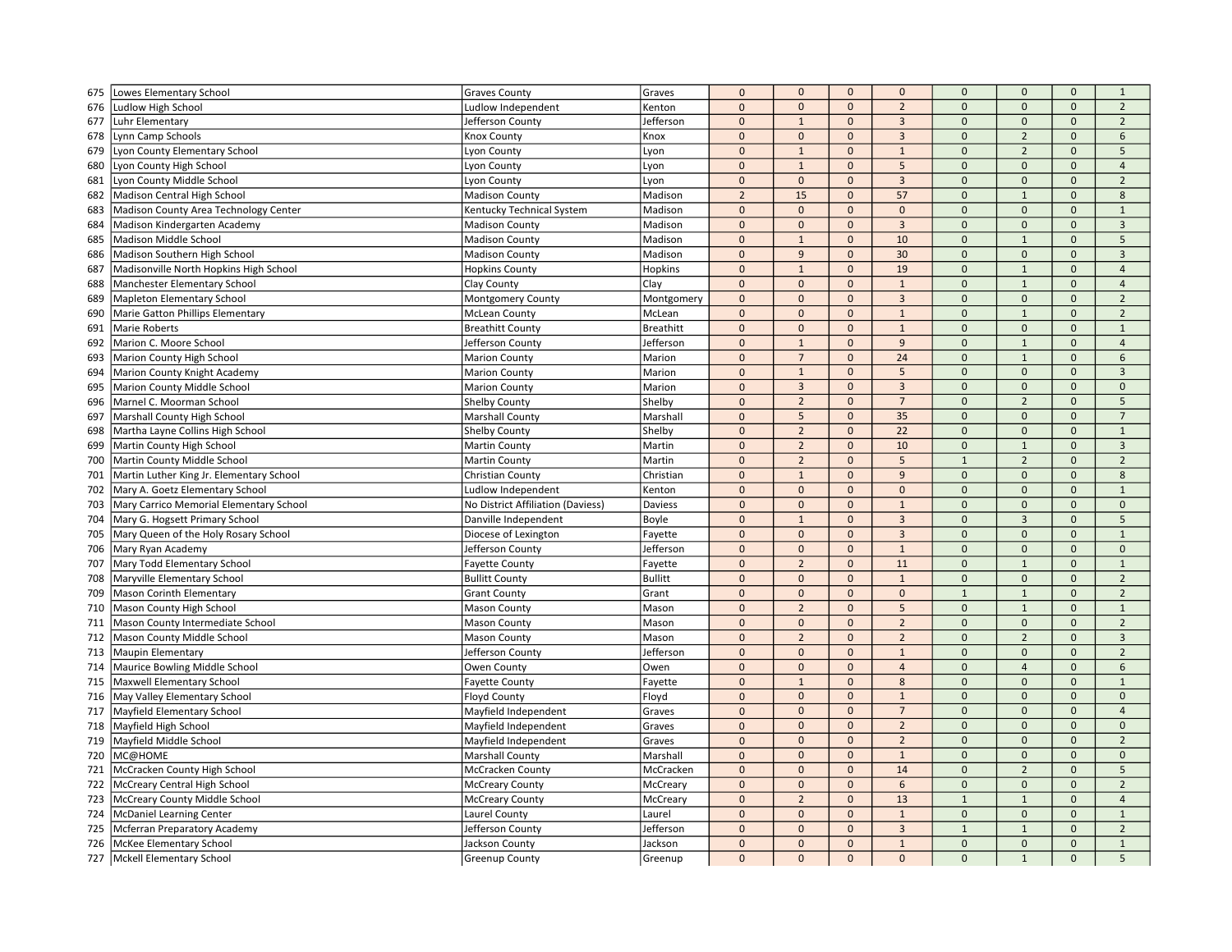| 675 | Lowes Elementary School                  | <b>Graves County</b>              | Graves           | $\mathbf 0$    | $\mathbf{0}$                  | $\mathbf 0$  | $\mathbf{0}$                   | $\mathbf 0$                  | $\mathbf{0}$   | $\mathbf 0$         | $\mathbf{1}$        |
|-----|------------------------------------------|-----------------------------------|------------------|----------------|-------------------------------|--------------|--------------------------------|------------------------------|----------------|---------------------|---------------------|
| 676 | Ludlow High School                       | Ludlow Independent                | Kenton           | $\mathbf 0$    | $\mathbf{0}$                  | $\mathbf 0$  | $\overline{2}$                 | $\mathbf 0$                  | $\mathbf 0$    | $\mathbf{0}$        | $\overline{2}$      |
| 677 | Luhr Elementary                          | Jefferson County                  | Jefferson        | $\mathbf{0}$   | $\mathbf{1}$                  | $\mathbf{0}$ | $\overline{3}$                 | $\mathbf{0}$                 | $\mathbf{0}$   | $\mathbf{0}$        | $\overline{2}$      |
| 678 | Lynn Camp Schools                        | Knox County                       | Knox             | $\mathbf 0$    | $\mathbf{0}$                  | $\mathbf 0$  | $\overline{3}$                 | $\mathbf 0$                  | $\overline{2}$ | $\mathsf{O}\xspace$ | 6                   |
| 679 | Lyon County Elementary School            | Lyon County                       | Lyon             | $\mathbf{0}$   | $\mathbf{1}$                  | $\mathbf{0}$ | $\mathbf 1$                    | $\mathbf{0}$                 | $\overline{2}$ | $\mathsf{O}\xspace$ | 5                   |
| 680 | Lyon County High School                  | Lyon County                       | Lyon             | $\Omega$       | $\mathbf{1}$                  | $\Omega$     | 5                              | $\mathbf{0}$                 | $\Omega$       | $\Omega$            | $\overline{4}$      |
| 681 | Lyon County Middle School                | Lyon County                       | Lyon             | $\mathbf 0$    | $\mathbf 0$                   | $\mathbf{0}$ | $\overline{3}$                 | $\mathbf{0}$                 | $\mathbf{0}$   | $\Omega$            | $\overline{2}$      |
| 682 | Madison Central High School              | <b>Madison County</b>             | Madison          | $\overline{2}$ | 15                            | $\mathbf{0}$ | 57                             | $\mathbf{0}$                 | $\mathbf{1}$   | $\mathbf{0}$        | $8\phantom{1}$      |
| 683 | Madison County Area Technology Center    | Kentucky Technical System         | Madison          | $\mathbf 0$    | $\mathbf{0}$                  | $\mathbf 0$  | $\mathbf 0$                    | $\mathbf 0$                  | $\mathbf 0$    | $\mathbf 0$         | $\mathbf{1}$        |
| 684 | Madison Kindergarten Academy             | <b>Madison County</b>             | Madison          | $\mathbf 0$    | $\mathbf{0}$                  | $\mathbf{0}$ | $\overline{3}$                 | $\mathbf{0}$                 | $\mathbf{0}$   | $\mathbf{0}$        | 3                   |
| 685 | Madison Middle School                    | <b>Madison County</b>             | Madison          | $\mathbf 0$    | $\mathbf{1}$                  | $\Omega$     | 10                             | $\mathbf{0}$                 | $\mathbf{1}$   | $\Omega$            | 5                   |
| 686 | Madison Southern High School             | <b>Madison County</b>             | Madison          | $\mathbf 0$    | 9                             | $\mathbf{0}$ | 30                             | $\mathbf 0$                  | $\mathbf{0}$   | $\mathbf{0}$        | $\overline{3}$      |
| 687 | Madisonville North Hopkins High School   | <b>Hopkins County</b>             | Hopkins          | $\mathbf 0$    | $\mathbf{1}$                  | $\mathbf{0}$ | 19                             | $\mathbf{0}$                 | $\mathbf{1}$   | $\mathbf{0}$        | $\overline{4}$      |
| 688 | Manchester Elementary School             | Clay County                       | Clay             | $\mathbf{0}$   | $\mathbf{0}$                  | $\mathbf{0}$ | $\mathbf{1}$                   | $\mathbf{0}$                 | $\mathbf{1}$   | $\mathbf{0}$        | $\overline{4}$      |
| 689 | <b>Mapleton Elementary School</b>        | Montgomery County                 | Montgomery       | $\pmb{0}$      | $\mathbf{0}$                  | $\mathbf 0$  | $\overline{3}$                 | $\mathbf 0$                  | $\mathbf 0$    | $\mathsf{O}\xspace$ | $\overline{2}$      |
| 690 | Marie Gatton Phillips Elementary         | <b>McLean County</b>              | McLean           | $\pmb{0}$      | $\mathbf{0}$                  | $\mathbf{0}$ | $1\,$                          | $\pmb{0}$                    | $\mathbf{1}$   | $\mathbf{0}$        | $\overline{2}$      |
| 691 | <b>Marie Roberts</b>                     | <b>Breathitt County</b>           | <b>Breathitt</b> | $\mathbf 0$    | $\mathbf 0$                   | $\Omega$     | $\mathbf 1$                    | $\Omega$                     | $\Omega$       | $\Omega$            | $\overline{1}$      |
| 692 | Marion C. Moore School                   | Jefferson County                  | Jefferson        | $\mathbf 0$    | $\mathbf{1}$                  | $\mathbf 0$  | 9                              | $\mathbf 0$                  | $\mathbf{1}$   | $\mathsf{O}\xspace$ | $\overline{4}$      |
| 693 | Marion County High School                | <b>Marion County</b>              | Marion           | $\Omega$       | $\overline{7}$                | $\mathbf 0$  | 24                             | $\mathbf 0$                  | $1\,$          | $\mathbf 0$         | 6                   |
| 694 | Marion County Knight Academy             | <b>Marion County</b>              | Marion           | $\mathbf 0$    | $\mathbf{1}$                  | $\mathbf{0}$ | 5                              | $\mathbf{0}$                 | $\mathbf{0}$   | $\mathbf{0}$        | $\overline{3}$      |
| 695 | Marion County Middle School              | <b>Marion County</b>              | Marion           | $\pmb{0}$      | $\overline{3}$                | $\mathbf 0$  | $\overline{3}$                 | $\mathbf 0$                  | $\mathbf 0$    | $\mathsf{O}\xspace$ | $\mathbf 0$         |
| 696 | Marnel C. Moorman School                 | <b>Shelby County</b>              | Shelby           | $\pmb{0}$      | $\overline{2}$                | $\mathbf{0}$ | $\overline{7}$                 | $\mathbf{0}$                 | $\overline{2}$ | $\mathbf{0}$        | 5                   |
| 697 | Marshall County High School              | Marshall County                   | Marshall         | $\Omega$       | 5                             | $\mathbf{0}$ | 35                             | $\mathbf{0}$                 | $\Omega$       | $\Omega$            | $\overline{7}$      |
| 698 | Martha Layne Collins High School         | <b>Shelby County</b>              | Shelby           | $\mathbf 0$    | $\overline{2}$                | $\mathbf{0}$ | 22                             | $\mathbf{0}$                 | $\mathbf{0}$   | $\mathbf{0}$        | $\mathbf{1}$        |
| 699 | Martin County High School                | Martin County                     | Martin           | $\mathbf 0$    | $\overline{2}$                | $\mathbf 0$  | 10                             | $\mathbf{0}$                 | $\mathbf{1}$   | $\Omega$            | $\overline{3}$      |
| 700 | Martin County Middle School              | Martin County                     | Martin           | $\mathbf{0}$   | $\overline{2}$                | $\mathbf{0}$ | 5                              | $\mathbf{1}$                 | $\overline{2}$ | $\mathbf{0}$        | $\overline{2}$      |
| 701 | Martin Luther King Jr. Elementary School | Christian County                  | Christian        | $\mathbf 0$    | $\mathbf{1}$                  | $\mathbf 0$  | 9                              | $\mathbf{0}$                 | $\mathbf 0$    | $\mathsf{O}\xspace$ | 8                   |
| 702 | Mary A. Goetz Elementary School          | Ludlow Independent                | Kenton           | $\mathbf 0$    | $\mathbf{0}$                  | $\Omega$     | $\Omega$                       | $\mathbf 0$                  | $\Omega$       | $\Omega$            | $\mathbf{1}$        |
| 703 | Mary Carrico Memorial Elementary School  | No District Affiliation (Daviess) | Daviess          | $\Omega$       | $\mathbf{0}$                  | $\mathbf{0}$ | $\overline{1}$                 | $\mathbf{0}$                 | $\mathbf{0}$   | $\mathbf{0}$        | $\mathbf{0}$        |
| 704 | Mary G. Hogsett Primary School           | Danville Independent              | Boyle            | $\pmb{0}$      | $\mathbf{1}$                  | $\mathbf{0}$ | $\overline{3}$                 | $\mathbf{0}$                 | $\overline{3}$ | $\mathbf{0}$        | 5                   |
| 705 | Mary Queen of the Holy Rosary School     | Diocese of Lexington              | Fayette          | $\pmb{0}$      | $\mathbf 0$                   | $\mathbf 0$  | $\overline{3}$                 | $\mathbf{0}$                 | $\mathbf 0$    | $\mathbf{0}$        | $\mathbf{1}$        |
| 706 | Mary Ryan Academy                        | Jefferson County                  | Jefferson        | $\pmb{0}$      | $\mathbf{0}$                  | $\mathbf{0}$ | $\mathbf{1}$                   | $\mathbf{0}$                 | $\mathbf{0}$   | $\mathbf{0}$        | $\mathbf{0}$        |
| 707 | Mary Todd Elementary School              | <b>Fayette County</b>             | Fayette          | $\pmb{0}$      | $\overline{2}$                | $\mathbf{0}$ | 11                             | $\mathbf 0$                  | $\mathbf{1}$   | $\mathbf{0}$        | $\mathbf{1}$        |
| 708 | Maryville Elementary School              | <b>Bullitt County</b>             | <b>Bullitt</b>   | $\mathbf 0$    | $\mathbf{0}$                  | $\Omega$     | $\mathbf{1}$                   | $\mathbf{0}$                 | $\Omega$       | $\Omega$            | $\overline{2}$      |
| 709 | Mason Corinth Elementary                 | <b>Grant County</b>               | Grant            | $\mathbf 0$    | $\mathbf{0}$                  | $\mathbf 0$  | $\mathbf 0$                    | $\mathbf{1}$                 | $\mathbf{1}$   | $\mathsf{O}\xspace$ | $\overline{2}$      |
| 710 | Mason County High School                 | <b>Mason County</b>               | Mason            | $\Omega$       | $\overline{2}$                | $\mathbf{0}$ | 5                              | $\mathbf{0}$                 | $\mathbf{1}$   | $\Omega$            | $\mathbf{1}$        |
| 711 |                                          |                                   |                  | $\mathbf 0$    |                               | $\mathbf{0}$ | $\overline{2}$                 | $\mathbf 0$                  | $\mathbf{0}$   | $\mathbf{0}$        | $\overline{2}$      |
|     | Mason County Intermediate School         | <b>Mason County</b>               | Mason            | $\mathbf 0$    | $\mathbf 0$<br>$\overline{2}$ | $\mathbf 0$  | $\overline{2}$                 | $\mathbf 0$                  | $\overline{2}$ | $\mathsf{O}\xspace$ | $\overline{3}$      |
| 712 | Mason County Middle School               | <b>Mason County</b>               | Mason            | $\mathbf 0$    |                               | $\mathbf{0}$ |                                | $\mathbf{0}$                 | $\mathbf{0}$   | $\mathbf{0}$        |                     |
| 713 | Maupin Elementary                        | Jefferson County                  | Jefferson        | $\mathbf 0$    | $\mathbf{0}$<br>$\mathbf{0}$  | $\mathbf{0}$ | $\mathbf{1}$<br>$\overline{4}$ | $\mathbf 0$                  | $\overline{4}$ | $\Omega$            | $\overline{2}$<br>6 |
| 714 | Maurice Bowling Middle School            | Owen County                       | Owen             | $\mathbf 0$    |                               |              |                                |                              |                |                     |                     |
| 715 | Maxwell Elementary School                | <b>Fayette County</b>             | Fayette          |                | $\mathbf{1}$                  | $\mathbf 0$  | 8                              | $\mathbf{0}$<br>$\mathbf{0}$ | $\mathbf{0}$   | $\mathbf{0}$        | $\mathbf 1$         |
| 716 | May Valley Elementary School             | <b>Floyd County</b>               | Floyd            | $\mathbf 0$    | $\mathbf{0}$                  | $\mathbf{0}$ | $\mathbf{1}$                   |                              | $\mathbf{0}$   | $\mathbf{0}$        | $\mathbf{0}$        |
| 717 | Mayfield Elementary School               | Mayfield Independent              | Graves           | $\mathbf{0}$   | $\mathbf{0}$                  | $\mathbf 0$  | $\overline{7}$                 | $\mathbf 0$                  | $\mathbf{0}$   | $\mathbf{0}$        | $\overline{4}$      |
| 718 | Mayfield High School                     | Mayfield Independent              | Graves           | $\mathbf 0$    | $\mathbf{0}$                  | $\mathbf 0$  | $\overline{2}$                 | $\mathbf 0$                  | $\mathbf 0$    | $\mathsf{O}\xspace$ | $\mathsf{O}\xspace$ |
| 719 | Mayfield Middle School                   | Mayfield Independent              | Graves           | $\Omega$       | $\mathbf{0}$                  | $\Omega$     | $\overline{2}$                 | $\mathbf{0}$                 | $\Omega$       | $\Omega$            | $\overline{2}$      |
| 720 | MC@HOME                                  | <b>Marshall County</b>            | Marshall         | $\mathbf 0$    | $\mathbf{0}$                  | $\mathbf{0}$ | $\mathbf 1$                    | $\mathbf{0}$                 | $\mathbf{0}$   | $\mathbf{0}$        | $\mathbf{0}$        |
| 721 | McCracken County High School             | McCracken County                  | McCracken        | $\mathbf 0$    | $\mathbf{0}$                  | $\mathbf{0}$ | 14                             | $\mathbf{0}$                 | $\overline{2}$ | $\mathbf{0}$        | 5                   |
| 722 | McCreary Central High School             | <b>McCreary County</b>            | McCreary         | $\mathbf 0$    | $\mathbf 0$                   | $\mathbf 0$  | 6                              | $\mathbf{0}$                 | $\mathbf 0$    | $\Omega$            | $\overline{2}$      |
| 723 | McCreary County Middle School            | <b>McCreary County</b>            | McCreary         | $\mathbf 0$    | $\overline{2}$                | $\mathbf{0}$ | 13                             | $\overline{1}$               | $\mathbf{1}$   | $\mathbf{0}$        | $\overline{4}$      |
| 724 | <b>McDaniel Learning Center</b>          | Laurel County                     | Laurel           | $\mathbf 0$    | $\mathbf{0}$                  | $\mathbf{0}$ | $\mathbf{1}$                   | $\mathbf 0$                  | $\mathbf 0$    | $\Omega$            | $\mathbf{1}$        |
| 725 | Mcferran Preparatory Academy             | Jefferson County                  | Jefferson        | $\mathbf{0}$   | $\mathbf{0}$                  | $\Omega$     | $\overline{3}$                 | $\overline{1}$               | $1\,$          | $\Omega$            | $\overline{2}$      |
| 726 | McKee Elementary School                  | Jackson County                    | Jackson          | $\mathbf{0}$   | $\mathbf{0}$                  | $\mathbf{0}$ | $\mathbf{1}$                   | $\mathbf{0}$                 | $\mathbf{0}$   | $\mathbf{0}$        | $\mathbf{1}$        |
| 727 | Mckell Elementary School                 | <b>Greenup County</b>             | Greenup          | $\Omega$       | $\mathbf{0}$                  | $\mathbf{0}$ | $\Omega$                       | $\Omega$                     | $\mathbf{1}$   | $\Omega$            | 5                   |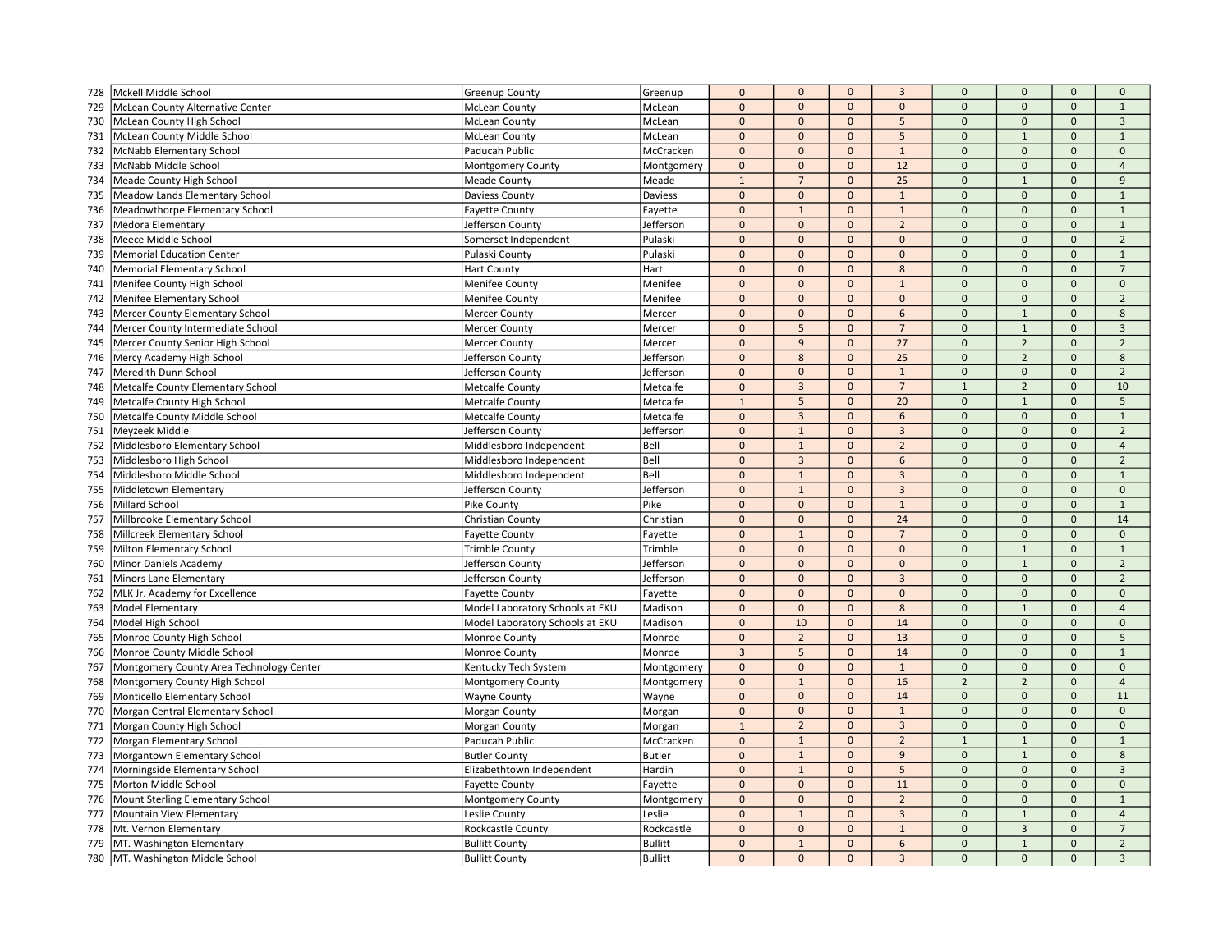| 728 | Mckell Middle School                     | Greenup County                  | Greenup        | $\mathbf 0$    | $\mathbf 0$    | $\mathbf{0}$ | $\overline{3}$ | $\mathbf{0}$   | $\mathbf{0}$   | $\mathbf{0}$        | $\mathbf 0$             |
|-----|------------------------------------------|---------------------------------|----------------|----------------|----------------|--------------|----------------|----------------|----------------|---------------------|-------------------------|
| 729 | McLean County Alternative Center         | <b>McLean County</b>            | McLean         | $\mathbf 0$    | $\mathbf 0$    | $\mathbf{0}$ | $\mathbf 0$    | $\overline{0}$ | $\Omega$       | $\mathbf{0}$        | $\mathbf{1}$            |
| 730 | McLean County High School                | <b>McLean County</b>            | McLean         | $\pmb{0}$      | $\mathbf{0}$   | $\mathbf 0$  | 5              | $\mathbf{0}$   | $\Omega$       | $\Omega$            | $\overline{3}$          |
| 731 | McLean County Middle School              | <b>McLean County</b>            | McLean         | $\mathbf{0}$   | $\mathbf{0}$   | $\mathbf 0$  | 5              | $\mathbf{0}$   | $\mathbf{1}$   | $\mathbf{0}$        | $\mathbf{1}$            |
| 732 | McNabb Elementary School                 | Paducah Public                  | McCracken      | $\pmb{0}$      | $\mathbf 0$    | $\mathbf 0$  | $\mathbf{1}$   | $\mathbf{0}$   | $\mathbf{0}$   | $\mathbf 0$         | $\mathbf 0$             |
| 733 | McNabb Middle School                     | Montgomery County               | Montgomery     | $\mathbf 0$    | $\mathbf 0$    | $\mathbf{0}$ | 12             | $\mathbf 0$    | $\mathbf{0}$   | $\Omega$            | $\overline{4}$          |
| 734 | Meade County High School                 | <b>Meade County</b>             | Meade          | $\mathbf{1}$   | $\overline{7}$ | $\mathbf{0}$ | 25             | $\Omega$       | $\overline{1}$ | $\mathbf{0}$        | 9                       |
|     |                                          |                                 | Daviess        | $\mathbf 0$    | $\mathbf 0$    | $\mathbf{0}$ | $\mathbf{1}$   | $\mathbf{0}$   | $\mathbf{0}$   | $\mathbf{0}$        | $\mathbf{1}$            |
| 735 | Meadow Lands Elementary School           | Daviess County                  |                | $\pmb{0}$      | $\mathbf{1}$   | $\mathbf{0}$ | $\mathbf{1}$   | $\mathbf{0}$   | $\mathbf{0}$   | $\mathbf{0}$        | $\mathbf{1}$            |
| 736 | Meadowthorpe Elementary School           | <b>Fayette County</b>           | Fayette        |                |                |              |                |                |                |                     |                         |
| 737 | Medora Elementary                        | Jefferson County                | Jefferson      | $\mathbf 0$    | $\mathbf{0}$   | $\mathbf 0$  | $\overline{2}$ | $\mathbf{0}$   | $\pmb{0}$      | $\mathbf 0$         | $\mathbf{1}$            |
| 738 | Meece Middle School                      | Somerset Independent            | Pulaski        | $\Omega$       | $\mathbf{0}$   | $\mathbf{0}$ | $\Omega$       | $\mathbf 0$    | $\mathbf{0}$   | $\Omega$            | $\overline{2}$          |
| 739 | <b>Memorial Education Center</b>         | Pulaski County                  | Pulaski        | $\mathbf 0$    | $\mathbf 0$    | $\Omega$     | $\Omega$       | $\Omega$       | $\Omega$       | $\mathbf{0}$        | $\mathbf 1$             |
| 740 | Memorial Elementary School               | <b>Hart County</b>              | Hart           | $\mathbf 0$    | $\mathbf{0}$   | $\mathbf{0}$ | 8              | $\mathbf 0$    | $\mathbf{0}$   | $\mathbf{0}$        | $\overline{7}$          |
| 741 | Menifee County High School               | Menifee County                  | Menifee        | $\mathbf{0}$   | $\mathbf{0}$   | $\mathbf{0}$ | $\mathbf{1}$   | $\Omega$       | $\mathbf{0}$   | $\Omega$            | $\mathbf{0}$            |
| 742 | Menifee Elementary School                | Menifee County                  | Menifee        | $\mathbf 0$    | $\mathbf{0}$   | $\mathbf 0$  | $\mathbf{0}$   | $\mathbf{0}$   | $\mathbf{0}$   | $\mathbf 0$         | $\overline{2}$          |
| 743 | Mercer County Elementary School          | <b>Mercer County</b>            | Mercer         | $\pmb{0}$      | $\mathbf{0}$   | $\mathbf{0}$ | 6              | $\mathbf{0}$   | $\mathbf{1}$   | $\mathbf 0$         | 8                       |
| 744 | Mercer County Intermediate School        | Mercer County                   | Mercer         | $\Omega$       | 5              | $\mathbf{0}$ | $\overline{7}$ | $\Omega$       | $\mathbf{1}$   | $\Omega$            | $\overline{\mathbf{3}}$ |
| 745 | Mercer County Senior High School         | <b>Mercer County</b>            | Mercer         | $\Omega$       | $\overline{9}$ | $\mathbf{0}$ | 27             | $\Omega$       | $\overline{2}$ | $\mathbf{0}$        | $\overline{2}$          |
| 746 | Mercy Academy High School                | Jefferson County                | Jefferson      | $\mathbf{0}$   | 8              | $\mathbf{0}$ | 25             | $\Omega$       | $\overline{2}$ | $\mathbf{0}$        | 8                       |
| 747 | Meredith Dunn School                     | Jefferson County                | Jefferson      | $\mathbf 0$    | $\mathbf{0}$   | $\mathbf 0$  | $\mathbf{1}$   | $\mathbf 0$    | $\mathbf{0}$   | $\mathbf{0}$        | $\overline{2}$          |
| 748 | Metcalfe County Elementary School        | <b>Metcalfe County</b>          | Metcalfe       | $\mathbf 0$    | $\overline{3}$ | $\mathbf 0$  | $\overline{7}$ | $\overline{1}$ | $\overline{2}$ | $\mathbf{0}$        | 10                      |
| 749 | Metcalfe County High School              | <b>Metcalfe County</b>          | Metcalfe       | $\overline{1}$ | 5              | $\mathbf{0}$ | 20             | $\mathbf 0$    | $\mathbf{1}$   | $\mathbf{0}$        | 5                       |
| 750 | Metcalfe County Middle School            | <b>Metcalfe County</b>          | Metcalfe       | $\mathbf{0}$   | $\overline{3}$ | $\mathbf{0}$ | 6              | $\mathbf 0$    | $\Omega$       | $\Omega$            | $\mathbf{1}$            |
| 751 | Meyzeek Middle                           | Jefferson County                | Jefferson      | $\mathbf{0}$   | $\mathbf{1}$   | $\mathbf{0}$ | $\mathbf{3}$   | $\Omega$       | $\Omega$       | $\mathbf{0}$        | $\overline{2}$          |
| 752 | Middlesboro Elementary School            | Middlesboro Independent         | Bell           | $\mathbf{0}$   | $\mathbf{1}$   | $\mathbf{0}$ | $\overline{2}$ | $\mathbf 0$    | $\mathbf{0}$   | $\mathbf{0}$        | $\overline{4}$          |
| 753 | Middlesboro High School                  | Middlesboro Independent         | Bell           | $\mathbf{0}$   | $\overline{3}$ | $\mathbf{0}$ | 6              | $\mathbf{0}$   | $\mathbf{0}$   | $\mathbf{0}$        | $\overline{2}$          |
| 754 | Middlesboro Middle School                | Middlesboro Independent         | Bell           | $\mathbf 0$    | $\mathbf{1}$   | $\mathbf 0$  | $\mathbf{3}$   | $\mathbf{0}$   | $\pmb{0}$      | $\mathbf 0$         | $\mathbf{1}$            |
| 755 | Middletown Elementary                    | Jefferson County                | Jefferson      | $\Omega$       | $\mathbf{1}$   | $\mathbf{0}$ | $\overline{3}$ | $\Omega$       | $\mathbf{0}$   | $\Omega$            | $\mathbf{0}$            |
| 756 | Millard School                           | Pike County                     | Pike           | $\Omega$       | $\mathbf 0$    | $\mathbf 0$  | $\mathbf{1}$   | $\Omega$       | $\Omega$       | $\mathbf{0}$        | $\mathbf{1}$            |
| 757 | Millbrooke Elementary School             | Christian County                | Christian      | $\mathbf 0$    | $\mathbf{0}$   | $\mathbf{0}$ | 24             | $\mathbf 0$    | $\mathbf{0}$   | $\mathsf{O}\xspace$ | 14                      |
| 758 | Millcreek Elementary School              | <b>Fayette County</b>           | Fayette        | $\mathbf{0}$   | $\mathbf{1}$   | $\mathbf{0}$ | $\overline{7}$ | $\Omega$       | $\mathbf{0}$   | $\mathbf{0}$        | $\mathbf{0}$            |
| 759 | Milton Elementary School                 | <b>Trimble County</b>           | Trimble        | $\pmb{0}$      | $\mathbf{0}$   | $\mathbf 0$  | $\mathbf{0}$   | $\mathbf 0$    | $\mathbf{1}$   | $\mathbf{0}$        | $\mathbf{1}$            |
| 760 | Minor Daniels Academy                    | Jefferson County                | Jefferson      | $\mathbf 0$    | $\mathbf 0$    | $\mathbf 0$  | $\mathbf 0$    | $\mathbf 0$    | $\mathbf{1}$   | $\mathbf{0}$        | $\overline{2}$          |
| 761 | Minors Lane Elementary                   | Jefferson County                | Jefferson      | $\Omega$       | $\mathbf 0$    | $\mathbf 0$  | $\overline{3}$ | $\Omega$       | $\Omega$       | $\Omega$            | $\mathbf 2$             |
| 762 | MLK Jr. Academy for Excellence           | <b>Fayette County</b>           | Fayette        | $\mathbf 0$    | $\mathbf 0$    | $\mathbf{0}$ | $\mathbf{0}$   | $\Omega$       | $\mathbf{0}$   | $\mathbf{0}$        | $\mathbf{0}$            |
| 763 | Model Elementary                         | Model Laboratory Schools at EKU | Madison        | $\mathbf{0}$   | $\mathbf{0}$   | $\mathbf{0}$ | 8              | $\overline{0}$ | $\mathbf{1}$   | $\mathbf{0}$        | $\overline{4}$          |
| 764 | Model High School                        | Model Laboratory Schools at EKU | Madison        | $\mathbf 0$    | 10             | $\mathbf 0$  | 14             | $\mathbf{0}$   | $\mathbf{0}$   | $\mathbf{0}$        | $\mathbf 0$             |
| 765 | Monroe County High School                | Monroe County                   | Monroe         | $\mathbf{0}$   | $\overline{2}$ | $\mathbf 0$  | 13             | $\mathbf{0}$   | $\mathbf{0}$   | $\mathbf{0}$        | 5                       |
| 766 | Monroe County Middle School              | Monroe County                   | Monroe         | $\overline{3}$ | $\overline{5}$ | $\mathbf{0}$ | 14             | $\mathbf 0$    | $\mathbf{0}$   | $\Omega$            | $\mathbf{1}$            |
|     |                                          |                                 |                |                | $\mathbf 0$    | $\mathbf{0}$ | $\mathbf{1}$   | $\mathbf 0$    | $\mathbf{0}$   | $\mathbf{0}$        | $\mathbf 0$             |
| 767 | Montgomery County Area Technology Center | Kentucky Tech System            | Montgomery     | $\pmb{0}$      |                |              |                | $\overline{2}$ | $\overline{2}$ |                     |                         |
| 768 | Montgomery County High School            | <b>Montgomery County</b>        | Montgomery     | $\mathbf 0$    | $\mathbf{1}$   | $\mathbf{0}$ | 16             |                |                | $\mathsf{O}\xspace$ | $\overline{4}$          |
| 769 | Monticello Elementary School             | <b>Wayne County</b>             | Wayne          | $\mathbf 0$    | $\mathbf{0}$   | $\mathbf 0$  | 14             | $\mathbf 0$    | $\mathbf{0}$   | $\mathbf{0}$        | 11                      |
| 770 | Morgan Central Elementary School         | Morgan County                   | Morgan         | $\mathbf 0$    | $\mathbf 0$    | $\mathbf{0}$ | $\mathbf{1}$   | $\mathbf{0}$   | $\mathbf{0}$   | $\mathbf{0}$        | $\mathbf 0$             |
| 771 | Morgan County High School                | Morgan County                   | Morgan         | $1\,$          | $\overline{2}$ | $\mathbf 0$  | $\overline{3}$ | $\mathbf{0}$   | $\pmb{0}$      | $\mathbf 0$         | $\mathbf 0$             |
| 772 | Morgan Elementary School                 | Paducah Public                  | McCracken      | $\Omega$       | $\overline{1}$ | $\mathbf{0}$ | $\overline{2}$ | $\overline{1}$ | $\mathbf{1}$   | $\Omega$            | $\mathbf{1}$            |
| 773 | Morgantown Elementary School             | <b>Butler County</b>            | <b>Butler</b>  | $\mathbf 0$    | $\mathbf{1}$   | $\mathbf{0}$ | $\overline{9}$ | $\Omega$       | $\overline{1}$ | $\mathbf{0}$        | 8                       |
| 774 | Morningside Elementary School            | Elizabethtown Independent       | Hardin         | $\pmb{0}$      | $\mathbf{1}$   | $\mathbf{0}$ | 5              | $\overline{0}$ | $\mathbf{0}$   | $\mathbf{0}$        | $\overline{3}$          |
| 775 | Morton Middle School                     | <b>Fayette County</b>           | Fayette        | $\mathbf{0}$   | $\mathbf{0}$   | $\mathbf{0}$ | 11             | $\Omega$       | $\mathbf{0}$   | $\Omega$            | $\mathbf{0}$            |
| 776 | Mount Sterling Elementary School         | <b>Montgomery County</b>        | Montgomery     | $\mathbf 0$    | $\mathbf 0$    | $\mathbf 0$  | $\overline{2}$ | $\mathbf 0$    | $\mathbf{0}$   | $\mathbf{0}$        | $\mathbf{1}$            |
| 777 | Mountain View Elementary                 | Leslie County                   | Leslie         | $\mathbf 0$    | $\mathbf{1}$   | $\mathbf{0}$ | $\overline{3}$ | $\mathbf{0}$   | $\mathbf{1}$   | $\mathbf{0}$        | $\overline{4}$          |
| 778 | Mt. Vernon Elementary                    | Rockcastle County               | Rockcastle     | $\Omega$       | $\mathbf 0$    | $\mathbf{0}$ | $\mathbf{1}$   | $\Omega$       | $\overline{3}$ | $\mathsf{O}\xspace$ | $\overline{7}$          |
| 779 | MT. Washington Elementary                | <b>Bullitt County</b>           | <b>Bullitt</b> | $\Omega$       | $\mathbf{1}$   | $\mathbf{0}$ | 6              | $\mathbf{0}$   | $\mathbf{1}$   | $\mathbf{0}$        | $\overline{2}$          |
| 780 | MT. Washington Middle School             | <b>Bullitt County</b>           | <b>Bullitt</b> | $\Omega$       | $\mathbf{0}$   | $\mathbf{0}$ | $\overline{3}$ | $\Omega$       | $\Omega$       | $\Omega$            | $\overline{3}$          |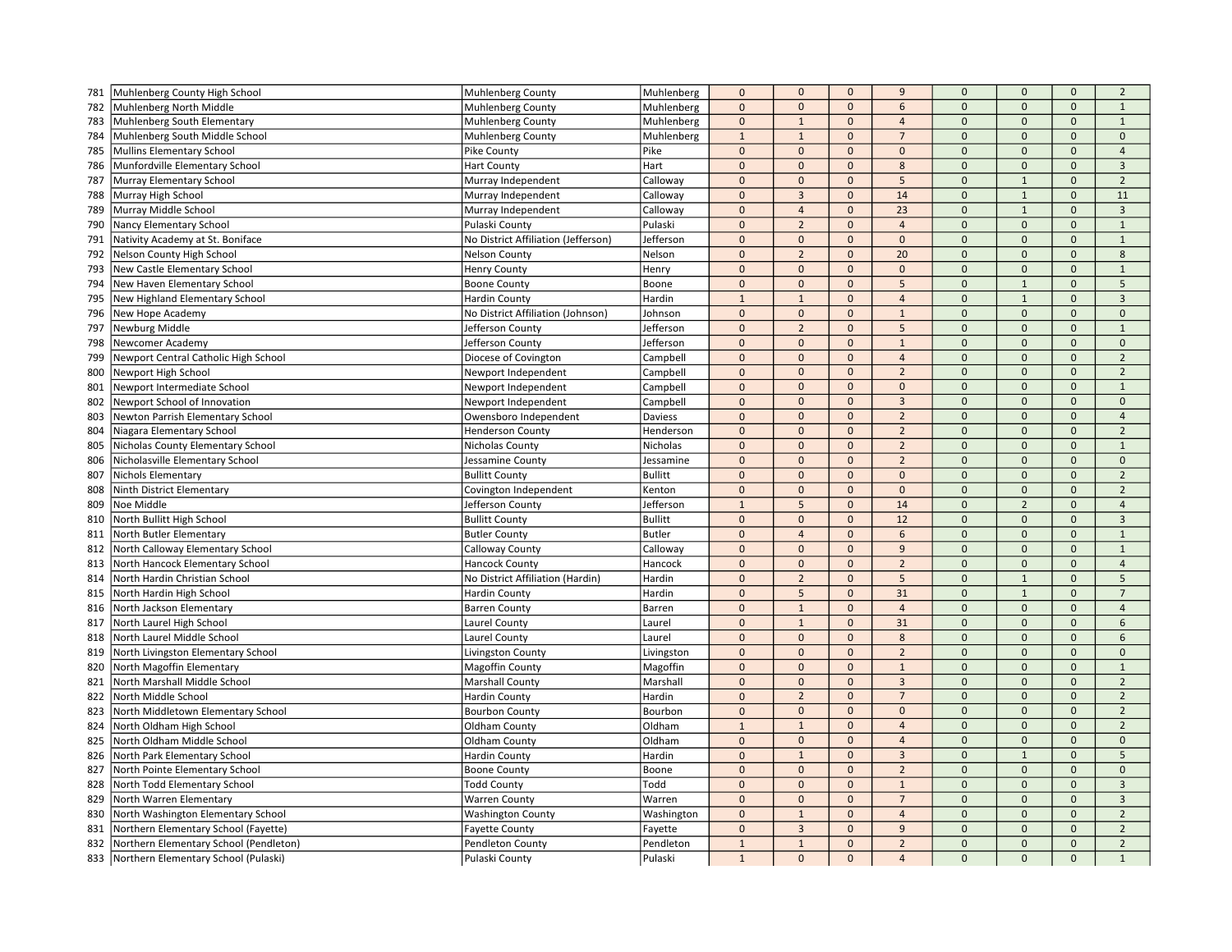| 781 | Muhlenberg County High School          | Muhlenberg County                   | Muhlenberg     | $\mathbf 0$    | $\mathbf{0}$    | $\mathbf 0$             | 9              | $\mathbf 0$  | $\mathbf{0}$   | $\mathbf 0$         | $\overline{2}$ |
|-----|----------------------------------------|-------------------------------------|----------------|----------------|-----------------|-------------------------|----------------|--------------|----------------|---------------------|----------------|
| 782 | Muhlenberg North Middle                | Muhlenberg County                   | Muhlenberg     | $\pmb{0}$      | $\mathbf{0}$    | $\mathbf 0$             | 6              | $\mathbf 0$  | $\mathbf{0}$   | $\mathbf{0}$        | $\mathbf{1}$   |
| 783 | Muhlenberg South Elementary            | Muhlenberg County                   | Muhlenberg     | $\mathbf 0$    | $\mathbf{1}$    | $\mathbf{0}$            | $\overline{4}$ | $\mathbf{0}$ | $\mathbf{0}$   | $\mathbf{0}$        | $\mathbf{1}$   |
| 784 | Muhlenberg South Middle School         | <b>Muhlenberg County</b>            | Muhlenberg     | $\mathbf{1}$   | $\mathbf{1}$    | $\mathbf 0$             | $\overline{7}$ | $\mathbf 0$  | $\mathbf{0}$   | $\mathsf{O}\xspace$ | $\mathbf 0$    |
| 785 | Mullins Elementary School              | Pike County                         | Pike           | $\mathbf 0$    | $\mathbf 0$     | $\mathbf{0}$            | $\mathbf{0}$   | $\mathbf{0}$ | $\mathbf{0}$   | $\mathsf{O}\xspace$ | $\overline{4}$ |
| 786 | Munfordville Elementary School         | <b>Hart County</b>                  | Hart           | $\Omega$       | $\mathbf{0}$    | $\Omega$                | 8              | $\mathbf{0}$ | $\Omega$       | $\Omega$            | $\overline{3}$ |
| 787 | Murray Elementary School               | Murray Independent                  | Calloway       | $\Omega$       | $\mathbf 0$     | $\mathbf{0}$            | 5              | $\mathbf{0}$ | $\mathbf{1}$   | $\Omega$            | $\overline{2}$ |
| 788 | Murray High School                     | Murray Independent                  | Calloway       | $\pmb{0}$      | $\overline{3}$  | $\mathbf{0}$            | 14             | $\mathbf{0}$ | $\mathbf{1}$   | $\mathbf{0}$        | 11             |
| 789 | Murray Middle School                   | Murray Independent                  | Calloway       | $\pmb{0}$      | $\overline{4}$  | $\mathbf 0$             | 23             | $\mathbf 0$  | $\mathbf{1}$   | $\mathbf 0$         | $\overline{3}$ |
| 790 | Nancy Elementary School                | Pulaski County                      | Pulaski        | $\mathbf 0$    | $\overline{2}$  | $\mathbf{0}$            | $\overline{4}$ | $\mathbf{0}$ | $\mathbf{0}$   | $\mathbf{0}$        | $\mathbf{1}$   |
| 791 | Nativity Academy at St. Boniface       | No District Affiliation (Jefferson) | Jefferson      | $\pmb{0}$      | $\mathbf{0}$    | $\Omega$                | $\Omega$       | $\mathbf{0}$ | $\Omega$       | $\Omega$            | $\mathbf 1$    |
| 792 | Nelson County High School              | Nelson County                       | Nelson         | $\mathbf 0$    | $\overline{2}$  | $\mathbf{0}$            | 20             | $\mathbf 0$  | $\mathbf{0}$   | $\mathbf{0}$        | 8              |
| 793 | New Castle Elementary School           | <b>Henry County</b>                 | Henry          | $\mathbf 0$    | $\mathbf 0$     | $\mathbf{0}$            | $\mathbf{0}$   | $\mathbf{0}$ | $\mathbf{0}$   | $\mathbf{0}$        | $\mathbf{1}$   |
| 794 | New Haven Elementary School            | <b>Boone County</b>                 | Boone          | $\pmb{0}$      | $\mathbf{0}$    | $\mathbf{0}$            | 5              | $\mathbf{0}$ | $\mathbf{1}$   | $\mathbf{0}$        | 5              |
| 795 | New Highland Elementary School         | <b>Hardin County</b>                | Hardin         | $\mathbf{1}$   | $\mathbf{1}$    | $\mathbf{0}$            | $\overline{4}$ | $\mathbf 0$  | $\mathbf{1}$   | $\mathsf{O}\xspace$ | $\overline{3}$ |
| 796 | New Hope Academy                       | No District Affiliation (Johnson)   | Johnson        | $\pmb{0}$      | $\mathbf{0}$    | $\mathbf{0}$            | $\mathbf{1}$   | $\mathbf{0}$ | $\mathbf{0}$   | $\mathbf{0}$        | $\mathbf{0}$   |
| 797 | Newburg Middle                         | Jefferson County                    | Jefferson      | $\mathbf 0$    | $\overline{2}$  | $\Omega$                | 5              | $\Omega$     | $\Omega$       | $\Omega$            | $\overline{1}$ |
| 798 | Newcomer Academy                       | Jefferson County                    | Jefferson      | $\mathbf 0$    | $\mathbf 0$     | $\mathbf 0$             | $\mathbf 1$    | $\mathbf 0$  | $\mathbf{0}$   | $\mathsf{O}\xspace$ | $\mathbf 0$    |
| 799 | Newport Central Catholic High School   | Diocese of Covington                | Campbell       | $\pmb{0}$      | $\mathbf 0$     | $\mathbf 0$             | $\overline{4}$ | $\mathbf 0$  | $\mathbf 0$    | $\mathbf 0$         | $\overline{2}$ |
| 800 | Newport High School                    | Newport Independent                 | Campbell       | $\mathbf 0$    | $\mathbf{0}$    | $\mathbf{0}$            | $\overline{2}$ | $\mathbf{0}$ | $\mathbf{0}$   | $\mathbf{0}$        | $\overline{2}$ |
| 801 | Newport Intermediate School            | Newport Independent                 | Campbell       | $\pmb{0}$      | $\mathbf{0}$    | $\mathbf 0$             | $\mathbf 0$    | $\mathbf 0$  | $\mathbf 0$    | $\mathsf{O}\xspace$ | $\mathbf{1}$   |
|     | Newport School of Innovation           |                                     |                | $\pmb{0}$      | $\mathbf{0}$    | $\Omega$                | $\overline{3}$ | $\mathbf{0}$ | $\mathbf{0}$   | $\mathbf{0}$        | $\Omega$       |
| 802 |                                        | Newport Independent                 | Campbell       | $\Omega$       | $\mathbf{0}$    | $\mathbf{0}$            | $\overline{2}$ | $\mathbf{0}$ | $\Omega$       | $\Omega$            | $\overline{4}$ |
| 803 | Newton Parrish Elementary School       | Owensboro Independent               | Daviess        | $\pmb{0}$      |                 |                         |                | $\mathbf{0}$ | $\mathbf{0}$   | $\Omega$            | $\overline{2}$ |
| 804 | Niagara Elementary School              | <b>Henderson County</b>             | Henderson      |                | $\mathbf{0}$    | $\mathbf 0$<br>$\Omega$ | $\overline{2}$ |              | $\Omega$       | $\Omega$            | $\mathbf{1}$   |
| 805 | Nicholas County Elementary School      | Nicholas County                     | Nicholas       | $\pmb{0}$      | $\mathbf{0}$    |                         | $\overline{2}$ | $\mathbf{0}$ |                |                     |                |
| 806 | Nicholasville Elementary School        | Jessamine County                    | Jessamine      | $\mathbf 0$    | $\mathbf{0}$    | $\mathbf{0}$            | $\overline{2}$ | $\mathbf 0$  | $\mathbf{0}$   | $\mathbf{0}$        | $\mathbf 0$    |
| 807 | <b>Nichols Elementary</b>              | <b>Bullitt County</b>               | <b>Bullitt</b> | $\mathbf 0$    | $\mathbf{0}$    | $\mathbf{0}$            | $\mathbf{0}$   | $\mathbf{0}$ | $\mathbf{0}$   | $\mathsf{O}\xspace$ | $\overline{2}$ |
| 808 | Ninth District Elementary              | Covington Independent               | Kenton         | $\mathbf 0$    | $\mathbf{0}$    | $\Omega$                | $\Omega$       | $\mathbf 0$  | $\mathbf{0}$   | $\Omega$            | $\overline{2}$ |
| 809 | Noe Middle                             | Jefferson County                    | Jefferson      | $\overline{1}$ | 5               | $\mathbf{0}$            | 14             | $\mathbf{0}$ | $\overline{2}$ | $\mathbf{0}$        | $\overline{4}$ |
| 810 | North Bullitt High School              | <b>Bullitt County</b>               | <b>Bullitt</b> | $\mathbf 0$    | $\mathbf 0$     | $\mathbf{0}$            | 12             | $\mathbf{0}$ | $\mathbf{0}$   | $\mathbf{0}$        | $\overline{3}$ |
| 811 | North Butler Elementary                | <b>Butler County</b>                | <b>Butler</b>  | $\mathbf 0$    | $\overline{4}$  | $\mathbf 0$             | 6              | $\mathbf 0$  | $\mathbf 0$    | $\mathbf{0}$        | $\mathbf{1}$   |
| 812 | North Calloway Elementary School       | Calloway County                     | Calloway       | $\pmb{0}$      | $\mathbf{0}$    | $\mathbf{0}$            | 9              | $\mathbf{0}$ | $\mathbf{0}$   | $\mathbf{0}$        | $\mathbf{1}$   |
| 813 | North Hancock Elementary School        | Hancock County                      | Hancock        | $\mathbf 0$    | $\mathbf{0}$    | $\mathbf{0}$            | $\overline{2}$ | $\mathbf 0$  | $\mathbf{0}$   | $\mathbf{0}$        | $\overline{4}$ |
| 814 | North Hardin Christian School          | No District Affiliation (Hardin)    | Hardin         | $\mathbf{0}$   | $\overline{2}$  | $\Omega$                | 5              | $\mathbf{0}$ | $\overline{1}$ | $\Omega$            | 5              |
| 815 | North Hardin High School               | Hardin County                       | Hardin         | $\mathbf 0$    | $5\phantom{.0}$ | $\mathbf 0$             | 31             | $\mathbf 0$  | $1\,$          | $\mathsf{O}\xspace$ | $\overline{7}$ |
| 816 | North Jackson Elementary               | <b>Barren County</b>                | Barren         | $\Omega$       | $\mathbf{1}$    | $\mathbf{0}$            | $\overline{4}$ | $\mathbf{0}$ | $\mathbf{0}$   | $\Omega$            | $\overline{4}$ |
| 817 | North Laurel High School               | Laurel County                       | Laurel         | $\mathbf 0$    | $\mathbf{1}$    | $\mathbf{0}$            | 31             | $\mathbf 0$  | $\mathbf{0}$   | $\mathbf{0}$        | 6              |
| 818 | North Laurel Middle School             | <b>Laurel County</b>                | Laurel         | $\mathbf 0$    | $\mathbf{0}$    | $\mathbf 0$             | 8              | $\mathbf 0$  | $\mathbf 0$    | $\mathsf{O}\xspace$ | 6              |
| 819 | North Livingston Elementary School     | Livingston County                   | Livingston     | $\mathbf{0}$   | $\mathbf{0}$    | $\mathbf{0}$            | $\overline{2}$ | $\mathbf{0}$ | $\mathbf{0}$   | $\mathbf{0}$        | $\Omega$       |
| 820 | North Magoffin Elementary              | Magoffin County                     | Magoffin       | $\pmb{0}$      | $\mathbf{0}$    | $\mathbf{0}$            | $1\,$          | $\mathbf 0$  | $\Omega$       | $\Omega$            | $\mathbf 1$    |
| 821 | North Marshall Middle School           | <b>Marshall County</b>              | Marshall       | $\mathbf 0$    | $\mathbf 0$     | $\mathbf 0$             | $\overline{3}$ | $\mathbf{0}$ | $\Omega$       | $\Omega$            | $\overline{2}$ |
| 822 | North Middle School                    | <b>Hardin County</b>                | Hardin         | $\mathbf 0$    | $\overline{2}$  | $\mathbf{0}$            | $\overline{7}$ | $\mathbf{0}$ | $\mathbf{0}$   | $\mathbf{0}$        | $\overline{2}$ |
| 823 | North Middletown Elementary School     | <b>Bourbon County</b>               | Bourbon        | $\mathbf 0$    | $\mathbf{0}$    | $\mathbf 0$             | $\mathbf 0$    | $\mathbf 0$  | $\mathbf{0}$   | $\mathbf{0}$        | $\overline{2}$ |
| 824 | North Oldham High School               | Oldham County                       | Oldham         | $\mathbf{1}$   | $\mathbf{1}$    | $\mathbf 0$             | $\overline{4}$ | $\mathbf 0$  | $\mathbf 0$    | $\mathsf{O}\xspace$ | $\overline{2}$ |
| 825 | North Oldham Middle School             | Oldham County                       | Oldham         | $\Omega$       | $\mathbf{0}$    | $\Omega$                | $\overline{a}$ | $\mathbf{0}$ | $\Omega$       | $\Omega$            | $\Omega$       |
| 826 | North Park Elementary School           | Hardin County                       | Hardin         | $\pmb{0}$      | $\mathbf 1$     | $\mathbf{0}$            | $\overline{3}$ | $\mathbf{0}$ | $\mathbf{1}$   | $\mathbf{0}$        | 5              |
| 827 | North Pointe Elementary School         | <b>Boone County</b>                 | Boone          | $\mathbf 0$    | $\mathbf 0$     | $\mathbf{0}$            | $\overline{2}$ | $\mathbf{0}$ | $\mathbf{0}$   | $\mathbf{0}$        | $\mathbf{0}$   |
| 828 | North Todd Elementary School           | <b>Todd County</b>                  | Todd           | $\mathbf 0$    | $\mathbf 0$     | $\mathbf 0$             | $\mathbf{1}$   | $\mathbf 0$  | $\mathbf 0$    | $\Omega$            | $\overline{3}$ |
| 829 | North Warren Elementary                | <b>Warren County</b>                | Warren         | $\mathbf 0$    | $\mathbf{0}$    | $\mathbf{0}$            | $\overline{7}$ | $\mathbf{0}$ | $\mathbf{0}$   | $\mathbf{0}$        | $\overline{3}$ |
| 830 | North Washington Elementary School     | <b>Washington County</b>            | Washington     | $\mathbf 0$    | $\mathbf{1}$    | $\mathbf{0}$            | $\overline{4}$ | $\mathbf 0$  | $\Omega$       | $\Omega$            | $\overline{2}$ |
| 831 | Northern Elementary School (Fayette)   | <b>Fayette County</b>               | Fayette        | $\mathbf{0}$   | $\overline{3}$  | $\Omega$                | 9              | $\mathbf 0$  | $\Omega$       | $\Omega$            | $\overline{2}$ |
| 832 | Northern Elementary School (Pendleton) | Pendleton County                    | Pendleton      | $\overline{1}$ | $\mathbf{1}$    | $\mathbf{0}$            | $\overline{2}$ | $\mathbf{0}$ | $\mathbf{0}$   | $\mathbf{0}$        | $\overline{2}$ |
| 833 | Northern Elementary School (Pulaski)   | Pulaski County                      | Pulaski        | $\mathbf{1}$   | $\mathbf{0}$    | $\mathbf{0}$            | $\overline{a}$ | $\Omega$     | $\mathbf{0}$   | $\Omega$            | $\mathbf{1}$   |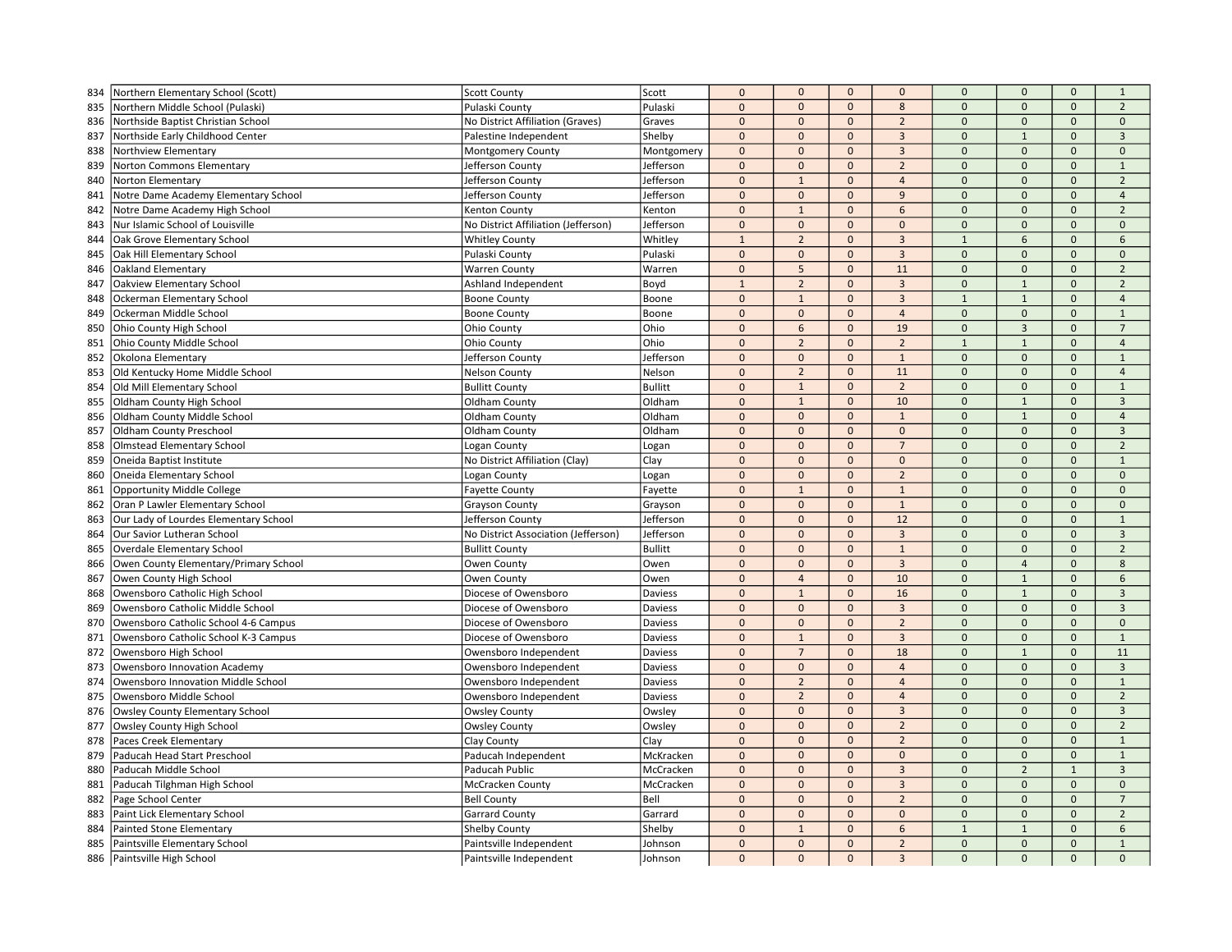| 834        | Northern Elementary School (Scott)                        | <b>Scott County</b>                             | Scott              | $\mathbf{0}$ | $\mathbf 0$    | $\mathbf 0$  | $\mathbf 0$    | $\mathbf 0$    | $\mathbf{0}$        | $\mathbf 0$         | $\mathbf{1}$                   |
|------------|-----------------------------------------------------------|-------------------------------------------------|--------------------|--------------|----------------|--------------|----------------|----------------|---------------------|---------------------|--------------------------------|
| 835        | Northern Middle School (Pulaski)                          | Pulaski County                                  | Pulaski            | $\mathbf 0$  | $\mathbf 0$    | $\mathbf{0}$ | 8              | $\mathbf 0$    | $\mathbf{0}$        | $\mathbf{0}$        | $\overline{2}$                 |
| 836        | Northside Baptist Christian School                        | No District Affiliation (Graves)                | Graves             | $\mathbf{0}$ | $\mathbf{0}$   | $\mathbf{0}$ | $\overline{2}$ | $\mathbf{0}$   | $\mathbf{0}$        | $\mathbf{0}$        | $\mathbf{0}$                   |
| 837        | Northside Early Childhood Center                          | Palestine Independent                           | Shelby             | $\mathbf{0}$ | $\mathbf 0$    | $\mathbf 0$  | $\overline{3}$ | $\mathbf 0$    | $\mathbf{1}$        | $\mathsf{O}\xspace$ | $\overline{3}$                 |
| 838        | Northview Elementary                                      | Montgomery County                               | Montgomery         | $\mathbf 0$  | $\mathbf{0}$   | $\mathbf{0}$ | $\overline{3}$ | $\Omega$       | $\mathbf{0}$        | $\mathsf{O}\xspace$ | $\mathbf{0}$                   |
| 839        | Norton Commons Elementary                                 | Jefferson County                                | Jefferson          | $\mathbf{0}$ | $\mathbf{0}$   | $\mathbf{0}$ | $\overline{2}$ | $\Omega$       | $\mathbf{0}$        | $\Omega$            | $\mathbf{1}$                   |
| 840        | Norton Elementary                                         | Jefferson County                                | Jefferson          | $\mathbf{0}$ | $\mathbf{1}$   | $\mathbf{0}$ | $\overline{4}$ | $\overline{0}$ | $\mathbf{0}$        | $\Omega$            | $\overline{2}$                 |
| 841        | Notre Dame Academy Elementary School                      | Jefferson County                                | Jefferson          | $\mathbf 0$  | $\mathbf 0$    | $\mathbf{0}$ | $\overline{9}$ | $\Omega$       | $\mathbf{0}$        | $\mathbf{0}$        | $\overline{4}$                 |
| 842        | Notre Dame Academy High School                            | Kenton County                                   | Kenton             | $\mathbf 0$  | $\mathbf{1}$   | $\mathbf 0$  | 6              | $\mathbf 0$    | $\mathbf 0$         | $\mathbf 0$         | $\overline{2}$                 |
| 843        | Nur Islamic School of Louisville                          | No District Affiliation (Jefferson)             | Jefferson          | $\mathbf 0$  | $\mathbf 0$    | $\mathbf{0}$ | $\mathbf 0$    | $\mathbf{0}$   | $\mathbf{0}$        | $\mathbf{0}$        | $\mathbf{0}$                   |
| 844        | Oak Grove Elementary School                               | <b>Whitley County</b>                           | Whitley            | $\mathbf{1}$ | $\overline{2}$ | $\Omega$     | $\overline{3}$ | $\overline{1}$ | 6                   | $\Omega$            | 6                              |
| 845        | Oak Hill Elementary School                                | Pulaski County                                  | Pulaski            | $\pmb{0}$    | $\mathbf 0$    | $\mathbf 0$  | $\overline{3}$ | $\mathbf 0$    | $\mathbf{0}$        | $\mathbf{0}$        | $\mathbf{0}$                   |
| 846        | Oakland Elementary                                        | <b>Warren County</b>                            | Warren             | $\mathbf 0$  | 5              | $\mathbf{0}$ | 11             | $\mathbf{0}$   | $\mathbf{0}$        | $\mathbf{0}$        | $\overline{2}$                 |
| 847        | Oakview Elementary School                                 | Ashland Independent                             | Boyd               | $\mathbf{1}$ | $\overline{2}$ | $\mathbf{0}$ | $\overline{3}$ | $\overline{0}$ | $\mathbf{1}$        | $\mathbf{0}$        | $\overline{2}$                 |
| 848        | Ockerman Elementary School                                | <b>Boone County</b>                             | Boone              | $\pmb{0}$    | $\mathbf 1$    | $\mathbf{0}$ | $\overline{3}$ | $\mathbf{1}$   | $\mathbf{1}$        | $\mathbf 0$         | $\overline{4}$                 |
| 849        | Ockerman Middle School                                    | <b>Boone County</b>                             | Boone              | $\pmb{0}$    | $\mathbf{0}$   | $\mathbf{0}$ | $\overline{4}$ | $\mathbf{0}$   | $\mathbf{0}$        | $\mathbf{0}$        | $1\,$                          |
| 850        | Ohio County High School                                   | Ohio County                                     | Ohio               | $\mathbf{0}$ | 6              | $\mathbf{0}$ | 19             | $\Omega$       | $\overline{3}$      | $\Omega$            | $\overline{7}$                 |
| 851        | Ohio County Middle School                                 | Ohio County                                     | Ohio               | $\pmb{0}$    | $\overline{2}$ | $\mathbf{0}$ | $\overline{2}$ | $\mathbf{1}$   | $\mathbf{1}$        | $\mathsf{O}\xspace$ | $\overline{4}$                 |
| 852        | Okolona Elementary                                        | Jefferson County                                | Jefferson          | $\mathbf 0$  | $\mathbf 0$    | $\mathbf{0}$ | $\mathbf{1}$   | $\mathbf 0$    | $\mathbf 0$         | $\mathbf 0$         | $\mathbf{1}$                   |
| 853        | Old Kentucky Home Middle School                           | <b>Nelson County</b>                            | Nelson             | $\mathbf 0$  | $\overline{2}$ | $\mathbf{0}$ | 11             | $\overline{0}$ | $\mathbf{0}$        | $\mathbf{0}$        | $\overline{4}$                 |
| 854        | Old Mill Elementary School                                | <b>Bullitt County</b>                           | <b>Bullitt</b>     | $\mathbf 0$  | $1\,$          | $\mathbf 0$  | $\overline{2}$ | $\mathbf 0$    | $\mathbf 0$         | $\mathsf{O}\xspace$ | $\mathbf{1}$                   |
| 855        | Oldham County High School                                 | Oldham County                                   | Oldham             | $\mathbf 0$  | $\,1\,$        | $\mathbf{0}$ | 10             | $\Omega$       | $\mathbf{1}$        | $\Omega$            | $\overline{3}$                 |
| 856        | Oldham County Middle School                               | Oldham County                                   | Oldham             | $\mathbf{0}$ | $\mathbf{0}$   | $\mathbf{0}$ | $\mathbf{1}$   | $\Omega$       | $\mathbf{1}$        | $\Omega$            | $\overline{4}$                 |
| 857        | Oldham County Preschool                                   | Oldham County                                   | Oldham             | $\mathbf{0}$ | $\mathbf 0$    | $\mathbf{0}$ | $\mathbf 0$    | $\mathbf 0$    | $\mathbf{0}$        | $\Omega$            | $\overline{3}$                 |
| 858        | <b>Olmstead Elementary School</b>                         | Logan County                                    | Logan              | $\mathbf 0$  | $\mathbf 0$    | $\Omega$     | $\overline{7}$ | $\mathbf 0$    | $\Omega$            | $\Omega$            | $\overline{2}$                 |
| 859        | Oneida Baptist Institute                                  | No District Affiliation (Clay)                  | Clay               | $\mathbf{0}$ | $\mathbf{0}$   | $\mathbf{0}$ | $\mathbf{0}$   | $\mathbf 0$    | $\mathbf{0}$        | $\mathbf{0}$        | $\mathbf{1}$                   |
| 860        | Oneida Elementary School                                  | Logan County                                    | Logan              | $\pmb{0}$    | $\mathbf 0$    | $\mathbf{0}$ | $\overline{2}$ | $\mathbf 0$    | $\mathbf{0}$        | $\mathsf{O}\xspace$ | $\mathsf{O}\xspace$            |
| 861        | <b>Opportunity Middle College</b>                         | <b>Fayette County</b>                           | Fayette            | $\mathbf 0$  | $\mathbf{1}$   | $\Omega$     | $\mathbf{1}$   | $\Omega$       | $\mathbf{0}$        | $\Omega$            | $\mathbf{0}$                   |
| 862        | Oran P Lawler Elementary School                           | <b>Grayson County</b>                           | Grayson            | $\mathbf{0}$ | $\mathbf{0}$   | $\mathbf{0}$ | $\mathbf{1}$   | $\mathbf{0}$   | $\mathbf{0}$        | $\mathbf{0}$        | $\mathbf{0}$                   |
| 863        | Our Lady of Lourdes Elementary School                     | Jefferson County                                | Jefferson          | $\mathbf 0$  | $\mathbf 0$    | $\mathbf{0}$ | 12             | $\overline{0}$ | $\mathbf{0}$        | $\mathbf{0}$        | $\mathbf 1$                    |
| 864        | Our Savior Lutheran School                                | No District Association (Jefferson)             | Jefferson          | $\mathbf 0$  | $\mathbf{0}$   | $\mathbf{0}$ | $\overline{3}$ | $\mathbf 0$    | $\mathbf{0}$        | $\mathbf{0}$        | $\overline{3}$                 |
| 865        | Overdale Elementary School                                | <b>Bullitt County</b>                           | <b>Bullitt</b>     | $\mathbf{0}$ | $\mathbf{0}$   | $\mathbf{0}$ | $\mathbf{1}$   | $\mathbf{0}$   | $\mathbf{0}$        | $\mathbf{0}$        | $\overline{2}$                 |
| 866        | Owen County Elementary/Primary School                     | Owen County                                     | Owen               | $\pmb{0}$    | $\mathbf{0}$   | $\mathbf{0}$ | $\overline{3}$ | $\mathbf 0$    | $\overline{4}$      | $\mathbf{0}$        | 8                              |
| 867        | Owen County High School                                   | Owen County                                     | Owen               | $\mathbf{0}$ | $\overline{4}$ | $\mathbf{0}$ | 10             | $\Omega$       | $\overline{1}$      | $\Omega$            | 6                              |
| 868        | Owensboro Catholic High School                            | Diocese of Owensboro                            | Daviess            | $\mathbf 0$  | $\mathbf{1}$   | $\mathbf 0$  | 16             | $\mathbf 0$    | $\mathbf 1$         | $\mathsf{O}\xspace$ | $\overline{3}$                 |
| 869        | Owensboro Catholic Middle School                          | Diocese of Owensboro                            | Daviess            | $\mathbf{0}$ | $\mathbf{0}$   | $\mathbf{0}$ | $\overline{3}$ | $\overline{0}$ | $\mathbf{0}$        | $\mathbf{0}$        | $\overline{3}$                 |
| 870        | Owensboro Catholic School 4-6 Campus                      | Diocese of Owensboro                            | Daviess            | $\mathbf 0$  | $\mathbf{0}$   | $\mathbf{0}$ | $\overline{2}$ | $\overline{0}$ | $\mathbf{0}$        | $\mathbf{0}$        | $\mathbf{0}$                   |
| 871        | Owensboro Catholic School K-3 Campus                      | Diocese of Owensboro                            | Daviess            | $\mathbf 0$  | $\mathbf{1}$   | $\mathbf 0$  | $\overline{3}$ | $\mathbf 0$    | $\mathbf 0$         | $\mathbf 0$         | $\mathbf{1}$                   |
| 872        | Owensboro High School                                     | Owensboro Independent                           | Daviess            | $\mathbf{0}$ | $\overline{7}$ | $\mathbf{0}$ | 18             | $\Omega$       | $\mathbf{1}$        | $\mathbf{0}$        | 11                             |
| 873        | Owensboro Innovation Academy                              |                                                 |                    | $\mathbf{0}$ | $\mathbf 0$    | $\mathbf{0}$ | $\overline{4}$ | $\mathbf 0$    | $\mathbf{0}$        | $\Omega$            | $\overline{3}$                 |
| 874        | Owensboro Innovation Middle School                        | Owensboro Independent<br>Owensboro Independent  | Daviess<br>Daviess | $\mathbf{0}$ | $\overline{2}$ | $\mathbf{0}$ | $\overline{a}$ | $\mathbf 0$    | $\mathbf{0}$        | $\Omega$            | $\mathbf{1}$                   |
| 875        | Owensboro Middle School                                   | Owensboro Independent                           | Daviess            | $\mathbf{0}$ | $\overline{2}$ | $\mathbf{0}$ | $\overline{4}$ | $\Omega$       | $\mathbf{0}$        | $\mathbf{0}$        | $\overline{2}$                 |
| 876        | <b>Owsley County Elementary School</b>                    | <b>Owsley County</b>                            | Owsley             | $\mathbf{0}$ | $\mathbf{0}$   | $\mathbf{0}$ | $\overline{3}$ | $\mathbf 0$    | $\mathbf{0}$        | $\mathbf{0}$        | $\overline{3}$                 |
| 877        | Owsley County High School                                 | <b>Owsley County</b>                            | Owsley             | $\mathbf 0$  | $\mathbf 0$    | $\mathbf 0$  | $\overline{2}$ | $\mathbf 0$    | $\mathsf{O}\xspace$ | $\mathsf{O}\xspace$ | $\overline{2}$                 |
| 878        | Paces Creek Elementary                                    | Clay County                                     | Clay               | $\mathbf{0}$ | $\Omega$       | $\Omega$     | $\overline{2}$ | $\Omega$       | $\Omega$            | $\Omega$            | $\mathbf{1}$                   |
| 879        | Paducah Head Start Preschool                              | Paducah Independent                             | McKracken          | $\mathbf{0}$ | $\overline{0}$ | $\mathbf{0}$ | $\mathbf{0}$   | $\overline{0}$ | $\mathbf{0}$        | $\mathbf{0}$        | $\mathbf 1$                    |
| 880        | Paducah Middle School                                     | Paducah Public                                  | McCracken          | $\pmb{0}$    | $\mathbf 0$    | $\mathbf{0}$ | $\overline{3}$ | $\mathbf{0}$   | $\overline{2}$      | $\mathbf 1$         | $\overline{3}$                 |
|            |                                                           |                                                 |                    | $\mathbf 0$  | $\Omega$       | $\mathbf{0}$ | $\overline{3}$ | $\mathbf 0$    | $\mathbf 0$         | $\Omega$            |                                |
| 881<br>882 | Paducah Tilghman High School                              | McCracken County<br><b>Bell County</b>          | McCracken<br>Bell  | $\mathbf 0$  | $\mathbf{0}$   | $\mathbf{0}$ | $\overline{2}$ | $\mathbf{0}$   | $\mathbf{0}$        | $\mathbf{0}$        | $\mathbf 0$<br>$7\overline{ }$ |
| 883        | Page School Center                                        |                                                 | Garrard            | $\mathbf 0$  | $\mathbf{0}$   | $\mathbf{0}$ | $\mathbf 0$    | $\mathbf 0$    | $\mathsf{O}\xspace$ | $\mathbf{0}$        | $\overline{2}$                 |
|            | Paint Lick Elementary School                              | <b>Garrard County</b>                           | Shelby             | $\mathbf 0$  | $\overline{1}$ | $\mathbf 0$  | 6              | $\overline{1}$ | $\overline{1}$      | $\Omega$            | 6                              |
| 884<br>885 | Painted Stone Elementary<br>Paintsville Elementary School | <b>Shelby County</b><br>Paintsville Independent | Johnson            | $\mathbf{0}$ | $\mathbf{0}$   | $\mathbf{0}$ | $\overline{2}$ | $\mathbf{0}$   | $\mathbf{0}$        | $\mathbf{0}$        | $\mathbf{1}$                   |
| 886        | Paintsville High School                                   | Paintsville Independent                         | Johnson            | $\Omega$     | $\Omega$       | $\mathbf{0}$ | $\overline{3}$ | $\Omega$       | $\mathbf{0}$        | $\Omega$            | $\Omega$                       |
|            |                                                           |                                                 |                    |              |                |              |                |                |                     |                     |                                |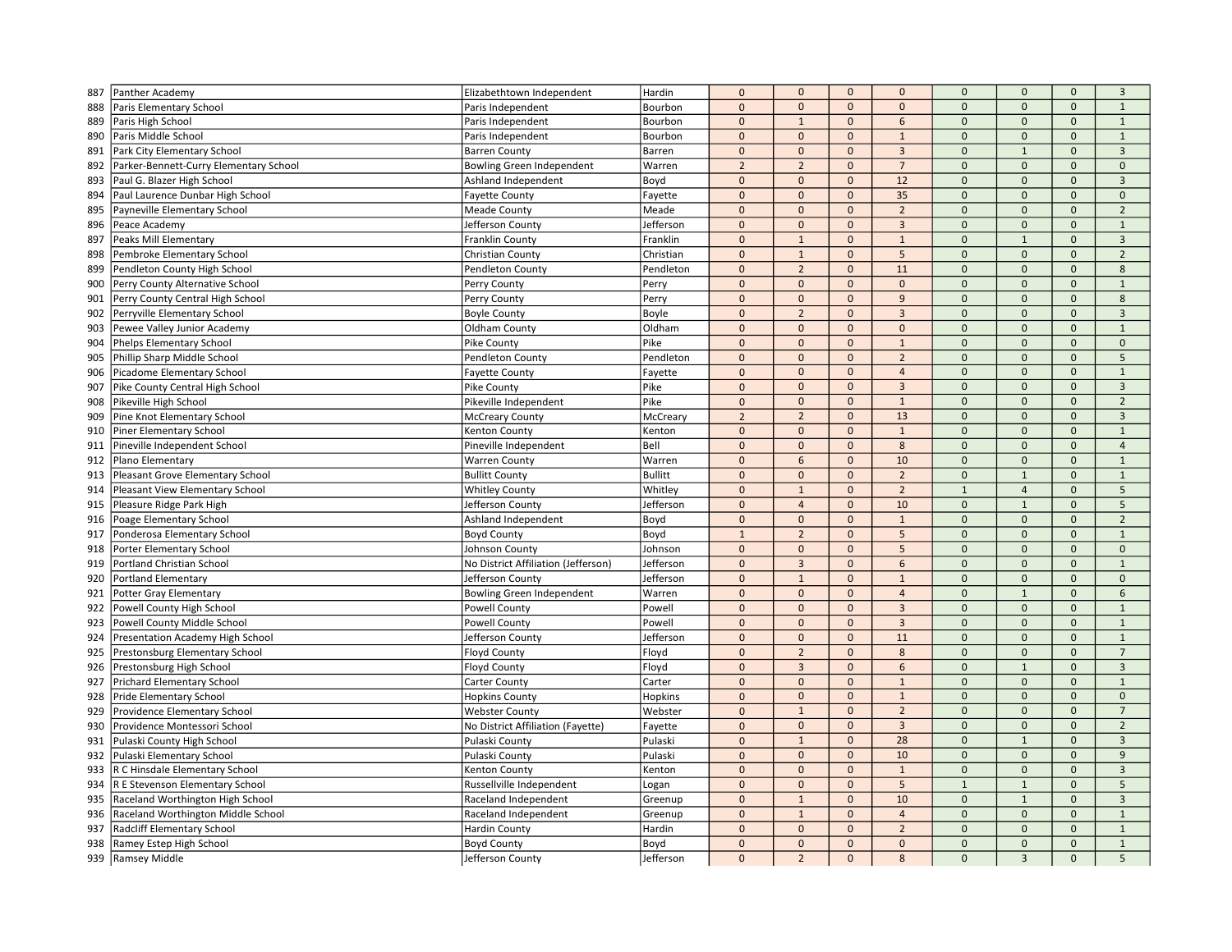| 887        | Panther Academy                        | Elizabethtown Independent           | Hardin         | $\pmb{0}$                 | $\mathbf{0}$                | $\mathbf{0}$                 | $\mathbf{0}$                     | $\mathbf 0$              | $\mathbf{0}$                    | $\mathbf{0}$                        | $\overline{3}$               |
|------------|----------------------------------------|-------------------------------------|----------------|---------------------------|-----------------------------|------------------------------|----------------------------------|--------------------------|---------------------------------|-------------------------------------|------------------------------|
| 888        | Paris Elementary School                | Paris Independent                   | Bourbon        | $\pmb{0}$                 | $\mathbf 0$                 | $\mathbf{0}$                 | $\mathbf{0}$                     | $\mathbf 0$              | $\mathbf{0}$                    | $\mathbf{0}$                        | $\mathbf{1}$                 |
| 889        | Paris High School                      | Paris Independent                   | Bourbon        | $\pmb{0}$                 | $\mathbf{1}$                | $\Omega$                     | 6                                | $\mathbf 0$              | $\Omega$                        | $\Omega$                            | $\mathbf{1}$                 |
| 890        | Paris Middle School                    | Paris Independent                   | Bourbon        | $\mathbf{0}$              | $\mathbf{0}$                | $\mathbf{0}$                 | $\mathbf{1}$                     | $\mathbf 0$              | $\mathbf{0}$                    | $\mathbf{0}$                        | $\mathbf{1}$                 |
| 891        | Park City Elementary School            | <b>Barren County</b>                | Barren         | $\pmb{0}$                 | $\mathbf 0$                 | $\mathbf 0$                  | $\overline{3}$                   | $\mathbf 0$              | $\mathbf{1}$                    | $\mathsf{O}\xspace$                 | $\overline{3}$               |
| 892        | Parker-Bennett-Curry Elementary School | Bowling Green Independent           | Warren         | $\overline{2}$            | $\overline{2}$              | $\Omega$                     | $\overline{7}$                   | $\Omega$                 | $\mathbf{0}$                    | $\Omega$                            | $\mathbf{0}$                 |
| 893        | Paul G. Blazer High School             | Ashland Independent                 | Boyd           | $\mathbf{0}$              | $\mathbf{0}$                | $\mathbf{0}$                 | 12                               | $\mathbf{0}$             | $\Omega$                        | $\mathbf{0}$                        | $\overline{3}$               |
| 894        | Paul Laurence Dunbar High School       | <b>Fayette County</b>               | Fayette        | $\mathbf 0$               | $\mathbf 0$                 | $\mathbf{0}$                 | 35                               | $\mathbf 0$              | $\mathbf{0}$                    | $\mathsf{O}\xspace$                 | $\mathbf{0}$                 |
| 895        | Payneville Elementary School           | <b>Meade County</b>                 | Meade          | $\mathbf 0$               | $\mathbf{0}$                | $\mathbf{0}$                 | $\overline{2}$                   | $\mathbf 0$              | $\mathbf{0}$                    | $\mathbf{0}$                        | $\overline{2}$               |
| 896        | Peace Academy                          | Jefferson County                    | Jefferson      | $\mathbf 0$               | $\mathbf 0$                 | $\mathbf 0$                  | $\mathbf{3}$                     | $\mathbf 0$              | $\mathbf 0$                     | $\mathbf 0$                         | $\mathbf{1}$                 |
| 897        | Peaks Mill Elementary                  | Franklin County                     | Franklin       | $\mathbf 0$               | $\mathbf{1}$                | $\mathbf{0}$                 | $\mathbf{1}$                     | $\mathbf{0}$             | $\mathbf{1}$                    | $\mathbf{0}$                        | 3                            |
| 898        | Pembroke Elementary School             | Christian County                    | Christian      | $\pmb{0}$                 | $\mathbf{1}$                | $\mathbf{0}$                 | 5                                | $\Omega$                 | $\Omega$                        | $\Omega$                            | $\overline{2}$               |
| 899        | Pendleton County High School           | Pendleton County                    | Pendleton      | $\mathbf 0$               | $\overline{2}$              | $\mathbf{0}$                 | 11                               | $\mathbf 0$              | $\mathbf{0}$                    | $\mathsf{O}\xspace$                 | 8                            |
| 900        | Perry County Alternative School        | Perry County                        | Perry          | $\mathbf{0}$              | $\mathbf{0}$                | $\mathbf{0}$                 | $\mathbf{0}$                     | $\overline{0}$           | $\mathbf{0}$                    | $\Omega$                            | $\mathbf{1}$                 |
| 901        | Perry County Central High School       | Perry County                        | Perry          | $\mathbf 0$               | $\mathbf 0$                 | $\mathbf 0$                  | 9                                | $\mathbf 0$              | $\mathbf 0$                     | $\mathbf 0$                         | 8                            |
| 902        | Perryville Elementary School           | <b>Boyle County</b>                 | Boyle          | $\mathbf 0$               | $\overline{2}$              | $\mathbf 0$                  | $\overline{3}$                   | $\mathbf 0$              | $\mathbf 0$                     | $\mathsf{O}\xspace$                 | $\overline{3}$               |
| 903        | Pewee Valley Junior Academy            | Oldham County                       | Oldham         | $\mathbf{0}$              | $\mathbf{0}$                | $\Omega$                     | $\mathbf{0}$                     | $\Omega$                 | $\Omega$                        | $\Omega$                            | $\mathbf{1}$                 |
| 904        | Phelps Elementary School               | Pike County                         | Pike           | $\mathbf{0}$              | $\mathbf{0}$                | $\mathbf{0}$                 | $\mathbf{1}$                     | $\overline{0}$           | $\mathbf{0}$                    | $\mathbf{0}$                        | $\mathbf{0}$                 |
| 905        | Phillip Sharp Middle School            | Pendleton County                    | Pendleton      | $\pmb{0}$                 | $\mathbf 0$                 | $\mathbf{0}$                 | $\overline{2}$                   | $\overline{0}$           | $\mathbf{0}$                    | $\mathbf{0}$                        | 5                            |
| 906        | Picadome Elementary School             | <b>Fayette County</b>               | Fayette        | $\pmb{0}$                 | $\mathbf 0$                 | $\mathbf 0$                  | $\overline{4}$                   | $\mathbf 0$              | $\mathbf 0$                     | $\mathbf 0$                         | $\mathbf{1}$                 |
| 907        | Pike County Central High School        | Pike County                         | Pike           | $\mathbf 0$               | $\mathbf{0}$                | $\mathbf{0}$                 | $\overline{3}$                   | $\mathbf 0$              | $\mathbf{0}$                    | $\mathbf{0}$                        | $\overline{3}$               |
| 908        | Pikeville High School                  | Pikeville Independent               | Pike           | $\pmb{0}$                 | $\mathbf 0$                 | $\mathbf{0}$                 | $\mathbf{1}$                     | $\Omega$                 | $\mathsf{O}\xspace$             | $\mathsf{O}\xspace$                 | $\overline{2}$               |
| 909        | Pine Knot Elementary School            | <b>McCreary County</b>              | McCreary       | $\overline{2}$            | $\overline{2}$              | $\mathbf{0}$                 | 13                               | $\mathbf 0$              | $\mathbf{0}$                    | $\Omega$                            | 3                            |
| 910        | Piner Elementary School                | Kenton County                       | Kenton         | $\mathbf{0}$              | $\mathbf{0}$                | $\mathbf{0}$                 | $\mathbf{1}$                     | $\mathbf{0}$             | $\mathbf{0}$                    | $\mathbf{0}$                        | $\mathbf{1}$                 |
| 911        | Pineville Independent School           | Pineville Independent               | Bell           | $\mathbf 0$               | $\mathbf 0$                 | $\mathbf{0}$                 | 8                                | $\Omega$                 | $\mathbf{0}$                    | $\mathbf{0}$                        | $\overline{4}$               |
| 912        | Plano Elementary                       | <b>Warren County</b>                | Warren         | $\mathbf 0$               | 6                           | $\mathbf{0}$                 | 10                               | $\mathbf 0$              | $\mathbf 0$                     | $\mathbf 0$                         | $\mathbf{1}$                 |
| 913        | Pleasant Grove Elementary School       | <b>Bullitt County</b>               | <b>Bullitt</b> | $\mathbf 0$               | $\mathbf 0$                 | $\mathbf 0$                  | $\overline{2}$                   | $\mathbf 0$              | $\mathbf 1$                     | $\mathsf{O}\xspace$                 | $\mathbf{1}$                 |
| 914        | Pleasant View Elementary School        | <b>Whitley County</b>               | Whitley        | $\mathbf 0$               | $\mathbf{1}$                | $\Omega$                     | $\overline{2}$                   | $\overline{1}$           | $\overline{4}$                  | $\mathbf{0}$                        | 5                            |
| 915        | Pleasure Ridge Park High               | Jefferson County                    | Jefferson      | $\pmb{0}$                 | $\overline{4}$              | $\mathbf 0$                  | 10                               | $\mathbf 0$              | $\mathbf{1}$                    | $\mathbf{0}$                        | 5                            |
| 916        | Poage Elementary School                | Ashland Independent                 | Boyd           | $\pmb{0}$                 | $\mathbf 0$                 | $\mathbf{0}$                 | $\mathbf{1}$                     | $\mathbf 0$              | $\mathbf{0}$                    | $\mathsf{O}\xspace$                 | $\overline{2}$               |
| 917        | Ponderosa Elementary School            | <b>Boyd County</b>                  | Boyd           | $\mathbf{1}$              | $\overline{2}$              | $\mathbf{0}$                 | 5                                | $\overline{0}$           | $\mathbf{0}$                    | $\Omega$                            | $\mathbf{1}$                 |
| 918        | Porter Elementary School               | Johnson County                      | Johnson        | $\pmb{0}$                 | $\mathbf{0}$                | $\mathbf{0}$                 | 5                                | $\mathbf 0$              | $\mathbf 0$                     | $\mathbf 0$                         | $\mathbf 0$                  |
| 919        | Portland Christian School              | No District Affiliation (Jefferson) | Jefferson      | $\mathbf 0$               | 3                           | $\mathbf 0$                  | 6                                | $\mathbf 0$              | $\mathsf{O}\xspace$             | $\mathbf 0$                         | $\mathbf{1}$                 |
|            | Portland Elementary                    |                                     | Jefferson      | $\mathbf 0$               | $\,1\,$                     | $\mathbf 0$                  | $\mathbf{1}$                     | $\Omega$                 | $\Omega$                        | $\Omega$                            | $\Omega$                     |
| 920<br>921 | <b>Potter Gray Elementary</b>          | Jefferson County                    | Warren         | $\mathbf{0}$              | $\mathbf{0}$                | $\mathbf{0}$                 | $\overline{4}$                   | $\mathbf{0}$             | $\mathbf{1}$                    | $\mathbf{0}$                        | 6                            |
|            |                                        | Bowling Green Independent           |                |                           | $\mathbf 0$                 | $\mathbf{0}$                 | $\overline{3}$                   | $\mathbf 0$              | $\mathbf 0$                     | $\mathbf{0}$                        | $\mathbf{1}$                 |
| 922        | Powell County High School              | <b>Powell County</b>                | Powell         | $\pmb{0}$                 |                             |                              |                                  |                          |                                 |                                     |                              |
| 923        | Powell County Middle School            | Powell County                       | Powell         | $\pmb{0}$<br>$\mathbf{0}$ | $\mathbf 0$<br>$\mathbf{0}$ | $\mathbf 0$<br>$\mathbf{0}$  | $\overline{3}$                   | $\mathbf 0$              | $\mathbf{0}$<br>$\mathbf{0}$    | $\mathbf 0$                         | $\mathbf{1}$                 |
| 924        | Presentation Academy High School       | Jefferson County                    | Jefferson      |                           |                             | $\mathbf{0}$                 | 11                               | $\mathbf 0$<br>$\Omega$  | $\mathbf{0}$                    | $\mathbf{0}$                        | $\mathbf{1}$                 |
| 925        | Prestonsburg Elementary School         | <b>Floyd County</b>                 | Floyd          | $\mathbf 0$               | $\overline{2}$              |                              | 8                                |                          |                                 | $\mathsf{O}\xspace$<br>$\Omega$     | $\overline{7}$               |
| 926        | Prestonsburg High School               | <b>Floyd County</b>                 | Floyd          | $\mathbf 0$               | $\overline{3}$              | $\mathbf{0}$                 | 6                                | $\mathbf 0$              | $\mathbf 1$                     |                                     | $\overline{3}$               |
| 927        | Prichard Elementary School             | Carter County                       | Carter         | $\mathbf 0$<br>$\pmb{0}$  | $\mathbf 0$<br>$\mathbf 0$  | $\mathbf{0}$<br>$\mathbf{0}$ | $1\,$                            | $\mathbf 0$<br>$\Omega$  | $\mathbf 0$<br>$\mathbf{0}$     | $\mathsf{O}\xspace$<br>$\mathbf{0}$ | $\mathbf{1}$<br>$\mathbf{0}$ |
| 928        | <b>Pride Elementary School</b>         | <b>Hopkins County</b>               | Hopkins        |                           |                             |                              | $\mathbf{1}$                     |                          |                                 |                                     |                              |
| 929        | Providence Elementary School           | <b>Webster County</b>               | Webster        | $\mathbf 0$               | $\mathbf{1}$                | $\mathbf 0$                  | $\overline{2}$                   | $\mathbf 0$              | $\mathbf 0$                     | $\mathbf{0}$                        | $\overline{7}$               |
| 930        | Providence Montessori School           | No District Affiliation (Fayette)   | Fayette        | $\mathbf 0$               | $\mathbf 0$                 | $\mathbf 0$                  | $\overline{3}$                   | $\mathbf 0$              | $\mathbf 0$                     | $\mathbf 0$                         | $\overline{2}$               |
| 931        | Pulaski County High School             | Pulaski County                      | Pulaski        | $\mathbf{0}$              | $\mathbf{1}$                | $\Omega$                     | 28                               | $\Omega$                 | $\mathbf{1}$                    | $\Omega$                            | 3                            |
| 932        | Pulaski Elementary School              | Pulaski County                      | Pulaski        | $\pmb{0}$                 | $\mathbf 0$                 | $\mathbf{0}$                 | 10                               | $\overline{0}$           | $\mathbf{0}$                    | $\mathbf{0}$                        | $\overline{9}$               |
| 933        | R C Hinsdale Elementary School         | Kenton County                       | Kenton         | $\pmb{0}$                 | $\mathbf 0$                 | $\mathbf{0}$                 | $\mathbf{1}$                     | $\mathbf 0$              | $\mathbf{0}$                    | $\mathsf{O}\xspace$                 | $\mathbf{3}$                 |
| 934        | R E Stevenson Elementary School        | Russellville Independent            | Logan          | $\mathbf{0}$              | $\Omega$                    | $\mathbf{0}$                 | 5                                | $\overline{1}$           | $\mathbf{1}$                    | $\Omega$                            | $\sqrt{5}$                   |
| 935        | Raceland Worthington High School       | Raceland Independent                | Greenup        | $\pmb{0}$                 | $\mathbf 1$                 | $\mathbf{0}$                 | 10                               | $\mathbf 0$              | $\mathbf{1}$                    | $\mathbf 0$                         | $\overline{3}$               |
| 936        | Raceland Worthington Middle School     | Raceland Independent                | Greenup        | $\mathbf 0$               | $1\,$                       | $\mathbf{0}$                 | $\overline{4}$<br>$\overline{2}$ | $\mathbf 0$<br>$\Omega$  | $\mathsf{O}\xspace$<br>$\Omega$ | $\mathbf{0}$<br>$\Omega$            | $\mathbf{1}$                 |
| 937        | Radcliff Elementary School             | <b>Hardin County</b>                | Hardin         | $\mathbf 0$               | $\mathbf 0$                 | $\mathbf{0}$                 |                                  |                          |                                 |                                     | $\mathbf 1$                  |
| 938        | Ramey Estep High School                | <b>Boyd County</b>                  | Boyd           | $\mathbf{0}$              | $\mathbf{0}$                | $\mathbf{0}$                 | $\mathbf{0}$                     | $\mathbf{0}$<br>$\Omega$ | $\mathbf{0}$                    | $\mathbf{0}$                        | $\mathbf{1}$                 |
|            | 939 Ramsey Middle                      | Jefferson County                    | Jefferson      | $\mathbf{0}$              | $\overline{2}$              | $\mathbf{0}$                 | 8                                |                          | $\overline{3}$                  | $\Omega$                            | 5                            |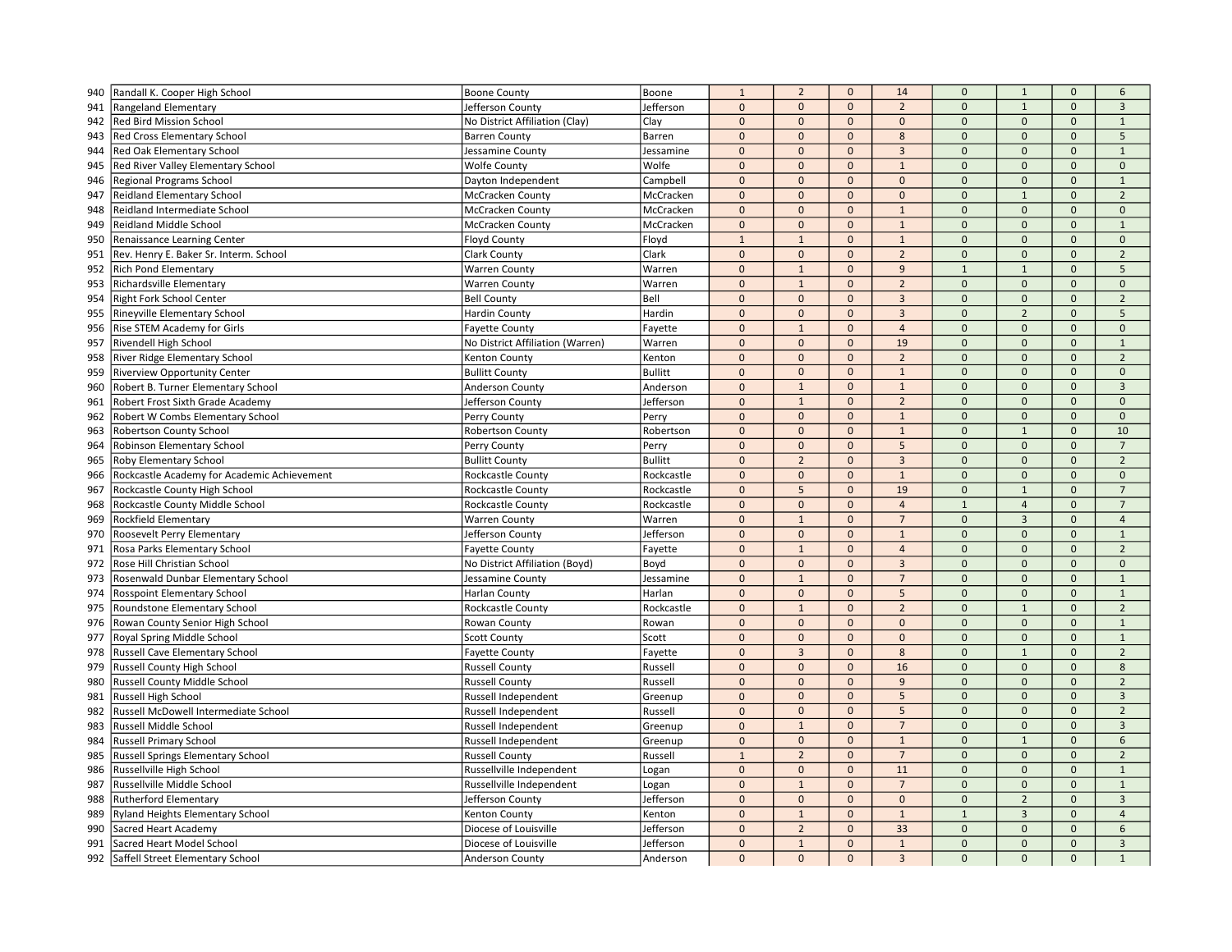| 940        | Randall K. Cooper High School                                                | <b>Boone County</b>              | Boone          | $\mathbf 1$              | $\overline{2}$ | $\mathbf{0}$ | 14             | $\mathbf{0}$   | $\mathbf{1}$                 | $\mathbf{0}$        | 6              |
|------------|------------------------------------------------------------------------------|----------------------------------|----------------|--------------------------|----------------|--------------|----------------|----------------|------------------------------|---------------------|----------------|
| 941        | Rangeland Elementary                                                         | Jefferson County                 | Jefferson      | $\mathbf 0$              | $\mathbf 0$    | $\mathbf{0}$ | $\overline{2}$ | $\Omega$       | $\overline{1}$               | $\mathbf{0}$        | $\overline{3}$ |
| 942        | <b>Red Bird Mission School</b>                                               | No District Affiliation (Clay)   | Clay           | $\mathbf 0$              | $\mathbf 0$    | $\Omega$     | $\Omega$       | $\mathbf 0$    | $\Omega$                     | $\Omega$            | $\mathbf{1}$   |
| 943        | <b>Red Cross Elementary School</b>                                           | <b>Barren County</b>             | Barren         | $\mathbf{0}$             | $\mathbf{0}$   | $\mathbf{0}$ | 8              | $\mathbf{0}$   | $\mathbf{0}$                 | $\mathbf{0}$        | 5              |
| 944        | <b>Red Oak Elementary School</b>                                             | Jessamine County                 | Jessamine      | $\mathbf 0$              | $\mathbf 0$    | $\mathbf{0}$ | $\overline{3}$ | $\mathbf{0}$   | $\mathbf{0}$                 | $\mathbf 0$         | $\mathbf{1}$   |
| 945        | Red River Valley Elementary School                                           | <b>Wolfe County</b>              | Wolfe          | $\Omega$                 | $\mathbf{0}$   | $\mathbf{0}$ | $\mathbf{1}$   | $\Omega$       | $\Omega$                     | $\Omega$            | $\mathbf 0$    |
| 946        | Regional Programs School                                                     | Dayton Independent               | Campbell       | $\Omega$                 | $\mathbf{0}$   | $\mathbf{0}$ | $\mathbf{0}$   | $\Omega$       | $\Omega$                     | $\mathbf{0}$        | $\mathbf{1}$   |
| 947        | <b>Reidland Elementary School</b>                                            | McCracken County                 | McCracken      | $\mathbf 0$              | $\mathbf 0$    | $\mathbf{0}$ | $\mathbf{0}$   | $\mathbf 0$    | $\mathbf{1}$                 | $\mathbf{0}$        | $\overline{2}$ |
| 948        | Reidland Intermediate School                                                 | McCracken County                 | McCracken      | $\pmb{0}$                | $\mathbf 0$    | $\mathbf{0}$ | $\mathbf{1}$   | $\mathbf 0$    | $\mathbf{0}$                 | $\mathbf{0}$        | $\mathbf 0$    |
| 949        | <b>Reidland Middle School</b>                                                | McCracken County                 | McCracken      | $\pmb{0}$                | $\mathbf 0$    | $\mathbf 0$  | $\mathbf{1}$   | $\mathbf{0}$   | $\pmb{0}$                    | $\mathbf 0$         | $\mathbf{1}$   |
| 950        | Renaissance Learning Center                                                  | <b>Floyd County</b>              | Floyd          | $\mathbf{1}$             | $\mathbf{1}$   | $\mathbf{0}$ | $\mathbf{1}$   | $\mathbf 0$    | $\mathbf{0}$                 | $\Omega$            | $\mathbf 0$    |
| 951        | Rev. Henry E. Baker Sr. Interm. School                                       | Clark County                     | Clark          | $\mathbf{0}$             | $\mathbf 0$    | $\mathbf{0}$ | $\overline{2}$ | $\Omega$       | $\Omega$                     | $\Omega$            | $\overline{2}$ |
| 952        | <b>Rich Pond Elementary</b>                                                  | <b>Warren County</b>             | Warren         | $\mathbf 0$              | $\mathbf{1}$   | $\mathbf{0}$ | 9              | $\mathbf{1}$   | $\overline{1}$               | $\mathsf{O}\xspace$ | 5              |
| 953        | Richardsville Elementary                                                     | <b>Warren County</b>             | Warren         | $\Omega$                 | $\mathbf{1}$   | $\mathbf{0}$ | $\overline{2}$ | $\Omega$       | $\mathbf{0}$                 | $\Omega$            | $\mathbf{0}$   |
| 954        | Right Fork School Center                                                     | <b>Bell County</b>               | Bell           | $\mathbf{0}$             | $\mathbf{0}$   | $\mathbf 0$  | $\overline{3}$ | $\mathbf 0$    | $\mathbf{0}$                 | $\mathbf 0$         | $\overline{2}$ |
| 955        | Rineyville Elementary School                                                 | <b>Hardin County</b>             | Hardin         | $\pmb{0}$                | $\mathbf 0$    | $\mathbf{0}$ | $\overline{3}$ | $\mathbf{0}$   | $\overline{2}$               | $\mathsf{O}\xspace$ | 5              |
| 956        | <b>Rise STEM Academy for Girls</b>                                           | <b>Fayette County</b>            | Fayette        | $\Omega$                 | $\overline{1}$ | $\mathbf{0}$ | $\overline{4}$ | $\Omega$       | $\Omega$                     | $\Omega$            | $\Omega$       |
| 957        | Rivendell High School                                                        | No District Affiliation (Warren) | Warren         | $\Omega$                 | $\mathbf 0$    | $\mathbf{0}$ | 19             | $\Omega$       | $\mathbf{0}$                 | $\mathbf{0}$        | $\mathbf{1}$   |
| 958        | <b>River Ridge Elementary School</b>                                         | Kenton County                    | Kenton         | $\Omega$                 | $\mathbf 0$    | $\mathbf{0}$ | $\overline{2}$ | $\Omega$       | $\mathbf{0}$                 | $\mathbf{0}$        | $\overline{2}$ |
| 959        | <b>Riverview Opportunity Center</b>                                          | <b>Bullitt County</b>            | <b>Bullitt</b> | $\mathbf 0$              | $\mathbf 0$    | $\mathbf 0$  | $\mathbf{1}$   | $\mathbf 0$    | $\mathbf{0}$                 | $\mathbf{0}$        | $\mathbf{0}$   |
| 960        | Robert B. Turner Elementary School                                           | Anderson County                  | Anderson       | $\mathbf{0}$             | $\mathbf{1}$   | $\mathbf 0$  | $\mathbf{1}$   | $\mathbf{0}$   | $\mathbf{0}$                 | $\mathbf{0}$        | $\overline{3}$ |
| 961        | Robert Frost Sixth Grade Academy                                             | Jefferson County                 | Jefferson      | $\mathbf 0$              | $\mathbf{1}$   | $\mathbf{0}$ | $\overline{2}$ | $\mathbf 0$    | $\mathbf{0}$                 | $\mathbf{0}$        | $\mathbf{0}$   |
| 962        | <b>Robert W Combs Elementary School</b>                                      | Perry County                     | Perry          | $\mathbf{0}$             | $\mathbf{0}$   | $\mathbf{0}$ | $\mathbf{1}$   | $\mathbf 0$    | $\Omega$                     | $\mathbf{0}$        | $\mathbf{0}$   |
| 963        | <b>Robertson County School</b>                                               | <b>Robertson County</b>          | Robertson      | $\Omega$                 | $\mathbf{0}$   | $\mathbf{0}$ | $\mathbf{1}$   | $\Omega$       | $\mathbf{1}$                 | $\mathbf{0}$        | 10             |
| 964        | Robinson Elementary School                                                   | Perry County                     | Perry          | $\mathbf 0$              | $\mathbf 0$    | $\mathbf{0}$ | 5              | $\mathbf 0$    | $\mathbf{0}$                 | $\mathbf{0}$        | $\overline{7}$ |
| 965        | <b>Roby Elementary School</b>                                                | <b>Bullitt County</b>            | <b>Bullitt</b> | $\mathbf{0}$             | $\overline{2}$ | $\mathbf{0}$ | $\overline{3}$ | $\mathbf{0}$   | $\mathbf{0}$                 | $\mathsf{O}\xspace$ | $\overline{2}$ |
| 966        |                                                                              | Rockcastle County                | Rockcastle     | $\pmb{0}$                | $\mathbf 0$    | $\mathbf 0$  | $\mathbf{1}$   | $\mathbf{0}$   | $\pmb{0}$                    | $\mathbf 0$         | $\mathbf 0$    |
| 967        | Rockcastle Academy for Academic Achievement<br>Rockcastle County High School | Rockcastle County                | Rockcastle     | $\mathbf{0}$             | 5              | $\mathbf{0}$ | 19             | $\Omega$       | $\mathbf{1}$                 | $\Omega$            | $\overline{7}$ |
|            |                                                                              |                                  | Rockcastle     | $\mathbf{0}$             | $\mathbf 0$    | $\mathbf{0}$ | $\overline{4}$ | $\overline{1}$ | $\overline{4}$               | $\mathbf{0}$        | $\overline{7}$ |
| 968        | Rockcastle County Middle School                                              | Rockcastle County                |                | $\mathbf 0$              | $\mathbf{1}$   | $\mathbf{0}$ | $\overline{7}$ | $\mathbf 0$    | $\overline{3}$               | $\mathsf{O}\xspace$ | $\overline{4}$ |
| 969        | <b>Rockfield Elementary</b>                                                  | <b>Warren County</b>             | Warren         | $\mathbf{0}$             | $\mathbf{0}$   | $\mathbf{0}$ | $\mathbf{1}$   | $\Omega$       | $\mathbf{0}$                 | $\Omega$            | $\mathbf{1}$   |
| 970<br>971 | <b>Roosevelt Perry Elementary</b><br>Rosa Parks Elementary School            | Jefferson County                 | Jefferson      | $\pmb{0}$                | $\mathbf{1}$   | $\mathbf 0$  | $\overline{4}$ | $\mathbf 0$    | $\mathbf{0}$                 | $\mathbf{0}$        | $\overline{2}$ |
|            |                                                                              | <b>Fayette County</b>            | Fayette        |                          | $\mathbf 0$    | $\mathbf{0}$ | $\mathbf{3}$   | $\mathbf 0$    | $\pmb{0}$                    | $\mathbf{0}$        | $\mathbf 0$    |
| 972        | Rose Hill Christian School                                                   | No District Affiliation (Boyd)   | Boyd           | $\mathbf{0}$<br>$\Omega$ | $\overline{1}$ |              | $\overline{7}$ | $\Omega$       | $\Omega$                     | $\Omega$            | $\mathbf{1}$   |
| 973        | Rosenwald Dunbar Elementary School                                           | Jessamine County                 | Jessamine      | $\Omega$                 |                | $\mathbf{0}$ |                | $\Omega$       |                              | $\mathbf{0}$        |                |
| 974        | <b>Rosspoint Elementary School</b>                                           | <b>Harlan County</b>             | Harlan         |                          | $\mathbf 0$    | $\mathbf{0}$ | 5              | $\mathbf 0$    | $\mathbf{0}$<br>$\mathbf{1}$ | $\mathbf{0}$        | $\mathbf{1}$   |
| 975        | Roundstone Elementary School                                                 | Rockcastle County                | Rockcastle     | $\mathbf{0}$             | $\mathbf{1}$   | $\mathbf{0}$ | $\overline{2}$ |                |                              |                     | $\overline{2}$ |
| 976        | Rowan County Senior High School                                              | Rowan County                     | Rowan          | $\mathbf 0$              | $\mathbf{0}$   | $\mathbf{0}$ | $\mathbf{0}$   | $\mathbf 0$    | $\mathbf{0}$                 | $\mathbf{0}$        | $\mathbf{1}$   |
| 977        | Royal Spring Middle School                                                   | <b>Scott County</b>              | Scott          | $\mathbf{0}$             | $\mathbf 0$    | $\mathbf 0$  | $\mathbf{0}$   | $\mathbf{0}$   | $\mathbf{0}$                 | $\mathbf{0}$        | $\mathbf{1}$   |
| 978        | Russell Cave Elementary School                                               | <b>Fayette County</b>            | Fayette        | $\Omega$                 | $\overline{3}$ | $\mathbf{0}$ | 8              | $\Omega$       | $\mathbf{1}$                 | $\mathbf{0}$        | $\overline{2}$ |
| 979        | Russell County High School                                                   | <b>Russell County</b>            | Russell        | $\Omega$                 | $\mathbf{0}$   | $\mathbf{0}$ | 16             | $\mathbf 0$    | $\Omega$                     | $\mathbf{0}$        | 8              |
| 980        | <b>Russell County Middle School</b>                                          | <b>Russell County</b>            | Russell        | $\Omega$                 | $\mathbf 0$    | $\mathbf{0}$ | 9              | $\Omega$       | $\Omega$                     | $\mathsf{O}\xspace$ | $\overline{2}$ |
| 981        | <b>Russell High School</b>                                                   | Russell Independent              | Greenup        | $\mathbf 0$              | $\mathbf 0$    | $\mathbf{0}$ | 5              | $\mathbf 0$    | $\mathbf{0}$                 | $\mathbf{0}$        | $\overline{3}$ |
| 982        | Russell McDowell Intermediate School                                         | Russell Independent              | Russell        | $\Omega$                 | $\mathbf 0$    | $\mathbf{0}$ | 5              | $\mathbf 0$    | $\mathbf{0}$                 | $\mathbf{0}$        | $\overline{2}$ |
| 983        | Russell Middle School                                                        | Russell Independent              | Greenup        | $\mathbf 0$              | $\mathbf{1}$   | $\mathbf{0}$ | $\overline{7}$ | $\mathbf{0}$   | $\pmb{0}$                    | $\mathbf 0$         | $\overline{3}$ |
| 984        | Russell Primary School                                                       | Russell Independent              | Greenup        | $\Omega$                 | $\mathbf{0}$   | $\mathbf{0}$ | $\mathbf{1}$   | $\Omega$       | $\mathbf{1}$                 | $\Omega$            | 6              |
| 985        | Russell Springs Elementary School                                            | <b>Russell County</b>            | Russell        | $\mathbf{1}$             | $\overline{2}$ | $\mathbf{0}$ | $\overline{7}$ | $\Omega$       | $\mathbf{0}$                 | $\mathbf{0}$        | $\overline{2}$ |
| 986        | Russellville High School                                                     | Russellville Independent         | Logan          | $\mathbf 0$              | $\mathbf 0$    | $\mathbf{0}$ | 11             | $\mathbf 0$    | $\mathbf{0}$                 | $\mathbf{0}$        | $\mathbf{1}$   |
| 987        | Russellville Middle School                                                   | Russellville Independent         | Logan          | $\Omega$                 | $\overline{1}$ | $\mathbf{0}$ | $\overline{7}$ | $\Omega$       | $\mathbf{0}$                 | $\Omega$            | $\mathbf{1}$   |
| 988        | <b>Rutherford Elementary</b>                                                 | Jefferson County                 | Jefferson      | $\mathbf 0$              | $\mathbf 0$    | $\mathbf 0$  | $\mathbf{0}$   | $\mathbf 0$    | $\overline{2}$               | $\mathbf{0}$        | $\overline{3}$ |
| 989        | <b>Ryland Heights Elementary School</b>                                      | Kenton County                    | Kenton         | $\mathbf 0$              | $\mathbf{1}$   | $\mathbf{0}$ | $\mathbf{1}$   | $\mathbf{1}$   | $\overline{3}$               | $\mathbf{0}$        | $\overline{4}$ |
| 990        | Sacred Heart Academy                                                         | Diocese of Louisville            | Jefferson      | $\Omega$                 | $\overline{2}$ | $\mathbf 0$  | 33             | $\Omega$       | $\Omega$                     | $\mathsf{O}\xspace$ | 6              |
| 991        | Sacred Heart Model School                                                    | Diocese of Louisville            | Jefferson      | $\mathbf{0}$             | $\mathbf{1}$   | $\mathbf{0}$ | $\mathbf{1}$   | $\mathbf{0}$   | $\mathbf{0}$                 | $\mathbf{0}$        | $\overline{3}$ |
| 992        | Saffell Street Elementary School                                             | <b>Anderson County</b>           | Anderson       | $\Omega$                 | $\mathbf{0}$   | $\mathbf{0}$ | $\overline{3}$ | $\Omega$       | $\Omega$                     | $\Omega$            | $\mathbf{1}$   |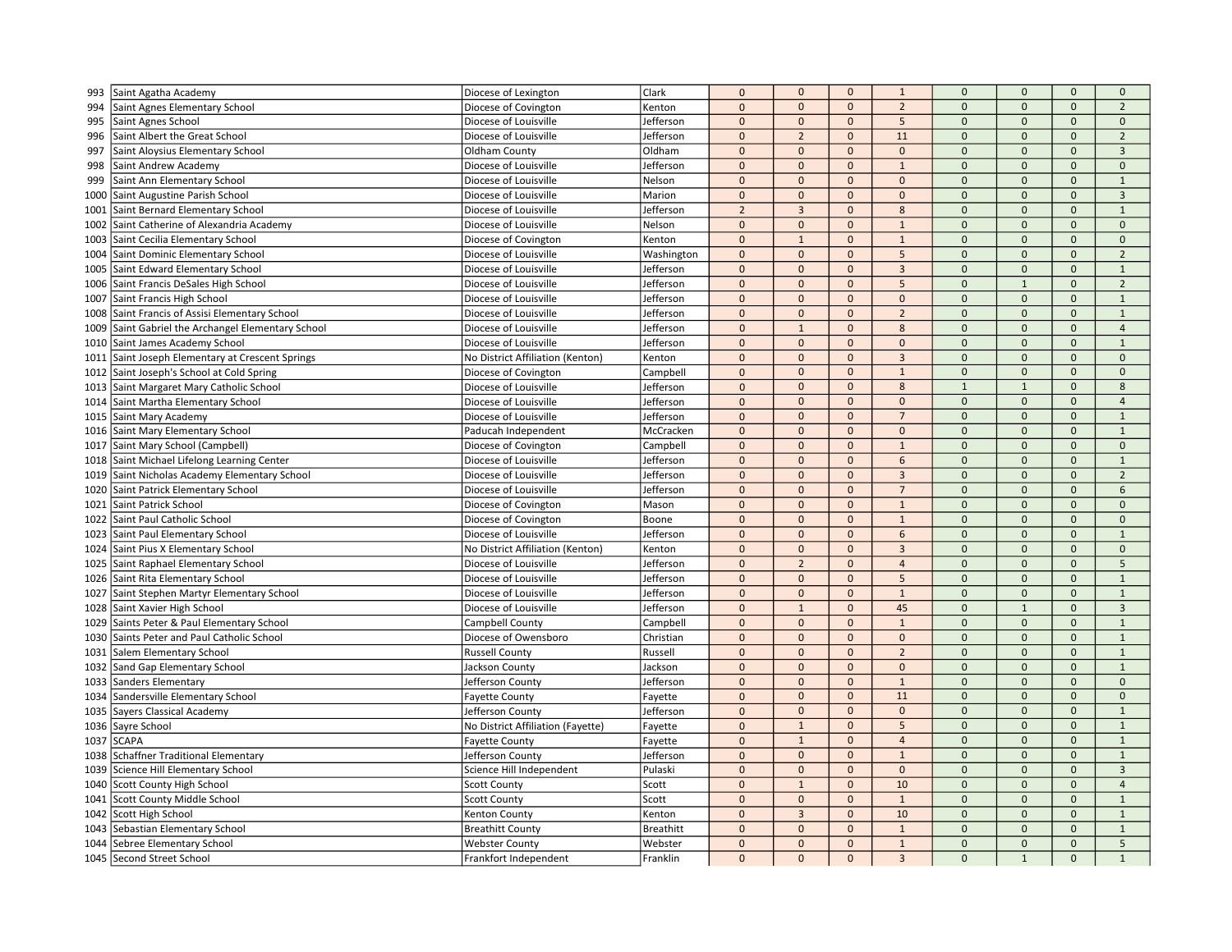| Diocese of Lexington<br>Saint Agatha Academy<br>$\mathbf{0}$<br>$\mathbf 0$<br>994<br>Saint Agnes Elementary School<br>Diocese of Covington<br>Kenton<br>$\mathbf 0$<br>$\mathbf 0$<br>$\overline{2}$<br>$\mathbf{0}$<br>$\mathbf{0}$<br>$\mathbf 0$<br>5<br>$\pmb{0}$<br>$\pmb{0}$<br>Jefferson<br>$\mathbf 0$<br>$\mathbf{0}$<br>$\mathbf 0$<br>995<br>Saint Agnes School<br>Diocese of Louisville<br>$\mathbf 0$<br>$\overline{2}$<br>$\mathbf{0}$<br>11<br>$\mathbf 0$<br>$\mathbf{0}$<br>$\mathbf{0}$<br>Saint Albert the Great School<br>Diocese of Louisville<br>Jefferson<br>996<br>$\mathbf 0$<br>997<br>Saint Aloysius Elementary School<br>Oldham County<br>Oldham<br>$\mathbf 0$<br>$\mathbf{0}$<br>$\mathbf 0$<br>$\mathbf 0$<br>$\mathbf 0$<br>$\mathsf{O}\xspace$<br>$\mathbf{0}$<br>Diocese of Louisville<br>Jefferson<br>$\mathbf{0}$<br>$\Omega$<br>$\mathbf 0$<br>$\Omega$<br>$\Omega$<br>998<br>Saint Andrew Academy<br>$\mathbf{1}$<br>$\mathbf{0}$<br>$\mathbf{0}$<br>$\mathbf{0}$<br>$\mathbf{0}$<br>$\Omega$<br>$\mathbf{0}$<br>$\mathbf{0}$<br>999<br>Saint Ann Elementary School<br>Diocese of Louisville<br>Nelson<br>$\mathbf{0}$<br>$\mathbf{0}$<br>$\mathbf 0$<br>$\mathbf{0}$<br>$\mathbf{0}$<br>$\mathbf{0}$<br>$\mathbf{0}$<br>1000<br>Saint Augustine Parish School<br>Diocese of Louisville<br>Marion<br>$\overline{2}$<br>Saint Bernard Elementary School<br>$\overline{3}$<br>$\mathbf 0$<br>$\mathbf 0$<br>Diocese of Louisville<br>Jefferson<br>$\mathbf 0$<br>8<br>$\mathbf{0}$<br>1001<br>$\mathbf 0$<br>$\mathbf{0}$<br>$\mathbf{0}$<br>$\mathbf{1}$<br>$\Omega$<br>$\mathbf 0$<br>$\mathsf{O}\xspace$<br>1002<br>Saint Catherine of Alexandria Academy<br>Diocese of Louisville<br>Nelson<br>$\mathbf 0$<br>$\mathbf{1}$<br>$\Omega$<br>$\mathbf 0$<br>$\mathbf{0}$<br>$\mathbf{0}$<br>Saint Cecilia Elementary School<br>Diocese of Covington<br>$\mathbf{1}$<br>1003<br>Kenton<br>$\mathbf 0$<br>$\mathbf{0}$<br>5<br>$\Omega$<br>$\mathbf{0}$<br>Saint Dominic Elementary School<br>Diocese of Louisville<br>$\mathbf 0$<br>$\overline{0}$<br>1004<br>Washington<br>$\mathbf 0$<br>Saint Edward Elementary School<br>Jefferson<br>$\mathbf 0$<br>$\mathbf 0$<br>$\overline{3}$<br>$\mathbf 0$<br>$\mathbf 0$<br>$\mathsf{O}\xspace$<br>1005<br>Diocese of Louisville<br>$\mathbf{0}$<br>$\Omega$<br>$\mathbf{0}$<br>$\mathbf{0}$<br>5<br>$\mathbf{1}$<br>$\Omega$<br>Saint Francis DeSales High School<br>Diocese of Louisville<br>Jefferson<br>1006<br>$\mathbf 0$<br>$\mathbf 0$<br>$\mathbf{0}$<br>$\mathbf 0$<br>$\mathbf 0$<br>$\mathbf 0$<br>$\mathsf{O}\xspace$<br>Saint Francis High School<br>Jefferson<br>1007<br>Diocese of Louisville<br>$\mathbf 0$<br>Saint Francis of Assisi Elementary School<br>Diocese of Louisville<br>$\mathbf 0$<br>$\mathbf{0}$<br>$\overline{2}$<br>$\mathbf 0$<br>$\mathbf 0$<br>$\mathsf{O}\xspace$<br>1008<br>Jefferson<br>$\mathbf{0}$<br>Saint Gabriel the Archangel Elementary School<br>Jefferson<br>$\mathbf{1}$<br>$\Omega$<br>8<br>$\Omega$<br>$\Omega$<br>$\mathbf{0}$<br>Diocese of Louisville<br>1009<br>$\mathbf{0}$<br>$\Omega$<br>$\mathbf 0$<br>$\mathbf{0}$<br>$\mathbf{0}$<br>$\mathbf{0}$<br>$\mathbf{0}$<br>Saint James Academy School<br>Diocese of Louisville<br>Jefferson<br>1010<br>$\mathbf{0}$<br>$\pmb{0}$<br>$\overline{0}$<br>Saint Joseph Elementary at Crescent Springs<br>No District Affiliation (Kenton)<br>$\mathbf 0$<br>$\overline{3}$<br>$\mathbf{0}$<br>$\mathbf{0}$<br>1011<br>Kenton<br>$\mathbf 0$<br>$\mathbf 0$<br>$\mathbf 0$<br>$\mathbf{0}$<br>Saint Joseph's School at Cold Spring<br>$\mathbf{0}$<br>$\mathbf{0}$<br>$\mathbf{1}$<br>Diocese of Covington<br>Campbell<br>1012<br>$\mathbf{0}$<br>$\mathbf{0}$<br>$\mathbf{1}$<br>$\mathbf{1}$<br>Saint Margaret Mary Catholic School<br>Diocese of Louisville<br>Jefferson<br>$\mathbf{0}$<br>8<br>$\mathbf{0}$<br>1013<br>$\mathbf 0$<br>$\mathbf 0$<br>$\mathbf{0}$<br>$\mathbf 0$<br>$\Omega$<br>$\mathbf{0}$<br>$\mathsf{O}\xspace$<br>Saint Martha Elementary School<br>Diocese of Louisville<br>Jefferson<br>1014<br>$\mathbf 0$<br>$\mathbf{0}$<br>$\mathbf 0$<br>$\overline{7}$<br>$\mathbf 0$<br>$\mathbf{0}$<br>$\Omega$<br>1015<br>Saint Mary Academy<br>Diocese of Louisville<br>Jefferson<br>Saint Mary Elementary School<br>McCracken<br>$\mathbf{0}$<br>$\mathbf{0}$<br>$\mathbf{0}$<br>$\mathbf{0}$<br>$\Omega$<br>$\mathbf{0}$<br>$\mathbf{0}$<br>1016<br>Paducah Independent<br>$\mathbf 0$<br>$\mathbf 0$<br>$\pmb{0}$<br>$\mathbf{0}$<br>$\pmb{0}$<br>Saint Mary School (Campbell)<br>$\mathbf{0}$<br>$\mathbf{1}$<br>Diocese of Covington<br>Campbell<br>1017<br>$\mathbf 0$<br>$\mathbf 0$<br>$\mathbf{0}$<br>6<br>$\mathbf 0$<br>$\mathbf 0$<br>$\mathbf{0}$<br>1018 Saint Michael Lifelong Learning Center<br>Diocese of Louisville<br>Jefferson<br>$\mathbf 0$<br>Saint Nicholas Academy Elementary School<br>Jefferson<br>$\mathbf{0}$<br>$\mathbf{0}$<br>$\mathbf{3}$<br>$\Omega$<br>$\mathbf 0$<br>$\mathsf{O}\xspace$<br>1019<br>Diocese of Louisville<br>$\mathbf 0$<br>$\Omega$<br>Saint Patrick Elementary School<br>Diocese of Louisville<br>Jefferson<br>$\mathbf{0}$<br>$\Omega$<br>$\overline{7}$<br>$\mathbf{0}$<br>$\mathbf{0}$<br>1020<br>$\pmb{0}$<br>$\mathbf{0}$<br>$\mathbf 0$<br>$\mathbf{1}$<br>$\Omega$<br>$\mathbf{0}$<br>$\mathbf{0}$<br>Saint Patrick School<br>Diocese of Covington<br>Mason<br>1021<br>$\mathbf{0}$<br>Saint Paul Catholic School<br>$\mathbf 0$<br>$\mathbf 0$<br>$\mathbf{1}$<br>$\mathbf 0$<br>$\mathbf{0}$<br>$\mathbf{0}$<br>1022<br>Diocese of Covington<br>Boone<br>$\pmb{0}$<br>$\Omega$<br>$\mathbf{0}$<br>$\mathbf{0}$<br>$\mathbf{0}$<br>Saint Paul Elementary School<br>Diocese of Louisville<br>Jefferson<br>$\mathbf{0}$<br>6<br>1023<br>$\mathbf 0$<br>Saint Pius X Elementary School<br>No District Affiliation (Kenton)<br>$\mathbf{0}$<br>$\mathbf{0}$<br>$\overline{3}$<br>$\mathbf{0}$<br>$\mathbf 0$<br>$\mathsf{O}\xspace$<br>1024<br>Kenton<br>$\mathbf 0$<br>$\overline{2}$<br>$\mathbf 0$<br>$\mathsf{O}\xspace$<br>Saint Raphael Elementary School<br>Diocese of Louisville<br>$\mathbf{0}$<br>$\overline{4}$<br>$\mathbf 0$<br>1025<br>Jefferson<br>$\mathbf 0$<br>5<br>Jefferson<br>$\Omega$<br>$\mathbf 0$<br>$\Omega$<br>$\Omega$<br>$\Omega$<br>Saint Rita Elementary School<br>Diocese of Louisville<br>1026 | $\overline{2}$<br>$\mathbf 0$<br>$\overline{2}$<br>$\overline{3}$<br>$\mathbf{0}$<br>$\mathbf{1}$<br>$\overline{3}$<br>$\mathbf{1}$<br>$\mathbf 0$<br>$\mathbf{0}$<br>$\overline{2}$<br>$\mathbf{1}$<br>$\overline{2}$<br>$\mathbf{1}$<br>$\mathbf 1$<br>$\overline{4}$<br>$\mathbf{1}$<br>$\mathbf 0$<br>$\mathbf{0}$<br>8<br>$\overline{4}$ |
|--------------------------------------------------------------------------------------------------------------------------------------------------------------------------------------------------------------------------------------------------------------------------------------------------------------------------------------------------------------------------------------------------------------------------------------------------------------------------------------------------------------------------------------------------------------------------------------------------------------------------------------------------------------------------------------------------------------------------------------------------------------------------------------------------------------------------------------------------------------------------------------------------------------------------------------------------------------------------------------------------------------------------------------------------------------------------------------------------------------------------------------------------------------------------------------------------------------------------------------------------------------------------------------------------------------------------------------------------------------------------------------------------------------------------------------------------------------------------------------------------------------------------------------------------------------------------------------------------------------------------------------------------------------------------------------------------------------------------------------------------------------------------------------------------------------------------------------------------------------------------------------------------------------------------------------------------------------------------------------------------------------------------------------------------------------------------------------------------------------------------------------------------------------------------------------------------------------------------------------------------------------------------------------------------------------------------------------------------------------------------------------------------------------------------------------------------------------------------------------------------------------------------------------------------------------------------------------------------------------------------------------------------------------------------------------------------------------------------------------------------------------------------------------------------------------------------------------------------------------------------------------------------------------------------------------------------------------------------------------------------------------------------------------------------------------------------------------------------------------------------------------------------------------------------------------------------------------------------------------------------------------------------------------------------------------------------------------------------------------------------------------------------------------------------------------------------------------------------------------------------------------------------------------------------------------------------------------------------------------------------------------------------------------------------------------------------------------------------------------------------------------------------------------------------------------------------------------------------------------------------------------------------------------------------------------------------------------------------------------------------------------------------------------------------------------------------------------------------------------------------------------------------------------------------------------------------------------------------------------------------------------------------------------------------------------------------------------------------------------------------------------------------------------------------------------------------------------------------------------------------------------------------------------------------------------------------------------------------------------------------------------------------------------------------------------------------------------------------------------------------------------------------------------------------------------------------------------------------------------------------------------------------------------------------------------------------------------------------------------------------------------------------------------------------------------------------------------------------------------------------------------------------------------------------------------------------------------------------------------------------------------------------------------------------------------------------------------------------------------------------------------------------------------------------------------------------------------------------------------------------------------------------------------------------------------------------------------------------------------------------------------------------------------------------------------------------------------------------------------------------------------------------------------------------------------------------------------------------------------------------------------------------------------------------------------------------------------------------------------------------------------------------------------------------------------------------------------------------------------------------------------------------------------------------------------------------------------------------------------------------------------------------------------------------------------------------------------------------------------------------------------------------------|-----------------------------------------------------------------------------------------------------------------------------------------------------------------------------------------------------------------------------------------------------------------------------------------------------------------------------------------------|
|                                                                                                                                                                                                                                                                                                                                                                                                                                                                                                                                                                                                                                                                                                                                                                                                                                                                                                                                                                                                                                                                                                                                                                                                                                                                                                                                                                                                                                                                                                                                                                                                                                                                                                                                                                                                                                                                                                                                                                                                                                                                                                                                                                                                                                                                                                                                                                                                                                                                                                                                                                                                                                                                                                                                                                                                                                                                                                                                                                                                                                                                                                                                                                                                                                                                                                                                                                                                                                                                                                                                                                                                                                                                                                                                                                                                                                                                                                                                                                                                                                                                                                                                                                                                                                                                                                                                                                                                                                                                                                                                                                                                                                                                                                                                                                                                                                                                                                                                                                                                                                                                                                                                                                                                                                                                                                                                                                                                                                                                                                                                                                                                                                                                                                                                                                                                                                                                                                                                                                                                                                                                                                                                                                                                                                                                                                                                                                                                        |                                                                                                                                                                                                                                                                                                                                               |
|                                                                                                                                                                                                                                                                                                                                                                                                                                                                                                                                                                                                                                                                                                                                                                                                                                                                                                                                                                                                                                                                                                                                                                                                                                                                                                                                                                                                                                                                                                                                                                                                                                                                                                                                                                                                                                                                                                                                                                                                                                                                                                                                                                                                                                                                                                                                                                                                                                                                                                                                                                                                                                                                                                                                                                                                                                                                                                                                                                                                                                                                                                                                                                                                                                                                                                                                                                                                                                                                                                                                                                                                                                                                                                                                                                                                                                                                                                                                                                                                                                                                                                                                                                                                                                                                                                                                                                                                                                                                                                                                                                                                                                                                                                                                                                                                                                                                                                                                                                                                                                                                                                                                                                                                                                                                                                                                                                                                                                                                                                                                                                                                                                                                                                                                                                                                                                                                                                                                                                                                                                                                                                                                                                                                                                                                                                                                                                                                        |                                                                                                                                                                                                                                                                                                                                               |
|                                                                                                                                                                                                                                                                                                                                                                                                                                                                                                                                                                                                                                                                                                                                                                                                                                                                                                                                                                                                                                                                                                                                                                                                                                                                                                                                                                                                                                                                                                                                                                                                                                                                                                                                                                                                                                                                                                                                                                                                                                                                                                                                                                                                                                                                                                                                                                                                                                                                                                                                                                                                                                                                                                                                                                                                                                                                                                                                                                                                                                                                                                                                                                                                                                                                                                                                                                                                                                                                                                                                                                                                                                                                                                                                                                                                                                                                                                                                                                                                                                                                                                                                                                                                                                                                                                                                                                                                                                                                                                                                                                                                                                                                                                                                                                                                                                                                                                                                                                                                                                                                                                                                                                                                                                                                                                                                                                                                                                                                                                                                                                                                                                                                                                                                                                                                                                                                                                                                                                                                                                                                                                                                                                                                                                                                                                                                                                                                        |                                                                                                                                                                                                                                                                                                                                               |
|                                                                                                                                                                                                                                                                                                                                                                                                                                                                                                                                                                                                                                                                                                                                                                                                                                                                                                                                                                                                                                                                                                                                                                                                                                                                                                                                                                                                                                                                                                                                                                                                                                                                                                                                                                                                                                                                                                                                                                                                                                                                                                                                                                                                                                                                                                                                                                                                                                                                                                                                                                                                                                                                                                                                                                                                                                                                                                                                                                                                                                                                                                                                                                                                                                                                                                                                                                                                                                                                                                                                                                                                                                                                                                                                                                                                                                                                                                                                                                                                                                                                                                                                                                                                                                                                                                                                                                                                                                                                                                                                                                                                                                                                                                                                                                                                                                                                                                                                                                                                                                                                                                                                                                                                                                                                                                                                                                                                                                                                                                                                                                                                                                                                                                                                                                                                                                                                                                                                                                                                                                                                                                                                                                                                                                                                                                                                                                                                        |                                                                                                                                                                                                                                                                                                                                               |
|                                                                                                                                                                                                                                                                                                                                                                                                                                                                                                                                                                                                                                                                                                                                                                                                                                                                                                                                                                                                                                                                                                                                                                                                                                                                                                                                                                                                                                                                                                                                                                                                                                                                                                                                                                                                                                                                                                                                                                                                                                                                                                                                                                                                                                                                                                                                                                                                                                                                                                                                                                                                                                                                                                                                                                                                                                                                                                                                                                                                                                                                                                                                                                                                                                                                                                                                                                                                                                                                                                                                                                                                                                                                                                                                                                                                                                                                                                                                                                                                                                                                                                                                                                                                                                                                                                                                                                                                                                                                                                                                                                                                                                                                                                                                                                                                                                                                                                                                                                                                                                                                                                                                                                                                                                                                                                                                                                                                                                                                                                                                                                                                                                                                                                                                                                                                                                                                                                                                                                                                                                                                                                                                                                                                                                                                                                                                                                                                        |                                                                                                                                                                                                                                                                                                                                               |
|                                                                                                                                                                                                                                                                                                                                                                                                                                                                                                                                                                                                                                                                                                                                                                                                                                                                                                                                                                                                                                                                                                                                                                                                                                                                                                                                                                                                                                                                                                                                                                                                                                                                                                                                                                                                                                                                                                                                                                                                                                                                                                                                                                                                                                                                                                                                                                                                                                                                                                                                                                                                                                                                                                                                                                                                                                                                                                                                                                                                                                                                                                                                                                                                                                                                                                                                                                                                                                                                                                                                                                                                                                                                                                                                                                                                                                                                                                                                                                                                                                                                                                                                                                                                                                                                                                                                                                                                                                                                                                                                                                                                                                                                                                                                                                                                                                                                                                                                                                                                                                                                                                                                                                                                                                                                                                                                                                                                                                                                                                                                                                                                                                                                                                                                                                                                                                                                                                                                                                                                                                                                                                                                                                                                                                                                                                                                                                                                        |                                                                                                                                                                                                                                                                                                                                               |
|                                                                                                                                                                                                                                                                                                                                                                                                                                                                                                                                                                                                                                                                                                                                                                                                                                                                                                                                                                                                                                                                                                                                                                                                                                                                                                                                                                                                                                                                                                                                                                                                                                                                                                                                                                                                                                                                                                                                                                                                                                                                                                                                                                                                                                                                                                                                                                                                                                                                                                                                                                                                                                                                                                                                                                                                                                                                                                                                                                                                                                                                                                                                                                                                                                                                                                                                                                                                                                                                                                                                                                                                                                                                                                                                                                                                                                                                                                                                                                                                                                                                                                                                                                                                                                                                                                                                                                                                                                                                                                                                                                                                                                                                                                                                                                                                                                                                                                                                                                                                                                                                                                                                                                                                                                                                                                                                                                                                                                                                                                                                                                                                                                                                                                                                                                                                                                                                                                                                                                                                                                                                                                                                                                                                                                                                                                                                                                                                        |                                                                                                                                                                                                                                                                                                                                               |
|                                                                                                                                                                                                                                                                                                                                                                                                                                                                                                                                                                                                                                                                                                                                                                                                                                                                                                                                                                                                                                                                                                                                                                                                                                                                                                                                                                                                                                                                                                                                                                                                                                                                                                                                                                                                                                                                                                                                                                                                                                                                                                                                                                                                                                                                                                                                                                                                                                                                                                                                                                                                                                                                                                                                                                                                                                                                                                                                                                                                                                                                                                                                                                                                                                                                                                                                                                                                                                                                                                                                                                                                                                                                                                                                                                                                                                                                                                                                                                                                                                                                                                                                                                                                                                                                                                                                                                                                                                                                                                                                                                                                                                                                                                                                                                                                                                                                                                                                                                                                                                                                                                                                                                                                                                                                                                                                                                                                                                                                                                                                                                                                                                                                                                                                                                                                                                                                                                                                                                                                                                                                                                                                                                                                                                                                                                                                                                                                        |                                                                                                                                                                                                                                                                                                                                               |
|                                                                                                                                                                                                                                                                                                                                                                                                                                                                                                                                                                                                                                                                                                                                                                                                                                                                                                                                                                                                                                                                                                                                                                                                                                                                                                                                                                                                                                                                                                                                                                                                                                                                                                                                                                                                                                                                                                                                                                                                                                                                                                                                                                                                                                                                                                                                                                                                                                                                                                                                                                                                                                                                                                                                                                                                                                                                                                                                                                                                                                                                                                                                                                                                                                                                                                                                                                                                                                                                                                                                                                                                                                                                                                                                                                                                                                                                                                                                                                                                                                                                                                                                                                                                                                                                                                                                                                                                                                                                                                                                                                                                                                                                                                                                                                                                                                                                                                                                                                                                                                                                                                                                                                                                                                                                                                                                                                                                                                                                                                                                                                                                                                                                                                                                                                                                                                                                                                                                                                                                                                                                                                                                                                                                                                                                                                                                                                                                        |                                                                                                                                                                                                                                                                                                                                               |
|                                                                                                                                                                                                                                                                                                                                                                                                                                                                                                                                                                                                                                                                                                                                                                                                                                                                                                                                                                                                                                                                                                                                                                                                                                                                                                                                                                                                                                                                                                                                                                                                                                                                                                                                                                                                                                                                                                                                                                                                                                                                                                                                                                                                                                                                                                                                                                                                                                                                                                                                                                                                                                                                                                                                                                                                                                                                                                                                                                                                                                                                                                                                                                                                                                                                                                                                                                                                                                                                                                                                                                                                                                                                                                                                                                                                                                                                                                                                                                                                                                                                                                                                                                                                                                                                                                                                                                                                                                                                                                                                                                                                                                                                                                                                                                                                                                                                                                                                                                                                                                                                                                                                                                                                                                                                                                                                                                                                                                                                                                                                                                                                                                                                                                                                                                                                                                                                                                                                                                                                                                                                                                                                                                                                                                                                                                                                                                                                        |                                                                                                                                                                                                                                                                                                                                               |
|                                                                                                                                                                                                                                                                                                                                                                                                                                                                                                                                                                                                                                                                                                                                                                                                                                                                                                                                                                                                                                                                                                                                                                                                                                                                                                                                                                                                                                                                                                                                                                                                                                                                                                                                                                                                                                                                                                                                                                                                                                                                                                                                                                                                                                                                                                                                                                                                                                                                                                                                                                                                                                                                                                                                                                                                                                                                                                                                                                                                                                                                                                                                                                                                                                                                                                                                                                                                                                                                                                                                                                                                                                                                                                                                                                                                                                                                                                                                                                                                                                                                                                                                                                                                                                                                                                                                                                                                                                                                                                                                                                                                                                                                                                                                                                                                                                                                                                                                                                                                                                                                                                                                                                                                                                                                                                                                                                                                                                                                                                                                                                                                                                                                                                                                                                                                                                                                                                                                                                                                                                                                                                                                                                                                                                                                                                                                                                                                        |                                                                                                                                                                                                                                                                                                                                               |
|                                                                                                                                                                                                                                                                                                                                                                                                                                                                                                                                                                                                                                                                                                                                                                                                                                                                                                                                                                                                                                                                                                                                                                                                                                                                                                                                                                                                                                                                                                                                                                                                                                                                                                                                                                                                                                                                                                                                                                                                                                                                                                                                                                                                                                                                                                                                                                                                                                                                                                                                                                                                                                                                                                                                                                                                                                                                                                                                                                                                                                                                                                                                                                                                                                                                                                                                                                                                                                                                                                                                                                                                                                                                                                                                                                                                                                                                                                                                                                                                                                                                                                                                                                                                                                                                                                                                                                                                                                                                                                                                                                                                                                                                                                                                                                                                                                                                                                                                                                                                                                                                                                                                                                                                                                                                                                                                                                                                                                                                                                                                                                                                                                                                                                                                                                                                                                                                                                                                                                                                                                                                                                                                                                                                                                                                                                                                                                                                        |                                                                                                                                                                                                                                                                                                                                               |
|                                                                                                                                                                                                                                                                                                                                                                                                                                                                                                                                                                                                                                                                                                                                                                                                                                                                                                                                                                                                                                                                                                                                                                                                                                                                                                                                                                                                                                                                                                                                                                                                                                                                                                                                                                                                                                                                                                                                                                                                                                                                                                                                                                                                                                                                                                                                                                                                                                                                                                                                                                                                                                                                                                                                                                                                                                                                                                                                                                                                                                                                                                                                                                                                                                                                                                                                                                                                                                                                                                                                                                                                                                                                                                                                                                                                                                                                                                                                                                                                                                                                                                                                                                                                                                                                                                                                                                                                                                                                                                                                                                                                                                                                                                                                                                                                                                                                                                                                                                                                                                                                                                                                                                                                                                                                                                                                                                                                                                                                                                                                                                                                                                                                                                                                                                                                                                                                                                                                                                                                                                                                                                                                                                                                                                                                                                                                                                                                        |                                                                                                                                                                                                                                                                                                                                               |
|                                                                                                                                                                                                                                                                                                                                                                                                                                                                                                                                                                                                                                                                                                                                                                                                                                                                                                                                                                                                                                                                                                                                                                                                                                                                                                                                                                                                                                                                                                                                                                                                                                                                                                                                                                                                                                                                                                                                                                                                                                                                                                                                                                                                                                                                                                                                                                                                                                                                                                                                                                                                                                                                                                                                                                                                                                                                                                                                                                                                                                                                                                                                                                                                                                                                                                                                                                                                                                                                                                                                                                                                                                                                                                                                                                                                                                                                                                                                                                                                                                                                                                                                                                                                                                                                                                                                                                                                                                                                                                                                                                                                                                                                                                                                                                                                                                                                                                                                                                                                                                                                                                                                                                                                                                                                                                                                                                                                                                                                                                                                                                                                                                                                                                                                                                                                                                                                                                                                                                                                                                                                                                                                                                                                                                                                                                                                                                                                        |                                                                                                                                                                                                                                                                                                                                               |
|                                                                                                                                                                                                                                                                                                                                                                                                                                                                                                                                                                                                                                                                                                                                                                                                                                                                                                                                                                                                                                                                                                                                                                                                                                                                                                                                                                                                                                                                                                                                                                                                                                                                                                                                                                                                                                                                                                                                                                                                                                                                                                                                                                                                                                                                                                                                                                                                                                                                                                                                                                                                                                                                                                                                                                                                                                                                                                                                                                                                                                                                                                                                                                                                                                                                                                                                                                                                                                                                                                                                                                                                                                                                                                                                                                                                                                                                                                                                                                                                                                                                                                                                                                                                                                                                                                                                                                                                                                                                                                                                                                                                                                                                                                                                                                                                                                                                                                                                                                                                                                                                                                                                                                                                                                                                                                                                                                                                                                                                                                                                                                                                                                                                                                                                                                                                                                                                                                                                                                                                                                                                                                                                                                                                                                                                                                                                                                                                        |                                                                                                                                                                                                                                                                                                                                               |
|                                                                                                                                                                                                                                                                                                                                                                                                                                                                                                                                                                                                                                                                                                                                                                                                                                                                                                                                                                                                                                                                                                                                                                                                                                                                                                                                                                                                                                                                                                                                                                                                                                                                                                                                                                                                                                                                                                                                                                                                                                                                                                                                                                                                                                                                                                                                                                                                                                                                                                                                                                                                                                                                                                                                                                                                                                                                                                                                                                                                                                                                                                                                                                                                                                                                                                                                                                                                                                                                                                                                                                                                                                                                                                                                                                                                                                                                                                                                                                                                                                                                                                                                                                                                                                                                                                                                                                                                                                                                                                                                                                                                                                                                                                                                                                                                                                                                                                                                                                                                                                                                                                                                                                                                                                                                                                                                                                                                                                                                                                                                                                                                                                                                                                                                                                                                                                                                                                                                                                                                                                                                                                                                                                                                                                                                                                                                                                                                        |                                                                                                                                                                                                                                                                                                                                               |
|                                                                                                                                                                                                                                                                                                                                                                                                                                                                                                                                                                                                                                                                                                                                                                                                                                                                                                                                                                                                                                                                                                                                                                                                                                                                                                                                                                                                                                                                                                                                                                                                                                                                                                                                                                                                                                                                                                                                                                                                                                                                                                                                                                                                                                                                                                                                                                                                                                                                                                                                                                                                                                                                                                                                                                                                                                                                                                                                                                                                                                                                                                                                                                                                                                                                                                                                                                                                                                                                                                                                                                                                                                                                                                                                                                                                                                                                                                                                                                                                                                                                                                                                                                                                                                                                                                                                                                                                                                                                                                                                                                                                                                                                                                                                                                                                                                                                                                                                                                                                                                                                                                                                                                                                                                                                                                                                                                                                                                                                                                                                                                                                                                                                                                                                                                                                                                                                                                                                                                                                                                                                                                                                                                                                                                                                                                                                                                                                        |                                                                                                                                                                                                                                                                                                                                               |
|                                                                                                                                                                                                                                                                                                                                                                                                                                                                                                                                                                                                                                                                                                                                                                                                                                                                                                                                                                                                                                                                                                                                                                                                                                                                                                                                                                                                                                                                                                                                                                                                                                                                                                                                                                                                                                                                                                                                                                                                                                                                                                                                                                                                                                                                                                                                                                                                                                                                                                                                                                                                                                                                                                                                                                                                                                                                                                                                                                                                                                                                                                                                                                                                                                                                                                                                                                                                                                                                                                                                                                                                                                                                                                                                                                                                                                                                                                                                                                                                                                                                                                                                                                                                                                                                                                                                                                                                                                                                                                                                                                                                                                                                                                                                                                                                                                                                                                                                                                                                                                                                                                                                                                                                                                                                                                                                                                                                                                                                                                                                                                                                                                                                                                                                                                                                                                                                                                                                                                                                                                                                                                                                                                                                                                                                                                                                                                                                        |                                                                                                                                                                                                                                                                                                                                               |
|                                                                                                                                                                                                                                                                                                                                                                                                                                                                                                                                                                                                                                                                                                                                                                                                                                                                                                                                                                                                                                                                                                                                                                                                                                                                                                                                                                                                                                                                                                                                                                                                                                                                                                                                                                                                                                                                                                                                                                                                                                                                                                                                                                                                                                                                                                                                                                                                                                                                                                                                                                                                                                                                                                                                                                                                                                                                                                                                                                                                                                                                                                                                                                                                                                                                                                                                                                                                                                                                                                                                                                                                                                                                                                                                                                                                                                                                                                                                                                                                                                                                                                                                                                                                                                                                                                                                                                                                                                                                                                                                                                                                                                                                                                                                                                                                                                                                                                                                                                                                                                                                                                                                                                                                                                                                                                                                                                                                                                                                                                                                                                                                                                                                                                                                                                                                                                                                                                                                                                                                                                                                                                                                                                                                                                                                                                                                                                                                        |                                                                                                                                                                                                                                                                                                                                               |
|                                                                                                                                                                                                                                                                                                                                                                                                                                                                                                                                                                                                                                                                                                                                                                                                                                                                                                                                                                                                                                                                                                                                                                                                                                                                                                                                                                                                                                                                                                                                                                                                                                                                                                                                                                                                                                                                                                                                                                                                                                                                                                                                                                                                                                                                                                                                                                                                                                                                                                                                                                                                                                                                                                                                                                                                                                                                                                                                                                                                                                                                                                                                                                                                                                                                                                                                                                                                                                                                                                                                                                                                                                                                                                                                                                                                                                                                                                                                                                                                                                                                                                                                                                                                                                                                                                                                                                                                                                                                                                                                                                                                                                                                                                                                                                                                                                                                                                                                                                                                                                                                                                                                                                                                                                                                                                                                                                                                                                                                                                                                                                                                                                                                                                                                                                                                                                                                                                                                                                                                                                                                                                                                                                                                                                                                                                                                                                                                        |                                                                                                                                                                                                                                                                                                                                               |
|                                                                                                                                                                                                                                                                                                                                                                                                                                                                                                                                                                                                                                                                                                                                                                                                                                                                                                                                                                                                                                                                                                                                                                                                                                                                                                                                                                                                                                                                                                                                                                                                                                                                                                                                                                                                                                                                                                                                                                                                                                                                                                                                                                                                                                                                                                                                                                                                                                                                                                                                                                                                                                                                                                                                                                                                                                                                                                                                                                                                                                                                                                                                                                                                                                                                                                                                                                                                                                                                                                                                                                                                                                                                                                                                                                                                                                                                                                                                                                                                                                                                                                                                                                                                                                                                                                                                                                                                                                                                                                                                                                                                                                                                                                                                                                                                                                                                                                                                                                                                                                                                                                                                                                                                                                                                                                                                                                                                                                                                                                                                                                                                                                                                                                                                                                                                                                                                                                                                                                                                                                                                                                                                                                                                                                                                                                                                                                                                        |                                                                                                                                                                                                                                                                                                                                               |
|                                                                                                                                                                                                                                                                                                                                                                                                                                                                                                                                                                                                                                                                                                                                                                                                                                                                                                                                                                                                                                                                                                                                                                                                                                                                                                                                                                                                                                                                                                                                                                                                                                                                                                                                                                                                                                                                                                                                                                                                                                                                                                                                                                                                                                                                                                                                                                                                                                                                                                                                                                                                                                                                                                                                                                                                                                                                                                                                                                                                                                                                                                                                                                                                                                                                                                                                                                                                                                                                                                                                                                                                                                                                                                                                                                                                                                                                                                                                                                                                                                                                                                                                                                                                                                                                                                                                                                                                                                                                                                                                                                                                                                                                                                                                                                                                                                                                                                                                                                                                                                                                                                                                                                                                                                                                                                                                                                                                                                                                                                                                                                                                                                                                                                                                                                                                                                                                                                                                                                                                                                                                                                                                                                                                                                                                                                                                                                                                        | $\mathbf 1$                                                                                                                                                                                                                                                                                                                                   |
|                                                                                                                                                                                                                                                                                                                                                                                                                                                                                                                                                                                                                                                                                                                                                                                                                                                                                                                                                                                                                                                                                                                                                                                                                                                                                                                                                                                                                                                                                                                                                                                                                                                                                                                                                                                                                                                                                                                                                                                                                                                                                                                                                                                                                                                                                                                                                                                                                                                                                                                                                                                                                                                                                                                                                                                                                                                                                                                                                                                                                                                                                                                                                                                                                                                                                                                                                                                                                                                                                                                                                                                                                                                                                                                                                                                                                                                                                                                                                                                                                                                                                                                                                                                                                                                                                                                                                                                                                                                                                                                                                                                                                                                                                                                                                                                                                                                                                                                                                                                                                                                                                                                                                                                                                                                                                                                                                                                                                                                                                                                                                                                                                                                                                                                                                                                                                                                                                                                                                                                                                                                                                                                                                                                                                                                                                                                                                                                                        | $\mathbf{1}$                                                                                                                                                                                                                                                                                                                                  |
|                                                                                                                                                                                                                                                                                                                                                                                                                                                                                                                                                                                                                                                                                                                                                                                                                                                                                                                                                                                                                                                                                                                                                                                                                                                                                                                                                                                                                                                                                                                                                                                                                                                                                                                                                                                                                                                                                                                                                                                                                                                                                                                                                                                                                                                                                                                                                                                                                                                                                                                                                                                                                                                                                                                                                                                                                                                                                                                                                                                                                                                                                                                                                                                                                                                                                                                                                                                                                                                                                                                                                                                                                                                                                                                                                                                                                                                                                                                                                                                                                                                                                                                                                                                                                                                                                                                                                                                                                                                                                                                                                                                                                                                                                                                                                                                                                                                                                                                                                                                                                                                                                                                                                                                                                                                                                                                                                                                                                                                                                                                                                                                                                                                                                                                                                                                                                                                                                                                                                                                                                                                                                                                                                                                                                                                                                                                                                                                                        | $\mathbf 0$                                                                                                                                                                                                                                                                                                                                   |
|                                                                                                                                                                                                                                                                                                                                                                                                                                                                                                                                                                                                                                                                                                                                                                                                                                                                                                                                                                                                                                                                                                                                                                                                                                                                                                                                                                                                                                                                                                                                                                                                                                                                                                                                                                                                                                                                                                                                                                                                                                                                                                                                                                                                                                                                                                                                                                                                                                                                                                                                                                                                                                                                                                                                                                                                                                                                                                                                                                                                                                                                                                                                                                                                                                                                                                                                                                                                                                                                                                                                                                                                                                                                                                                                                                                                                                                                                                                                                                                                                                                                                                                                                                                                                                                                                                                                                                                                                                                                                                                                                                                                                                                                                                                                                                                                                                                                                                                                                                                                                                                                                                                                                                                                                                                                                                                                                                                                                                                                                                                                                                                                                                                                                                                                                                                                                                                                                                                                                                                                                                                                                                                                                                                                                                                                                                                                                                                                        | $\mathbf{1}$                                                                                                                                                                                                                                                                                                                                  |
|                                                                                                                                                                                                                                                                                                                                                                                                                                                                                                                                                                                                                                                                                                                                                                                                                                                                                                                                                                                                                                                                                                                                                                                                                                                                                                                                                                                                                                                                                                                                                                                                                                                                                                                                                                                                                                                                                                                                                                                                                                                                                                                                                                                                                                                                                                                                                                                                                                                                                                                                                                                                                                                                                                                                                                                                                                                                                                                                                                                                                                                                                                                                                                                                                                                                                                                                                                                                                                                                                                                                                                                                                                                                                                                                                                                                                                                                                                                                                                                                                                                                                                                                                                                                                                                                                                                                                                                                                                                                                                                                                                                                                                                                                                                                                                                                                                                                                                                                                                                                                                                                                                                                                                                                                                                                                                                                                                                                                                                                                                                                                                                                                                                                                                                                                                                                                                                                                                                                                                                                                                                                                                                                                                                                                                                                                                                                                                                                        | $\overline{2}$                                                                                                                                                                                                                                                                                                                                |
|                                                                                                                                                                                                                                                                                                                                                                                                                                                                                                                                                                                                                                                                                                                                                                                                                                                                                                                                                                                                                                                                                                                                                                                                                                                                                                                                                                                                                                                                                                                                                                                                                                                                                                                                                                                                                                                                                                                                                                                                                                                                                                                                                                                                                                                                                                                                                                                                                                                                                                                                                                                                                                                                                                                                                                                                                                                                                                                                                                                                                                                                                                                                                                                                                                                                                                                                                                                                                                                                                                                                                                                                                                                                                                                                                                                                                                                                                                                                                                                                                                                                                                                                                                                                                                                                                                                                                                                                                                                                                                                                                                                                                                                                                                                                                                                                                                                                                                                                                                                                                                                                                                                                                                                                                                                                                                                                                                                                                                                                                                                                                                                                                                                                                                                                                                                                                                                                                                                                                                                                                                                                                                                                                                                                                                                                                                                                                                                                        | 6                                                                                                                                                                                                                                                                                                                                             |
|                                                                                                                                                                                                                                                                                                                                                                                                                                                                                                                                                                                                                                                                                                                                                                                                                                                                                                                                                                                                                                                                                                                                                                                                                                                                                                                                                                                                                                                                                                                                                                                                                                                                                                                                                                                                                                                                                                                                                                                                                                                                                                                                                                                                                                                                                                                                                                                                                                                                                                                                                                                                                                                                                                                                                                                                                                                                                                                                                                                                                                                                                                                                                                                                                                                                                                                                                                                                                                                                                                                                                                                                                                                                                                                                                                                                                                                                                                                                                                                                                                                                                                                                                                                                                                                                                                                                                                                                                                                                                                                                                                                                                                                                                                                                                                                                                                                                                                                                                                                                                                                                                                                                                                                                                                                                                                                                                                                                                                                                                                                                                                                                                                                                                                                                                                                                                                                                                                                                                                                                                                                                                                                                                                                                                                                                                                                                                                                                        | $\mathbf{0}$                                                                                                                                                                                                                                                                                                                                  |
|                                                                                                                                                                                                                                                                                                                                                                                                                                                                                                                                                                                                                                                                                                                                                                                                                                                                                                                                                                                                                                                                                                                                                                                                                                                                                                                                                                                                                                                                                                                                                                                                                                                                                                                                                                                                                                                                                                                                                                                                                                                                                                                                                                                                                                                                                                                                                                                                                                                                                                                                                                                                                                                                                                                                                                                                                                                                                                                                                                                                                                                                                                                                                                                                                                                                                                                                                                                                                                                                                                                                                                                                                                                                                                                                                                                                                                                                                                                                                                                                                                                                                                                                                                                                                                                                                                                                                                                                                                                                                                                                                                                                                                                                                                                                                                                                                                                                                                                                                                                                                                                                                                                                                                                                                                                                                                                                                                                                                                                                                                                                                                                                                                                                                                                                                                                                                                                                                                                                                                                                                                                                                                                                                                                                                                                                                                                                                                                                        | $\mathbf 0$                                                                                                                                                                                                                                                                                                                                   |
|                                                                                                                                                                                                                                                                                                                                                                                                                                                                                                                                                                                                                                                                                                                                                                                                                                                                                                                                                                                                                                                                                                                                                                                                                                                                                                                                                                                                                                                                                                                                                                                                                                                                                                                                                                                                                                                                                                                                                                                                                                                                                                                                                                                                                                                                                                                                                                                                                                                                                                                                                                                                                                                                                                                                                                                                                                                                                                                                                                                                                                                                                                                                                                                                                                                                                                                                                                                                                                                                                                                                                                                                                                                                                                                                                                                                                                                                                                                                                                                                                                                                                                                                                                                                                                                                                                                                                                                                                                                                                                                                                                                                                                                                                                                                                                                                                                                                                                                                                                                                                                                                                                                                                                                                                                                                                                                                                                                                                                                                                                                                                                                                                                                                                                                                                                                                                                                                                                                                                                                                                                                                                                                                                                                                                                                                                                                                                                                                        | $\mathbf{1}$                                                                                                                                                                                                                                                                                                                                  |
|                                                                                                                                                                                                                                                                                                                                                                                                                                                                                                                                                                                                                                                                                                                                                                                                                                                                                                                                                                                                                                                                                                                                                                                                                                                                                                                                                                                                                                                                                                                                                                                                                                                                                                                                                                                                                                                                                                                                                                                                                                                                                                                                                                                                                                                                                                                                                                                                                                                                                                                                                                                                                                                                                                                                                                                                                                                                                                                                                                                                                                                                                                                                                                                                                                                                                                                                                                                                                                                                                                                                                                                                                                                                                                                                                                                                                                                                                                                                                                                                                                                                                                                                                                                                                                                                                                                                                                                                                                                                                                                                                                                                                                                                                                                                                                                                                                                                                                                                                                                                                                                                                                                                                                                                                                                                                                                                                                                                                                                                                                                                                                                                                                                                                                                                                                                                                                                                                                                                                                                                                                                                                                                                                                                                                                                                                                                                                                                                        | $\mathbf 0$                                                                                                                                                                                                                                                                                                                                   |
|                                                                                                                                                                                                                                                                                                                                                                                                                                                                                                                                                                                                                                                                                                                                                                                                                                                                                                                                                                                                                                                                                                                                                                                                                                                                                                                                                                                                                                                                                                                                                                                                                                                                                                                                                                                                                                                                                                                                                                                                                                                                                                                                                                                                                                                                                                                                                                                                                                                                                                                                                                                                                                                                                                                                                                                                                                                                                                                                                                                                                                                                                                                                                                                                                                                                                                                                                                                                                                                                                                                                                                                                                                                                                                                                                                                                                                                                                                                                                                                                                                                                                                                                                                                                                                                                                                                                                                                                                                                                                                                                                                                                                                                                                                                                                                                                                                                                                                                                                                                                                                                                                                                                                                                                                                                                                                                                                                                                                                                                                                                                                                                                                                                                                                                                                                                                                                                                                                                                                                                                                                                                                                                                                                                                                                                                                                                                                                                                        | $\sqrt{5}$                                                                                                                                                                                                                                                                                                                                    |
|                                                                                                                                                                                                                                                                                                                                                                                                                                                                                                                                                                                                                                                                                                                                                                                                                                                                                                                                                                                                                                                                                                                                                                                                                                                                                                                                                                                                                                                                                                                                                                                                                                                                                                                                                                                                                                                                                                                                                                                                                                                                                                                                                                                                                                                                                                                                                                                                                                                                                                                                                                                                                                                                                                                                                                                                                                                                                                                                                                                                                                                                                                                                                                                                                                                                                                                                                                                                                                                                                                                                                                                                                                                                                                                                                                                                                                                                                                                                                                                                                                                                                                                                                                                                                                                                                                                                                                                                                                                                                                                                                                                                                                                                                                                                                                                                                                                                                                                                                                                                                                                                                                                                                                                                                                                                                                                                                                                                                                                                                                                                                                                                                                                                                                                                                                                                                                                                                                                                                                                                                                                                                                                                                                                                                                                                                                                                                                                                        | $\mathbf 1$                                                                                                                                                                                                                                                                                                                                   |
| $\mathbf 0$<br>$\mathbf{0}$<br>$\Omega$<br>$\mathbf{0}$<br>$\mathbf{0}$<br>1027<br>Saint Stephen Martyr Elementary School<br>Diocese of Louisville<br>Jefferson<br>$\mathbf{0}$<br>$\mathbf{1}$                                                                                                                                                                                                                                                                                                                                                                                                                                                                                                                                                                                                                                                                                                                                                                                                                                                                                                                                                                                                                                                                                                                                                                                                                                                                                                                                                                                                                                                                                                                                                                                                                                                                                                                                                                                                                                                                                                                                                                                                                                                                                                                                                                                                                                                                                                                                                                                                                                                                                                                                                                                                                                                                                                                                                                                                                                                                                                                                                                                                                                                                                                                                                                                                                                                                                                                                                                                                                                                                                                                                                                                                                                                                                                                                                                                                                                                                                                                                                                                                                                                                                                                                                                                                                                                                                                                                                                                                                                                                                                                                                                                                                                                                                                                                                                                                                                                                                                                                                                                                                                                                                                                                                                                                                                                                                                                                                                                                                                                                                                                                                                                                                                                                                                                                                                                                                                                                                                                                                                                                                                                                                                                                                                                                        | $\mathbf{1}$                                                                                                                                                                                                                                                                                                                                  |
| $\Omega$<br>$\mathbf{0}$<br>$\mathbf{1}$<br>$\mathbf{0}$<br>45<br>$\mathbf{1}$<br>$\mathbf{0}$<br>Saint Xavier High School<br>Diocese of Louisville<br>Jefferson<br>1028                                                                                                                                                                                                                                                                                                                                                                                                                                                                                                                                                                                                                                                                                                                                                                                                                                                                                                                                                                                                                                                                                                                                                                                                                                                                                                                                                                                                                                                                                                                                                                                                                                                                                                                                                                                                                                                                                                                                                                                                                                                                                                                                                                                                                                                                                                                                                                                                                                                                                                                                                                                                                                                                                                                                                                                                                                                                                                                                                                                                                                                                                                                                                                                                                                                                                                                                                                                                                                                                                                                                                                                                                                                                                                                                                                                                                                                                                                                                                                                                                                                                                                                                                                                                                                                                                                                                                                                                                                                                                                                                                                                                                                                                                                                                                                                                                                                                                                                                                                                                                                                                                                                                                                                                                                                                                                                                                                                                                                                                                                                                                                                                                                                                                                                                                                                                                                                                                                                                                                                                                                                                                                                                                                                                                               | $\overline{3}$                                                                                                                                                                                                                                                                                                                                |
| $\mathbf 0$<br>$\mathbf{0}$<br>$\mathbf{0}$<br>$\mathbf 0$<br>$\mathbf 0$<br>$\mathbf 0$<br>Saints Peter & Paul Elementary School<br>Campbell County<br>Campbell<br>$\mathbf{1}$<br>1029                                                                                                                                                                                                                                                                                                                                                                                                                                                                                                                                                                                                                                                                                                                                                                                                                                                                                                                                                                                                                                                                                                                                                                                                                                                                                                                                                                                                                                                                                                                                                                                                                                                                                                                                                                                                                                                                                                                                                                                                                                                                                                                                                                                                                                                                                                                                                                                                                                                                                                                                                                                                                                                                                                                                                                                                                                                                                                                                                                                                                                                                                                                                                                                                                                                                                                                                                                                                                                                                                                                                                                                                                                                                                                                                                                                                                                                                                                                                                                                                                                                                                                                                                                                                                                                                                                                                                                                                                                                                                                                                                                                                                                                                                                                                                                                                                                                                                                                                                                                                                                                                                                                                                                                                                                                                                                                                                                                                                                                                                                                                                                                                                                                                                                                                                                                                                                                                                                                                                                                                                                                                                                                                                                                                               | $\mathbf{1}$                                                                                                                                                                                                                                                                                                                                  |
| $\mathbf{0}$<br>$\mathbf{0}$<br>$\mathbf{0}$<br>$\Omega$<br>$\mathbf{0}$<br>Saints Peter and Paul Catholic School<br>Diocese of Owensboro<br>Christian<br>$\mathbf{0}$<br>$\mathbf{0}$<br>1030                                                                                                                                                                                                                                                                                                                                                                                                                                                                                                                                                                                                                                                                                                                                                                                                                                                                                                                                                                                                                                                                                                                                                                                                                                                                                                                                                                                                                                                                                                                                                                                                                                                                                                                                                                                                                                                                                                                                                                                                                                                                                                                                                                                                                                                                                                                                                                                                                                                                                                                                                                                                                                                                                                                                                                                                                                                                                                                                                                                                                                                                                                                                                                                                                                                                                                                                                                                                                                                                                                                                                                                                                                                                                                                                                                                                                                                                                                                                                                                                                                                                                                                                                                                                                                                                                                                                                                                                                                                                                                                                                                                                                                                                                                                                                                                                                                                                                                                                                                                                                                                                                                                                                                                                                                                                                                                                                                                                                                                                                                                                                                                                                                                                                                                                                                                                                                                                                                                                                                                                                                                                                                                                                                                                         | $\mathbf{1}$                                                                                                                                                                                                                                                                                                                                  |
| $\mathbf{0}$<br>$\overline{2}$<br>Salem Elementary School<br><b>Russell County</b><br>$\mathbf 0$<br>$\mathbf{0}$<br>$\Omega$<br>$\mathbf{0}$<br>$\mathsf{O}\xspace$<br>1031<br>Russell                                                                                                                                                                                                                                                                                                                                                                                                                                                                                                                                                                                                                                                                                                                                                                                                                                                                                                                                                                                                                                                                                                                                                                                                                                                                                                                                                                                                                                                                                                                                                                                                                                                                                                                                                                                                                                                                                                                                                                                                                                                                                                                                                                                                                                                                                                                                                                                                                                                                                                                                                                                                                                                                                                                                                                                                                                                                                                                                                                                                                                                                                                                                                                                                                                                                                                                                                                                                                                                                                                                                                                                                                                                                                                                                                                                                                                                                                                                                                                                                                                                                                                                                                                                                                                                                                                                                                                                                                                                                                                                                                                                                                                                                                                                                                                                                                                                                                                                                                                                                                                                                                                                                                                                                                                                                                                                                                                                                                                                                                                                                                                                                                                                                                                                                                                                                                                                                                                                                                                                                                                                                                                                                                                                                                | $\mathbf 1$                                                                                                                                                                                                                                                                                                                                   |
| $\mathbf{0}$<br>$\mathbf 0$<br>$\mathbf 0$<br>$\mathbf 0$<br>$\mathbf 0$<br>$\mathsf{O}\xspace$<br>$\Omega$<br>1032<br>Sand Gap Elementary School<br>Jackson County<br>Jackson                                                                                                                                                                                                                                                                                                                                                                                                                                                                                                                                                                                                                                                                                                                                                                                                                                                                                                                                                                                                                                                                                                                                                                                                                                                                                                                                                                                                                                                                                                                                                                                                                                                                                                                                                                                                                                                                                                                                                                                                                                                                                                                                                                                                                                                                                                                                                                                                                                                                                                                                                                                                                                                                                                                                                                                                                                                                                                                                                                                                                                                                                                                                                                                                                                                                                                                                                                                                                                                                                                                                                                                                                                                                                                                                                                                                                                                                                                                                                                                                                                                                                                                                                                                                                                                                                                                                                                                                                                                                                                                                                                                                                                                                                                                                                                                                                                                                                                                                                                                                                                                                                                                                                                                                                                                                                                                                                                                                                                                                                                                                                                                                                                                                                                                                                                                                                                                                                                                                                                                                                                                                                                                                                                                                                         | $\mathbf 1$                                                                                                                                                                                                                                                                                                                                   |
| Sanders Elementary<br>$\mathbf{0}$<br>$\mathbf 0$<br>$\mathbf{1}$<br>$\Omega$<br>$\mathbf 0$<br>$\mathsf{O}\xspace$<br>1033<br>Jefferson County<br>Jefferson<br>$\mathbf 0$                                                                                                                                                                                                                                                                                                                                                                                                                                                                                                                                                                                                                                                                                                                                                                                                                                                                                                                                                                                                                                                                                                                                                                                                                                                                                                                                                                                                                                                                                                                                                                                                                                                                                                                                                                                                                                                                                                                                                                                                                                                                                                                                                                                                                                                                                                                                                                                                                                                                                                                                                                                                                                                                                                                                                                                                                                                                                                                                                                                                                                                                                                                                                                                                                                                                                                                                                                                                                                                                                                                                                                                                                                                                                                                                                                                                                                                                                                                                                                                                                                                                                                                                                                                                                                                                                                                                                                                                                                                                                                                                                                                                                                                                                                                                                                                                                                                                                                                                                                                                                                                                                                                                                                                                                                                                                                                                                                                                                                                                                                                                                                                                                                                                                                                                                                                                                                                                                                                                                                                                                                                                                                                                                                                                                            | $\mathbf 0$                                                                                                                                                                                                                                                                                                                                   |
| $\mathbf 0$<br>$\mathbf{0}$<br>$\mathbf{0}$<br>$\Omega$<br>$\mathbf{0}$<br>$\mathbf{0}$<br>Sandersville Elementary School<br><b>Fayette County</b><br>Fayette<br>11<br>1034                                                                                                                                                                                                                                                                                                                                                                                                                                                                                                                                                                                                                                                                                                                                                                                                                                                                                                                                                                                                                                                                                                                                                                                                                                                                                                                                                                                                                                                                                                                                                                                                                                                                                                                                                                                                                                                                                                                                                                                                                                                                                                                                                                                                                                                                                                                                                                                                                                                                                                                                                                                                                                                                                                                                                                                                                                                                                                                                                                                                                                                                                                                                                                                                                                                                                                                                                                                                                                                                                                                                                                                                                                                                                                                                                                                                                                                                                                                                                                                                                                                                                                                                                                                                                                                                                                                                                                                                                                                                                                                                                                                                                                                                                                                                                                                                                                                                                                                                                                                                                                                                                                                                                                                                                                                                                                                                                                                                                                                                                                                                                                                                                                                                                                                                                                                                                                                                                                                                                                                                                                                                                                                                                                                                                            | $\mathbf{0}$                                                                                                                                                                                                                                                                                                                                  |
| $\mathbf{0}$<br>$\mathbf 0$<br>$\mathbf{0}$<br>$\mathbf 0$<br>$\mathbf 0$<br>Sayers Classical Academy<br>$\mathbf 0$<br>$\mathbf{0}$<br>1035<br>Jefferson County<br>Jefferson                                                                                                                                                                                                                                                                                                                                                                                                                                                                                                                                                                                                                                                                                                                                                                                                                                                                                                                                                                                                                                                                                                                                                                                                                                                                                                                                                                                                                                                                                                                                                                                                                                                                                                                                                                                                                                                                                                                                                                                                                                                                                                                                                                                                                                                                                                                                                                                                                                                                                                                                                                                                                                                                                                                                                                                                                                                                                                                                                                                                                                                                                                                                                                                                                                                                                                                                                                                                                                                                                                                                                                                                                                                                                                                                                                                                                                                                                                                                                                                                                                                                                                                                                                                                                                                                                                                                                                                                                                                                                                                                                                                                                                                                                                                                                                                                                                                                                                                                                                                                                                                                                                                                                                                                                                                                                                                                                                                                                                                                                                                                                                                                                                                                                                                                                                                                                                                                                                                                                                                                                                                                                                                                                                                                                          | $\mathbf{1}$                                                                                                                                                                                                                                                                                                                                  |
| Sayre School<br>$\mathbf{0}$<br>$\mathbf{1}$<br>$\mathbf{0}$<br>5<br>$\mathbf 0$<br>$\mathbf 0$<br>$\mathsf{O}\xspace$<br>1036<br>No District Affiliation (Fayette)<br>Fayette                                                                                                                                                                                                                                                                                                                                                                                                                                                                                                                                                                                                                                                                                                                                                                                                                                                                                                                                                                                                                                                                                                                                                                                                                                                                                                                                                                                                                                                                                                                                                                                                                                                                                                                                                                                                                                                                                                                                                                                                                                                                                                                                                                                                                                                                                                                                                                                                                                                                                                                                                                                                                                                                                                                                                                                                                                                                                                                                                                                                                                                                                                                                                                                                                                                                                                                                                                                                                                                                                                                                                                                                                                                                                                                                                                                                                                                                                                                                                                                                                                                                                                                                                                                                                                                                                                                                                                                                                                                                                                                                                                                                                                                                                                                                                                                                                                                                                                                                                                                                                                                                                                                                                                                                                                                                                                                                                                                                                                                                                                                                                                                                                                                                                                                                                                                                                                                                                                                                                                                                                                                                                                                                                                                                                         | $\mathbf 1$                                                                                                                                                                                                                                                                                                                                   |
| <b>SCAPA</b><br>$\mathbf{0}$<br>$\Omega$<br>$\mathbf{0}$<br>1037<br><b>Fayette County</b><br>$\mathbf{1}$<br>$\Omega$<br>$\overline{4}$<br>$\mathbf{0}$<br>Fayette                                                                                                                                                                                                                                                                                                                                                                                                                                                                                                                                                                                                                                                                                                                                                                                                                                                                                                                                                                                                                                                                                                                                                                                                                                                                                                                                                                                                                                                                                                                                                                                                                                                                                                                                                                                                                                                                                                                                                                                                                                                                                                                                                                                                                                                                                                                                                                                                                                                                                                                                                                                                                                                                                                                                                                                                                                                                                                                                                                                                                                                                                                                                                                                                                                                                                                                                                                                                                                                                                                                                                                                                                                                                                                                                                                                                                                                                                                                                                                                                                                                                                                                                                                                                                                                                                                                                                                                                                                                                                                                                                                                                                                                                                                                                                                                                                                                                                                                                                                                                                                                                                                                                                                                                                                                                                                                                                                                                                                                                                                                                                                                                                                                                                                                                                                                                                                                                                                                                                                                                                                                                                                                                                                                                                                     | $\mathbf{1}$                                                                                                                                                                                                                                                                                                                                  |
| $\mathbf{0}$<br>$\pmb{0}$<br>$\Omega$<br><b>Schaffner Traditional Elementary</b><br>Jefferson County<br>Jefferson<br>$\mathbf{0}$<br>$\overline{1}$<br>$\mathbf{0}$<br>$\mathbf{0}$<br>1038                                                                                                                                                                                                                                                                                                                                                                                                                                                                                                                                                                                                                                                                                                                                                                                                                                                                                                                                                                                                                                                                                                                                                                                                                                                                                                                                                                                                                                                                                                                                                                                                                                                                                                                                                                                                                                                                                                                                                                                                                                                                                                                                                                                                                                                                                                                                                                                                                                                                                                                                                                                                                                                                                                                                                                                                                                                                                                                                                                                                                                                                                                                                                                                                                                                                                                                                                                                                                                                                                                                                                                                                                                                                                                                                                                                                                                                                                                                                                                                                                                                                                                                                                                                                                                                                                                                                                                                                                                                                                                                                                                                                                                                                                                                                                                                                                                                                                                                                                                                                                                                                                                                                                                                                                                                                                                                                                                                                                                                                                                                                                                                                                                                                                                                                                                                                                                                                                                                                                                                                                                                                                                                                                                                                            |                                                                                                                                                                                                                                                                                                                                               |
| $\pmb{0}$<br>$\mathbf 0$<br>$\mathbf 0$<br>$\mathbf{0}$<br>$\mathbf 0$<br>$\mathbf 0$<br>$\mathsf{O}\xspace$<br>Science Hill Elementary School<br>Science Hill Independent<br>Pulaski<br>1039                                                                                                                                                                                                                                                                                                                                                                                                                                                                                                                                                                                                                                                                                                                                                                                                                                                                                                                                                                                                                                                                                                                                                                                                                                                                                                                                                                                                                                                                                                                                                                                                                                                                                                                                                                                                                                                                                                                                                                                                                                                                                                                                                                                                                                                                                                                                                                                                                                                                                                                                                                                                                                                                                                                                                                                                                                                                                                                                                                                                                                                                                                                                                                                                                                                                                                                                                                                                                                                                                                                                                                                                                                                                                                                                                                                                                                                                                                                                                                                                                                                                                                                                                                                                                                                                                                                                                                                                                                                                                                                                                                                                                                                                                                                                                                                                                                                                                                                                                                                                                                                                                                                                                                                                                                                                                                                                                                                                                                                                                                                                                                                                                                                                                                                                                                                                                                                                                                                                                                                                                                                                                                                                                                                                          |                                                                                                                                                                                                                                                                                                                                               |
| $\mathbf{0}$<br><b>Scott County High School</b><br>$\mathbf{0}$<br>10<br>$\Omega$<br>$\mathbf{0}$<br><b>Scott County</b><br>Scott<br>$\mathbf{1}$<br>$\Omega$<br>1040                                                                                                                                                                                                                                                                                                                                                                                                                                                                                                                                                                                                                                                                                                                                                                                                                                                                                                                                                                                                                                                                                                                                                                                                                                                                                                                                                                                                                                                                                                                                                                                                                                                                                                                                                                                                                                                                                                                                                                                                                                                                                                                                                                                                                                                                                                                                                                                                                                                                                                                                                                                                                                                                                                                                                                                                                                                                                                                                                                                                                                                                                                                                                                                                                                                                                                                                                                                                                                                                                                                                                                                                                                                                                                                                                                                                                                                                                                                                                                                                                                                                                                                                                                                                                                                                                                                                                                                                                                                                                                                                                                                                                                                                                                                                                                                                                                                                                                                                                                                                                                                                                                                                                                                                                                                                                                                                                                                                                                                                                                                                                                                                                                                                                                                                                                                                                                                                                                                                                                                                                                                                                                                                                                                                                                  | $\mathbf 1$                                                                                                                                                                                                                                                                                                                                   |
| $\mathbf 0$<br>$\mathbf 0$<br>$\mathbf{0}$<br>$\mathbf{0}$<br>$\pmb{0}$<br>Scott County Middle School<br><b>Scott County</b><br>Scott<br>$\mathbf{0}$<br>$\mathbf{1}$<br>1041                                                                                                                                                                                                                                                                                                                                                                                                                                                                                                                                                                                                                                                                                                                                                                                                                                                                                                                                                                                                                                                                                                                                                                                                                                                                                                                                                                                                                                                                                                                                                                                                                                                                                                                                                                                                                                                                                                                                                                                                                                                                                                                                                                                                                                                                                                                                                                                                                                                                                                                                                                                                                                                                                                                                                                                                                                                                                                                                                                                                                                                                                                                                                                                                                                                                                                                                                                                                                                                                                                                                                                                                                                                                                                                                                                                                                                                                                                                                                                                                                                                                                                                                                                                                                                                                                                                                                                                                                                                                                                                                                                                                                                                                                                                                                                                                                                                                                                                                                                                                                                                                                                                                                                                                                                                                                                                                                                                                                                                                                                                                                                                                                                                                                                                                                                                                                                                                                                                                                                                                                                                                                                                                                                                                                          | $\overline{3}$                                                                                                                                                                                                                                                                                                                                |
| $\mathbf{0}$<br>$\overline{3}$<br>$\mathbf 0$<br>10<br>$\mathbf 0$<br>$\mathsf{O}\xspace$<br>Scott High School<br>Kenton County<br>$\mathbf 0$<br>1042<br>Kenton                                                                                                                                                                                                                                                                                                                                                                                                                                                                                                                                                                                                                                                                                                                                                                                                                                                                                                                                                                                                                                                                                                                                                                                                                                                                                                                                                                                                                                                                                                                                                                                                                                                                                                                                                                                                                                                                                                                                                                                                                                                                                                                                                                                                                                                                                                                                                                                                                                                                                                                                                                                                                                                                                                                                                                                                                                                                                                                                                                                                                                                                                                                                                                                                                                                                                                                                                                                                                                                                                                                                                                                                                                                                                                                                                                                                                                                                                                                                                                                                                                                                                                                                                                                                                                                                                                                                                                                                                                                                                                                                                                                                                                                                                                                                                                                                                                                                                                                                                                                                                                                                                                                                                                                                                                                                                                                                                                                                                                                                                                                                                                                                                                                                                                                                                                                                                                                                                                                                                                                                                                                                                                                                                                                                                                       | $\overline{4}$                                                                                                                                                                                                                                                                                                                                |
| $\mathbf 0$<br>$\Omega$<br>$\Omega$<br>$\Omega$<br>Sebastian Elementary School<br>$\mathbf{0}$<br>$\mathbf 0$<br>$\mathbf{1}$<br><b>Breathitt County</b><br><b>Breathitt</b><br>1043                                                                                                                                                                                                                                                                                                                                                                                                                                                                                                                                                                                                                                                                                                                                                                                                                                                                                                                                                                                                                                                                                                                                                                                                                                                                                                                                                                                                                                                                                                                                                                                                                                                                                                                                                                                                                                                                                                                                                                                                                                                                                                                                                                                                                                                                                                                                                                                                                                                                                                                                                                                                                                                                                                                                                                                                                                                                                                                                                                                                                                                                                                                                                                                                                                                                                                                                                                                                                                                                                                                                                                                                                                                                                                                                                                                                                                                                                                                                                                                                                                                                                                                                                                                                                                                                                                                                                                                                                                                                                                                                                                                                                                                                                                                                                                                                                                                                                                                                                                                                                                                                                                                                                                                                                                                                                                                                                                                                                                                                                                                                                                                                                                                                                                                                                                                                                                                                                                                                                                                                                                                                                                                                                                                                                   | $\mathbf{1}$                                                                                                                                                                                                                                                                                                                                  |
| $\mathbf{0}$<br>$\mathbf{0}$<br>$\mathbf{0}$<br>$\mathbf{0}$<br>$\mathbf{0}$<br>1044<br>Sebree Elementary School<br><b>Webster County</b><br>Webster<br>$\mathbf{0}$<br>$\mathbf{1}$                                                                                                                                                                                                                                                                                                                                                                                                                                                                                                                                                                                                                                                                                                                                                                                                                                                                                                                                                                                                                                                                                                                                                                                                                                                                                                                                                                                                                                                                                                                                                                                                                                                                                                                                                                                                                                                                                                                                                                                                                                                                                                                                                                                                                                                                                                                                                                                                                                                                                                                                                                                                                                                                                                                                                                                                                                                                                                                                                                                                                                                                                                                                                                                                                                                                                                                                                                                                                                                                                                                                                                                                                                                                                                                                                                                                                                                                                                                                                                                                                                                                                                                                                                                                                                                                                                                                                                                                                                                                                                                                                                                                                                                                                                                                                                                                                                                                                                                                                                                                                                                                                                                                                                                                                                                                                                                                                                                                                                                                                                                                                                                                                                                                                                                                                                                                                                                                                                                                                                                                                                                                                                                                                                                                                   | $\mathbf{1}$                                                                                                                                                                                                                                                                                                                                  |
| 1045 Second Street School<br>$\mathbf{0}$<br>$\Omega$<br>$\mathbf{1}$<br>Frankfort Independent<br>Franklin<br>$\Omega$<br>$\Omega$<br>$\overline{3}$<br>$\mathbf{1}$<br>$\Omega$                                                                                                                                                                                                                                                                                                                                                                                                                                                                                                                                                                                                                                                                                                                                                                                                                                                                                                                                                                                                                                                                                                                                                                                                                                                                                                                                                                                                                                                                                                                                                                                                                                                                                                                                                                                                                                                                                                                                                                                                                                                                                                                                                                                                                                                                                                                                                                                                                                                                                                                                                                                                                                                                                                                                                                                                                                                                                                                                                                                                                                                                                                                                                                                                                                                                                                                                                                                                                                                                                                                                                                                                                                                                                                                                                                                                                                                                                                                                                                                                                                                                                                                                                                                                                                                                                                                                                                                                                                                                                                                                                                                                                                                                                                                                                                                                                                                                                                                                                                                                                                                                                                                                                                                                                                                                                                                                                                                                                                                                                                                                                                                                                                                                                                                                                                                                                                                                                                                                                                                                                                                                                                                                                                                                                       | $\mathbf 1$<br>5                                                                                                                                                                                                                                                                                                                              |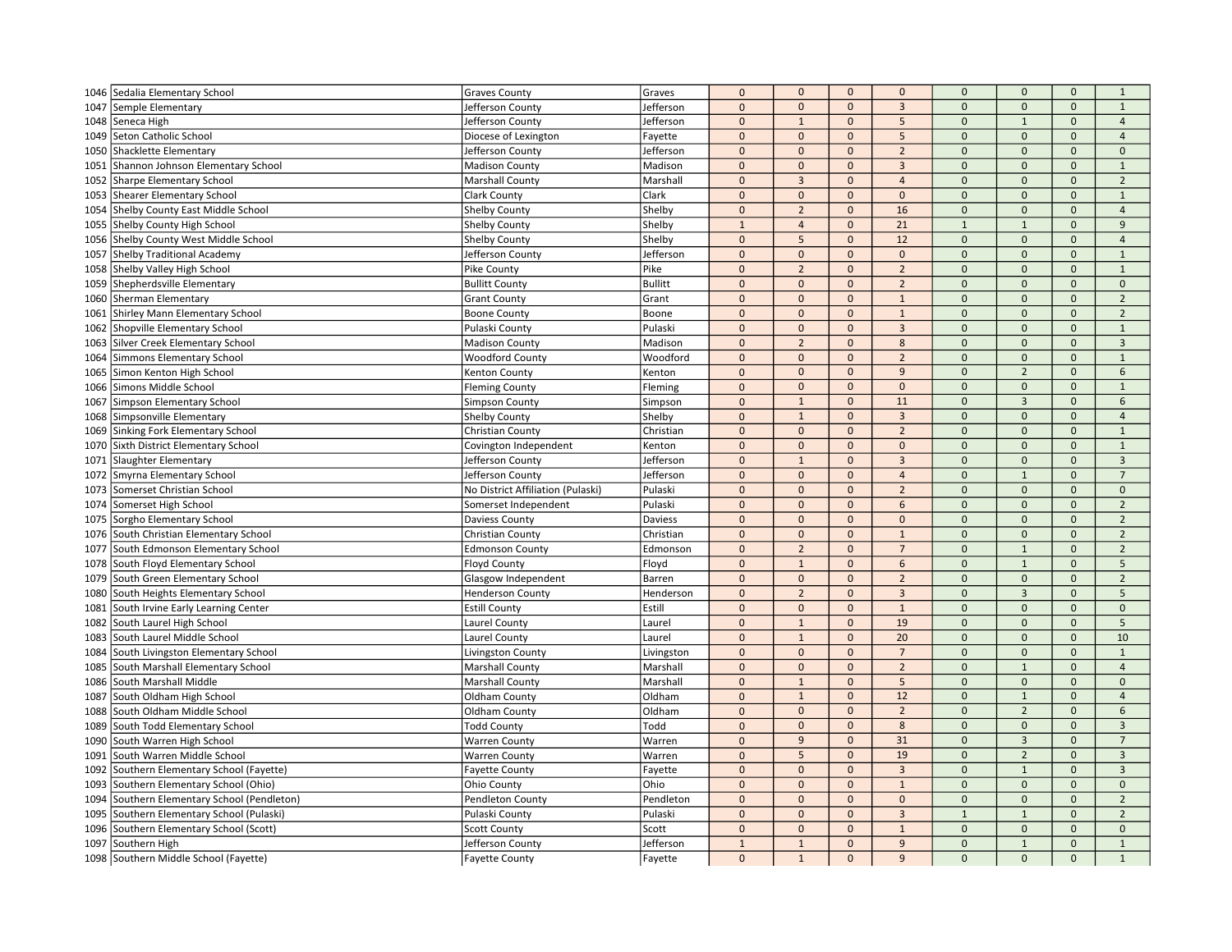| 1046 | Sedalia Elementary School              | <b>Graves County</b>              | Graves         | $\mathbf 0$  | $\mathbf{0}$   | $\mathbf{0}$ | $\mathbf 0$    | $\mathbf 0$    | $\mathbf{0}$        | $\mathbf 0$         | $\mathbf{1}$        |
|------|----------------------------------------|-----------------------------------|----------------|--------------|----------------|--------------|----------------|----------------|---------------------|---------------------|---------------------|
| 1047 | Semple Elementary                      | Jefferson County                  | Jefferson      | $\mathbf 0$  | $\mathbf 0$    | $\mathbf{0}$ | $\overline{3}$ | $\mathbf 0$    | $\mathbf 0$         | $\mathbf{0}$        | $\mathbf{1}$        |
| 1048 | Seneca High                            | Jefferson County                  | Jefferson      | $\mathbf 0$  | $\mathbf{1}$   | $\mathbf{0}$ | 5              | $\mathbf{0}$   | $\mathbf{1}$        | $\mathbf{0}$        | $\overline{4}$      |
| 1049 | Seton Catholic School                  | Diocese of Lexington              | Fayette        | $\mathbf 0$  | $\mathbf 0$    | $\mathbf{0}$ | 5              | $\mathbf 0$    | $\mathbf 0$         | $\mathsf{O}\xspace$ | $\overline{4}$      |
| 1050 | Shacklette Elementary                  | Jefferson County                  | Jefferson      | $\mathbf{0}$ | $\mathbf{0}$   | $\mathbf{0}$ | $\overline{2}$ | $\Omega$       | $\mathsf{O}\xspace$ | $\mathsf{O}\xspace$ | $\mathbf{0}$        |
| 1051 | Shannon Johnson Elementary School      | <b>Madison County</b>             | Madison        | $\mathbf{0}$ | $\mathbf{0}$   | $\mathbf{0}$ | $\overline{3}$ | $\Omega$       | $\mathbf{0}$        | $\Omega$            | $\mathbf{1}$        |
| 1052 | Sharpe Elementary School               | <b>Marshall County</b>            | Marshall       | $\mathbf{0}$ | 3              | $\mathbf{0}$ | $\overline{4}$ | $\overline{0}$ | $\mathbf{0}$        | $\Omega$            | $\overline{2}$      |
| 1053 | Shearer Elementary School              | <b>Clark County</b>               | Clark          | $\mathbf 0$  | $\mathbf 0$    | $\mathbf{0}$ | $\mathbf{0}$   | $\mathbf{0}$   | $\mathbf{0}$        | $\mathbf 0$         | $\mathbf{1}$        |
| 1054 | Shelby County East Middle School       | <b>Shelby County</b>              | Shelby         | $\pmb{0}$    | $\overline{2}$ | $\mathbf{0}$ | 16             | $\mathbf 0$    | $\mathbf{0}$        | $\mathbf 0$         | $\overline{4}$      |
| 1055 | Shelby County High School              | <b>Shelby County</b>              | Shelby         | $1\,$        | $\overline{4}$ | $\mathbf{0}$ | 21             | $\overline{1}$ | $\mathbf{1}$        | $\mathbf 0$         | 9                   |
| 1056 | Shelby County West Middle School       | <b>Shelby County</b>              | Shelby         | $\mathbf 0$  | 5              | $\mathbf{0}$ | 12             | $\overline{0}$ | $\mathbf{0}$        | $\mathbf{0}$        | $\overline{4}$      |
| 1057 | Shelby Traditional Academy             | Jefferson County                  | Jefferson      | $\mathbf{0}$ | $\mathbf 0$    | $\mathbf 0$  | $\mathbf 0$    | $\mathbf{0}$   | $\mathbf 0$         | $\mathbf{0}$        | $\mathbf 1$         |
| 1058 | Shelby Valley High School              | Pike County                       | Pike           | $\mathbf{0}$ | $\overline{2}$ | $\mathbf{0}$ | $\overline{2}$ | $\Omega$       | $\mathbf{0}$        | $\mathbf{0}$        | $\mathbf{1}$        |
| 1059 | Shepherdsville Elementary              | <b>Bullitt County</b>             | Bullitt        | $\mathbf{0}$ | $\mathbf{0}$   | $\mathbf{0}$ | $\overline{2}$ | $\mathbf 0$    | $\mathbf 0$         | $\mathbf{0}$        | $\mathbf 0$         |
| 1060 | Sherman Elementary                     | <b>Grant County</b>               | Grant          | $\mathbf 0$  | $\mathbf 0$    | $\mathbf 0$  | $\mathbf{1}$   | $\overline{0}$ | $\mathbf{0}$        | $\mathsf{O}\xspace$ | $\overline{2}$      |
| 1061 | Shirley Mann Elementary School         | <b>Boone County</b>               | Boone          | $\pmb{0}$    | $\mathbf{0}$   | $\mathbf{0}$ | $\mathbf{1}$   | $\Omega$       | $\mathbf{0}$        | $\mathbf{0}$        | $\overline{2}$      |
| 1062 | Shopville Elementary School            | Pulaski County                    | Pulaski        | $\mathbf{0}$ | $\mathbf{0}$   | $\Omega$     | $\overline{3}$ | $\Omega$       | $\Omega$            | $\mathbf{0}$        | $\mathbf 1$         |
| 1063 | Silver Creek Elementary School         | <b>Madison County</b>             | Madison        | $\mathbf 0$  | $\overline{2}$ | $\mathbf{0}$ | 8              | $\mathbf 0$    | $\mathbf{0}$        | $\mathsf{O}\xspace$ | $\overline{3}$      |
| 1064 | Simmons Elementary School              | <b>Woodford County</b>            | Woodford       | $\pmb{0}$    | $\mathbf 0$    | $\mathbf{0}$ | $\overline{2}$ | $\mathbf 0$    | $\mathbf 0$         | $\Omega$            | $\mathbf{1}$        |
| 1065 | Simon Kenton High School               | Kenton County                     | Kenton         | $\mathbf 0$  | $\mathbf{0}$   | $\mathbf{0}$ | $\overline{9}$ | $\mathbf{0}$   | $\overline{2}$      | $\mathbf{0}$        | 6                   |
| 1066 | Simons Middle School                   | <b>Fleming County</b>             | Fleming        | $\mathbf 0$  | $\mathbf 0$    | $\mathbf{0}$ | $\mathbf 0$    | $\mathbf 0$    | $\mathbf 0$         | $\mathsf{O}\xspace$ | $\mathbf 1$         |
| 1067 | Simpson Elementary School              | Simpson County                    | Simpson        | $\mathbf{0}$ | $\mathbf{1}$   | $\mathbf{0}$ | 11             | $\Omega$       | $\overline{3}$      | $\mathbf{0}$        | 6                   |
| 1068 | Simpsonville Elementary                | <b>Shelby County</b>              | Shelby         | $\mathbf{0}$ | $\mathbf{1}$   | $\mathbf{0}$ | $\overline{3}$ | $\Omega$       | $\mathbf{0}$        | $\Omega$            | $\overline{4}$      |
| 1069 | Sinking Fork Elementary School         | Christian County                  | Christian      | $\mathbf{0}$ | $\mathbf 0$    | $\mathbf 0$  | $\overline{2}$ | $\mathbf 0$    | $\mathbf{0}$        | $\mathbf{0}$        | $\mathbf{1}$        |
| 1070 | Sixth District Elementary School       | Covington Independent             | Kenton         | $\mathbf 0$  | $\mathbf 0$    | $\Omega$     | $\mathbf 0$    | $\mathbf{0}$   | $\mathbf{0}$        | $\pmb{0}$           | $\mathbf{1}$        |
| 1071 | Slaughter Elementary                   | Jefferson County                  | Jefferson      | $\mathbf{0}$ | $\mathbf{1}$   | $\mathbf{0}$ | $\overline{3}$ | $\Omega$       | $\mathbf{0}$        | $\mathbf{0}$        | $\overline{3}$      |
| 1072 | Smyrna Elementary School               | Jefferson County                  | Jefferson      | $\mathbf 0$  | $\mathbf 0$    | $\mathbf 0$  | $\overline{4}$ | $\Omega$       | $\mathbf{1}$        | $\mathsf{O}\xspace$ | $\overline{7}$      |
| 1073 | Somerset Christian School              | No District Affiliation (Pulaski) | Pulaski        | $\mathbf{0}$ | $\mathbf{0}$   | $\Omega$     | $\overline{2}$ | $\mathbf 0$    | $\mathbf{0}$        | $\Omega$            | $\mathbf{0}$        |
| 1074 | Somerset High School                   | Somerset Independent              | Pulaski        | $\mathbf{0}$ | $\mathbf{0}$   | $\mathbf{0}$ | 6              | $\Omega$       | $\mathbf{0}$        | $\mathbf{0}$        | $\overline{2}$      |
| 1075 | Sorgho Elementary School               | Daviess County                    | <b>Daviess</b> | $\mathbf 0$  | $\mathbf{0}$   | $\mathbf{0}$ | $\mathbf{0}$   | $\overline{0}$ | $\mathbf{0}$        | $\mathbf{0}$        | $\overline{2}$      |
| 1076 | South Christian Elementary School      | Christian County                  | Christian      | $\mathbf 0$  | $\mathbf{0}$   | $\mathbf{0}$ | $\mathbf{1}$   | $\mathbf 0$    | $\mathbf 0$         | $\mathbf{0}$        | $\overline{2}$      |
| 1077 | South Edmonson Elementary School       | <b>Edmonson County</b>            | Edmonson       | $\mathbf 0$  | $\overline{2}$ | $\mathbf{0}$ | $\overline{7}$ | $\Omega$       | $\mathbf{1}$        | $\mathbf{0}$        | $\overline{2}$      |
| 1078 | South Floyd Elementary School          | Floyd County                      | Floyd          | $\mathbf 0$  | $\mathbf 1$    | $\mathbf{0}$ | 6              | $\mathbf{0}$   | $\mathbf{1}$        | $\mathbf{0}$        | 5                   |
| 1079 | South Green Elementary School          | Glasgow Independent               | Barren         | $\mathbf{0}$ | $\mathbf{0}$   | $\Omega$     | $\overline{2}$ | $\Omega$       | $\Omega$            | $\Omega$            | $\overline{2}$      |
| 1080 | South Heights Elementary School        | <b>Henderson County</b>           | Henderson      | $\mathbf 0$  | $\overline{2}$ | $\mathbf{0}$ | $\overline{3}$ | $\Omega$       | $\overline{3}$      | $\mathsf{O}\xspace$ | 5                   |
| 1081 | South Irvine Early Learning Center     | <b>Estill County</b>              | Estill         | $\mathbf{0}$ | $\mathbf{0}$   | $\mathbf{0}$ | $\mathbf{1}$   | $\Omega$       | $\mathbf{0}$        | $\Omega$            | $\mathbf{0}$        |
| 1082 | South Laurel High School               | Laurel County                     | Laurel         | $\pmb{0}$    | $\mathbf{1}$   | $\mathbf{0}$ | 19             | $\mathbf 0$    | $\mathbf{0}$        | $\mathbf 0$         | 5                   |
| 1083 | South Laurel Middle School             | <b>Laurel County</b>              | Laurel         | $\mathbf{0}$ | $\mathbf 1$    | $\mathbf{0}$ | 20             | $\mathbf{0}$   | $\mathbf 0$         | $\mathsf{O}\xspace$ | 10                  |
| 1084 | South Livingston Elementary School     | Livingston County                 | Livingston     | $\mathbf 0$  | $\mathbf{0}$   | $\mathbf{0}$ | $\overline{7}$ | $\Omega$       | $\mathbf{0}$        | $\mathbf{0}$        | $\mathbf{1}$        |
| 1085 | South Marshall Elementary School       | <b>Marshall County</b>            | Marshall       | $\mathbf{0}$ | $\mathbf{0}$   | $\mathbf{0}$ | $\overline{2}$ | $\Omega$       | $\mathbf{1}$        | $\mathbf{0}$        | $\overline{4}$      |
| 1086 | South Marshall Middle                  | <b>Marshall County</b>            | Marshall       | $\mathbf{0}$ | $\mathbf 1$    | $\mathbf{0}$ | 5              | $\mathbf 0$    | $\mathbf 0$         | $\mathbf{0}$        | $\mathbf 0$         |
| 1087 | South Oldham High School               | Oldham County                     | Oldham         | $\mathbf{0}$ | $\mathbf{1}$   | $\Omega$     | 12             | $\Omega$       | $\mathbf{1}$        | $\mathbf{0}$        | $\overline{4}$      |
| 1088 | South Oldham Middle School             | Oldham County                     | Oldham         | $\mathbf{0}$ | $\mathbf{0}$   | $\mathbf{0}$ | $\overline{2}$ | $\mathbf{0}$   | $\overline{2}$      | $\mathbf{0}$        | 6                   |
| 1089 | South Todd Elementary School           | <b>Todd County</b>                | Todd           | $\mathbf 0$  | $\mathbf{0}$   | $\mathbf{0}$ | 8              | $\mathbf{0}$   | $\mathbf 0$         | $\mathsf{O}\xspace$ | $\overline{3}$      |
| 1090 | South Warren High School               | <b>Warren County</b>              | Warren         | $\mathbf{0}$ | 9              | $\Omega$     | 31             | $\Omega$       | $\overline{3}$      | $\Omega$            | $\overline{7}$      |
| 1091 | South Warren Middle School             | <b>Warren County</b>              | Warren         | $\mathbf{0}$ | 5              | $\mathbf{0}$ | 19             | $\Omega$       | $\overline{2}$      | $\mathbf{0}$        | $\overline{3}$      |
| 1092 | Southern Elementary School (Fayette)   | <b>Fayette County</b>             | Fayette        | $\mathbf{0}$ | $\mathbf{0}$   | $\mathbf{0}$ | $\overline{3}$ | $\mathbf{0}$   | $\mathbf{1}$        | $\mathsf{O}\xspace$ | $\overline{3}$      |
| 1093 | Southern Elementary School (Ohio)      | Ohio County                       | Ohio           | $\mathbf{0}$ | $\Omega$       | $\mathbf{0}$ | $\mathbf{1}$   | $\Omega$       | $\mathbf 0$         | $\Omega$            | $\mathbf 0$         |
| 1094 | Southern Elementary School (Pendleton) | <b>Pendleton County</b>           | Pendleton      | $\mathbf{0}$ | $\mathbf{0}$   | $\mathbf{0}$ | $\mathbf 0$    | $\mathbf{0}$   | $\mathbf{0}$        | $\mathsf{O}\xspace$ | $\overline{2}$      |
| 1095 | Southern Elementary School (Pulaski)   | Pulaski County                    | Pulaski        | $\mathbf{0}$ | $\mathbf{0}$   | $\mathbf{0}$ | $\overline{3}$ | $\mathbf{1}$   | $\mathbf{1}$        | $\mathbf{0}$        | $\overline{2}$      |
| 1096 | Southern Elementary School (Scott)     | <b>Scott County</b>               | Scott          | $\mathbf{0}$ | $\pmb{0}$      | $\mathbf{0}$ | $\mathbf{1}$   | $\Omega$       | $\mathsf{O}\xspace$ | $\Omega$            | $\mathsf{O}\xspace$ |
| 1097 | Southern High                          | Jefferson County                  | Jefferson      | $\mathbf{1}$ | $\mathbf{1}$   | $\mathbf{0}$ | 9              | $\mathbf{0}$   | $\mathbf{1}$        | $\Omega$            | $\mathbf{1}$        |
|      | 1098 Southern Middle School (Fayette)  | <b>Fayette County</b>             | Fayette        | $\mathbf{0}$ | $\mathbf{1}$   | $\Omega$     | 9              | $\Omega$       | $\mathbf{0}$        | $\Omega$            | $\mathbf{1}$        |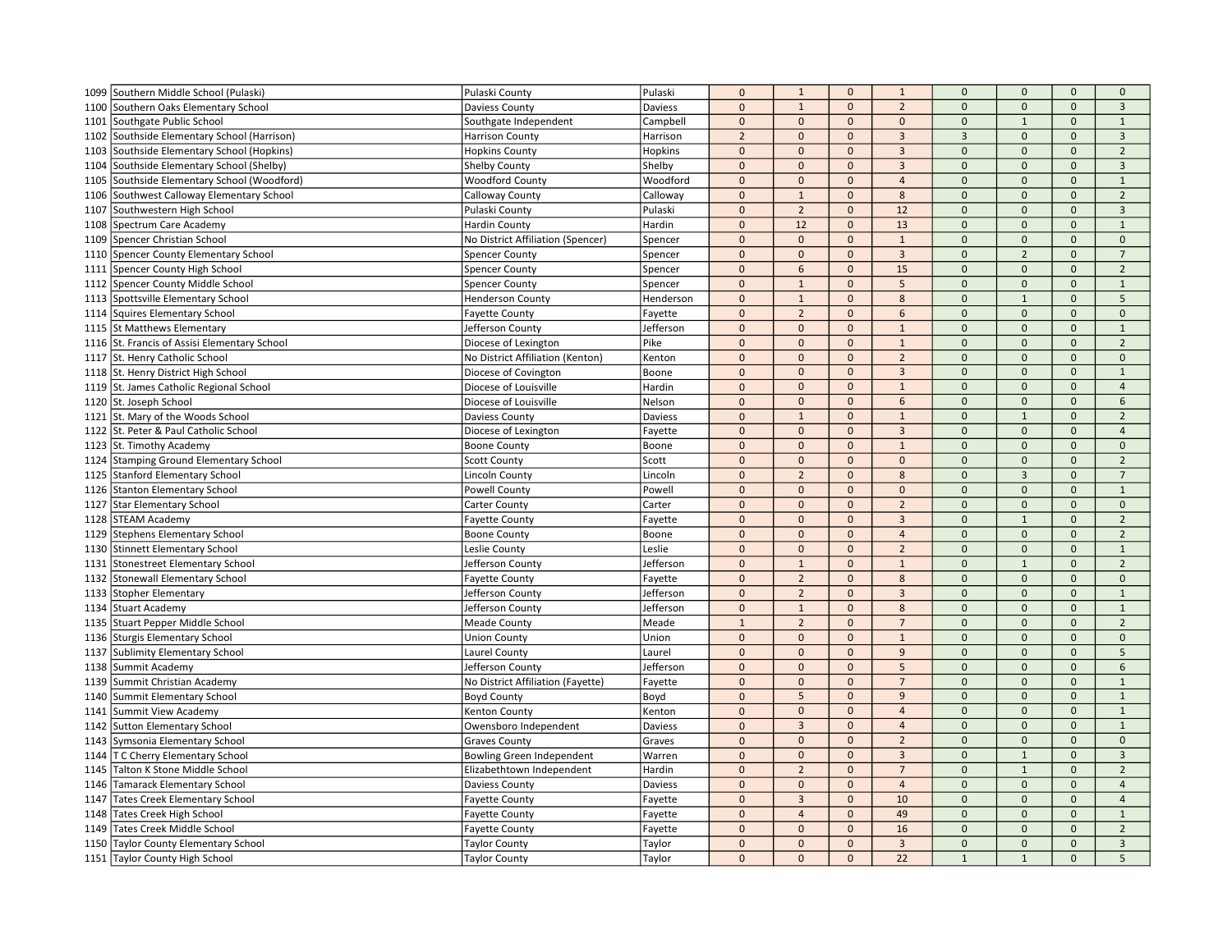| 1099 | Southern Middle School (Pulaski)             | Pulaski County                    | Pulaski   | $\mathbf 0$    | $\mathbf{1}$               | $\mathbf 0$  | $\mathbf{1}$   | $\mathbf 0$    | $\mathsf{O}\xspace$ | $\mathbf{0}$ | $\mathbf{0}$            |
|------|----------------------------------------------|-----------------------------------|-----------|----------------|----------------------------|--------------|----------------|----------------|---------------------|--------------|-------------------------|
| 1100 | Southern Oaks Elementary School              | Daviess County                    | Daviess   | $\mathbf 0$    | $1\,$                      | $\mathbf 0$  | $\overline{2}$ | $\mathbf 0$    | $\mathbf 0$         | $\mathbf{0}$ | $\overline{3}$          |
| 1101 | Southgate Public School                      | Southgate Independent             | Campbell  | $\mathbf{0}$   | $\mathbf{0}$               | $\mathbf{0}$ | $\mathbf{0}$   | $\mathbf{0}$   | $\mathbf{1}$        | $\mathbf{0}$ | $\mathbf{1}$            |
| 1102 | Southside Elementary School (Harrison)       | <b>Harrison County</b>            | Harrison  | $\overline{2}$ | $\mathbf 0$                | $\mathbf 0$  | $\overline{3}$ | $\overline{3}$ | $\mathbf 0$         | $\mathbf 0$  | $\overline{3}$          |
| 1103 | Southside Elementary School (Hopkins)        | <b>Hopkins County</b>             | Hopkins   | $\mathbf 0$    | $\mathbf 0$                | $\mathbf{0}$ | $\mathbf{3}$   | $\Omega$       | $\overline{0}$      | $\mathbf 0$  | $\overline{2}$          |
| 1104 | Southside Elementary School (Shelby)         | <b>Shelby County</b>              | Shelby    | $\mathbf{0}$   | $\Omega$                   | $\Omega$     | $\mathbf{3}$   | $\Omega$       | $\Omega$            | $\Omega$     | $\overline{\mathbf{3}}$ |
| 1105 | Southside Elementary School (Woodford)       | <b>Woodford County</b>            | Woodford  | $\mathbf 0$    | $\mathbf{0}$               | $\mathbf{0}$ | $\overline{4}$ | $\Omega$       | $\mathbf{0}$        | $\Omega$     | $\mathbf{1}$            |
| 1106 | Southwest Calloway Elementary School         | Calloway County                   | Calloway  | $\mathbf 0$    | $\mathbf{1}$               | $\mathbf{0}$ | 8              | $\mathbf 0$    | $\mathbf{0}$        | $\mathbf{0}$ | $\overline{2}$          |
| 1107 | Southwestern High School                     | Pulaski County                    | Pulaski   | $\mathbf{0}$   | $\overline{2}$             | $\mathbf{0}$ | 12             | $\mathbf 0$    | $\mathbf 0$         | $\Omega$     | $\overline{3}$          |
| 1108 | Spectrum Care Academy                        | <b>Hardin County</b>              | Hardin    | $\mathbf 0$    | 12                         | $\mathbf{0}$ | 13             | $\Omega$       | $\mathbf{0}$        | $\mathbf 0$  | $\mathbf{1}$            |
| 1109 | Spencer Christian School                     | No District Affiliation (Spencer) | Spencer   | $\mathbf{0}$   | $\mathbf{0}$               | $\mathbf{0}$ | $\mathbf 1$    | $\Omega$       | $\overline{0}$      | $\Omega$     | $\mathbf{0}$            |
| 1110 | Spencer County Elementary School             | <b>Spencer County</b>             | Spencer   | $\mathbf 0$    | $\mathbf{0}$               | $\mathbf 0$  | $\overline{3}$ | $\overline{0}$ | $\overline{2}$      | $\Omega$     | $\overline{7}$          |
| 1111 | Spencer County High School                   | Spencer County                    | Spencer   | $\mathbf{0}$   | 6                          | $\mathbf{0}$ | 15             | $\mathbf{0}$   | $\mathbf{0}$        | $\mathbf{0}$ | $\overline{2}$          |
| 1112 | Spencer County Middle School                 | <b>Spencer County</b>             | Spencer   | $\mathbf 0$    | $\mathbf{1}$               | $\mathbf{0}$ | 5              | $\mathbf 0$    | $\mathbf{0}$        | $\mathbf{0}$ | $\mathbf{1}$            |
| 1113 | Spottsville Elementary School                | <b>Henderson County</b>           | Henderson | $\mathbf{0}$   | $\mathbf{1}$               | $\mathbf{0}$ | 8              | $\mathbf 0$    | $\mathbf{1}$        | $\mathbf 0$  | 5                       |
| 1114 | <b>Squires Elementary School</b>             | <b>Fayette County</b>             | Fayette   | $\mathbf{0}$   | $\overline{2}$             | $\mathbf{0}$ | 6              | $\Omega$       | $\mathbf{0}$        | $\mathbf{0}$ | $\mathbf{0}$            |
| 1115 | <b>St Matthews Elementary</b>                | Jefferson County                  | Jefferson | $\pmb{0}$      | $\Omega$                   | $\mathbf{0}$ | $\mathbf 1$    | $\Omega$       | $\overline{0}$      | $\Omega$     | $\overline{1}$          |
|      | 1116 St. Francis of Assisi Elementary School | Diocese of Lexington              | Pike      | $\mathbf 0$    | $\mathbf 0$                | $\mathbf 0$  | $\mathbf 1$    | $\mathbf 0$    | $\mathsf{O}\xspace$ | $\mathbf{0}$ | $\overline{2}$          |
| 1117 | St. Henry Catholic School                    | No District Affiliation (Kenton)  | Kenton    | $\mathbf 0$    | $\mathbf 0$                | $\mathbf 0$  | $\overline{2}$ | $\Omega$       | $\mathsf{O}\xspace$ | $\Omega$     | $\mathbf 0$             |
| 1118 | St. Henry District High School               | Diocese of Covington              | Boone     | $\mathbf 0$    | $\mathbf 0$                | $\mathbf{0}$ | $\overline{3}$ | $\mathbf 0$    | $\mathbf{0}$        | $\mathbf{0}$ | $\mathbf{1}$            |
|      | 1119 St. James Catholic Regional School      | Diocese of Louisville             | Hardin    | $\mathbf 0$    | $\mathbf 0$                | $\mathbf 0$  | $\mathbf 1$    | $\mathbf 0$    | $\mathbf 0$         | $\mathbf 0$  | $\overline{4}$          |
| 1120 | St. Joseph School                            | Diocese of Louisville             | Nelson    | $\mathbf{0}$   | $\mathbf{0}$               | $\Omega$     | 6              | $\Omega$       | $\Omega$            | $\Omega$     | 6                       |
| 1121 | St. Mary of the Woods School                 | Daviess County                    | Daviess   | $\mathbf{0}$   | $\mathbf{1}$               | $\Omega$     | $\mathbf{1}$   | $\Omega$       | $\mathbf{1}$        | $\Omega$     | $\overline{2}$          |
| 1122 | St. Peter & Paul Catholic School             | Diocese of Lexington              | Fayette   | $\mathbf 0$    | $\mathbf 0$                | $\mathbf{0}$ | $\overline{3}$ | $\mathbf 0$    | $\pmb{0}$           | $\mathbf{0}$ | $\overline{4}$          |
|      |                                              |                                   |           | $\mathbf 0$    | $\mathbf 0$                | $\Omega$     | $\mathbf{1}$   | $\Omega$       | $\Omega$            | $\Omega$     | $\Omega$                |
|      | 1123 St. Timothy Academy                     | <b>Boone County</b>               | Boone     |                | $\mathbf{0}$               | $\mathbf{0}$ | $\mathbf{0}$   | $\mathbf{0}$   | $\mathbf 0$         | $\mathbf{0}$ |                         |
| 1124 | Stamping Ground Elementary School            | <b>Scott County</b>               | Scott     | $\mathbf{0}$   |                            |              |                |                |                     |              | $\overline{2}$          |
| 1125 | <b>Stanford Elementary School</b>            | <b>Lincoln County</b>             | Lincoln   | $\mathbf 0$    | $\overline{2}$<br>$\Omega$ | $\mathbf{0}$ | 8              | $\Omega$       | $\overline{3}$      | $\mathbf 0$  | $\overline{7}$          |
| 1126 | Stanton Elementary School                    | <b>Powell County</b>              | Powell    | $\mathbf 0$    |                            | $\mathbf{0}$ | $\overline{0}$ | $\overline{0}$ | $\mathsf{O}\xspace$ | $\Omega$     | $\mathbf{1}$            |
| 1127 | <b>Star Elementary School</b>                | Carter County                     | Carter    | $\mathbf{0}$   | $\mathbf{0}$               | $\mathbf{0}$ | $\overline{2}$ | $\Omega$       | $\mathbf{0}$        | $\Omega$     | $\mathbf{0}$            |
| 1128 | <b>STEAM Academy</b>                         | <b>Fayette County</b>             | Fayette   | $\mathbf 0$    | $\mathbf{0}$               | $\mathbf{0}$ | $\overline{3}$ | $\mathbf{0}$   | $\mathbf{1}$        | $\mathbf{0}$ | $\overline{2}$          |
| 1129 | Stephens Elementary School                   | <b>Boone County</b>               | Boone     | $\mathbf 0$    | $\mathbf{0}$               | $\mathbf{0}$ | $\overline{4}$ | $\mathbf 0$    | $\mathbf 0$         | $\mathbf{0}$ | $\overline{2}$          |
| 1130 | Stinnett Elementary School                   | Leslie County                     | Leslie    | $\mathbf 0$    | $\mathbf{0}$               | $\mathbf{0}$ | $\overline{2}$ | $\mathbf{0}$   | $\mathbf{0}$        | $\mathbf{0}$ | $\mathbf{1}$            |
| 1131 | Stonestreet Elementary School                | Jefferson County                  | Jefferson | $\mathbf 0$    | $1\,$                      | $\mathbf{0}$ | $\mathbf 1$    | $\Omega$       | $\mathbf{1}$        | $\mathbf{0}$ | $\overline{2}$          |
| 1132 | Stonewall Elementary School                  | <b>Fayette County</b>             | Fayette   | $\mathbf 0$    | $\overline{2}$             | $\mathbf{0}$ | 8              | $\Omega$       | $\Omega$            | $\Omega$     | $\Omega$                |
| 1133 | Stopher Elementary                           | Jefferson County                  | Jefferson | $\mathbf{0}$   | $\overline{2}$             | $\mathbf 0$  | $\overline{3}$ | $\mathbf 0$    | $\mathbf 0$         | $\Omega$     | $\mathbf{1}$            |
| 1134 | Stuart Academy                               | Jefferson County                  | Jefferson | $\mathbf 0$    | $\mathbf{1}$               | $\mathbf{0}$ | $8\phantom{1}$ | $\mathbf{0}$   | $\mathbf{0}$        | $\Omega$     | $\mathbf{1}$            |
| 1135 | Stuart Pepper Middle School                  | <b>Meade County</b>               | Meade     | $\mathbf{1}$   | $\overline{2}$             | $\mathbf{0}$ | $\overline{7}$ | $\mathbf 0$    | $\mathbf{0}$        | $\mathbf{0}$ | $\overline{2}$          |
| 1136 | Sturgis Elementary School                    | <b>Union County</b>               | Union     | $\mathbf 0$    | $\mathbf 0$                | $\mathbf 0$  | $\mathbf{1}$   | $\mathbf 0$    | $\mathbf 0$         | $\mathbf 0$  | $\mathbf 0$             |
| 1137 | <b>Sublimity Elementary School</b>           | Laurel County                     | Laurel    | $\mathbf{0}$   | $\mathbf{0}$               | $\mathbf{0}$ | 9              | $\Omega$       | $\Omega$            | $\Omega$     | 5                       |
| 1138 | Summit Academy                               | Jefferson County                  | Jefferson | $\mathbf 0$    | $\mathbf{0}$               | $\mathbf{0}$ | 5              | $\Omega$       | $\mathbf{0}$        | $\Omega$     | 6                       |
| 1139 | Summit Christian Academy                     | No District Affiliation (Fayette) | Fayette   | $\mathbf 0$    | $\mathbf 0$                | $\mathbf 0$  | $\overline{7}$ | $\mathbf 0$    | $\pmb{0}$           | $\mathbf{0}$ | $\mathbf 1$             |
| 1140 | Summit Elementary School                     | <b>Boyd County</b>                | Boyd      | $\mathbf 0$    | 5                          | $\Omega$     | 9              | $\Omega$       | $\mathbf{0}$        | $\mathbf{0}$ | $\mathbf{1}$            |
| 1141 | Summit View Academy                          | Kenton County                     | Kenton    | $\mathbf 0$    | $\mathbf 0$                | $\mathbf{0}$ | $\overline{4}$ | $\mathbf{0}$   | $\mathbf 0$         | $\mathbf{0}$ | $\mathbf{1}$            |
| 1142 | <b>Sutton Elementary School</b>              | Owensboro Independent             | Daviess   | $\mathbf 0$    | $\overline{3}$             | $\mathbf 0$  | $\overline{4}$ | $\mathbf{0}$   | $\mathbf 0$         | $\mathbf 0$  | $\mathbf 1$             |
| 1143 | Symsonia Elementary School                   | <b>Graves County</b>              | Graves    | $\mathbf{0}$   | $\Omega$                   | $\Omega$     | $\overline{2}$ | $\Omega$       | $\Omega$            | $\Omega$     | $\Omega$                |
| 1144 | T C Cherry Elementary School                 | Bowling Green Independent         | Warren    | $\mathbf 0$    | $\mathbf{0}$               | $\mathbf{0}$ | $\overline{3}$ | $\Omega$       | $\mathbf{1}$        | $\Omega$     | $\overline{3}$          |
| 1145 | Talton K Stone Middle School                 | Elizabethtown Independent         | Hardin    | $\mathbf 0$    | $\overline{2}$             | $\mathbf{0}$ | $\overline{7}$ | $\mathbf 0$    | $\mathbf{1}$        | $\mathbf{0}$ | $\overline{2}$          |
| 1146 | Tamarack Elementary School                   | Daviess County                    | Daviess   | $\mathbf 0$    | $\Omega$                   | $\Omega$     | $\overline{4}$ | $\Omega$       | $\mathbf 0$         | $\Omega$     | $\overline{4}$          |
| 1147 | <b>Tates Creek Elementary School</b>         | <b>Fayette County</b>             | Fayette   | $\mathbf{0}$   | $\overline{3}$             | $\mathbf{0}$ | 10             | $\mathbf{0}$   | $\mathbf{0}$        | $\mathbf{0}$ | $\overline{4}$          |
| 1148 | <b>Tates Creek High School</b>               | <b>Fayette County</b>             | Fayette   | $\mathbf{0}$   | $\overline{4}$             | $\mathbf{0}$ | 49             | $\mathbf{0}$   | $\overline{0}$      | $\Omega$     | $\mathbf{1}$            |
| 1149 | Tates Creek Middle School                    | <b>Fayette County</b>             | Fayette   | $\mathbf{0}$   | $\mathbf 0$                | $\mathbf 0$  | 16             | $\Omega$       | $\Omega$            | $\Omega$     | $\overline{2}$          |
| 1150 | Taylor County Elementary School              | <b>Taylor County</b>              | Taylor    | $\mathbf{0}$   | $\mathbf{0}$               | $\mathbf{0}$ | $\overline{3}$ | $\mathbf{0}$   | $\mathbf{0}$        | $\Omega$     | $\overline{3}$          |
|      | 1151 Taylor County High School               | <b>Taylor County</b>              | Taylor    | $\Omega$       | $\Omega$                   | $\Omega$     | 22             | $\overline{1}$ | $\overline{1}$      | $\Omega$     | 5                       |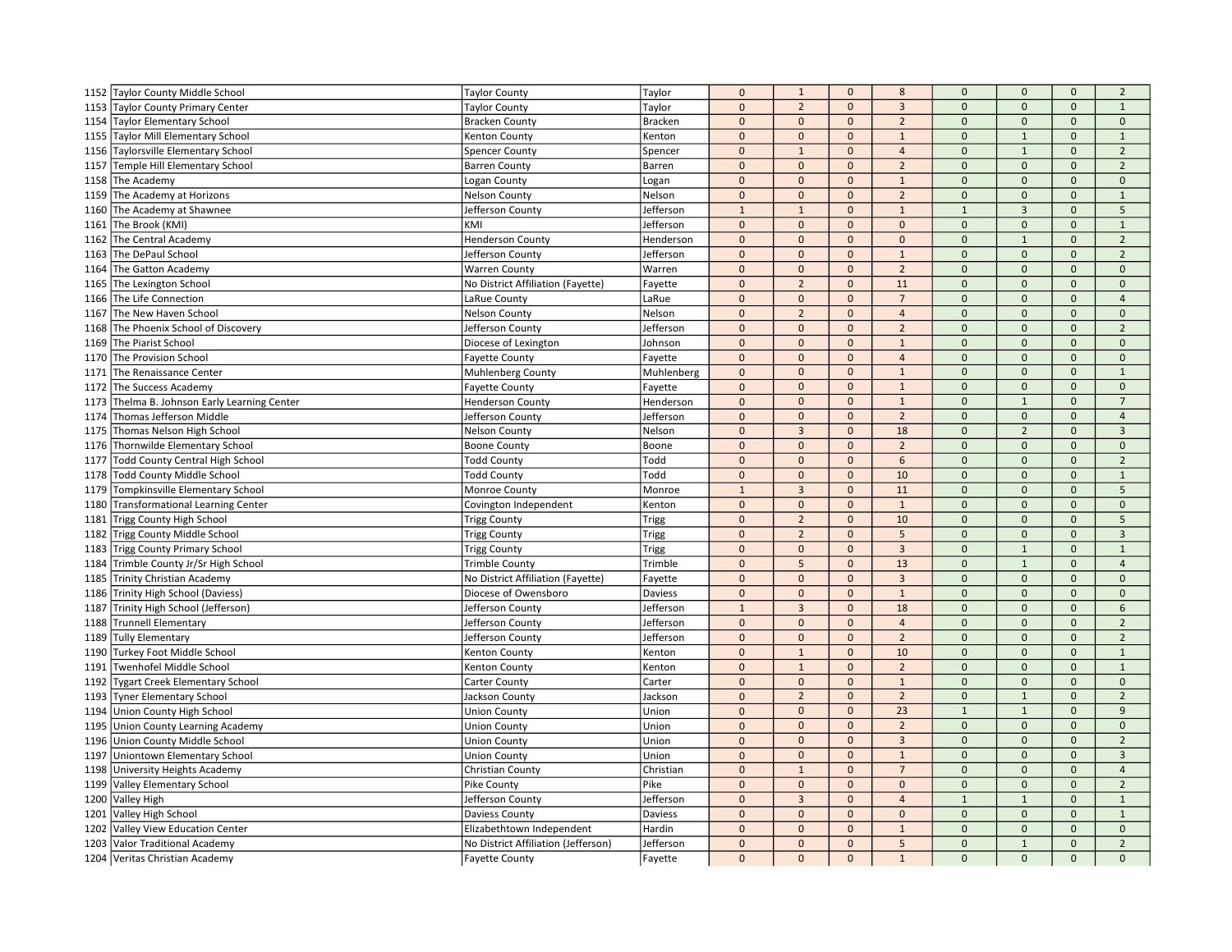|      | 1152 Taylor County Middle School        | <b>Taylor County</b>                | Taylor         | $\mathbf 0$    | $\mathbf{1}$   | $\mathbf{0}$ | 8              | $\mathbf 0$    | $\mathsf{O}\xspace$ | $\mathbf{0}$ | $\overline{2}$ |
|------|-----------------------------------------|-------------------------------------|----------------|----------------|----------------|--------------|----------------|----------------|---------------------|--------------|----------------|
|      | 1153 Taylor County Primary Center       | <b>Taylor County</b>                | Taylor         | $\mathbf 0$    | $\overline{2}$ | $\mathbf 0$  | $\mathbf{3}$   | $\mathbf 0$    | $\mathbf 0$         | $\mathbf{0}$ | $\mathbf{1}$   |
| 1154 | Taylor Elementary School                | <b>Bracken County</b>               | <b>Bracken</b> | $\mathbf{0}$   | $\mathbf{0}$   | $\mathbf{0}$ | $\overline{2}$ | $\mathbf{0}$   | $\mathbf{0}$        | $\mathbf{0}$ | $\mathbf{0}$   |
|      | 1155 Taylor Mill Elementary School      | Kenton County                       | Kenton         | $\mathbf 0$    | $\mathbf 0$    | $\mathbf 0$  | $1\,$          | $\mathbf 0$    | $\mathbf{1}$        | $\mathbf{0}$ | $\mathbf{1}$   |
| 1156 | Taylorsville Elementary School          | <b>Spencer County</b>               | Spencer        | $\mathbf 0$    | $\mathbf{1}$   | $\mathbf{0}$ | $\overline{4}$ | $\Omega$       | $1\,$               | $\mathbf 0$  | $\overline{2}$ |
| 1157 | Temple Hill Elementary School           | <b>Barren County</b>                | <b>Barren</b>  | $\mathbf{0}$   | $\mathbf{0}$   | $\Omega$     | $\overline{2}$ | $\Omega$       | $\mathbf{0}$        | $\Omega$     | $\overline{2}$ |
|      | 1158 The Academy                        | Logan County                        | Logan          | $\mathbf{0}$   | $\mathbf{0}$   | $\mathbf{0}$ | $\mathbf{1}$   | $\mathbf{0}$   | $\mathbf{0}$        | $\Omega$     | $\mathbf{0}$   |
| 1159 | The Academy at Horizons                 | <b>Nelson County</b>                | Nelson         | $\mathbf 0$    | $\mathbf 0$    | $\mathbf{0}$ | $\overline{2}$ | $\mathbf 0$    | $\mathbf{0}$        | $\mathbf 0$  | $\mathbf{1}$   |
|      | 1160 The Academy at Shawnee             | Jefferson County                    | Jefferson      | $\mathbf{1}$   | $\mathbf{1}$   | $\mathbf 0$  | $\mathbf{1}$   | $\overline{1}$ | $\overline{3}$      | $\mathbf 0$  | 5              |
| 1161 | The Brook (KMI)                         | KMI                                 | Jefferson      | $\mathbf{0}$   | $\mathbf{0}$   | $\mathbf{0}$ | $\mathbf 0$    | $\Omega$       | $\mathbf 0$         | $\mathbf{0}$ | $\mathbf{1}$   |
| 1162 | The Central Academy                     | <b>Henderson County</b>             | Henderson      | $\mathbf 0$    | $\mathbf{0}$   | $\mathbf{0}$ | $\mathbf{0}$   | $\mathbf 0$    | $\mathbf 1$         | $\Omega$     | $\overline{2}$ |
| 1163 | The DePaul School                       | Jefferson County                    | Jefferson      | $\mathbf 0$    | $\mathbf{0}$   | $\mathbf{0}$ | $\mathbf 1$    | $\Omega$       | $\overline{0}$      | $\Omega$     | $\overline{2}$ |
| 1164 | The Gatton Academy                      | <b>Warren County</b>                | Warren         | $\mathbf{0}$   | $\mathbf{0}$   | $\mathbf{0}$ | $\overline{2}$ | $\mathbf{0}$   | $\mathbf{0}$        | $\mathbf{0}$ | $\Omega$       |
| 1165 | The Lexington School                    | No District Affiliation (Fayette)   | Fayette        | $\mathbf 0$    | $\overline{2}$ | $\mathbf{0}$ | 11             | $\mathbf 0$    | $\mathbf{0}$        | $\mathbf{0}$ | $\mathbf{0}$   |
| 1166 | The Life Connection                     | LaRue County                        | LaRue          | $\mathbf 0$    | $\mathbf 0$    | $\mathbf{0}$ | $\overline{7}$ | $\mathbf 0$    | $\mathbf 0$         | $\mathbf 0$  | $\overline{4}$ |
| 1167 | The New Haven School                    | <b>Nelson County</b>                | Nelson         | $\mathbf{0}$   | $\overline{2}$ | $\mathbf{0}$ | $\overline{4}$ | $\mathbf{0}$   | $\mathbf{0}$        | $\mathbf{0}$ | $\mathbf{0}$   |
| 1168 | The Phoenix School of Discovery         | Jefferson County                    | Jefferson      | $\mathbf 0$    | $\mathbf{0}$   | $\mathbf{0}$ | $\overline{2}$ | $\Omega$       | $\overline{0}$      | $\Omega$     | $\overline{2}$ |
| 1169 | The Piarist School                      | Diocese of Lexington                | Johnson        | $\mathbf 0$    | $\mathbf 0$    | $\mathbf{0}$ | $\mathbf 1$    | $\mathbf 0$    | $\mathbf 0$         | $\mathbf{0}$ | $\mathbf{0}$   |
|      | 1170 The Provision School               | <b>Fayette County</b>               | Fayette        | $\mathbf 0$    | $\mathbf 0$    | $\mathbf 0$  | $\overline{4}$ | $\mathbf 0$    | $\mathbf 0$         | $\Omega$     | $\mathbf 0$    |
| 1171 | The Renaissance Center                  | <b>Muhlenberg County</b>            | Muhlenberg     | $\mathbf 0$    | $\mathbf 0$    | $\mathbf{0}$ | $1\,$          | $\mathbf{0}$   | $\mathbf{0}$        | $\mathbf{0}$ | $\mathbf{1}$   |
| 1172 | The Success Academy                     | <b>Fayette County</b>               | Fayette        | $\mathbf{0}$   | $\mathbf 0$    | $\mathbf 0$  | $\mathbf 1$    | $\mathbf 0$    | $\mathbf 0$         | $\mathbf 0$  | $\mathbf 0$    |
| 1173 | Thelma B. Johnson Early Learning Center | <b>Henderson County</b>             | Henderson      | $\mathbf 0$    | $\mathbf{0}$   | $\Omega$     | $\mathbf{1}$   | $\Omega$       | $\mathbf{1}$        | $\Omega$     | $\overline{7}$ |
| 1174 | Thomas Jefferson Middle                 | Jefferson County                    | Jefferson      | $\mathbf 0$    | $\mathbf{0}$   | $\Omega$     | $\overline{2}$ | $\Omega$       | $\mathbf{0}$        | $\Omega$     | $\overline{4}$ |
|      | 1175 Thomas Nelson High School          | <b>Nelson County</b>                | Nelson         | $\mathbf 0$    | $\overline{3}$ | $\mathbf 0$  | 18             | $\mathbf 0$    | $\overline{2}$      | $\mathbf{0}$ | $\overline{3}$ |
|      | 1176 Thornwilde Elementary School       | <b>Boone County</b>                 | Boone          | $\mathbf 0$    | $\mathbf 0$    | $\Omega$     | $\overline{2}$ | $\Omega$       | $\mathbf{0}$        | $\mathbf 0$  | $\Omega$       |
| 1177 | <b>Todd County Central High School</b>  | <b>Todd County</b>                  | Todd           | $\mathbf{0}$   | $\mathbf{0}$   | $\mathbf{0}$ | 6              | $\mathbf{0}$   | $\mathbf 0$         | $\mathbf{0}$ | $\overline{2}$ |
| 1178 | Todd County Middle School               | <b>Todd County</b>                  | Todd           | $\mathbf 0$    | $\mathbf 0$    | $\mathbf{0}$ | 10             | $\mathbf 0$    | $\mathbf{0}$        | $\mathbf 0$  | $\mathbf 1$    |
| 1179 | Tompkinsville Elementary School         | Monroe County                       | Monroe         | $\mathbf{1}$   | $\overline{3}$ | $\mathbf{0}$ | 11             | $\Omega$       | $\Omega$            | $\Omega$     | 5              |
| 1180 | Transformational Learning Center        | Covington Independent               | Kenton         | $\mathbf{0}$   | $\mathbf{0}$   | $\mathbf{0}$ | $\mathbf{1}$   | $\Omega$       | $\Omega$            | $\Omega$     | $\mathbf{0}$   |
| 1181 | Trigg County High School                | <b>Trigg County</b>                 | Trigg          | $\mathbf 0$    | $\overline{2}$ | $\mathbf{0}$ | 10             | $\mathbf{0}$   | $\mathbf{0}$        | $\mathbf{0}$ | 5              |
| 1182 | Trigg County Middle School              | <b>Trigg County</b>                 | Trigg          | $\mathbf 0$    | $\overline{2}$ | $\mathbf 0$  | 5              | $\mathbf 0$    | $\mathbf{0}$        | $\mathbf{0}$ | $\overline{3}$ |
| 1183 | Trigg County Primary School             | <b>Trigg County</b>                 | Trigg          | $\mathbf 0$    | $\mathbf{0}$   | $\mathbf{0}$ | $\mathbf{3}$   | $\mathbf{0}$   | $\mathbf{1}$        | $\mathbf{0}$ | $\mathbf{1}$   |
| 1184 | Trimble County Jr/Sr High School        | <b>Trimble County</b>               | Trimble        | $\mathbf 0$    | 5              | $\mathbf{0}$ | 13             | $\Omega$       | $\mathbf{1}$        | $\mathbf{0}$ | $\overline{4}$ |
| 1185 | <b>Trinity Christian Academy</b>        | No District Affiliation (Fayette)   | Fayette        | $\pmb{0}$      | $\mathbf{0}$   | $\mathbf{0}$ | $\overline{3}$ | $\Omega$       | $\overline{0}$      | $\Omega$     | $\Omega$       |
|      | 1186 Trinity High School (Daviess)      | Diocese of Owensboro                | Daviess        | $\mathbf 0$    | $\mathbf 0$    | $\mathbf 0$  | $\mathbf{1}$   | $\mathbf 0$    | $\mathbf 0$         | $\Omega$     | $\mathbf 0$    |
| 1187 | Trinity High School (Jefferson)         | Jefferson County                    | Jefferson      | $\overline{1}$ | $\overline{3}$ | $\mathbf{0}$ | 18             | $\mathbf{0}$   | $\overline{0}$      | $\Omega$     | 6              |
| 1188 | <b>Trunnell Elementary</b>              | Jefferson County                    | Jefferson      | $\mathbf 0$    | $\mathbf 0$    | $\mathbf{0}$ | $\overline{4}$ | $\mathbf 0$    | $\mathbf{0}$        | $\mathbf{0}$ | $\overline{2}$ |
|      | 1189 Tully Elementary                   | Jefferson County                    | Jefferson      | $\mathbf{0}$   | $\mathbf 0$    | $\mathbf 0$  | $\overline{2}$ | $\mathbf 0$    | $\mathbf 0$         | $\mathbf 0$  | $\overline{2}$ |
| 1190 | Turkey Foot Middle School               | Kenton County                       | Kenton         | $\mathbf 0$    | $\mathbf{1}$   | $\mathbf{0}$ | 10             | $\Omega$       | $\Omega$            | $\Omega$     | $\mathbf{1}$   |
| 1191 | Twenhofel Middle School                 | Kenton County                       | Kenton         | $\mathbf 0$    | $\mathbf 1$    | $\mathbf{0}$ | $\overline{2}$ | $\Omega$       | $\Omega$            | $\Omega$     | $\mathbf 1$    |
| 1192 | <b>Tygart Creek Elementary School</b>   | Carter County                       | Carter         | $\mathbf 0$    | $\mathbf 0$    | $\mathbf 0$  | $\mathbf 1$    | $\mathbf 0$    | $\overline{0}$      | $\mathbf{0}$ | $\mathbf 0$    |
| 1193 | <b>Tyner Elementary School</b>          | Jackson County                      | Jackson        | $\mathbf{0}$   | $\overline{2}$ | $\Omega$     | $\overline{2}$ | $\Omega$       | $\mathbf{1}$        | $\mathbf{0}$ | $\overline{2}$ |
| 1194 | Union County High School                | <b>Union County</b>                 | Union          | $\mathbf 0$    | $\mathbf{0}$   | $\mathbf 0$  | 23             | $\overline{1}$ | $1\,$               | $\mathbf{0}$ | 9              |
| 1195 | <b>Union County Learning Academy</b>    | <b>Union County</b>                 | Union          | $\mathbf 0$    | $\mathbf 0$    | $\mathbf{0}$ | $\overline{2}$ | $\mathbf 0$    | $\mathbf 0$         | $\mathbf 0$  | $\mathbf 0$    |
| 1196 | Union County Middle School              | <b>Union County</b>                 | Union          | $\mathbf{0}$   | $\mathbf{0}$   | $\Omega$     | $\mathbf{3}$   | $\Omega$       | $\Omega$            | $\Omega$     | $\overline{2}$ |
| 1197 | Uniontown Elementary School             | <b>Union County</b>                 | Union          | $\mathbf 0$    | $\mathbf{0}$   | $\mathbf{0}$ | $\mathbf 1$    | $\Omega$       | $\overline{0}$      | $\Omega$     | $\overline{3}$ |
| 1198 | University Heights Academy              | Christian County                    | Christian      | $\mathbf 0$    | $\mathbf{1}$   | $\mathbf{0}$ | $\overline{7}$ | $\mathbf 0$    | $\mathbf{0}$        | $\mathbf{0}$ | $\overline{4}$ |
|      | 1199 Valley Elementary School           | Pike County                         | Pike           | $\mathbf 0$    | $\Omega$       | $\mathbf 0$  | $\Omega$       | $\Omega$       | 0                   | $\Omega$     | $\overline{2}$ |
|      | 1200 Valley High                        | Jefferson County                    | Jefferson      | $\mathbf{0}$   | $\overline{3}$ | $\mathbf{0}$ | $\overline{4}$ | $\overline{1}$ | $\mathbf{1}$        | $\mathbf{0}$ | $\mathbf{1}$   |
|      | 1201 Valley High School                 | Daviess County                      | Daviess        | $\mathbf 0$    | $\mathbf 0$    | $\mathbf{0}$ | $\mathbf 0$    | $\mathbf 0$    | $\overline{0}$      | $\Omega$     | $\mathbf{1}$   |
| 1202 | Valley View Education Center            | Elizabethtown Independent           | Hardin         | $\mathbf 0$    | $\mathbf 0$    | $\mathbf 0$  | $\mathbf 1$    | $\Omega$       | $\Omega$            | $\Omega$     | $\Omega$       |
|      | 1203 Valor Traditional Academy          | No District Affiliation (Jefferson) | Jefferson      | $\mathbf{0}$   | $\mathbf{0}$   | $\mathbf{0}$ | 5              | $\mathbf{0}$   | $\mathbf{1}$        | $\Omega$     | $\overline{2}$ |
|      | 1204 Veritas Christian Academy          | <b>Fayette County</b>               | Fayette        | $\mathbf{0}$   | $\Omega$       | $\Omega$     | $\mathbf{1}$   | $\Omega$       | $\mathbf{0}$        | $\Omega$     | $\Omega$       |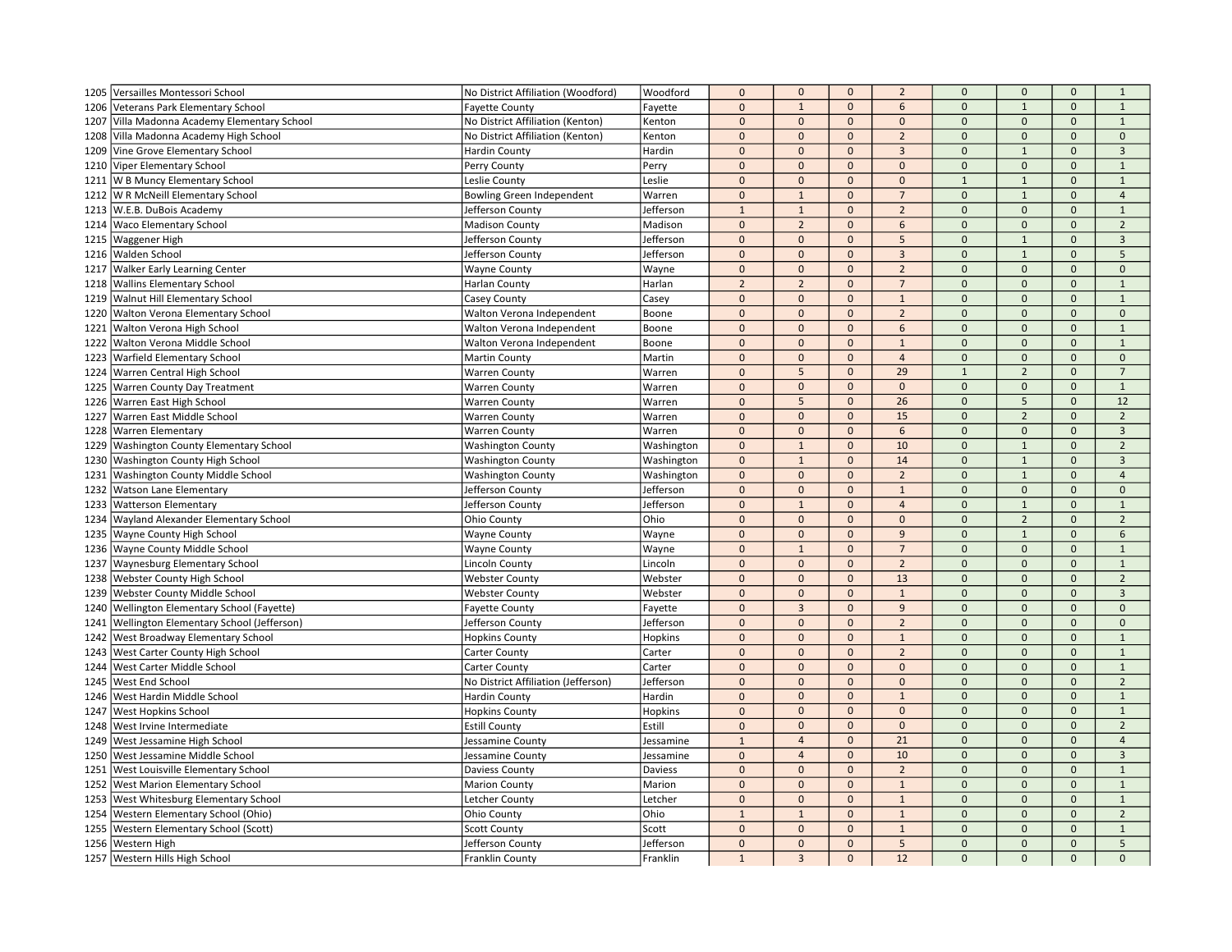|      | 1205 Versailles Montessori School          | No District Affiliation (Woodford)  | Woodford       | $\mathbf 0$    | $\mathbf 0$    | $\mathbf{0}$   | $\overline{2}$ | $\mathbf 0$    | $\mathbf{0}$   | $\mathbf{0}$ | $\mathbf{1}$   |
|------|--------------------------------------------|-------------------------------------|----------------|----------------|----------------|----------------|----------------|----------------|----------------|--------------|----------------|
| 1206 | Veterans Park Elementary School            | <b>Fayette County</b>               | Fayette        | $\mathbf{0}$   | $1\,$          | $\mathbf{0}$   | 6              | $\mathbf{0}$   | $\mathbf{1}$   | $\mathbf{0}$ | $\mathbf{1}$   |
| 1207 | Villa Madonna Academy Elementary School    | No District Affiliation (Kenton)    | Kenton         | $\mathbf 0$    | $\mathbf{0}$   | $\mathbf{0}$   | $\mathbf{0}$   | $\mathbf{0}$   | $\mathbf{0}$   | $\mathbf{0}$ | $\mathbf{1}$   |
| 1208 | Villa Madonna Academy High School          | No District Affiliation (Kenton)    | Kenton         | $\mathbf{0}$   | $\mathbf 0$    | $\mathbf 0$    | $\overline{2}$ | $\mathbf 0$    | $\mathbf 0$    | $\mathbf{0}$ | $\mathbf 0$    |
| 1209 | Vine Grove Elementary School               | <b>Hardin County</b>                | Hardin         | $\mathbf{0}$   | $\mathbf{0}$   | $\mathbf 0$    | $\overline{3}$ | $\mathbf 0$    | $\mathbf{1}$   | $\Omega$     | $\mathbf{3}$   |
| 1210 | Viper Elementary School                    | Perry County                        | Perry          | $\mathbf{0}$   | $\mathbf{0}$   | $\mathbf{0}$   | $\Omega$       | $\mathbf{0}$   | $\Omega$       | $\Omega$     | $\mathbf{1}$   |
|      | 1211   W B Muncy Elementary School         | Leslie County                       | Leslie         | $\mathbf{0}$   | $\mathbf{0}$   | $\mathbf{0}$   | $\Omega$       | $\overline{1}$ | $\mathbf{1}$   | $\mathbf{0}$ | $\mathbf{1}$   |
| 1212 | W R McNeill Elementary School              | Bowling Green Independent           | Warren         | $\mathbf{0}$   | $\mathbf{1}$   | $\mathbf{0}$   | $\overline{7}$ | $\mathbf{0}$   | $\mathbf{1}$   | $\mathbf{0}$ | $\overline{4}$ |
| 1213 | W.E.B. DuBois Academy                      | Jefferson County                    | Jefferson      | $\mathbf{1}$   | $\mathbf{1}$   | $\mathbf 0$    | $\overline{2}$ | $\mathbf 0$    | $\mathbf 0$    | $\mathbf 0$  | $\mathbf{1}$   |
| 1214 | <b>Waco Elementary School</b>              | <b>Madison County</b>               | Madison        | $\mathbf{0}$   | $\overline{2}$ | $\mathbf{0}$   | 6              | $\mathbf{0}$   | $\mathbf{0}$   | $\mathbf{0}$ | $\overline{2}$ |
| 1215 | <b>Waggener High</b>                       | Jefferson County                    | Jefferson      | $\mathbf{0}$   | $\mathbf{0}$   | $\mathbf{0}$   | 5              | $\mathbf{0}$   | $1\,$          | $\mathbf{0}$ | $\overline{3}$ |
| 1216 | <b>Walden School</b>                       | Jefferson County                    | Jefferson      | $\mathbf{0}$   | $\mathbf 0$    | $\mathbf 0$    | $\overline{3}$ | $\mathbf{0}$   | $\mathbf{1}$   | $\Omega$     | 5              |
| 1217 | <b>Walker Early Learning Center</b>        | <b>Wayne County</b>                 | Wayne          | $\mathbf{0}$   | $\mathbf{0}$   | $\mathbf{0}$   | $\overline{2}$ | $\mathbf{0}$   | $\Omega$       | $\mathbf{0}$ | $\mathbf{0}$   |
|      | 1218 Wallins Elementary School             | <b>Harlan County</b>                | Harlan         | $\overline{2}$ | $\overline{2}$ | $\mathbf 0$    | $\overline{7}$ | $\mathbf{0}$   | $\mathbf{0}$   | $\mathbf{0}$ | $\mathbf{1}$   |
| 1219 | Walnut Hill Elementary School              | Casey County                        | Casey          | $\mathbf 0$    | $\mathbf 0$    | $\mathbf 0$    | $\mathbf{1}$   | $\mathbf 0$    | $\mathbf{0}$   | $\mathbf 0$  | $\mathbf{1}$   |
| 1220 | <b>Walton Verona Elementary School</b>     | Walton Verona Independent           | Boone          | $\pmb{0}$      | $\mathbf{0}$   | $\mathbf{0}$   | $\overline{2}$ | $\pmb{0}$      | $\mathbf{0}$   | $\mathbf{0}$ | $\mathbf{0}$   |
| 1221 | Walton Verona High School                  | Walton Verona Independent           | Boone          | $\mathbf{0}$   | $\mathbf{0}$   | $\mathbf{0}$   | 6              | $\Omega$       | $\Omega$       | $\Omega$     | $\overline{1}$ |
| 1222 | Walton Verona Middle School                | Walton Verona Independent           | Boone          | $\mathbf{0}$   | $\mathbf 0$    | $\mathbf 0$    | $\mathbf 1$    | $\mathbf 0$    | $\mathbf{0}$   | $\mathbf{0}$ | $\mathbf{1}$   |
| 1223 | <b>Warfield Elementary School</b>          | Martin County                       | Martin         | $\mathbf{0}$   | $\mathbf 0$    | $\mathbf{0}$   | $\overline{4}$ | $\mathbf 0$    | $\mathbf 0$    | $\mathbf 0$  | $\mathbf 0$    |
| 1224 | Warren Central High School                 | <b>Warren County</b>                | Warren         | $\mathbf 0$    | 5              | $\mathbf{0}$   | 29             | $1\,$          | $\overline{2}$ | $\mathbf{0}$ | $\overline{7}$ |
| 1225 | <b>Warren County Day Treatment</b>         | <b>Warren County</b>                | Warren         | $\mathbf{0}$   | $\mathbf 0$    | $\mathbf 0$    | $\mathbf 0$    | $\mathbf 0$    | $\mathbf 0$    | $\mathbf 0$  | $\mathbf{1}$   |
| 1226 | Warren East High School                    | <b>Warren County</b>                | Warren         | $\mathbf{0}$   | 5              | $\mathbf{0}$   | 26             | $\mathbf{0}$   | $\sqrt{5}$     | $\Omega$     | 12             |
| 1227 | Warren East Middle School                  | <b>Warren County</b>                | Warren         | $\mathbf{0}$   | $\mathbf{0}$   | $\mathbf{0}$   | 15             | $\mathbf{0}$   | $\overline{2}$ | $\Omega$     | $\overline{2}$ |
| 1228 | <b>Warren Elementary</b>                   | <b>Warren County</b>                | Warren         | $\mathbf{0}$   | $\mathbf 0$    | $\Omega$       | 6              | $\mathbf{0}$   | $\mathbf{0}$   | $\mathbf{0}$ | $\overline{3}$ |
| 1229 | <b>Washington County Elementary School</b> | <b>Washington County</b>            | Washington     | $\pmb{0}$      | $\mathbf{1}$   | $\mathbf 0$    | 10             | $\mathbf{0}$   | $\mathbf{1}$   | $\Omega$     | $\overline{2}$ |
| 1230 | Washington County High School              | <b>Washington County</b>            | Washington     | $\mathbf 0$    | $\mathbf{1}$   | $\mathbf{0}$   | 14             | $\mathbf 0$    | $\mathbf{1}$   | $\mathbf{0}$ | $\overline{3}$ |
| 1231 | <b>Washington County Middle School</b>     | <b>Washington County</b>            | Washington     | $\mathbf 0$    | $\mathbf 0$    | $\mathbf{0}$   | $\overline{2}$ | $\mathbf{0}$   | $1\,$          | $\mathbf 0$  | $\overline{4}$ |
| 1232 | <b>Watson Lane Elementary</b>              | Jefferson County                    | Jefferson      | $\mathbf{0}$   | $\mathbf{0}$   | $\Omega$       | $\mathbf{1}$   | $\mathbf 0$    | $\mathbf{0}$   | $\Omega$     | $\mathbf{0}$   |
| 1233 | <b>Watterson Elementary</b>                | Jefferson County                    | Jefferson      | $\mathbf{0}$   | $\overline{1}$ | $\mathbf{0}$   | $\overline{4}$ | $\mathbf{0}$   | $\mathbf{1}$   | $\mathbf{0}$ | $\mathbf{1}$   |
| 1234 | Wayland Alexander Elementary School        | <b>Ohio County</b>                  | Ohio           | $\mathbf 0$    | $\mathbf{0}$   | $\mathbf{0}$   | $\mathbf{0}$   | $\mathbf{0}$   | $\overline{2}$ | $\mathbf{0}$ | $\overline{2}$ |
|      | 1235 Wayne County High School              | <b>Wayne County</b>                 | Wayne          | $\mathbf{0}$   | $\mathbf{0}$   | $\mathbf 0$    | $\overline{9}$ | $\mathbf{0}$   | $\mathbf{1}$   | $\mathbf{0}$ | 6              |
| 1236 | <b>Wayne County Middle School</b>          | <b>Wayne County</b>                 | Wayne          | $\pmb{0}$      | $\mathbf{1}$   | $\mathbf{0}$   | $\overline{7}$ | $\mathbf{0}$   | $\mathbf{0}$   | $\mathbf{0}$ | $\mathbf{1}$   |
| 1237 | <b>Waynesburg Elementary School</b>        | Lincoln County                      | Lincoln        | $\mathbf{0}$   | $\mathbf{0}$   | $\mathbf{0}$   | $\overline{2}$ | $\mathbf 0$    | $\mathbf{0}$   | $\Omega$     | $\mathbf{1}$   |
| 1238 | <b>Webster County High School</b>          | <b>Webster County</b>               | Webster        | $\mathbf{0}$   | $\mathbf{0}$   | $\mathbf{0}$   | 13             | $\Omega$       | $\Omega$       | $\Omega$     | $\overline{2}$ |
| 1239 | <b>Webster County Middle School</b>        | <b>Webster County</b>               | Webster        | $\mathbf{0}$   | $\mathbf 0$    | $\mathbf{0}$   | $\mathbf 1$    | $\mathbf 0$    | $\Omega$       | $\mathbf 0$  | $\overline{3}$ |
| 1240 | Wellington Elementary School (Fayette)     | <b>Fayette County</b>               | Fayette        | $\mathbf{0}$   | 3              | $\mathbf{0}$   | 9              | $\mathbf{0}$   | $\mathbf{0}$   | $\Omega$     | $\mathbf{0}$   |
| 1241 | Wellington Elementary School (Jefferson)   | Jefferson County                    | Jefferson      | $\pmb{0}$      | $\mathbf{0}$   | $\mathbf 0$    | $\overline{2}$ | $\mathbf 0$    | $\mathbf{0}$   | $\mathbf{0}$ | $\mathbf 0$    |
| 1242 | <b>West Broadway Elementary School</b>     | <b>Hopkins County</b>               | <b>Hopkins</b> | $\mathbf{0}$   | $\mathbf 0$    | $\mathbf 0$    | $\mathbf{1}$   | $\mathbf 0$    | $\mathbf 0$    | $\mathbf 0$  | $\mathbf{1}$   |
| 1243 | West Carter County High School             | Carter County                       | Carter         | $\mathbf{0}$   | $\mathbf{0}$   | $\Omega$       | $\overline{2}$ | $\Omega$       | $\Omega$       | $\Omega$     | $\mathbf{1}$   |
| 1244 | West Carter Middle School                  | <b>Carter County</b>                | Carter         | $\mathbf{0}$   | $\mathbf{0}$   | $\mathbf{0}$   | $\Omega$       | $\mathbf 0$    | $\Omega$       | $\Omega$     | $\mathbf{1}$   |
| 1245 | <b>West End School</b>                     | No District Affiliation (Jefferson) | Jefferson      | $\mathbf{0}$   | $\mathbf 0$    | $\overline{0}$ | $\mathbf 0$    | $\mathbf{0}$   | $\mathbf{0}$   | $\mathbf{0}$ | $\overline{2}$ |
| 1246 | West Hardin Middle School                  | <b>Hardin County</b>                | Hardin         | $\mathbf{0}$   | $\mathbf{0}$   | $\mathbf{0}$   | $\mathbf{1}$   | $\mathbf{0}$   | $\Omega$       | $\Omega$     | $\mathbf{1}$   |
| 1247 | <b>West Hopkins School</b>                 | <b>Hopkins County</b>               | Hopkins        | $\mathbf{0}$   | $\mathbf{0}$   | $\mathbf 0$    | $\mathbf{0}$   | $\mathbf 0$    | $\mathbf{0}$   | $\mathbf{0}$ | $\mathbf{1}$   |
| 1248 | West Irvine Intermediate                   | <b>Estill County</b>                | Estill         | $\mathbf{0}$   | $\mathbf 0$    | $\mathbf 0$    | $\mathbf 0$    | $\mathbf 0$    | $\mathbf{0}$   | $\mathbf 0$  | $\overline{2}$ |
| 1249 | West Jessamine High School                 | Jessamine County                    | Jessamine      | $\mathbf 1$    | $\overline{4}$ | $\Omega$       | 21             | $\mathbf{0}$   | $\Omega$       | $\Omega$     | $\overline{4}$ |
| 1250 | West Jessamine Middle School               | Jessamine County                    | Jessamine      | $\mathbf{0}$   | $\overline{4}$ | $\mathbf{0}$   | 10             | $\mathbf{0}$   | $\Omega$       | $\mathbf{0}$ | $\overline{3}$ |
| 1251 | <b>West Louisville Elementary School</b>   | Daviess County                      | Daviess        | $\mathbf{0}$   | $\mathbf 0$    | $\mathbf{0}$   | $\overline{2}$ | $\mathbf 0$    | $\mathbf{0}$   | $\mathbf{0}$ | $\mathbf{1}$   |
|      | 1252 West Marion Elementary School         | <b>Marion County</b>                | Marion         | $\mathbf{0}$   | $\Omega$       | $\mathbf 0$    | $\mathbf{1}$   | $\mathbf 0$    | $\Omega$       | $\Omega$     | $\mathbf{1}$   |
| 1253 | <b>West Whitesburg Elementary School</b>   | Letcher County                      | Letcher        | $\mathbf{0}$   | $\mathbf{0}$   | $\mathbf{0}$   | $\mathbf{1}$   | $\mathbf 0$    | $\mathbf{0}$   | $\mathbf{0}$ | $\mathbf{1}$   |
| 1254 | Western Elementary School (Ohio)           | <b>Ohio County</b>                  | Ohio           | $\mathbf 1$    | $\overline{1}$ | $\mathbf{0}$   | $\mathbf{1}$   | $\mathbf 0$    | $\mathbf{0}$   | $\Omega$     | $\overline{2}$ |
| 1255 | Western Elementary School (Scott)          | <b>Scott County</b>                 | Scott          | $\mathbf{0}$   | $\mathbf 0$    | $\mathbf{0}$   | $\overline{1}$ | $\mathbf 0$    | $\Omega$       | $\Omega$     | $\mathbf{1}$   |
|      | 1256 Western High                          | Jefferson County                    | Jefferson      | $\mathbf{0}$   | $\mathbf{0}$   | $\mathbf{0}$   | 5              | $\mathbf{0}$   | $\mathbf{0}$   | $\mathbf{0}$ | 5              |
|      | 1257 Western Hills High School             | Franklin County                     | Franklin       | $\mathbf{1}$   | $\overline{3}$ | $\mathbf{0}$   | 12             | $\Omega$       | $\Omega$       | $\Omega$     | $\Omega$       |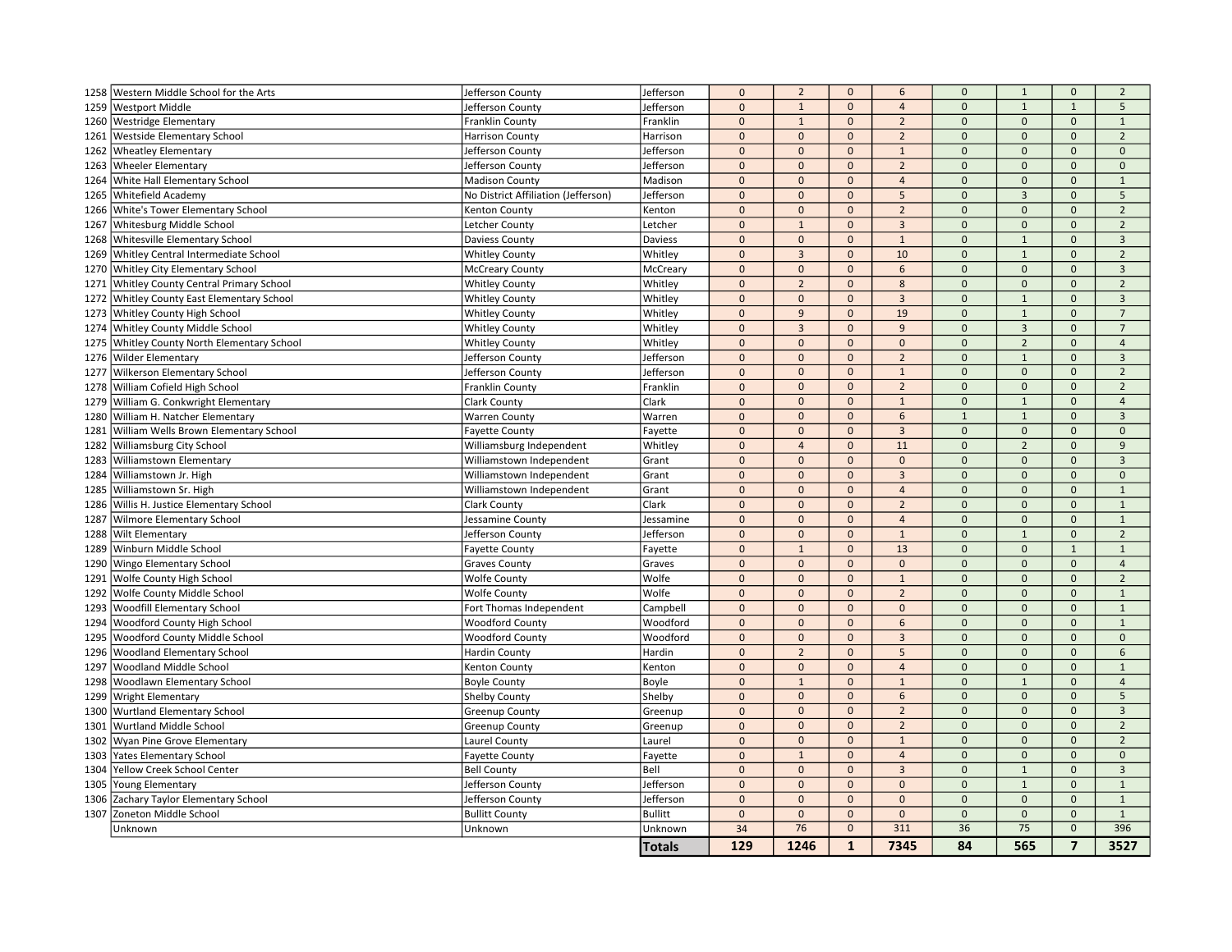|      | 1258 Western Middle School for the Arts | Jefferson County                    | Jefferson      | $\mathbf 0$  | $\overline{2}$ | $\mathbf{0}$ | 6              | $\mathbf 0$    | $\mathbf{1}$        | $\mathbf{0}$        | $\overline{2}$ |
|------|-----------------------------------------|-------------------------------------|----------------|--------------|----------------|--------------|----------------|----------------|---------------------|---------------------|----------------|
| 1259 | <b>Westport Middle</b>                  | Jefferson County                    | Jefferson      | $\mathbf{0}$ | $\mathbf{1}$   | $\mathbf{0}$ | $\overline{4}$ | $\mathbf{0}$   | $\mathbf{1}$        | $\mathbf{1}$        | 5              |
| 1260 | <b>Westridge Elementary</b>             | Franklin County                     | Franklin       | $\mathbf 0$  | $\mathbf{1}$   | $\Omega$     | $\overline{2}$ | $\Omega$       | $\Omega$            | $\mathsf{O}\xspace$ | $\mathbf{1}$   |
| 1261 | <b>Westside Elementary School</b>       | <b>Harrison County</b>              | Harrison       | $\mathbf{0}$ | $\mathbf{0}$   | $\mathbf{0}$ | $\overline{2}$ | $\overline{0}$ | $\mathbf{0}$        | $\mathbf{0}$        | $\overline{2}$ |
| 1262 | <b>Wheatley Elementary</b>              | Jefferson County                    | Jefferson      | $\mathbf 0$  | $\mathbf{0}$   | $\mathbf{0}$ | $\mathbf{1}$   | $\mathbf{0}$   | $\mathbf{0}$        | $\mathbf{0}$        | $\mathbf{0}$   |
| 1263 | <b>Wheeler Elementary</b>               | Jefferson County                    | Jefferson      | $\mathbf 0$  | $\pmb{0}$      | $\mathbf 0$  | $\overline{2}$ | $\mathbf{0}$   | $\mathbf 0$         | $\mathsf{O}\xspace$ | $\mathbf 0$    |
| 1264 | White Hall Elementary School            | <b>Madison County</b>               | Madison        | $\mathbf 0$  | $\Omega$       | $\mathbf{0}$ | $\overline{4}$ | $\Omega$       | $\Omega$            | $\mathbf{0}$        | $\mathbf{1}$   |
| 1265 | Whitefield Academy                      | No District Affiliation (Jefferson) | Jefferson      | $\mathbf 0$  | $\mathbf{0}$   | $\mathbf{0}$ | 5              | $\Omega$       | $\overline{3}$      | $\Omega$            | 5              |
| 1266 | White's Tower Elementary School         | Kenton County                       | Kenton         | $\mathbf 0$  | $\mathbf 0$    | $\mathbf{0}$ | $\overline{2}$ | $\Omega$       | $\mathbf{0}$        | $\mathbf{0}$        | $\overline{2}$ |
| 1267 | Whitesburg Middle School                | Letcher County                      | Letcher        | $\mathbf{0}$ | $\mathbf{1}$   | $\mathbf{0}$ | $\overline{3}$ | $\Omega$       | $\mathbf{0}$        | $\mathbf{0}$        | $\overline{2}$ |
| 1268 | <b>Whitesville Elementary School</b>    | Daviess County                      | Daviess        | $\mathbf{0}$ | $\mathbf{0}$   | $\mathbf{0}$ | $\mathbf{1}$   | $\mathbf 0$    | $\mathbf{1}$        | $\mathbf{0}$        | $\overline{3}$ |
| 1269 | Whitley Central Intermediate School     | <b>Whitley County</b>               | Whitley        | $\mathbf{0}$ | $\overline{3}$ | $\mathbf{0}$ | 10             | $\mathbf 0$    | $\mathbf{1}$        | $\mathbf{0}$        | $\overline{2}$ |
| 1270 | <b>Whitley City Elementary School</b>   | <b>McCreary County</b>              | McCreary       | $\pmb{0}$    | $\mathbf{0}$   | $\mathbf{0}$ | 6              | $\mathbf{0}$   | $\mathbf{0}$        | $\mathbf{0}$        | $\mathbf{3}$   |
| 1271 | Whitley County Central Primary School   | <b>Whitley County</b>               | Whitley        | $\mathbf 0$  | $\overline{2}$ | $\mathbf{0}$ | 8              | $\Omega$       | $\mathbf{0}$        | $\mathsf{O}\xspace$ | $\overline{2}$ |
| 1272 | Whitley County East Elementary School   | <b>Whitley County</b>               | Whitley        | $\mathbf{0}$ | $\mathbf{0}$   | $\mathbf{0}$ | $\overline{3}$ | $\Omega$       | $\mathbf{1}$        | $\mathbf{0}$        | 3              |
| 1273 | <b>Whitley County High School</b>       | <b>Whitley County</b>               | Whitley        | $\mathbf{0}$ | $\overline{9}$ | $\mathbf 0$  | 19             | $\mathbf{0}$   | $\mathbf{1}$        | $\mathbf{0}$        | $\overline{7}$ |
| 1274 | <b>Whitley County Middle School</b>     | <b>Whitley County</b>               | Whitley        | $\mathbf{0}$ | $\overline{3}$ | $\mathbf{0}$ | $\overline{9}$ | $\Omega$       | $\overline{3}$      | $\mathbf{0}$        | $\overline{7}$ |
| 1275 | Whitley County North Elementary School  | <b>Whitley County</b>               | Whitley        | $\mathbf{0}$ | $\Omega$       | $\mathbf{0}$ | $\mathbf{0}$   | $\Omega$       | $\overline{2}$      | $\Omega$            | $\overline{4}$ |
| 1276 | <b>Wilder Elementary</b>                | Jefferson County                    | Jefferson      | $\mathbf 0$  | $\mathbf{0}$   | $\mathbf{0}$ | $\overline{2}$ | $\mathbf 0$    | $\mathbf{1}$        | $\mathbf{0}$        | $\overline{3}$ |
| 1277 | <b>Wilkerson Elementary School</b>      | Jefferson County                    | Jefferson      | $\mathbf 0$  | $\mathbf{0}$   | $\mathbf{0}$ | $\mathbf{1}$   | $\mathbf{0}$   | $\mathbf{0}$        | $\mathbf{0}$        | $\overline{2}$ |
| 1278 | William Cofield High School             | Franklin County                     | Franklin       | $\pmb{0}$    | $\mathbf{0}$   | $\mathbf{0}$ | $\overline{2}$ | $\Omega$       | $\mathsf{O}\xspace$ | $\mathbf 0$         | $\overline{2}$ |
| 1279 | William G. Conkwright Elementary        | <b>Clark County</b>                 | Clark          | $\mathbf{0}$ | $\mathbf{0}$   | $\mathbf{0}$ | $\mathbf{1}$   | $\mathbf{0}$   | $\mathbf{1}$        | $\mathbf{0}$        | $\overline{4}$ |
| 1280 | William H. Natcher Elementary           | <b>Warren County</b>                | Warren         | $\mathbf{0}$ | $\mathbf{0}$   | $\mathbf{0}$ | 6              | $\overline{1}$ | $\mathbf{1}$        | $\mathbf{0}$        | $\overline{3}$ |
| 1281 | William Wells Brown Elementary School   | <b>Fayette County</b>               | Fayette        | $\mathbf{0}$ | $\mathbf 0$    | $\mathbf{0}$ | $\overline{3}$ | $\mathbf 0$    | $\mathbf{0}$        | $\mathbf{0}$        | $\mathbf 0$    |
| 1282 | <b>Williamsburg City School</b>         | Williamsburg Independent            | Whitley        | $\mathbf 0$  | $\overline{4}$ | $\mathbf{0}$ | 11             | $\mathbf{0}$   | $\overline{2}$      | $\mathbf{0}$        | 9              |
| 1283 | <b>Williamstown Elementary</b>          | Williamstown Independent            | Grant          | $\pmb{0}$    | $\mathbf{0}$   | $\mathbf{0}$ | $\mathbf{0}$   | $\mathbf{0}$   | $\mathbf{0}$        | $\mathbf{0}$        | $\overline{3}$ |
| 1284 | Williamstown Jr. High                   | Williamstown Independent            | Grant          | $\mathbf{0}$ | $\mathbf{0}$   | $\mathbf{0}$ | $\overline{3}$ | $\mathbf 0$    | $\mathbf{0}$        | $\mathbf{0}$        | $\mathbf 0$    |
| 1285 | Williamstown Sr. High                   | Williamstown Independent            | Grant          | $\mathbf{0}$ | $\mathbf{0}$   | $\mathbf{0}$ | $\overline{4}$ | $\Omega$       | $\mathbf{0}$        | $\mathbf 0$         | $\mathbf{1}$   |
| 1286 | Willis H. Justice Elementary School     | <b>Clark County</b>                 | Clark          | $\mathbf 0$  | $\Omega$       | $\Omega$     | $\overline{2}$ | $\Omega$       | $\mathbf 0$         | $\Omega$            | $\mathbf{1}$   |
| 1287 | <b>Wilmore Elementary School</b>        | Jessamine County                    | Jessamine      | $\mathbf 0$  | $\mathbf{0}$   | $\mathbf{0}$ | $\overline{4}$ | $\Omega$       | $\Omega$            | $\mathbf{0}$        | $\mathbf{1}$   |
| 1288 | <b>Wilt Elementary</b>                  | Jefferson County                    | Jefferson      | $\mathbf{0}$ | $\mathbf{0}$   | $\mathbf{0}$ | $\mathbf{1}$   | $\mathbf{0}$   | $\mathbf{1}$        | $\mathbf{0}$        | $\overline{2}$ |
| 1289 | Winburn Middle School                   | <b>Fayette County</b>               | Fayette        | $\mathbf{0}$ | $\mathbf 1$    | $\mathbf 0$  | 13             | $\mathbf{0}$   | $\mathbf 0$         | $\mathbf{1}$        | $\mathbf{1}$   |
| 1290 | <b>Wingo Elementary School</b>          | <b>Graves County</b>                | Graves         | $\mathbf 0$  | $\mathbf{0}$   | $\mathbf{0}$ | $\mathbf{0}$   | $\mathbf{0}$   | $\mathbf{0}$        | $\mathbf{0}$        | $\overline{4}$ |
| 1291 | <b>Wolfe County High School</b>         | <b>Wolfe County</b>                 | Wolfe          | $\mathbf{0}$ | $\mathbf{0}$   | $\mathbf{0}$ | $\mathbf{1}$   | $\mathbf 0$    | $\mathbf{0}$        | $\mathbf 0$         | $\overline{2}$ |
| 1292 | Wolfe County Middle School              | <b>Wolfe County</b>                 | Wolfe          | $\mathbf 0$  | $\mathbf{0}$   | $\mathbf{0}$ | $\overline{2}$ | $\mathbf{0}$   | $\mathbf 0$         | $\mathsf{O}\xspace$ | $\mathbf{1}$   |
| 1293 | <b>Woodfill Elementary School</b>       | Fort Thomas Independent             | Campbell       | $\mathbf{0}$ | $\Omega$       | $\mathbf{0}$ | $\mathbf{0}$   | $\Omega$       | $\mathbf{0}$        | $\mathbf{0}$        | $\mathbf{1}$   |
| 1294 | Woodford County High School             | <b>Woodford County</b>              | Woodford       | $\mathbf 0$  | $\mathbf{0}$   | $\Omega$     | 6              | $\Omega$       | $\Omega$            | $\Omega$            | $\mathbf{1}$   |
| 1295 | Woodford County Middle School           | <b>Woodford County</b>              | Woodford       | $\mathbf 0$  | $\mathbf{0}$   | $\mathbf{0}$ | $\overline{3}$ | $\Omega$       | $\mathbf{0}$        | $\mathbf{0}$        | $\mathbf{0}$   |
| 1296 | <b>Woodland Elementary School</b>       | <b>Hardin County</b>                | Hardin         | $\mathbf{0}$ | $\overline{2}$ | $\mathbf{0}$ | 5              | $\mathbf{0}$   | $\mathbf{0}$        | $\Omega$            | 6              |
| 1297 | <b>Woodland Middle School</b>           | Kenton County                       | Kenton         | $\mathbf{0}$ | $\mathbf{0}$   | $\mathbf{0}$ | $\overline{4}$ | $\mathbf{0}$   | $\mathbf{0}$        | $\mathbf{0}$        | $\mathbf{1}$   |
| 1298 | Woodlawn Elementary School              | <b>Boyle County</b>                 | Boyle          | $\mathbf{0}$ | $\mathbf{1}$   | $\mathbf{0}$ | $\mathbf{1}$   | $\mathbf{0}$   | $\mathbf{1}$        | $\mathbf{0}$        | $\overline{4}$ |
| 1299 | <b>Wright Elementary</b>                | Shelby County                       | Shelby         | $\mathbf 0$  | $\mathbf 0$    | $\mathbf 0$  | 6              | $\mathbf{0}$   | $\mathbf 0$         | $\mathsf{O}\xspace$ | 5              |
| 1300 | <b>Wurtland Elementary School</b>       | <b>Greenup County</b>               | Greenup        | $\mathbf 0$  | $\mathbf{0}$   | $\mathbf{0}$ | $\overline{2}$ | $\mathbf 0$    | $\mathbf 0$         | $\mathbf{0}$        | $\mathbf{3}$   |
| 1301 | Wurtland Middle School                  | Greenup County                      | Greenup        | $\mathbf{0}$ | $\Omega$       | $\Omega$     | $\mathbf 2$    | $\Omega$       | $\Omega$            | $\mathbf{0}$        | $\overline{2}$ |
| 1302 | Wyan Pine Grove Elementary              | Laurel County                       | Laurel         | $\mathbf 0$  | $\mathbf 0$    | $\mathbf{0}$ | $\mathbf{1}$   | $\mathbf{0}$   | $\mathbf{0}$        | $\mathbf{0}$        | $\overline{2}$ |
| 1303 | <b>Yates Elementary School</b>          | <b>Fayette County</b>               | Fayette        | $\mathbf{0}$ | $\mathbf{1}$   | $\mathbf{0}$ | $\overline{4}$ | $\mathbf{0}$   | $\mathbf{0}$        | $\mathbf{0}$        | $\mathbf 0$    |
| 1304 | Yellow Creek School Center              | <b>Bell County</b>                  | Bell           | $\mathbf 0$  | $\mathbf{0}$   | $\Omega$     | $\overline{3}$ | $\mathbf{0}$   | $\mathbf{1}$        | $\mathbf{0}$        | $\overline{3}$ |
| 1305 | Young Elementary                        | Jefferson County                    | Jefferson      | $\mathbf{0}$ | $\mathbf{0}$   | $\mathbf{0}$ | $\mathbf{0}$   | $\mathbf 0$    | $\mathbf{1}$        | $\mathbf{0}$        | $\mathbf{1}$   |
| 1306 | Zachary Taylor Elementary School        | Jefferson County                    | Jefferson      | $\mathbf{0}$ | $\mathbf 0$    | $\mathbf{0}$ | $\mathbf{0}$   | $\mathbf{0}$   | $\mathbf{0}$        | $\mathbf{0}$        | $\mathbf{1}$   |
| 1307 | Zoneton Middle School                   | <b>Bullitt County</b>               | <b>Bullitt</b> | $\mathbf 0$  | $\pmb{0}$      | $\mathbf{0}$ | $\mathbf 0$    | $\mathbf{0}$   | $\mathsf{O}\xspace$ | $\mathbf{0}$        | $\mathbf{1}$   |
|      | Unknown                                 | Unknown                             | Unknown        | 34           | 76             | $\mathbf{0}$ | 311            | 36             | 75                  | $\mathbf{0}$        | 396            |
|      |                                         |                                     | Totals         | 129          | 1246           | $\mathbf{1}$ | 7345           | 84             | 565                 | $\overline{7}$      | 3527           |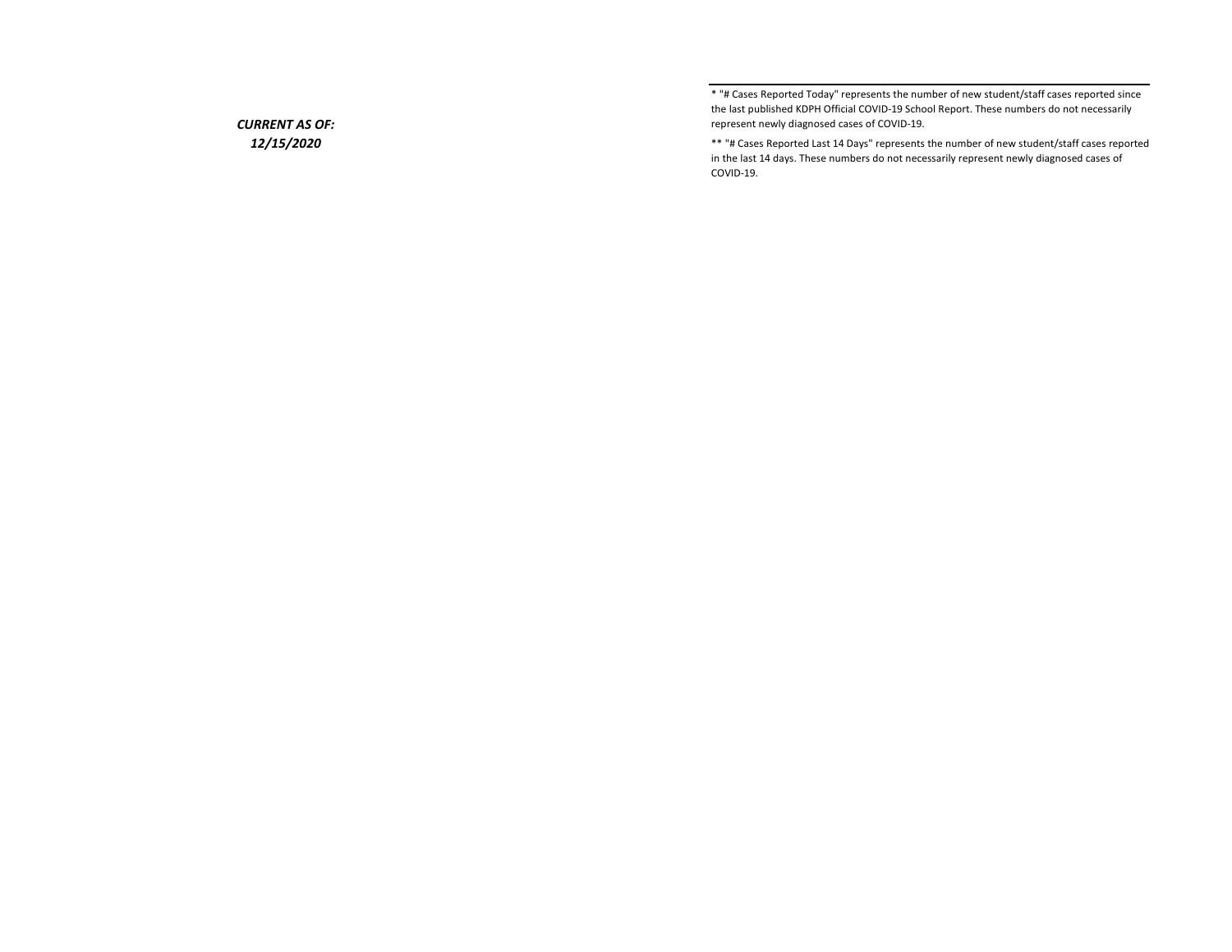\* "# Cases Reported Today" represents the number of new student/staff cases reported since the last published KDPH Official COVID-19 School Report. These numbers do not necessarily represent newly diagnosed cases of COVID-19.

\*\* "# Cases Reported Last 14 Days" represents the number of new student/staff cases reported in the last 14 days. These numbers do not necessarily represent newly diagnosed cases of COVID-19.

## CURRENT AS OF: 12/15/2020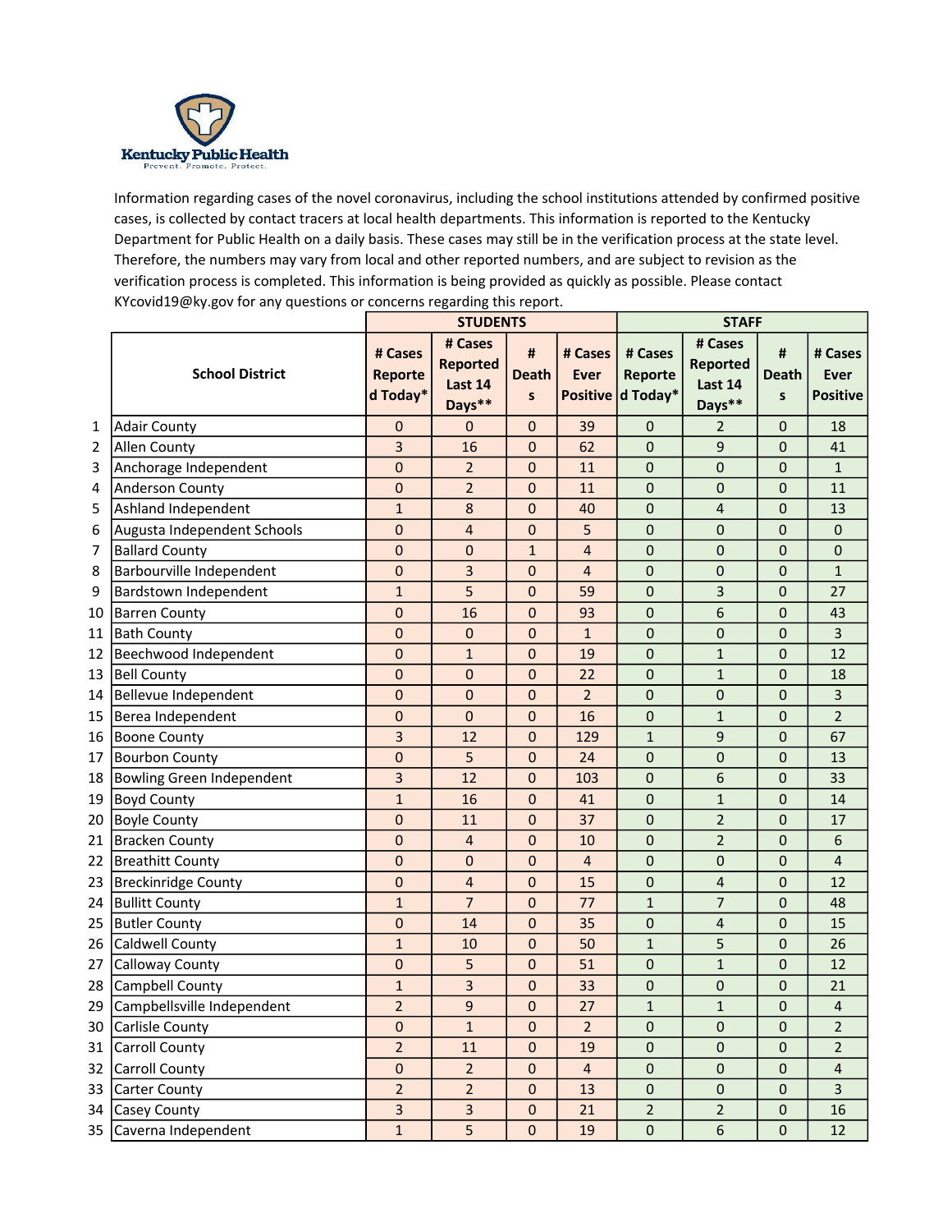

Information regarding cases of the novel coronavirus, including the school institutions attended by confirmed positive cases, is collected by contact tracers at local health departments. This information is reported to the Kentucky Department for Public Health on a daily basis. These cases may still be in the verification process at the state level. Therefore, the numbers may vary from local and other reported numbers, and are subject to revision as the verification process is completed. This information is being provided as quickly as possible. Please contact KYcovid19@ky.gov for any questions or concerns regarding this report.

|    |                                  |                                | <b>STUDENTS</b>                                 |                            |                 |                                         |                                                 |                        |                                           |
|----|----------------------------------|--------------------------------|-------------------------------------------------|----------------------------|-----------------|-----------------------------------------|-------------------------------------------------|------------------------|-------------------------------------------|
|    | <b>School District</b>           | # Cases<br>Reporte<br>d Today* | # Cases<br><b>Reported</b><br>Last 14<br>Days** | #<br>Death<br>$\mathsf{s}$ | # Cases<br>Ever | # Cases<br>Reporte<br>Positive d Today* | # Cases<br><b>Reported</b><br>Last 14<br>Days** | #<br><b>Death</b><br>S | # Cases<br><b>Ever</b><br><b>Positive</b> |
| 1  | <b>Adair County</b>              | 0                              | 0                                               | $\mathbf 0$                | 39              | 0                                       | 2                                               | 0                      | 18                                        |
| 2  | <b>Allen County</b>              | 3                              | 16                                              | $\mathbf 0$                | 62              | $\mathbf 0$                             | 9                                               | $\mathbf 0$            | 41                                        |
| 3  | Anchorage Independent            | $\pmb{0}$                      | $\overline{2}$                                  | $\mathbf{0}$               | 11              | $\mathbf 0$                             | $\mathbf 0$                                     | $\mathbf 0$            | $\mathbf{1}$                              |
| 4  | Anderson County                  | 0                              | $\overline{2}$                                  | $\mathbf 0$                | 11              | $\boldsymbol{0}$                        | $\boldsymbol{0}$                                | $\mathbf 0$            | 11                                        |
| 5  | Ashland Independent              | $\mathbf{1}$                   | 8                                               | $\mathbf 0$                | 40              | $\mathbf 0$                             | $\overline{4}$                                  | $\mathbf 0$            | 13                                        |
| 6  | Augusta Independent Schools      | 0                              | 4                                               | $\mathbf 0$                | 5               | $\mathbf 0$                             | $\mathbf 0$                                     | $\mathbf 0$            | $\mathbf{0}$                              |
| 7  | <b>Ballard County</b>            | $\mathbf{0}$                   | 0                                               | $\mathbf{1}$               | $\overline{4}$  | $\mathbf 0$                             | $\mathbf 0$                                     | $\mathbf 0$            | $\mathbf 0$                               |
| 8  | Barbourville Independent         | 0                              | 3                                               | $\mathbf 0$                | 4               | $\mathbf 0$                             | $\mathbf 0$                                     | $\mathbf 0$            | $\mathbf{1}$                              |
| 9  | Bardstown Independent            | $\mathbf{1}$                   | 5                                               | $\mathbf 0$                | 59              | $\mathbf 0$                             | 3                                               | $\mathbf 0$            | 27                                        |
| 10 | <b>Barren County</b>             | 0                              | 16                                              | $\mathbf 0$                | 93              | $\mathbf 0$                             | $6\phantom{1}6$                                 | $\mathbf 0$            | 43                                        |
| 11 | <b>Bath County</b>               | 0                              | $\mathbf 0$                                     | $\mathbf 0$                | $\mathbf{1}$    | $\mathbf 0$                             | $\boldsymbol{0}$                                | $\mathbf 0$            | 3                                         |
| 12 | Beechwood Independent            | 0                              | $\mathbf{1}$                                    | $\mathbf{0}$               | 19              | $\boldsymbol{0}$                        | $\mathbf{1}$                                    | $\mathbf 0$            | 12                                        |
| 13 | <b>Bell County</b>               | $\mathbf{0}$                   | $\mathbf 0$                                     | $\mathbf 0$                | 22              | $\mathbf 0$                             | $\mathbf{1}$                                    | $\mathbf 0$            | 18                                        |
| 14 | Bellevue Independent             | $\mathbf{0}$                   | $\mathbf 0$                                     | $\mathbf 0$                | $\overline{2}$  | $\mathbf 0$                             | $\mathbf 0$                                     | $\mathbf 0$            | 3                                         |
| 15 | Berea Independent                | $\mathbf 0$                    | $\mathbf{0}$                                    | $\mathbf 0$                | 16              | $\mathbf 0$                             | $\mathbf{1}$                                    | $\mathbf 0$            | $\overline{2}$                            |
| 16 | <b>Boone County</b>              | 3                              | 12                                              | $\mathbf{0}$               | 129             | $\mathbf{1}$                            | 9                                               | $\mathbf 0$            | 67                                        |
| 17 | <b>Bourbon County</b>            | 0                              | 5                                               | $\mathbf{0}$               | 24              | $\mathbf 0$                             | $\mathbf 0$                                     | $\mathbf 0$            | 13                                        |
| 18 | <b>Bowling Green Independent</b> | 3                              | 12                                              | $\mathbf 0$                | 103             | $\mathbf 0$                             | 6                                               | $\mathbf 0$            | 33                                        |
| 19 | <b>Boyd County</b>               | $\mathbf 1$                    | 16                                              | $\mathbf 0$                | 41              | $\mathbf 0$                             | $\mathbf 1$                                     | $\mathbf 0$            | 14                                        |
| 20 | <b>Boyle County</b>              | 0                              | 11                                              | $\mathbf 0$                | 37              | $\boldsymbol{0}$                        | $\overline{2}$                                  | $\mathbf 0$            | 17                                        |
| 21 | <b>Bracken County</b>            | 0                              | 4                                               | $\mathbf{0}$               | 10              | $\boldsymbol{0}$                        | $\overline{2}$                                  | $\mathbf 0$            | 6                                         |
| 22 | <b>Breathitt County</b>          | $\mathbf{0}$                   | 0                                               | $\mathbf 0$                | $\overline{4}$  | $\mathbf 0$                             | $\mathbf 0$                                     | $\mathbf 0$            | 4                                         |
| 23 | <b>Breckinridge County</b>       | $\mathbf 0$                    | $\overline{4}$                                  | $\mathbf 0$                | 15              | $\mathbf 0$                             | $\overline{4}$                                  | $\mathbf 0$            | 12                                        |
| 24 | <b>Bullitt County</b>            | $\mathbf{1}$                   | $\overline{7}$                                  | $\mathbf{0}$               | 77              | $\mathbf{1}$                            | $\overline{7}$                                  | $\mathbf 0$            | 48                                        |
| 25 | <b>Butler County</b>             | 0                              | 14                                              | $\mathbf 0$                | 35              | $\mathbf 0$                             | 4                                               | $\mathbf 0$            | 15                                        |
| 26 | Caldwell County                  | $\mathbf{1}$                   | 10                                              | $\mathbf{0}$               | 50              | $\mathbf{1}$                            | 5                                               | $\mathbf 0$            | 26                                        |
| 27 | Calloway County                  | $\mathbf 0$                    | 5                                               | $\mathbf 0$                | 51              | $\mathbf 0$                             | $\mathbf{1}$                                    | $\mathbf 0$            | 12                                        |
| 28 | Campbell County                  | $\mathbf{1}$                   | 3                                               | $\mathbf 0$                | 33              | $\mathbf 0$                             | $\boldsymbol{0}$                                | $\mathbf 0$            | 21                                        |
| 29 | Campbellsville Independent       | $\overline{2}$                 | $\mathbf{q}$                                    | $\mathbf 0$                | 27              | $\mathbf{1}$                            | $\overline{1}$                                  | $\mathbf 0$            | 4                                         |
| 30 | Carlisle County                  | $\mathbf 0$                    | $\mathbf{1}$                                    | $\mathbf 0$                | $\overline{2}$  | $\pmb{0}$                               | $\mathbf 0$                                     | $\mathbf 0$            | $\overline{2}$                            |
|    | 31 Carroll County                | $\overline{2}$                 | 11                                              | $\mathbf 0$                | 19              | $\pmb{0}$                               | $\mathbf 0$                                     | $\mathbf 0$            | $\overline{2}$                            |
|    | 32 Carroll County                | $\pmb{0}$                      | $\overline{2}$                                  | $\pmb{0}$                  | $\overline{4}$  | $\pmb{0}$                               | $\pmb{0}$                                       | $\mathbf 0$            | $\overline{\mathbf{4}}$                   |
| 33 | Carter County                    | $\overline{2}$                 | $\overline{2}$                                  | $\mathbf 0$                | 13              | $\pmb{0}$                               | $\pmb{0}$                                       | $\boldsymbol{0}$       | $\overline{3}$                            |
|    | 34 Casey County                  | $\overline{3}$                 | $\overline{3}$                                  | $\pmb{0}$                  | 21              | $\overline{2}$                          | $\overline{2}$                                  | $\pmb{0}$              | 16                                        |
| 35 | Caverna Independent              | $\mathbf{1}$                   | 5                                               | $\pmb{0}$                  | 19              | $\pmb{0}$                               | $\sqrt{6}$                                      | $\pmb{0}$              | 12                                        |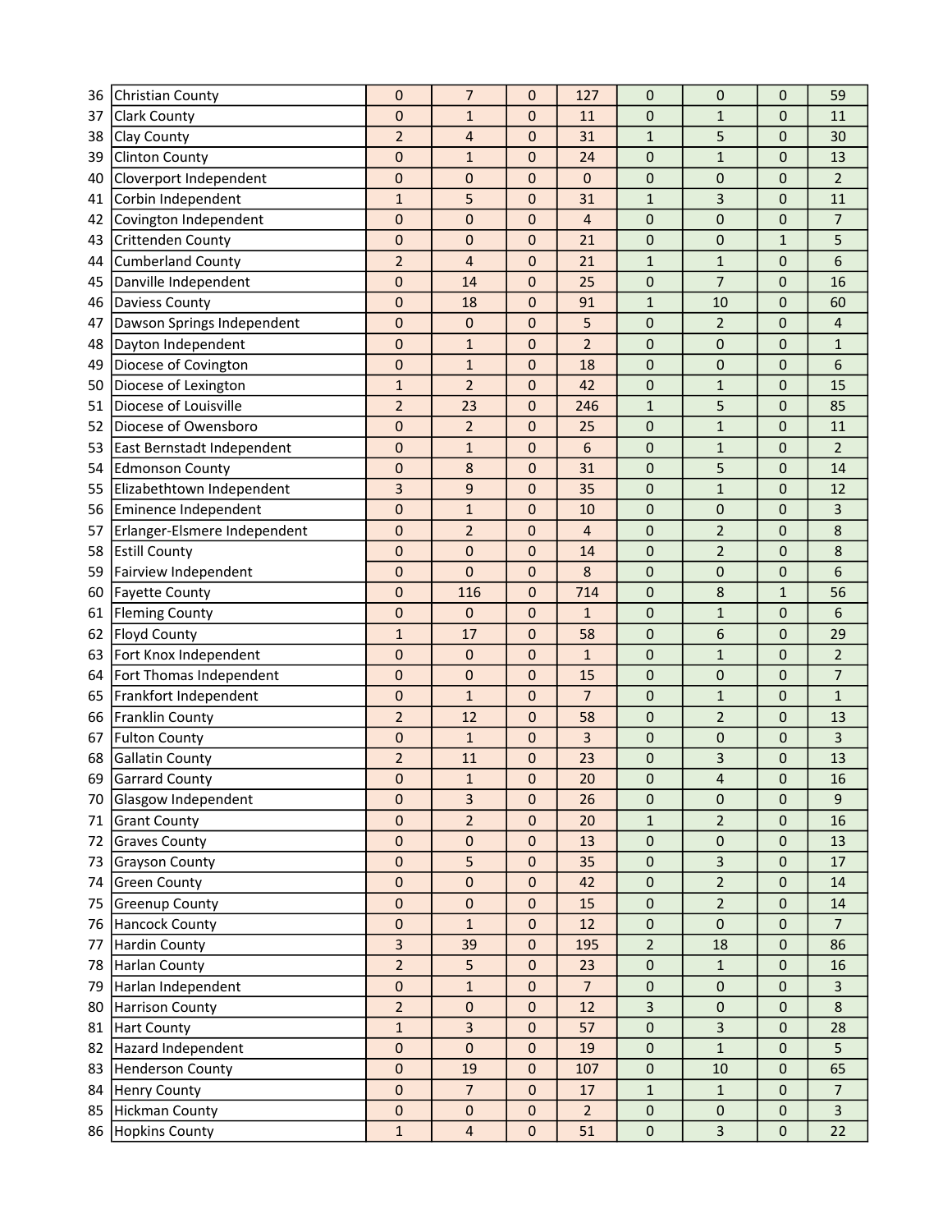| 36 | Christian County             | $\mathbf 0$    | 7                       | 0            | 127             | 0              | 0              | 0            | 59             |
|----|------------------------------|----------------|-------------------------|--------------|-----------------|----------------|----------------|--------------|----------------|
| 37 | Clark County                 | 0              | $\mathbf{1}$            | 0            | 11              | 0              | $\mathbf{1}$   | 0            | 11             |
| 38 | Clay County                  | $\overline{2}$ | $\overline{4}$          | 0            | 31              | $\mathbf{1}$   | 5              | 0            | 30             |
| 39 | Clinton County               | 0              | $\mathbf{1}$            | 0            | 24              | 0              | $\mathbf{1}$   | 0            | 13             |
| 40 | Cloverport Independent       | $\mathbf 0$    | 0                       | $\pmb{0}$    | 0               | $\mathsf 0$    | $\pmb{0}$      | 0            | $\overline{2}$ |
| 41 | Corbin Independent           | $\mathbf{1}$   | 5                       | 0            | 31              | $\mathbf{1}$   | 3              | 0            | 11             |
| 42 | Covington Independent        | $\mathbf 0$    | 0                       | 0            | 4               | 0              | 0              | 0            | $\overline{7}$ |
| 43 | Crittenden County            | $\mathbf 0$    | $\mathbf 0$             | $\mathbf{0}$ | 21              | $\mathsf 0$    | 0              | $\mathbf{1}$ | 5              |
| 44 | <b>Cumberland County</b>     | $\overline{2}$ | $\overline{4}$          | $\mathbf{0}$ | 21              | $\mathbf{1}$   | $\mathbf{1}$   | 0            | 6              |
| 45 | Danville Independent         | 0              | 14                      | 0            | 25              | 0              | $\overline{7}$ | 0            | 16             |
| 46 | Daviess County               | $\pmb{0}$      | 18                      | 0            | 91              | $\mathbf{1}$   | 10             | 0            | 60             |
| 47 | Dawson Springs Independent   | $\pmb{0}$      | 0                       | 0            | 5               | 0              | $\overline{2}$ | 0            | 4              |
| 48 | Dayton Independent           | 0              | $\mathbf{1}$            | 0            | $\overline{2}$  | 0              | 0              | 0            | $\mathbf{1}$   |
| 49 | Diocese of Covington         | $\pmb{0}$      | $\mathbf{1}$            | 0            | 18              | 0              | $\pmb{0}$      | 0            | 6              |
| 50 | Diocese of Lexington         | $\mathbf{1}$   | $\overline{2}$          | 0            | 42              | 0              | $\mathbf 1$    | 0            | 15             |
| 51 | Diocese of Louisville        | $\overline{2}$ | 23                      | 0            | 246             | $\mathbf{1}$   | 5              | $\mathbf 0$  | 85             |
| 52 | Diocese of Owensboro         | 0              | $\overline{2}$          | 0            | 25              | 0              | $\mathbf 1$    | 0            | 11             |
| 53 | East Bernstadt Independent   | 0              | $\mathbf{1}$            | 0            | 6               | 0              | $\mathbf{1}$   | 0            | $\overline{2}$ |
| 54 | <b>Edmonson County</b>       | $\pmb{0}$      | 8                       | 0            | 31              | 0              | 5              | 0            | 14             |
| 55 | Elizabethtown Independent    | 3              | 9                       | 0            | 35              | 0              | $\mathbf{1}$   | 0            | 12             |
| 56 | Eminence Independent         | $\pmb{0}$      | $\mathbf{1}$            | 0            | 10              | 0              | 0              | 0            | 3              |
| 57 | Erlanger-Elsmere Independent | 0              | $\overline{2}$          | 0            | 4               | 0              | $\overline{2}$ | 0            | 8              |
| 58 | <b>Estill County</b>         | $\pmb{0}$      | $\mathbf 0$             | 0            | 14              | 0              | $\overline{2}$ | 0            | 8              |
| 59 | Fairview Independent         | $\mathbf 0$    | $\overline{0}$          | 0            | 8               | 0              | 0              | 0            | 6              |
| 60 | <b>Fayette County</b>        | 0              | 116                     | $\pmb{0}$    | 714             | 0              | 8              | $\mathbf{1}$ | 56             |
| 61 | <b>Fleming County</b>        | $\mathbf 0$    | $\mathbf 0$             | 0            | $\mathbf{1}$    | 0              | $\mathbf{1}$   | 0            | 6              |
| 62 | Floyd County                 | $\mathbf{1}$   | 17                      | 0            | 58              | 0              | 6              | 0            | 29             |
| 63 | Fort Knox Independent        | $\pmb{0}$      | 0                       | 0            | $\mathbf{1}$    | 0              | $\mathbf{1}$   | 0            | $\overline{2}$ |
| 64 | Fort Thomas Independent      | 0              | 0                       | 0            | 15              | 0              | 0              | 0            | 7              |
| 65 | Frankfort Independent        | $\mathbf 0$    | $\mathbf{1}$            | 0            | $\overline{7}$  | 0              | $\mathbf{1}$   | $\mathbf 0$  | $\mathbf{1}$   |
| 66 | Franklin County              | $\overline{2}$ | 12                      | 0            | 58              | 0              | $\overline{2}$ | 0            | 13             |
| 67 | <b>Fulton County</b>         | $\pmb{0}$      | $\mathbf{1}$            | 0            | 3               | 0              | 0              | 0            | 3              |
| 68 | <b>Gallatin County</b>       | $\overline{2}$ | 11                      | 0            | 23              | 0              | 3              | 0            | 13             |
|    | 69 Garrard County            | $\mathbf{0}$   | $\mathbf{1}$            | $\Omega$     | 20              | $\overline{0}$ | $\overline{4}$ | $\Omega$     | 16             |
| 70 | Glasgow Independent          | $\mathbf 0$    | $\overline{3}$          | $\mathbf{0}$ | 26              | $\mathbf 0$    | $\mathbf 0$    | $\mathbf 0$  | 9              |
| 71 | <b>Grant County</b>          | 0              | $\overline{2}$          | $\pmb{0}$    | 20              | $\mathbf{1}$   | $\overline{2}$ | 0            | 16             |
| 72 | <b>Graves County</b>         | $\pmb{0}$      | $\pmb{0}$               | $\pmb{0}$    | 13              | $\pmb{0}$      | $\pmb{0}$      | $\pmb{0}$    | 13             |
| 73 | Grayson County               | $\pmb{0}$      | 5                       | $\pmb{0}$    | 35              | $\pmb{0}$      | 3              | $\mathbf 0$  | 17             |
| 74 | <b>Green County</b>          | $\pmb{0}$      | $\pmb{0}$               | $\pmb{0}$    | 42              | $\pmb{0}$      | $\overline{2}$ | $\pmb{0}$    | 14             |
| 75 | <b>Greenup County</b>        | 0              | $\mathbf 0$             | $\mathbf 0$  | 15              | $\pmb{0}$      | $\overline{2}$ | 0            | 14             |
| 76 | <b>Hancock County</b>        | $\pmb{0}$      | $\mathbf{1}$            | $\pmb{0}$    | 12              | $\pmb{0}$      | $\pmb{0}$      | $\mathbf 0$  | $\overline{7}$ |
| 77 | <b>Hardin County</b>         | 3              | 39                      | 0            | 195             | $\overline{2}$ | 18             | $\mathbf 0$  | 86             |
| 78 | Harlan County                | $\overline{2}$ | 5                       | $\pmb{0}$    | 23              | $\pmb{0}$      | $\mathbf{1}$   | $\mathbf 0$  | 16             |
| 79 | Harlan Independent           | $\pmb{0}$      | $\mathbf{1}$            | 0            | $\overline{7}$  | $\pmb{0}$      | $\pmb{0}$      | $\mathbf{0}$ | 3              |
| 80 | <b>Harrison County</b>       | $\overline{2}$ | $\pmb{0}$               | 0            | 12              | 3              | 0              | 0            | 8              |
| 81 | <b>Hart County</b>           | $\mathbf 1$    | $\mathbf{3}$            | $\pmb{0}$    | 57              | 0              | 3              | $\mathbf 0$  | 28             |
| 82 | Hazard Independent           | $\pmb{0}$      | $\pmb{0}$               | 0            | 19              | $\pmb{0}$      | $\mathbf{1}$   | $\mathbf 0$  | 5              |
| 83 | <b>Henderson County</b>      | $\pmb{0}$      | 19                      | $\pmb{0}$    | 107             | $\pmb{0}$      | 10             | $\mathbf 0$  | 65             |
| 84 | <b>Henry County</b>          | $\mathbf 0$    | $\overline{7}$          | $\mathbf{0}$ | 17              | $\mathbf{1}$   | $\mathbf{1}$   | $\mathbf{0}$ | $\overline{7}$ |
| 85 | Hickman County               | $\pmb{0}$      | $\pmb{0}$               | $\pmb{0}$    | $2\overline{ }$ | $\pmb{0}$      | $\pmb{0}$      | $\pmb{0}$    | $\overline{3}$ |
| 86 | Hopkins County               | $\mathbf 1$    | $\overline{\mathbf{4}}$ | $\mathbf 0$  | 51              | 0              | $\overline{3}$ | $\mathbf 0$  | 22             |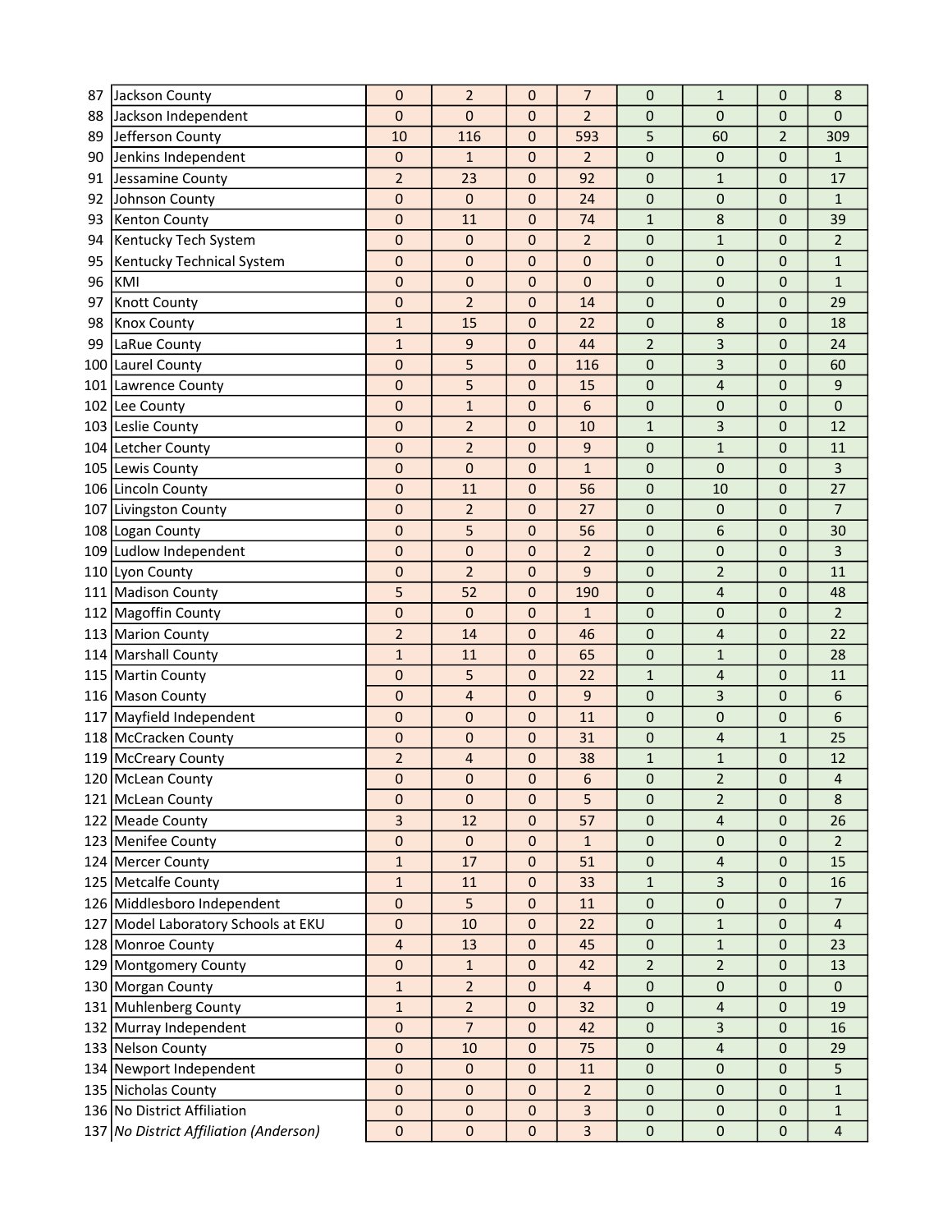| 87  | Jackson County                         | 0              | $\overline{2}$ | 0            | 7              | 0              | $\mathbf{1}$            | 0              | 8                       |
|-----|----------------------------------------|----------------|----------------|--------------|----------------|----------------|-------------------------|----------------|-------------------------|
| 88  | Jackson Independent                    | 0              | $\mathbf 0$    | $\mathbf 0$  | $\overline{2}$ | 0              | $\mathbf 0$             | 0              | 0                       |
| 89  | Jefferson County                       | 10             | 116            | $\pmb{0}$    | 593            | 5              | 60                      | $\overline{2}$ | 309                     |
| 90  | Jenkins Independent                    | 0              | $\mathbf{1}$   | 0            | $\overline{2}$ | 0              | 0                       | 0              | $\mathbf{1}$            |
| 91  | Jessamine County                       | $\overline{c}$ | 23             | $\mathbf 0$  | 92             | $\pmb{0}$      | $\mathbf{1}$            | $\mathbf 0$    | 17                      |
| 92  | Johnson County                         | 0              | $\bf 0$        | 0            | 24             | 0              | 0                       | 0              | 1                       |
| 93  | <b>Kenton County</b>                   | 0              | 11             | $\pmb{0}$    | 74             | $\mathbf{1}$   | 8                       | 0              | 39                      |
| 94  | Kentucky Tech System                   | 0              | 0              | 0            | $\overline{2}$ | 0              | $\mathbf 1$             | 0              | $\overline{2}$          |
| 95  | Kentucky Technical System              | 0              | $\mathbf 0$    | $\mathbf 0$  | 0              | 0              | 0                       | 0              | $\mathbf{1}$            |
| 96  | KMI                                    | 0              | 0              | 0            | 0              | 0              | 0                       | 0              | $\mathbf{1}$            |
| 97  | <b>Knott County</b>                    | 0              | $\overline{2}$ | $\mathbf 0$  | 14             | 0              | 0                       | 0              | 29                      |
| 98  | <b>Knox County</b>                     | $\mathbf{1}$   | 15             | 0            | 22             | 0              | 8                       | 0              | 18                      |
| 99  | LaRue County                           | $\mathbf{1}$   | 9              | $\mathbf 0$  | 44             | 2              | 3                       | 0              | 24                      |
| 100 | Laurel County                          | 0              | 5              | $\mathbf 0$  | 116            | 0              | 3                       | 0              | 60                      |
| 101 | Lawrence County                        | 0              | 5              | $\mathbf 0$  | 15             | $\mathbf 0$    | 4                       | 0              | 9                       |
| 102 | Lee County                             | 0              | $\mathbf{1}$   | $\mathbf 0$  | 6              | 0              | 0                       | 0              | 0                       |
|     | 103 Leslie County                      | $\mathbf 0$    | $\overline{2}$ | 0            | 10             | 1              | 3                       | 0              | 12                      |
|     | 104 Letcher County                     | 0              | $\overline{2}$ | $\mathbf 0$  | 9              | 0              | $\mathbf{1}$            | 0              | 11                      |
|     | 105 Lewis County                       | 0              | 0              | 0            | 1              | 0              | 0                       | 0              | 3                       |
|     | 106 Lincoln County                     | $\pmb{0}$      | 11             | 0            | 56             | 0              | 10                      | 0              | 27                      |
| 107 | Livingston County                      | 0              | $\overline{2}$ | 0            | 27             | 0              | 0                       | 0              | $\overline{7}$          |
|     | 108 Logan County                       | 0              | 5              | $\mathbf{0}$ | 56             | 0              | 6                       | 0              | 30                      |
|     | 109 Ludlow Independent                 | 0              | $\bf 0$        | $\mathbf{0}$ | $\overline{2}$ | 0              | 0                       | 0              | 3                       |
| 110 | Lyon County                            | 0              | $\overline{2}$ | $\mathbf{0}$ | 9              | $\mathbf 0$    | $\overline{2}$          | 0              | 11                      |
| 111 | <b>Madison County</b>                  | 5              | 52             | $\pmb{0}$    | 190            | 0              | $\overline{4}$          | 0              | 48                      |
| 112 | Magoffin County                        | $\mathbf 0$    | $\mathbf 0$    | $\mathbf 0$  | $\mathbf{1}$   | 0              | $\pmb{0}$               | 0              | $\overline{2}$          |
|     | 113 Marion County                      | $\overline{2}$ | 14             | $\mathbf 0$  | 46             | 0              | $\overline{\mathbf{r}}$ | 0              | 22                      |
|     | 114 Marshall County                    | $\mathbf{1}$   | 11             | 0            | 65             | 0              | $\mathbf{1}$            | 0              | 28                      |
|     | 115 Martin County                      | 0              | 5              | $\mathbf 0$  | 22             | 1              | $\overline{4}$          | 0              | 11                      |
|     | 116 Mason County                       | $\mathbf 0$    | $\overline{4}$ | $\mathbf 0$  | 9              | 0              | 3                       | 0              | 6                       |
| 117 | Mayfield Independent                   | 0              | 0              | $\mathbf 0$  | 11             | 0              | 0                       | 0              | 6                       |
|     | 118 McCracken County                   | 0              | $\bf 0$        | $\mathbf 0$  | 31             | $\mathbf 0$    | $\overline{4}$          | $\mathbf{1}$   | 25                      |
|     | 119 McCreary County                    | $\overline{2}$ | 4              | 0            | 38             | 1              | $\mathbf 1$             | 0              | 12                      |
|     | 120 McLean County                      | $\mathbf 0$    | $\Omega$       | $\Omega$     | 6              | $\Omega$       | $\overline{2}$          | $\Omega$       | 4                       |
|     | 121 McLean County                      | 0              | $\mathbf{0}$   | 0            | 5              | 0              | $\overline{2}$          | $\mathbf{0}$   | 8                       |
|     | 122 Meade County                       | 3              | 12             | $\mathbf 0$  | 57             | 0              | $\overline{4}$          | 0              | 26                      |
|     | 123 Menifee County                     | 0              | $\pmb{0}$      | $\pmb{0}$    | $\mathbf{1}$   | 0              | $\pmb{0}$               | 0              | $\overline{2}$          |
|     | 124 Mercer County                      | $\mathbf{1}$   | 17             | $\mathbf 0$  | 51             | $\mathbf 0$    | $\overline{\mathbf{4}}$ | 0              | 15                      |
|     | 125 Metcalfe County                    | $\mathbf{1}$   | 11             | $\pmb{0}$    | 33             | 1              | $\overline{3}$          | $\mathbf 0$    | 16                      |
|     | 126 Middlesboro Independent            | 0              | 5              | $\Omega$     | 11             | 0              | 0                       | 0              | $\overline{7}$          |
|     | 127 Model Laboratory Schools at EKU    | 0              | $10\,$         | $\mathbf 0$  | 22             | 0              | 1                       | $\mathbf 0$    | $\overline{\mathbf{4}}$ |
|     | 128 Monroe County                      | 4              | 13             | $\mathbf 0$  | 45             | 0              | 1                       | 0              | 23                      |
|     | 129 Montgomery County                  | 0              | $\mathbf{1}$   | $\pmb{0}$    | 42             | $\overline{2}$ | $\overline{2}$          | 0              | 13                      |
|     | 130 Morgan County                      | $\mathbf{1}$   | $\overline{2}$ | $\mathbf{0}$ | $\overline{4}$ | 0              | $\pmb{0}$               | 0              | $\mathbf{0}$            |
|     | 131 Muhlenberg County                  | $\mathbf{1}$   | $\overline{2}$ | $\pmb{0}$    | 32             | 0              | $\overline{4}$          | 0              | 19                      |
|     | 132 Murray Independent                 | 0              | 7              | $\mathbf 0$  | 42             | $\pmb{0}$      | $\mathbf{3}$            | 0              | 16                      |
|     | 133 Nelson County                      | 0              | 10             | $\mathbf 0$  | 75             | 0              | $\overline{4}$          | 0              | 29                      |
|     | 134 Newport Independent                | $\mathbf 0$    | $\bf 0$        | $\mathbf 0$  | 11             | 0              | $\pmb{0}$               | $\mathbf 0$    | 5                       |
|     | 135 Nicholas County                    | 0              | 0              | 0            | $\overline{2}$ | 0              | $\mathbf{0}$            | $\mathbf{0}$   | $\mathbf{1}$            |
|     | 136 No District Affiliation            | 0              | $\mathbf 0$    | $\pmb{0}$    | 3              | 0              | $\pmb{0}$               | $\mathbf 0$    | $\mathbf{1}$            |
|     | 137 No District Affiliation (Anderson) | $\pmb{0}$      | 0              | 0            | 3              | 0              | $\pmb{0}$               | $\mathbf 0$    | $\overline{4}$          |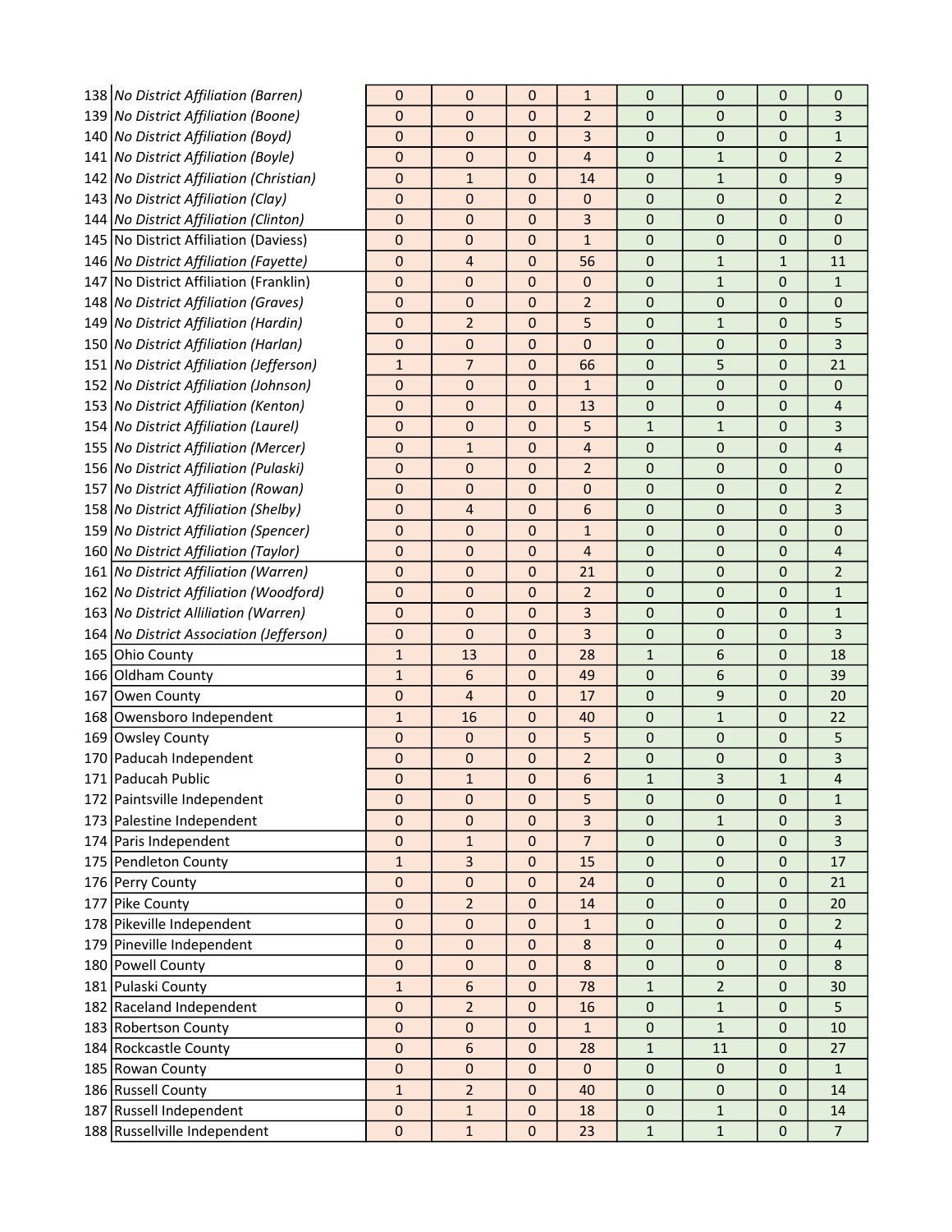|     | 138 No District Affiliation (Barren)      | 0            | 0              | $\mathbf{0}$ | 1              | 0                | 0              | 0            | 0                       |
|-----|-------------------------------------------|--------------|----------------|--------------|----------------|------------------|----------------|--------------|-------------------------|
|     | 139 No District Affiliation (Boone)       | 0            | 0              | $\mathbf{0}$ | $\overline{2}$ | 0                | 0              | 0            | 3                       |
|     | 140 No District Affiliation (Boyd)        | 0            | 0              | $\mathbf{0}$ | 3              | 0                | $\mathbf{0}$   | $\mathbf 0$  | 1                       |
|     | 141   No District Affiliation (Boyle)     | 0            | $\mathbf 0$    | $\mathbf 0$  | 4              | 0                | $\mathbf{1}$   | 0            | $\overline{2}$          |
|     | 142 No District Affiliation (Christian)   | 0            | 1              | $\mathbf 0$  | 14             | 0                | $\mathbf{1}$   | 0            | 9                       |
|     | 143 No District Affiliation (Clay)        | 0            | 0              | $\mathbf 0$  | 0              | 0                | 0              | 0            | $\overline{2}$          |
|     | 144 No District Affiliation (Clinton)     | 0            | 0              | 0            | 3              | 0                | $\mathbf 0$    | $\mathbf{0}$ | 0                       |
|     | 145   No District Affiliation (Daviess)   | 0            | 0              | $\mathbf 0$  | $\mathbf{1}$   | 0                | 0              | 0            | 0                       |
|     | 146 No District Affiliation (Fayette)     | 0            | $\overline{4}$ | $\mathbf{0}$ | 56             | $\mathbf 0$      | $\mathbf{1}$   | $\mathbf{1}$ | 11                      |
|     | 147 No District Affiliation (Franklin)    | 0            | $\mathbf{0}$   | $\mathbf 0$  | 0              | 0                | $\mathbf{1}$   | 0            | $\mathbf{1}$            |
|     | 148 No District Affiliation (Graves)      | 0            | $\mathbf 0$    | $\mathbf 0$  | $\overline{2}$ | 0                | 0              | 0            | 0                       |
|     | 149 No District Affiliation (Hardin)      | 0            | $\overline{2}$ | $\mathbf 0$  | 5              | 0                | $\mathbf{1}$   | $\mathbf 0$  | 5                       |
|     | 150 No District Affiliation (Harlan)      | 0            | $\mathbf{0}$   | $\mathbf 0$  | 0              | 0                | 0              | 0            | 3                       |
|     | 151   No District Affiliation (Jefferson) | $\mathbf{1}$ | 7              | $\mathbf 0$  | 66             | 0                | 5              | 0            | 21                      |
|     | 152 No District Affiliation (Johnson)     | 0            | 0              | $\mathbf 0$  | $\mathbf{1}$   | 0                | 0              | 0            | 0                       |
|     | 153 No District Affiliation (Kenton)      | 0            | 0              | $\mathbf 0$  | 13             | 0                | 0              | $\mathbf{0}$ | 4                       |
|     | 154   No District Affiliation (Laurel)    | 0            | 0              | $\mathbf{0}$ | 5              | $\mathbf{1}$     | $\mathbf{1}$   | $\mathbf 0$  | 3                       |
|     | 155   No District Affiliation (Mercer)    | 0            | $\mathbf{1}$   | $\mathbf{0}$ | 4              | 0                | $\mathbf{0}$   | $\mathbf 0$  | 4                       |
|     | 156 No District Affiliation (Pulaski)     | 0            | 0              | $\mathbf{0}$ | $\overline{2}$ | 0                | 0              | 0            | 0                       |
|     | 157 No District Affiliation (Rowan)       | 0            | 0              | $\mathbf 0$  | 0              | 0                | 0              | 0            | 2                       |
|     | 158 No District Affiliation (Shelby)      | 0            | 4              | $\mathbf 0$  | 6              | 0                | 0              | $\mathbf 0$  | 3                       |
|     | 159 No District Affiliation (Spencer)     | 0            | $\mathbf 0$    | $\mathbf 0$  | $\mathbf{1}$   | 0                | 0              | $\mathbf 0$  | 0                       |
|     | 160   No District Affiliation (Taylor)    | 0            | 0              | $\mathbf 0$  | 4              | 0                | 0              | 0            | 4                       |
|     | 161   No District Affiliation (Warren)    | 0            | 0              | $\mathbf 0$  | 21             | 0                | 0              | 0            | $\overline{2}$          |
|     | 162   No District Affiliation (Woodford)  | 0            | 0              | $\mathbf{0}$ | $\overline{2}$ | 0                | 0              | $\mathbf 0$  | $\mathbf{1}$            |
|     | 163 No District Alliliation (Warren)      | 0            | 0              | $\mathbf{0}$ | 3              | 0                | $\mathbf 0$    | $\mathbf 0$  | $\mathbf{1}$            |
|     | 164   No District Association (Jefferson) | 0            | 0              | $\mathbf{0}$ | 3              | 0                | $\mathbf{0}$   | $\mathbf 0$  | 3                       |
|     | 165 Ohio County                           | $\mathbf{1}$ | 13             | $\mathbf 0$  | 28             | 1                | 6              | 0            | 18                      |
|     | 166 Oldham County                         | $\mathbf{1}$ | 6              | $\mathbf 0$  | 49             | 0                | 6              | 0            | 39                      |
| 167 | Owen County                               | 0            | 4              | $\mathbf 0$  | 17             | 0                | 9              | 0            | 20                      |
|     | 168 Owensboro Independent                 | $\mathbf{1}$ | 16             | $\mathbf 0$  | 40             | 0                | $\mathbf{1}$   | 0            | 22                      |
|     | 169 Owsley County                         | 0            | $\mathbf 0$    | $\mathbf 0$  | 5              | 0                | 0              | 0            | 5                       |
|     | 170 Paducah Independent                   | 0            | 0              | $\mathbf 0$  | $\overline{2}$ | 0                | 0              | 0            | 3                       |
|     | 171 Paducah Public                        | 0            | $\mathbf{1}$   | $\pmb{0}$    | 6              | $\mathbf{1}$     | 3              | $\mathbf 1$  | $\overline{\mathbf{4}}$ |
|     | 172 Paintsville Independent               | 0            | $\mathbf{0}$   | $\Omega$     | 5              | 0                | $\mathbf{0}$   | $\mathbf{0}$ | $\mathbf{1}$            |
|     | 173 Palestine Independent                 | 0            | $\mathbf{0}$   | $\mathbf{0}$ | 3              | 0                | $\mathbf{1}$   | $\mathbf{0}$ | 3                       |
|     | 174 Paris Independent                     | 0            | 1              | $\mathbf 0$  | $\overline{7}$ | $\pmb{0}$        | $\mathbf 0$    | 0            | 3                       |
|     | 175 Pendleton County                      | $\mathbf{1}$ | 3              | $\mathbf 0$  | 15             | 0                | $\mathbf 0$    | 0            | 17                      |
|     | 176 Perry County                          | 0            | $\mathbf 0$    | $\mathbf{0}$ | 24             | 0                | $\mathbf{0}$   | $\mathbf 0$  | 21                      |
|     | 177 Pike County                           | 0            | $\overline{2}$ | $\mathbf{0}$ | 14             | 0                | 0              | $\mathbf{0}$ | 20                      |
|     | 178 Pikeville Independent                 | 0            | $\mathbf 0$    | $\mathbf 0$  | $\mathbf{1}$   | $\pmb{0}$        | 0              | 0            | $\overline{2}$          |
|     | 179 Pineville Independent                 | 0            | 0              | $\mathbf{0}$ | 8              | $\pmb{0}$        | $\mathbf{0}$   | 0            | $\overline{\mathbf{4}}$ |
|     | 180 Powell County                         | $\mathbf 0$  | $\mathbf 0$    | $\mathbf{0}$ | $\bf 8$        | $\pmb{0}$        | $\pmb{0}$      | $\mathbf 0$  | 8                       |
|     | 181 Pulaski County                        | $\mathbf{1}$ | 6              | $\mathbf{0}$ | 78             | 1                | $\overline{2}$ | $\mathbf{0}$ | 30                      |
|     | 182 Raceland Independent                  | $\pmb{0}$    | $\overline{2}$ | $\mathbf 0$  | 16             | $\pmb{0}$        | $\mathbf{1}$   | $\mathbf 0$  | 5                       |
|     | 183 Robertson County                      | 0            | $\mathbf 0$    | $\mathbf 0$  | 1              | $\boldsymbol{0}$ | $\mathbf{1}$   | 0            | 10                      |
|     | 184 Rockcastle County                     | 0            | 6              | $\mathbf 0$  | 28             | 1                | 11             | 0            | 27                      |
|     | 185 Rowan County                          | 0            | $\mathbf 0$    | $\mathbf{0}$ | $\mathbf 0$    | 0                | $\pmb{0}$      | $\mathbf{0}$ | $\mathbf{1}$            |
|     | 186 Russell County                        | $\mathbf{1}$ | $\overline{2}$ | $\mathbf{0}$ | 40             | 0                | $\pmb{0}$      | $\mathbf{0}$ | 14                      |
|     | 187 Russell Independent                   | $\pmb{0}$    | $\mathbf{1}$   | $\mathbf 0$  | 18             | $\pmb{0}$        | $\mathbf{1}$   | $\mathbf 0$  | 14                      |
|     | 188 Russellville Independent              | 0            | $\mathbf{1}$   | $\mathbf{0}$ | 23             | $\mathbf{1}$     | $\mathbf{1}$   | $\mathbf{0}$ | $\overline{7}$          |